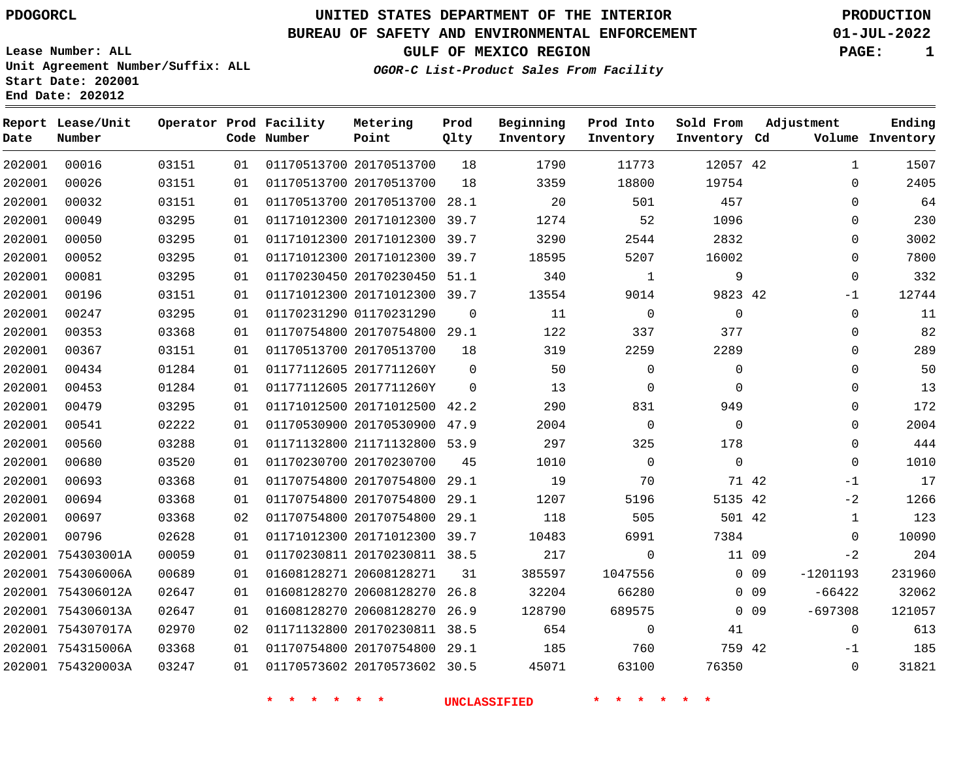### **BUREAU OF SAFETY AND ENVIRONMENTAL ENFORCEMENT 01-JUL-2022**

**GULF OF MEXICO REGION PAGE: 1**

**Lease Number: ALL Unit Agreement Number/Suffix: ALL Start Date: 202001 End Date: 202012**

**OGOR-C List-Product Sales From Facility**

| Date   | Report Lease/Unit<br>Number |       |    | Operator Prod Facility<br>Code Number | Metering<br>Point            | Prod<br>Qlty   | Beginning<br>Inventory | Prod Into<br>Inventory | Sold From<br>Inventory Cd |        | Adjustment   | Ending<br>Volume Inventory |
|--------|-----------------------------|-------|----|---------------------------------------|------------------------------|----------------|------------------------|------------------------|---------------------------|--------|--------------|----------------------------|
| 202001 | 00016                       | 03151 | 01 |                                       | 01170513700 20170513700      | 18             | 1790                   | 11773                  | 12057 42                  |        | $\mathbf{1}$ | 1507                       |
| 202001 | 00026                       | 03151 | 01 |                                       | 01170513700 20170513700      | 18             | 3359                   | 18800                  | 19754                     |        | $\mathbf 0$  | 2405                       |
| 202001 | 00032                       | 03151 | 01 |                                       | 01170513700 20170513700 28.1 |                | 20                     | 501                    | 457                       |        | $\Omega$     | 64                         |
| 202001 | 00049                       | 03295 | 01 |                                       | 01171012300 20171012300 39.7 |                | 1274                   | 52                     | 1096                      |        | $\mathbf 0$  | 230                        |
| 202001 | 00050                       | 03295 | 01 |                                       | 01171012300 20171012300 39.7 |                | 3290                   | 2544                   | 2832                      |        | $\mathbf 0$  | 3002                       |
| 202001 | 00052                       | 03295 | 01 |                                       | 01171012300 20171012300 39.7 |                | 18595                  | 5207                   | 16002                     |        | $\Omega$     | 7800                       |
| 202001 | 00081                       | 03295 | 01 |                                       | 01170230450 20170230450 51.1 |                | 340                    | $\mathbf{1}$           | 9                         |        | $\mathbf 0$  | 332                        |
| 202001 | 00196                       | 03151 | 01 |                                       | 01171012300 20171012300 39.7 |                | 13554                  | 9014                   | 9823 42                   |        | $-1$         | 12744                      |
| 202001 | 00247                       | 03295 | 01 |                                       | 01170231290 01170231290      | $\overline{0}$ | 11                     | $\mathbf 0$            | 0                         |        | 0            | 11                         |
| 202001 | 00353                       | 03368 | 01 |                                       | 01170754800 20170754800 29.1 |                | 122                    | 337                    | 377                       |        | $\mathbf 0$  | 82                         |
| 202001 | 00367                       | 03151 | 01 |                                       | 01170513700 20170513700      | 18             | 319                    | 2259                   | 2289                      |        | $\mathbf 0$  | 289                        |
| 202001 | 00434                       | 01284 | 01 |                                       | 01177112605 2017711260Y      | $\overline{0}$ | 50                     | 0                      | $\mathbf 0$               |        | $\mathbf 0$  | 50                         |
| 202001 | 00453                       | 01284 | 01 |                                       | 01177112605 2017711260Y      | $\Omega$       | 13                     | $\mathbf 0$            | $\Omega$                  |        | $\mathbf 0$  | 13                         |
| 202001 | 00479                       | 03295 | 01 |                                       | 01171012500 20171012500 42.2 |                | 290                    | 831                    | 949                       |        | $\mathbf 0$  | 172                        |
| 202001 | 00541                       | 02222 | 01 |                                       | 01170530900 20170530900 47.9 |                | 2004                   | $\mathbf 0$            | $\Omega$                  |        | $\Omega$     | 2004                       |
| 202001 | 00560                       | 03288 | 01 |                                       | 01171132800 21171132800 53.9 |                | 297                    | 325                    | 178                       |        | $\Omega$     | 444                        |
| 202001 | 00680                       | 03520 | 01 |                                       | 01170230700 20170230700      | 45             | 1010                   | $\Omega$               | $\Omega$                  |        | $\Omega$     | 1010                       |
| 202001 | 00693                       | 03368 | 01 |                                       | 01170754800 20170754800      | 29.1           | 19                     | 70                     | 71 42                     |        | $-1$         | 17                         |
| 202001 | 00694                       | 03368 | 01 |                                       | 01170754800 20170754800 29.1 |                | 1207                   | 5196                   | 5135 42                   |        | $-2$         | 1266                       |
| 202001 | 00697                       | 03368 | 02 |                                       | 01170754800 20170754800      | 29.1           | 118                    | 505                    | 501 42                    |        | $\mathbf 1$  | 123                        |
| 202001 | 00796                       | 02628 | 01 |                                       | 01171012300 20171012300 39.7 |                | 10483                  | 6991                   | 7384                      |        | $\mathbf 0$  | 10090                      |
|        | 202001 754303001A           | 00059 | 01 |                                       | 01170230811 20170230811 38.5 |                | 217                    | $\mathbf 0$            | 11 09                     |        | $-2$         | 204                        |
|        | 202001 754306006A           | 00689 | 01 |                                       | 01608128271 20608128271      | 31             | 385597                 | 1047556                |                           | $0$ 09 | $-1201193$   | 231960                     |
|        | 202001 754306012A           | 02647 | 01 |                                       | 01608128270 20608128270      | 26.8           | 32204                  | 66280                  |                           | $0$ 09 | $-66422$     | 32062                      |
|        | 202001 754306013A           | 02647 | 01 |                                       | 01608128270 20608128270 26.9 |                | 128790                 | 689575                 |                           | $0$ 09 | $-697308$    | 121057                     |
|        | 202001 754307017A           | 02970 | 02 |                                       | 01171132800 20170230811 38.5 |                | 654                    | $\mathbf 0$            | 41                        |        | $\mathbf 0$  | 613                        |
|        | 202001 754315006A           | 03368 | 01 |                                       | 01170754800 20170754800 29.1 |                | 185                    | 760                    | 759 42                    |        | $-1$         | 185                        |
|        | 202001 754320003A           | 03247 | 01 |                                       | 01170573602 20170573602 30.5 |                | 45071                  | 63100                  | 76350                     |        | $\mathbf 0$  | 31821                      |
|        |                             |       |    |                                       |                              |                |                        |                        |                           |        |              |                            |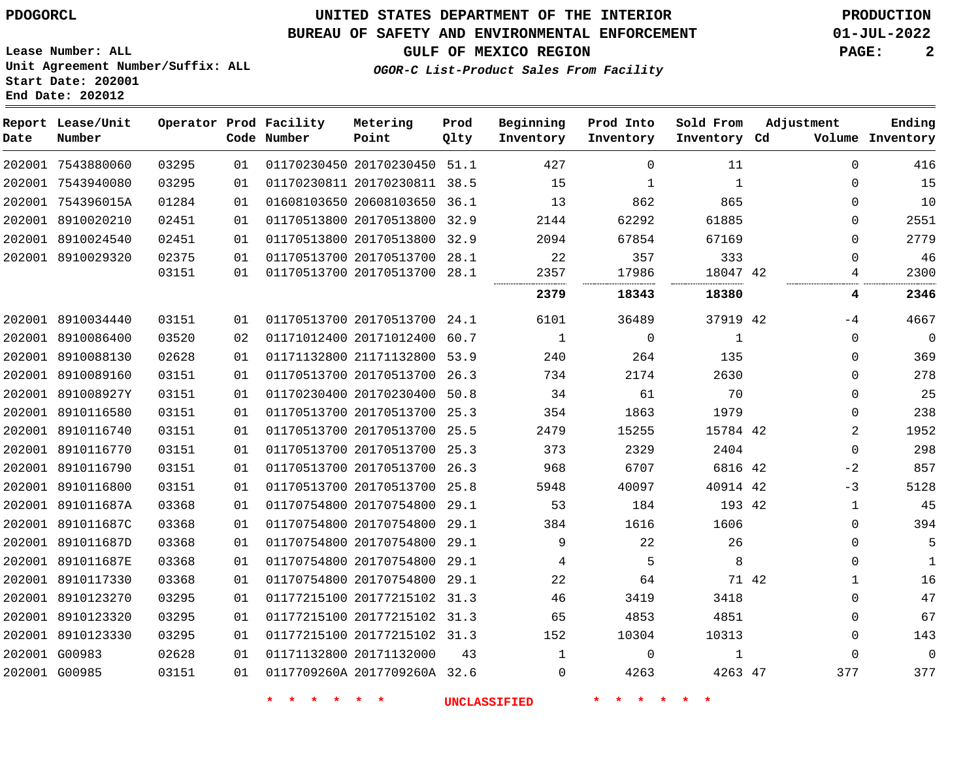**Start Date: 202001 End Date: 202012**

# **UNITED STATES DEPARTMENT OF THE INTERIOR PDOGORCL PRODUCTION**

### **BUREAU OF SAFETY AND ENVIRONMENTAL ENFORCEMENT 01-JUL-2022**

**Lease Number: ALL Unit Agreement Number/Suffix: ALL**

**GULF OF MEXICO REGION PAGE: 2**

**OGOR-C List-Product Sales From Facility**

| Date | Report Lease/Unit<br>Number |       |    | Operator Prod Facility<br>Code Number | Metering<br>Point            | Prod<br>Qlty | Beginning<br>Inventory | Prod Into<br>Inventory | Sold From<br>Inventory Cd | Adjustment |              | Ending<br>Volume Inventory |
|------|-----------------------------|-------|----|---------------------------------------|------------------------------|--------------|------------------------|------------------------|---------------------------|------------|--------------|----------------------------|
|      | 202001 7543880060           | 03295 | 01 |                                       | 01170230450 20170230450 51.1 |              | 427                    | $\mathbf 0$            | 11                        |            | $\mathbf 0$  | 416                        |
|      | 202001 7543940080           | 03295 | 01 |                                       | 01170230811 20170230811 38.5 |              | 15                     | 1                      | $\mathbf{1}$              |            | $\mathbf 0$  | 15                         |
|      | 202001 754396015A           | 01284 | 01 |                                       | 01608103650 20608103650 36.1 |              | 13                     | 862                    | 865                       |            | $\Omega$     | 10                         |
|      | 202001 8910020210           | 02451 | 01 |                                       | 01170513800 20170513800 32.9 |              | 2144                   | 62292                  | 61885                     |            | $\Omega$     | 2551                       |
|      | 202001 8910024540           | 02451 | 01 |                                       | 01170513800 20170513800 32.9 |              | 2094                   | 67854                  | 67169                     |            | $\Omega$     | 2779                       |
|      | 202001 8910029320           | 02375 | 01 |                                       | 01170513700 20170513700 28.1 |              | 22                     | 357                    | 333                       |            | $\Omega$     | 46                         |
|      |                             | 03151 | 01 |                                       | 01170513700 20170513700 28.1 |              | 2357                   | 17986                  | 18047 42                  |            | 4            | 2300                       |
|      |                             |       |    |                                       |                              |              | 2379                   | 18343                  | 18380                     |            | 4            | 2346                       |
|      | 202001 8910034440           | 03151 | 01 |                                       | 01170513700 20170513700 24.1 |              | 6101                   | 36489                  | 37919 42                  |            | $-4$         | 4667                       |
|      | 202001 8910086400           | 03520 | 02 |                                       | 01171012400 20171012400      | 60.7         | $\mathbf{1}$           | 0                      | $\mathbf{1}$              |            | $\mathbf 0$  | $\overline{0}$             |
|      | 202001 8910088130           | 02628 | 01 |                                       | 01171132800 21171132800 53.9 |              | 240                    | 264                    | 135                       |            | $\mathbf 0$  | 369                        |
|      | 202001 8910089160           | 03151 | 01 |                                       | 01170513700 20170513700      | 26.3         | 734                    | 2174                   | 2630                      |            | $\mathbf 0$  | 278                        |
|      | 202001 891008927Y           | 03151 | 01 |                                       | 01170230400 20170230400 50.8 |              | 34                     | 61                     | 70                        |            | $\mathbf 0$  | 25                         |
|      | 202001 8910116580           | 03151 | 01 |                                       | 01170513700 20170513700 25.3 |              | 354                    | 1863                   | 1979                      |            | $\mathbf 0$  | 238                        |
|      | 202001 8910116740           | 03151 | 01 |                                       | 01170513700 20170513700 25.5 |              | 2479                   | 15255                  | 15784 42                  |            | 2            | 1952                       |
|      | 202001 8910116770           | 03151 | 01 |                                       | 01170513700 20170513700 25.3 |              | 373                    | 2329                   | 2404                      |            | $\mathbf 0$  | 298                        |
|      | 202001 8910116790           | 03151 | 01 |                                       | 01170513700 20170513700 26.3 |              | 968                    | 6707                   | 6816 42                   |            | $-2$         | 857                        |
|      | 202001 8910116800           | 03151 | 01 |                                       | 01170513700 20170513700 25.8 |              | 5948                   | 40097                  | 40914 42                  |            | $-3$         | 5128                       |
|      | 202001 891011687A           | 03368 | 01 |                                       | 01170754800 20170754800      | 29.1         | 53                     | 184                    | 193 42                    |            | $\mathbf{1}$ | 45                         |
|      | 202001 891011687C           | 03368 | 01 |                                       | 01170754800 20170754800 29.1 |              | 384                    | 1616                   | 1606                      |            | $\Omega$     | 394                        |
|      | 202001 891011687D           | 03368 | 01 |                                       | 01170754800 20170754800      | 29.1         | 9                      | 22                     | 26                        |            | $\Omega$     | 5                          |
|      | 202001 891011687E           | 03368 | 01 |                                       | 01170754800 20170754800 29.1 |              | 4                      | 5                      | 8                         |            | $\Omega$     | 1                          |
|      | 202001 8910117330           | 03368 | 01 |                                       | 01170754800 20170754800 29.1 |              | 22                     | 64                     | 71 42                     |            | 1            | 16                         |
|      | 202001 8910123270           | 03295 | 01 |                                       | 01177215100 20177215102 31.3 |              | 46                     | 3419                   | 3418                      |            | $\Omega$     | 47                         |
|      | 202001 8910123320           | 03295 | 01 |                                       | 01177215100 20177215102 31.3 |              | 65                     | 4853                   | 4851                      |            | $\Omega$     | 67                         |
|      | 202001 8910123330           | 03295 | 01 |                                       | 01177215100 20177215102 31.3 |              | 152                    | 10304                  | 10313                     |            | $\Omega$     | 143                        |
|      | 202001 G00983               | 02628 | 01 | 01171132800 20171132000               |                              | 43           | $\mathbf{1}$           | $\Omega$               | $\mathbf{1}$              |            | $\Omega$     | $\Omega$                   |
|      | 202001 G00985               | 03151 | 01 |                                       | 0117709260A 2017709260A 32.6 |              | $\Omega$               | 4263                   | 4263 47                   |            | 377          | 377                        |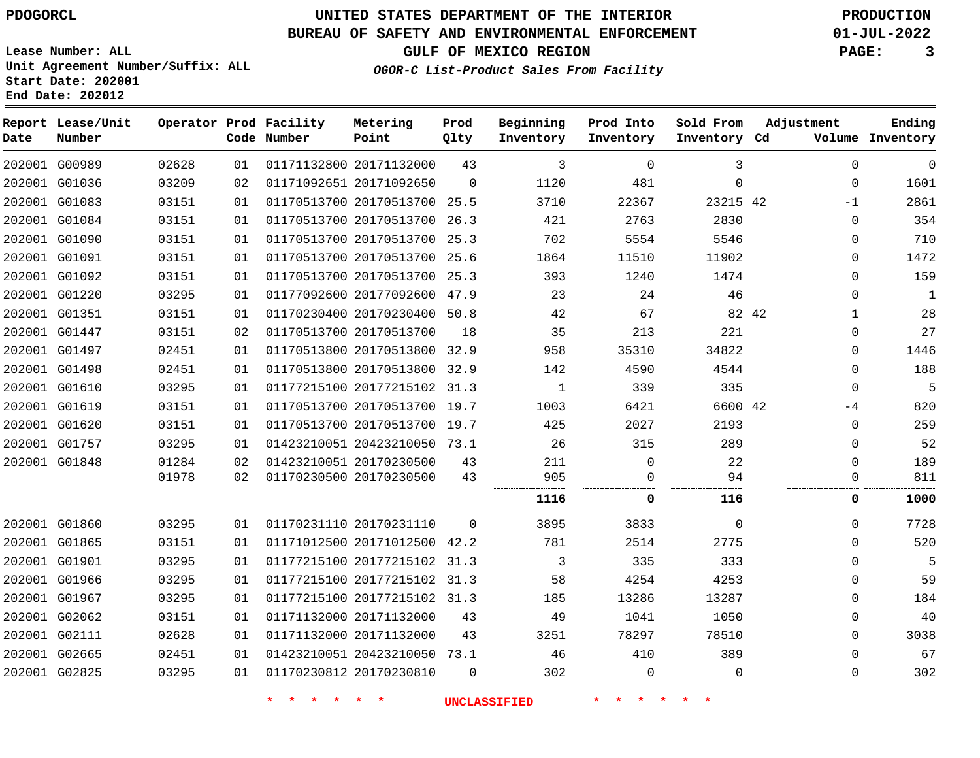### **BUREAU OF SAFETY AND ENVIRONMENTAL ENFORCEMENT 01-JUL-2022**

**GULF OF MEXICO REGION PAGE: 3**

**Lease Number: ALL Unit Agreement Number/Suffix: ALL Start Date: 202001 End Date: 202012**

| Date | Report Lease/Unit<br>Number |       |    | Operator Prod Facility<br>Code Number | Metering<br>Point            | Prod<br>Qlty | Beginning<br>Inventory | Prod Into<br>Inventory | Sold From<br>Inventory Cd | Adjustment |             | Ending<br>Volume Inventory |
|------|-----------------------------|-------|----|---------------------------------------|------------------------------|--------------|------------------------|------------------------|---------------------------|------------|-------------|----------------------------|
|      | 202001 G00989               | 02628 | 01 |                                       | 01171132800 20171132000      | 43           | 3                      | $\mathbf 0$            | 3                         |            | $\mathbf 0$ | $\mathbf{0}$               |
|      | 202001 G01036               | 03209 | 02 |                                       | 01171092651 20171092650      | $\Omega$     | 1120                   | 481                    | $\mathbf 0$               |            | $\Omega$    | 1601                       |
|      | 202001 G01083               | 03151 | 01 |                                       | 01170513700 20170513700 25.5 |              | 3710                   | 22367                  | 23215 42                  |            | $-1$        | 2861                       |
|      | 202001 G01084               | 03151 | 01 |                                       | 01170513700 20170513700 26.3 |              | 421                    | 2763                   | 2830                      |            | $\mathbf 0$ | 354                        |
|      | 202001 G01090               | 03151 | 01 |                                       | 01170513700 20170513700 25.3 |              | 702                    | 5554                   | 5546                      |            | $\Omega$    | 710                        |
|      | 202001 G01091               | 03151 | 01 |                                       | 01170513700 20170513700 25.6 |              | 1864                   | 11510                  | 11902                     |            | $\mathbf 0$ | 1472                       |
|      | 202001 G01092               | 03151 | 01 |                                       | 01170513700 20170513700 25.3 |              | 393                    | 1240                   | 1474                      |            | $\Omega$    | 159                        |
|      | 202001 G01220               | 03295 | 01 |                                       | 01177092600 20177092600 47.9 |              | 23                     | 24                     | 46                        |            | $\Omega$    | $\mathbf{1}$               |
|      | 202001 G01351               | 03151 | 01 |                                       | 01170230400 20170230400 50.8 |              | 42                     | 67                     | 82 42                     |            | 1           | 28                         |
|      | 202001 G01447               | 03151 | 02 |                                       | 01170513700 20170513700      | 18           | 35                     | 213                    | 221                       |            | $\Omega$    | 27                         |
|      | 202001 G01497               | 02451 | 01 |                                       | 01170513800 20170513800 32.9 |              | 958                    | 35310                  | 34822                     |            | $\mathbf 0$ | 1446                       |
|      | 202001 G01498               | 02451 | 01 |                                       | 01170513800 20170513800 32.9 |              | 142                    | 4590                   | 4544                      |            | $\mathbf 0$ | 188                        |
|      | 202001 G01610               | 03295 | 01 |                                       | 01177215100 20177215102 31.3 |              | $\mathbf{1}$           | 339                    | 335                       |            | $\mathbf 0$ | 5                          |
|      | 202001 G01619               | 03151 | 01 |                                       | 01170513700 20170513700 19.7 |              | 1003                   | 6421                   | 6600 42                   |            | $-4$        | 820                        |
|      | 202001 G01620               | 03151 | 01 |                                       | 01170513700 20170513700 19.7 |              | 425                    | 2027                   | 2193                      |            | $\Omega$    | 259                        |
|      | 202001 G01757               | 03295 | 01 |                                       | 01423210051 20423210050 73.1 |              | 26                     | 315                    | 289                       |            | $\mathbf 0$ | 52                         |
|      | 202001 G01848               | 01284 | 02 |                                       | 01423210051 20170230500      | 43           | 211                    | $\mathbf 0$            | 22                        |            | $\Omega$    | 189                        |
|      |                             | 01978 | 02 |                                       | 01170230500 20170230500      | 43           | 905                    | 0                      | 94                        |            | $\mathbf 0$ | 811                        |
|      |                             |       |    |                                       |                              |              | 1116                   | 0                      | 116                       |            | $\mathbf 0$ | 1000                       |
|      | 202001 G01860               | 03295 | 01 |                                       | 01170231110 20170231110      | $\Omega$     | 3895                   | 3833                   | $\mathbf 0$               |            | $\mathbf 0$ | 7728                       |
|      | 202001 G01865               | 03151 | 01 |                                       | 01171012500 20171012500 42.2 |              | 781                    | 2514                   | 2775                      |            | $\mathbf 0$ | 520                        |
|      | 202001 G01901               | 03295 | 01 |                                       | 01177215100 20177215102 31.3 |              | 3                      | 335                    | 333                       |            | $\Omega$    | 5                          |
|      | 202001 G01966               | 03295 | 01 |                                       | 01177215100 20177215102 31.3 |              | 58                     | 4254                   | 4253                      |            | $\mathbf 0$ | 59                         |
|      | 202001 G01967               | 03295 | 01 |                                       | 01177215100 20177215102 31.3 |              | 185                    | 13286                  | 13287                     |            | 0           | 184                        |
|      | 202001 G02062               | 03151 | 01 |                                       | 01171132000 20171132000      | 43           | 49                     | 1041                   | 1050                      |            | $\Omega$    | 40                         |
|      | 202001 G02111               | 02628 | 01 |                                       | 01171132000 20171132000      | 43           | 3251                   | 78297                  | 78510                     |            | $\Omega$    | 3038                       |
|      | 202001 G02665               | 02451 | 01 |                                       | 01423210051 20423210050 73.1 |              | 46                     | 410                    | 389                       |            | $\Omega$    | 67                         |
|      | 202001 G02825               | 03295 | 01 |                                       | 01170230812 20170230810      | $\Omega$     | 302                    | 0                      | $\mathbf 0$               |            | $\mathbf 0$ | 302                        |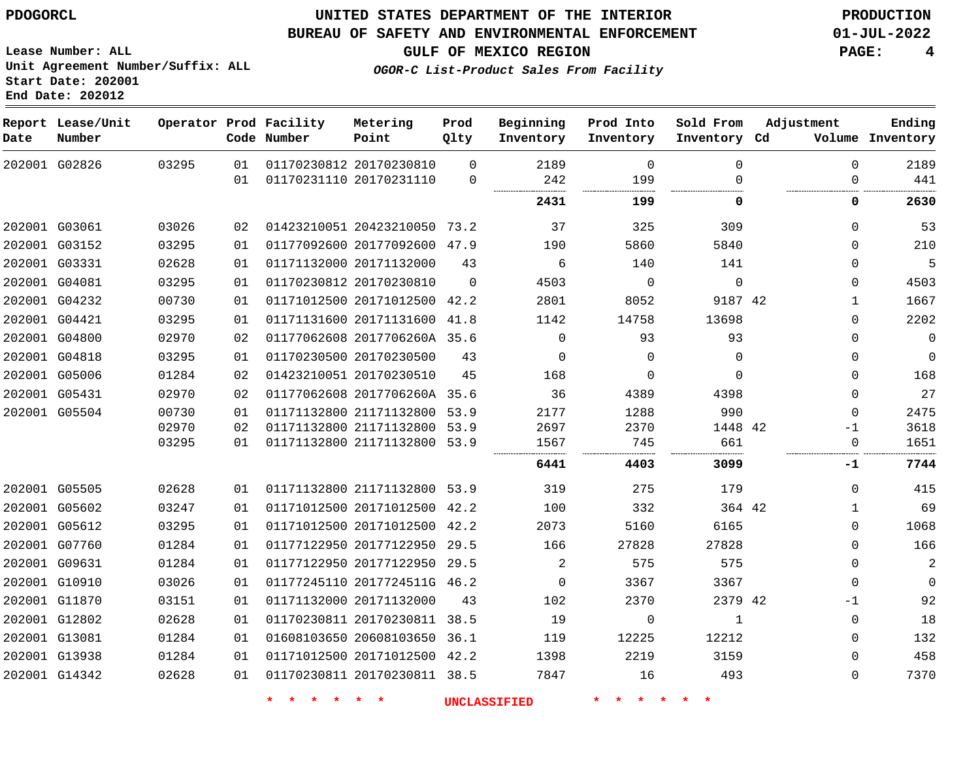**Prod**

#### **BUREAU OF SAFETY AND ENVIRONMENTAL ENFORCEMENT 01-JUL-2022**

**Lease Number: ALL Unit Agreement Number/Suffix: ALL Start Date: 202001 End Date: 202012**

**OGOR-C List-Product Sales From Facility**

**GULF OF MEXICO REGION PAGE: 4**

**Ending**

| Date | Report Lease/Unit<br>Number |       |    | Operator Prod Facility<br>Code Number | Metering<br>Point            | Prod<br>Qlty | Beginning<br>Inventory | Prod Into<br>Inventory | Sold From<br>Inventory Cd | Adjustment   | Ending<br>Volume Inventory |
|------|-----------------------------|-------|----|---------------------------------------|------------------------------|--------------|------------------------|------------------------|---------------------------|--------------|----------------------------|
|      | 202001 G02826               | 03295 | 01 |                                       | 01170230812 20170230810      | $\Omega$     | 2189                   | $\mathbf 0$            | 0                         | $\Omega$     | 2189                       |
|      |                             |       | 01 |                                       | 01170231110 20170231110      | $\mathbf 0$  | 242                    | 199                    | 0                         | 0            | 441                        |
|      |                             |       |    |                                       |                              |              | 2431                   | 199                    | 0                         | 0            | 2630                       |
|      | 202001 G03061               | 03026 | 02 |                                       | 01423210051 20423210050 73.2 |              | 37                     | 325                    | 309                       | $\Omega$     | 53                         |
|      | 202001 G03152               | 03295 | 01 |                                       | 01177092600 20177092600 47.9 |              | 190                    | 5860                   | 5840                      | $\Omega$     | 210                        |
|      | 202001 G03331               | 02628 | 01 |                                       | 01171132000 20171132000      | 43           | 6                      | 140                    | 141                       | $\Omega$     | 5                          |
|      | 202001 G04081               | 03295 | 01 |                                       | 01170230812 20170230810      | $\Omega$     | 4503                   | $\mathbf 0$            | $\mathbf 0$               | 0            | 4503                       |
|      | 202001 G04232               | 00730 | 01 |                                       | 01171012500 20171012500      | 42.2         | 2801                   | 8052                   | 9187 42                   | 1            | 1667                       |
|      | 202001 G04421               | 03295 | 01 |                                       | 01171131600 20171131600      | 41.8         | 1142                   | 14758                  | 13698                     | $\Omega$     | 2202                       |
|      | 202001 G04800               | 02970 | 02 |                                       | 01177062608 2017706260A 35.6 |              | $\mathbf 0$            | 93                     | 93                        | $\Omega$     | $\mathsf 0$                |
|      | 202001 G04818               | 03295 | 01 |                                       | 01170230500 20170230500      | 43           | $\Omega$               | $\Omega$               | $\Omega$                  | $\Omega$     | $\mathbf 0$                |
|      | 202001 G05006               | 01284 | 02 |                                       | 01423210051 20170230510      | 45           | 168                    | 0                      | $\Omega$                  | $\Omega$     | 168                        |
|      | 202001 G05431               | 02970 | 02 |                                       | 01177062608 2017706260A 35.6 |              | 36                     | 4389                   | 4398                      | $\Omega$     | 27                         |
|      | 202001 G05504               | 00730 | 01 |                                       | 01171132800 21171132800 53.9 |              | 2177                   | 1288                   | 990                       | $\Omega$     | 2475                       |
|      |                             | 02970 | 02 |                                       | 01171132800 21171132800 53.9 |              | 2697                   | 2370                   | 1448 42                   | $-1$         | 3618                       |
|      |                             | 03295 | 01 |                                       | 01171132800 21171132800 53.9 |              | 1567                   | 745                    | 661                       | 0            | 1651                       |
|      |                             |       |    |                                       |                              |              | 6441                   | 4403                   | 3099                      | -1           | 7744                       |
|      | 202001 G05505               | 02628 | 01 |                                       | 01171132800 21171132800 53.9 |              | 319                    | 275                    | 179                       | $\Omega$     | 415                        |
|      | 202001 G05602               | 03247 | 01 |                                       | 01171012500 20171012500 42.2 |              | 100                    | 332                    | 364 42                    | 1            | 69                         |
|      | 202001 G05612               | 03295 | 01 |                                       | 01171012500 20171012500      | 42.2         | 2073                   | 5160                   | 6165                      | 0            | 1068                       |
|      | 202001 G07760               | 01284 | 01 |                                       | 01177122950 20177122950 29.5 |              | 166                    | 27828                  | 27828                     | $\Omega$     | 166                        |
|      | 202001 G09631               | 01284 | 01 |                                       | 01177122950 20177122950 29.5 |              | 2                      | 575                    | 575                       | $\Omega$     | 2                          |
|      | 202001 G10910               | 03026 | 01 |                                       | 01177245110 2017724511G 46.2 |              | $\Omega$               | 3367                   | 3367                      | $\Omega$     | $\Omega$                   |
|      | 202001 G11870               | 03151 | 01 |                                       | 01171132000 20171132000      | 43           | 102                    | 2370                   | 2379 42                   | $-1$         | 92                         |
|      | 202001 G12802               | 02628 | 01 |                                       | 01170230811 20170230811 38.5 |              | 19                     | 0                      | 1                         | $\mathbf{0}$ | 18                         |
|      | 202001 G13081               | 01284 | 01 |                                       | 01608103650 20608103650 36.1 |              | 119                    | 12225                  | 12212                     | 0            | 132                        |
|      | 202001 G13938               | 01284 | 01 |                                       | 01171012500 20171012500 42.2 |              | 1398                   | 2219                   | 3159                      | $\Omega$     | 458                        |
|      | 202001 G14342               | 02628 | 01 |                                       | 01170230811 20170230811 38.5 |              | 7847                   | 16                     | 493                       | $\Omega$     | 7370                       |

**Metering**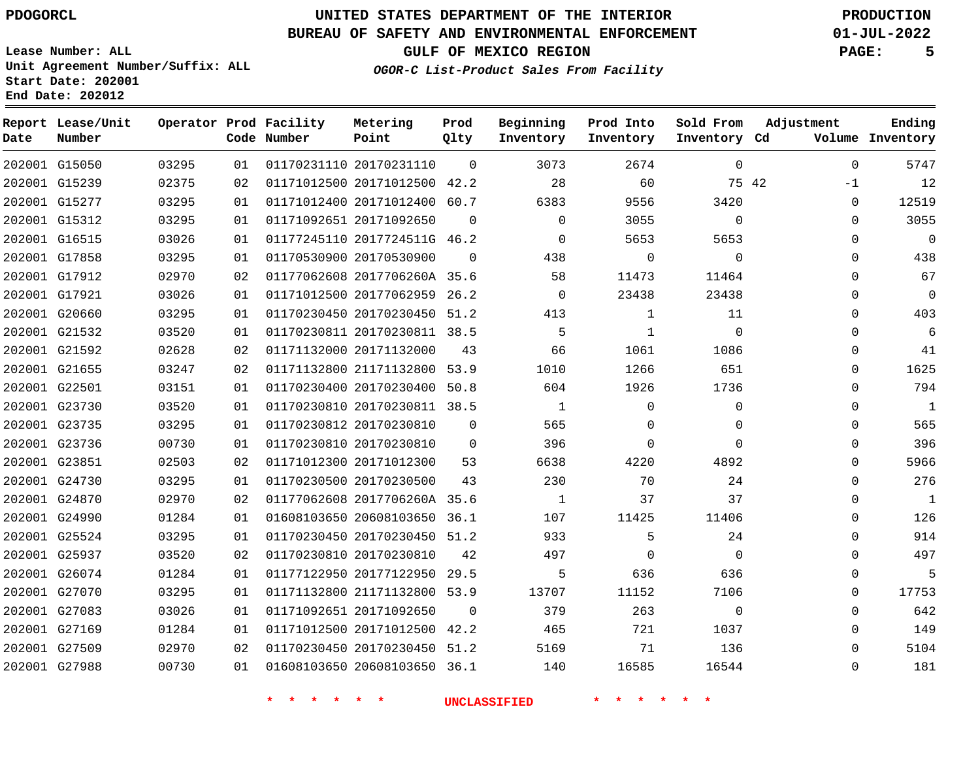### **BUREAU OF SAFETY AND ENVIRONMENTAL ENFORCEMENT 01-JUL-2022**

**Lease Number: ALL Unit Agreement Number/Suffix: ALL Start Date: 202001 End Date: 202012**

**OGOR-C List-Product Sales From Facility**

**GULF OF MEXICO REGION PAGE: 5**

| Date | Report Lease/Unit<br>Number |       |    | Operator Prod Facility<br>Code Number | Metering<br>Point            | Prod<br>Qlty | Beginning<br>Inventory | Prod Into<br>Inventory | Sold From<br>Inventory Cd | Adjustment  | Ending<br>Volume Inventory |
|------|-----------------------------|-------|----|---------------------------------------|------------------------------|--------------|------------------------|------------------------|---------------------------|-------------|----------------------------|
|      | 202001 G15050               | 03295 | 01 |                                       | 01170231110 20170231110      | $\Omega$     | 3073                   | 2674                   | $\mathbf 0$               | $\Omega$    | 5747                       |
|      | 202001 G15239               | 02375 | 02 |                                       | 01171012500 20171012500 42.2 |              | 28                     | 60                     | 75 42                     | $-1$        | 12                         |
|      | 202001 G15277               | 03295 | 01 |                                       | 01171012400 20171012400 60.7 |              | 6383                   | 9556                   | 3420                      | $\mathbf 0$ | 12519                      |
|      | 202001 G15312               | 03295 | 01 |                                       | 01171092651 20171092650      | $\Omega$     | $\mathbf 0$            | 3055                   | $\mathbf 0$               | $\mathbf 0$ | 3055                       |
|      | 202001 G16515               | 03026 | 01 |                                       | 01177245110 2017724511G 46.2 |              | $\mathbf{0}$           | 5653                   | 5653                      | 0           | 0                          |
|      | 202001 G17858               | 03295 | 01 |                                       | 01170530900 20170530900      | $\Omega$     | 438                    | 0                      | $\mathbf 0$               | 0           | 438                        |
|      | 202001 G17912               | 02970 | 02 |                                       | 01177062608 2017706260A 35.6 |              | 58                     | 11473                  | 11464                     | 0           | 67                         |
|      | 202001 G17921               | 03026 | 01 |                                       | 01171012500 20177062959 26.2 |              | $\Omega$               | 23438                  | 23438                     | $\Omega$    | 0                          |
|      | 202001 G20660               | 03295 | 01 |                                       | 01170230450 20170230450 51.2 |              | 413                    | $\mathbf{1}$           | 11                        | $\Omega$    | 403                        |
|      | 202001 G21532               | 03520 | 01 |                                       | 01170230811 20170230811 38.5 |              | 5                      | 1                      | $\Omega$                  | $\Omega$    | 6                          |
|      | 202001 G21592               | 02628 | 02 |                                       | 01171132000 20171132000      | 43           | 66                     | 1061                   | 1086                      | $\mathbf 0$ | 41                         |
|      | 202001 G21655               | 03247 | 02 |                                       | 01171132800 21171132800 53.9 |              | 1010                   | 1266                   | 651                       | $\Omega$    | 1625                       |
|      | 202001 G22501               | 03151 | 01 |                                       | 01170230400 20170230400 50.8 |              | 604                    | 1926                   | 1736                      | $\Omega$    | 794                        |
|      | 202001 G23730               | 03520 | 01 |                                       | 01170230810 20170230811 38.5 |              | 1                      | $\Omega$               | $\Omega$                  | $\Omega$    | $\mathbf{1}$               |
|      | 202001 G23735               | 03295 | 01 |                                       | 01170230812 20170230810      | 0            | 565                    | $\mathbf 0$            | $\mathbf 0$               | $\mathbf 0$ | 565                        |
|      | 202001 G23736               | 00730 | 01 |                                       | 01170230810 20170230810      | $\Omega$     | 396                    | $\mathbf 0$            | $\Omega$                  | $\Omega$    | 396                        |
|      | 202001 G23851               | 02503 | 02 |                                       | 01171012300 20171012300      | 53           | 6638                   | 4220                   | 4892                      | $\Omega$    | 5966                       |
|      | 202001 G24730               | 03295 | 01 |                                       | 01170230500 20170230500      | 43           | 230                    | 70                     | 24                        | $\Omega$    | 276                        |
|      | 202001 G24870               | 02970 | 02 |                                       | 01177062608 2017706260A 35.6 |              | 1                      | 37                     | 37                        | $\Omega$    | 1                          |
|      | 202001 G24990               | 01284 | 01 |                                       | 01608103650 20608103650 36.1 |              | 107                    | 11425                  | 11406                     | $\Omega$    | 126                        |
|      | 202001 G25524               | 03295 | 01 |                                       | 01170230450 20170230450 51.2 |              | 933                    | 5                      | 24                        | $\Omega$    | 914                        |
|      | 202001 G25937               | 03520 | 02 |                                       | 01170230810 20170230810      | 42           | 497                    | $\Omega$               | $\Omega$                  | 0           | 497                        |
|      | 202001 G26074               | 01284 | 01 |                                       | 01177122950 20177122950 29.5 |              | 5                      | 636                    | 636                       | 0           | 5                          |
|      | 202001 G27070               | 03295 | 01 |                                       | 01171132800 21171132800 53.9 |              | 13707                  | 11152                  | 7106                      | 0           | 17753                      |
|      | 202001 G27083               | 03026 | 01 |                                       | 01171092651 20171092650      | $\Omega$     | 379                    | 263                    | $\mathbf 0$               | $\Omega$    | 642                        |
|      | 202001 G27169               | 01284 | 01 |                                       | 01171012500 20171012500 42.2 |              | 465                    | 721                    | 1037                      | $\Omega$    | 149                        |
|      | 202001 G27509               | 02970 | 02 |                                       | 01170230450 20170230450 51.2 |              | 5169                   | 71                     | 136                       | $\Omega$    | 5104                       |
|      | 202001 G27988               | 00730 | 01 |                                       | 01608103650 20608103650 36.1 |              | 140                    | 16585                  | 16544                     | $\Omega$    | 181                        |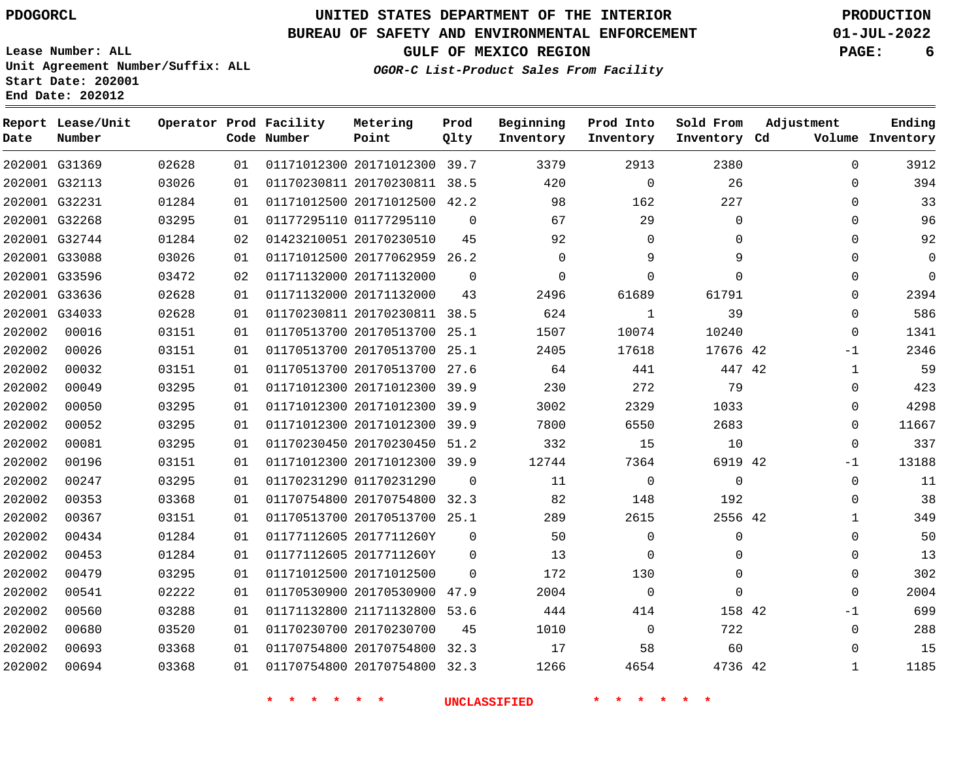**End Date: 202012**

**Report Lease/Unit**

**Number**

# **UNITED STATES DEPARTMENT OF THE INTERIOR PDOGORCL PRODUCTION**

### **BUREAU OF SAFETY AND ENVIRONMENTAL ENFORCEMENT 01-JUL-2022**

**Beginning Inventory**

**Lease Number: ALL Unit Agreement Number/Suffix: ALL Start Date: 202001**

**Operator Prod Facility**

**Code Number**

**Prod Qlty**

**GULF OF MEXICO REGION PAGE: 6 OGOR-C List-Product Sales From Facility**

> **Sold From Inventory**

**Prod Into Inventory**

**Inventory Cd Volume**

**Adjustment**

  $\Omega$  $\Omega$   $\Omega$  $\Omega$  $\Omega$  -1  $\overline{0}$  $\overline{0}$  $\Omega$  $\overline{0}$  $-1$  $\Omega$  $\Omega$  -1 

**Ending**

|        | 202001 G31369 | 02628 | 01 |                         | 01171012300 20171012300 39.7 |          | 3379     | 2913        | 2380         |  |
|--------|---------------|-------|----|-------------------------|------------------------------|----------|----------|-------------|--------------|--|
|        | 202001 G32113 | 03026 | 01 |                         | 01170230811 20170230811 38.5 |          | 420      | $\Omega$    | 26           |  |
|        | 202001 G32231 | 01284 | 01 |                         | 01171012500 20171012500 42.2 |          | 98       | 162         | 227          |  |
|        | 202001 G32268 | 03295 | 01 |                         | 01177295110 01177295110      | $\Omega$ | 67       | 29          | $\Omega$     |  |
|        | 202001 G32744 | 01284 | 02 |                         | 01423210051 20170230510      | 45       | 92       | $\Omega$    | $\Omega$     |  |
|        | 202001 G33088 | 03026 | 01 |                         | 01171012500 20177062959 26.2 |          | 0        | 9           | 9            |  |
|        | 202001 G33596 | 03472 | 02 | 01171132000 20171132000 |                              | $\Omega$ | $\Omega$ | $\Omega$    | $\Omega$     |  |
|        | 202001 G33636 | 02628 | 01 |                         | 01171132000 20171132000      | 43       | 2496     | 61689       | 61791        |  |
|        | 202001 G34033 | 02628 | 01 |                         | 01170230811 20170230811 38.5 |          | 624      | 1           | 39           |  |
| 202002 | 00016         | 03151 | 01 |                         | 01170513700 20170513700 25.1 |          | 1507     | 10074       | 10240        |  |
| 202002 | 00026         | 03151 | 01 |                         | 01170513700 20170513700 25.1 |          | 2405     | 17618       | 17676 42     |  |
| 202002 | 00032         | 03151 | 01 |                         | 01170513700 20170513700 27.6 |          | 64       | 441         | 447 42       |  |
| 202002 | 00049         | 03295 | 01 |                         | 01171012300 20171012300 39.9 |          | 230      | 272         | 79           |  |
| 202002 | 00050         | 03295 | 01 |                         | 01171012300 20171012300 39.9 |          | 3002     | 2329        | 1033         |  |
| 202002 | 00052         | 03295 | 01 |                         | 01171012300 20171012300 39.9 |          | 7800     | 6550        | 2683         |  |
| 202002 | 00081         | 03295 | 01 |                         | 01170230450 20170230450 51.2 |          | 332      | 15          | 10           |  |
| 202002 | 00196         | 03151 | 01 |                         | 01171012300 20171012300 39.9 |          | 12744    | 7364        | 6919 42      |  |
| 202002 | 00247         | 03295 | 01 | 01170231290 01170231290 |                              | $\Omega$ | 11       | $\Omega$    | $\Omega$     |  |
| 202002 | 00353         | 03368 | 01 |                         | 01170754800 20170754800 32.3 |          | 82       | 148         | 192          |  |
| 202002 | 00367         | 03151 | 01 |                         | 01170513700 20170513700 25.1 |          | 289      | 2615        | 2556 42      |  |
| 202002 | 00434         | 01284 | 01 |                         | 01177112605 2017711260Y      | $\Omega$ | 50       | $\Omega$    | $\Omega$     |  |
| 202002 | 00453         | 01284 | 01 |                         | 01177112605 2017711260Y      | $\Omega$ | 13       | $\Omega$    | $\Omega$     |  |
| 202002 | 00479         | 03295 | 01 |                         | 01171012500 20171012500      | $\Omega$ | 172      | 130         | $\mathbf{0}$ |  |
| 202002 | 00541         | 02222 | 01 |                         | 01170530900 20170530900 47.9 |          | 2004     | $\mathbf 0$ | 0            |  |
| 202002 | 00560         | 03288 | 01 |                         | 01171132800 21171132800 53.6 |          | 444      | 414         | 158 42       |  |
| 202002 | 00680         | 03520 | 01 |                         | 01170230700 20170230700      | 45       | 1010     | $\Omega$    | 722          |  |

**Metering Point**

**\* \* \* \* \* \* UNCLASSIFIED \* \* \* \* \* \***

 20170754800 32.3 20170754800 32.3

 

 

42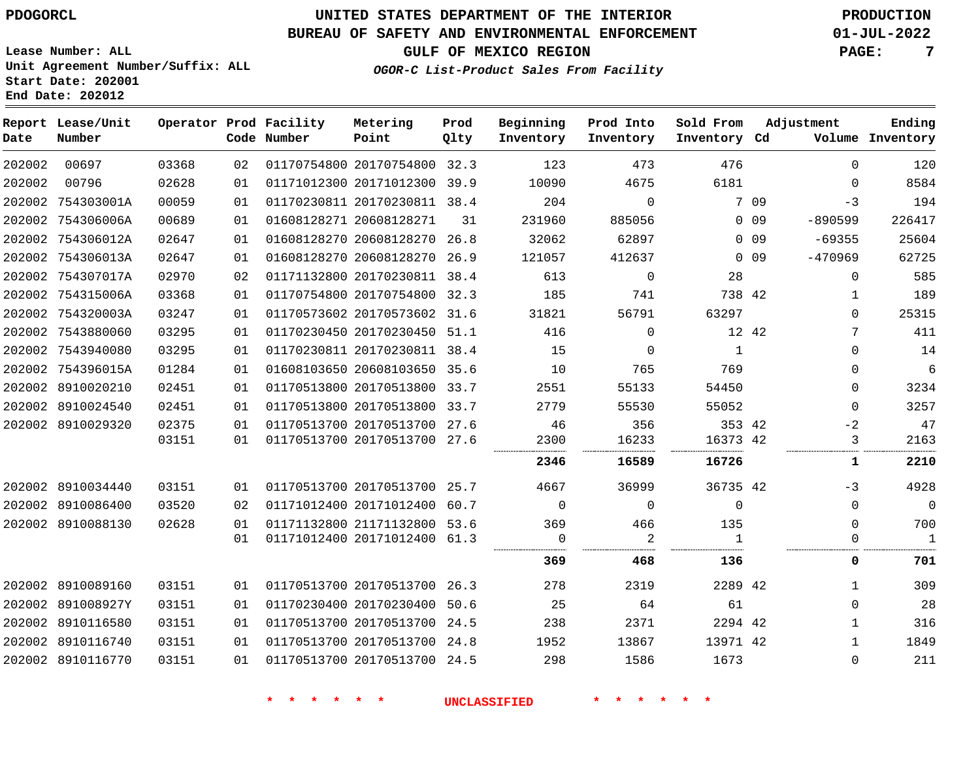### **BUREAU OF SAFETY AND ENVIRONMENTAL ENFORCEMENT 01-JUL-2022**

**OGOR-C List-Product Sales From Facility**

**GULF OF MEXICO REGION PAGE: 7**

**Lease Number: ALL Unit Agreement Number/Suffix: ALL Start Date: 202001 End Date: 202012**

| Ending<br>Volume Inventory |
|----------------------------|
| 120                        |
| 8584                       |
| 194                        |
| 226417                     |
| 25604                      |
| 62725                      |
| 585                        |
| 189                        |
| 25315                      |
| 411                        |
| 14                         |
| 6                          |
| 3234                       |
| 3257                       |
| 47                         |
| 2163                       |
| 2210                       |
| 4928                       |
| $\mathbf 0$                |
| 700                        |
| $\mathbf{1}$               |
| 701                        |
| 309                        |
| 28                         |
| 316                        |
| 1849                       |
| 211                        |
|                            |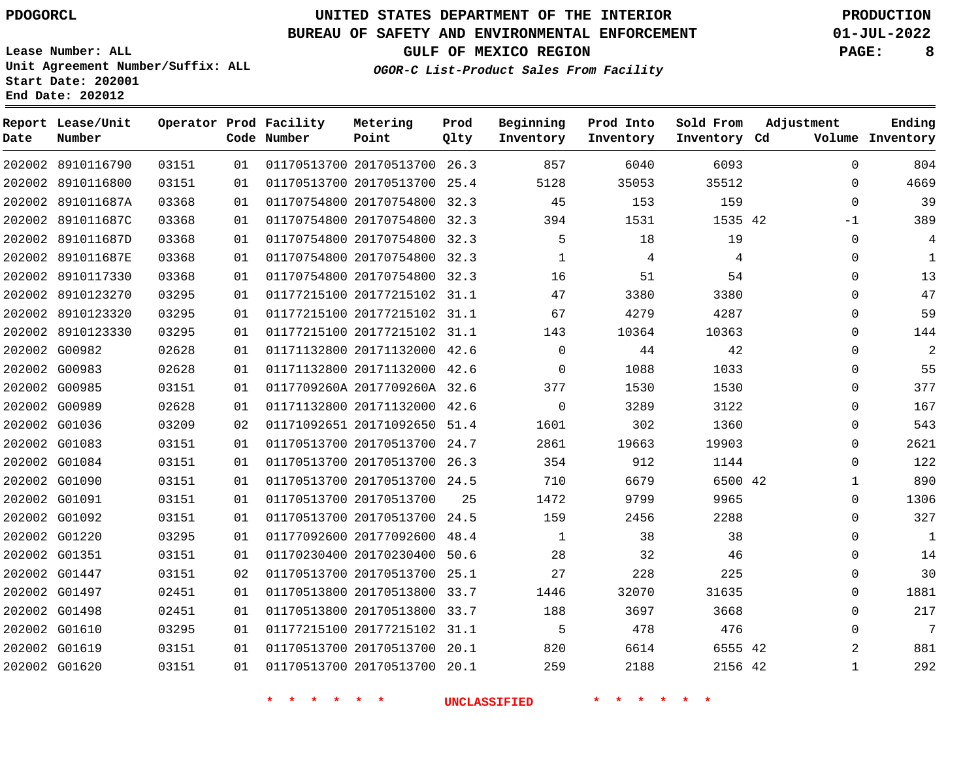### **BUREAU OF SAFETY AND ENVIRONMENTAL ENFORCEMENT 01-JUL-2022**

**Lease Number: ALL Unit Agreement Number/Suffix: ALL**

**GULF OF MEXICO REGION PAGE: 8**

**OGOR-C List-Product Sales From Facility**

**Start Date: 202001 End Date: 202012**

| Date          | Report Lease/Unit<br>Number |       |    | Operator Prod Facility<br>Code Number | Metering<br>Point            | Prod<br>Qlty | Beginning<br>Inventory | Prod Into<br>Inventory | Sold From<br>Inventory Cd | Adjustment   | Ending<br>Volume Inventory |
|---------------|-----------------------------|-------|----|---------------------------------------|------------------------------|--------------|------------------------|------------------------|---------------------------|--------------|----------------------------|
|               | 202002 8910116790           | 03151 | 01 |                                       | 01170513700 20170513700 26.3 |              | 857                    | 6040                   | 6093                      | $\Omega$     | 804                        |
|               | 202002 8910116800           | 03151 | 01 |                                       | 01170513700 20170513700 25.4 |              | 5128                   | 35053                  | 35512                     | $\mathbf 0$  | 4669                       |
|               | 202002 891011687A           | 03368 | 01 |                                       | 01170754800 20170754800      | 32.3         | 45                     | 153                    | 159                       | $\mathbf 0$  | 39                         |
|               | 202002 891011687C           | 03368 | 01 |                                       | 01170754800 20170754800 32.3 |              | 394                    | 1531                   | 1535 42                   | $-1$         | 389                        |
|               | 202002 891011687D           | 03368 | 01 |                                       | 01170754800 20170754800      | 32.3         | 5                      | 18                     | 19                        | $\mathbf 0$  | 4                          |
|               | 202002 891011687E           | 03368 | 01 |                                       | 01170754800 20170754800 32.3 |              | 1                      | 4                      | 4                         | $\mathbf{0}$ | $\mathbf{1}$               |
|               | 202002 8910117330           | 03368 | 01 |                                       | 01170754800 20170754800      | 32.3         | 16                     | 51                     | 54                        | $\mathbf 0$  | 13                         |
|               | 202002 8910123270           | 03295 | 01 |                                       | 01177215100 20177215102 31.1 |              | 47                     | 3380                   | 3380                      | $\Omega$     | 47                         |
|               | 202002 8910123320           | 03295 | 01 |                                       | 01177215100 20177215102      | 31.1         | 67                     | 4279                   | 4287                      | $\Omega$     | 59                         |
|               | 202002 8910123330           | 03295 | 01 |                                       | 01177215100 20177215102 31.1 |              | 143                    | 10364                  | 10363                     | $\mathbf 0$  | 144                        |
|               | 202002 G00982               | 02628 | 01 |                                       | 01171132800 20171132000      | 42.6         | $\mathbf 0$            | 44                     | 42                        | $\mathbf 0$  | $\overline{2}$             |
| 202002 G00983 |                             | 02628 | 01 |                                       | 01171132800 20171132000      | 42.6         | $\mathbf 0$            | 1088                   | 1033                      | $\mathbf 0$  | 55                         |
|               | 202002 G00985               | 03151 | 01 |                                       | 0117709260A 2017709260A 32.6 |              | 377                    | 1530                   | 1530                      | $\Omega$     | 377                        |
|               | 202002 G00989               | 02628 | 01 |                                       | 01171132800 20171132000      | 42.6         | $\mathbf 0$            | 3289                   | 3122                      | $\mathbf 0$  | 167                        |
|               | 202002 G01036               | 03209 | 02 |                                       | 01171092651 20171092650      | 51.4         | 1601                   | 302                    | 1360                      | $\mathbf 0$  | 543                        |
|               | 202002 G01083               | 03151 | 01 |                                       | 01170513700 20170513700      | 24.7         | 2861                   | 19663                  | 19903                     | $\mathbf 0$  | 2621                       |
|               | 202002 G01084               | 03151 | 01 |                                       | 01170513700 20170513700 26.3 |              | 354                    | 912                    | 1144                      | $\mathbf 0$  | 122                        |
|               | 202002 G01090               | 03151 | 01 |                                       | 01170513700 20170513700 24.5 |              | 710                    | 6679                   | 6500 42                   | $\mathbf{1}$ | 890                        |
| 202002 G01091 |                             | 03151 | 01 |                                       | 01170513700 20170513700      | 25           | 1472                   | 9799                   | 9965                      | $\mathbf{0}$ | 1306                       |
|               | 202002 G01092               | 03151 | 01 |                                       | 01170513700 20170513700      | 24.5         | 159                    | 2456                   | 2288                      | $\mathbf{0}$ | 327                        |
| 202002 G01220 |                             | 03295 | 01 |                                       | 01177092600 20177092600      | 48.4         | 1                      | 38                     | 38                        | $\mathbf 0$  | 1                          |
| 202002 G01351 |                             | 03151 | 01 |                                       | 01170230400 20170230400      | 50.6         | 28                     | 32                     | 46                        | $\Omega$     | 14                         |
|               | 202002 G01447               | 03151 | 02 |                                       | 01170513700 20170513700      | 25.1         | 27                     | 228                    | 225                       | $\mathbf 0$  | 30                         |
|               | 202002 G01497               | 02451 | 01 |                                       | 01170513800 20170513800 33.7 |              | 1446                   | 32070                  | 31635                     | $\mathbf{0}$ | 1881                       |
| 202002 G01498 |                             | 02451 | 01 |                                       | 01170513800 20170513800      | 33.7         | 188                    | 3697                   | 3668                      | $\mathbf 0$  | 217                        |
| 202002 G01610 |                             | 03295 | 01 |                                       | 01177215100 20177215102 31.1 |              | 5                      | 478                    | 476                       | $\mathbf 0$  | $\overline{7}$             |
| 202002 G01619 |                             | 03151 | 01 |                                       | 01170513700 20170513700      | 20.1         | 820                    | 6614                   | 6555 42                   | 2            | 881                        |
| 202002 G01620 |                             | 03151 | 01 |                                       | 01170513700 20170513700 20.1 |              | 259                    | 2188                   | 2156 42                   | $\mathbf{1}$ | 292                        |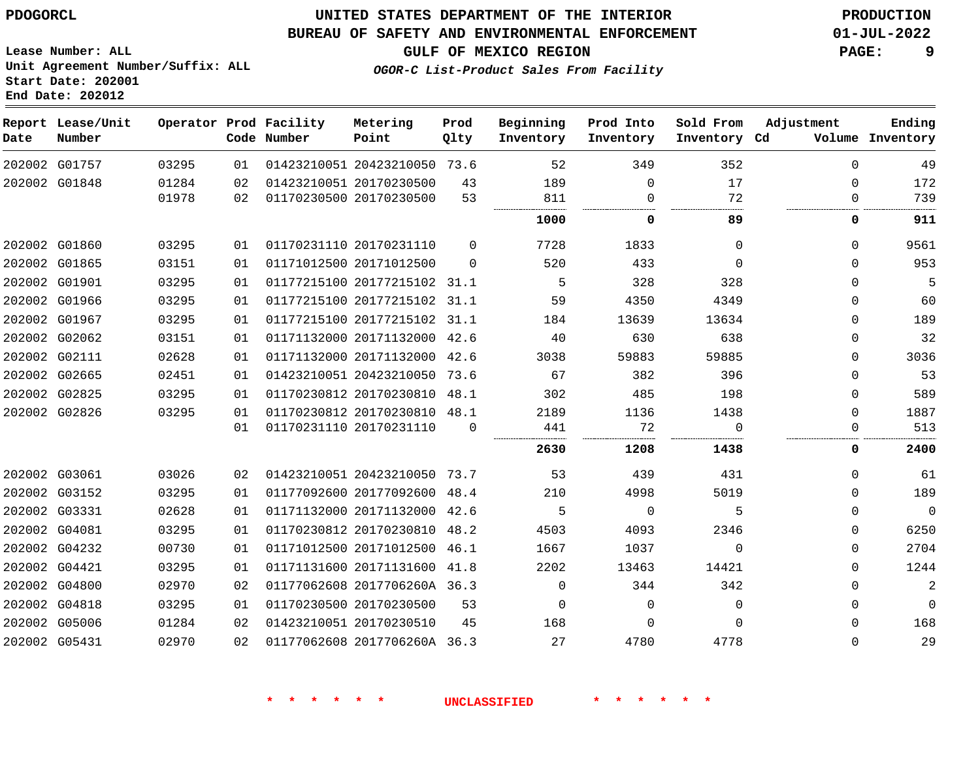## **UNITED STATES DEPARTMENT OF THE INTERIOR PDOGORCL PRODUCTION**

#### **BUREAU OF SAFETY AND ENVIRONMENTAL ENFORCEMENT 01-JUL-2022**

**Lease Number: ALL Unit Agreement Number/Suffix: ALL Start Date: 202001**

**GULF OF MEXICO REGION PAGE: 9**

**OGOR-C List-Product Sales From Facility**

| Date | Report Lease/Unit<br>Number |                |          | Operator Prod Facility<br>Code Number | Metering<br>Point                                  | Prod<br>Qlty | Beginning<br>Inventory | Prod Into<br>Inventory      | Sold From<br>Inventory Cd | Adjustment           | Ending<br>Volume Inventory |
|------|-----------------------------|----------------|----------|---------------------------------------|----------------------------------------------------|--------------|------------------------|-----------------------------|---------------------------|----------------------|----------------------------|
|      | 202002 G01757               | 03295          | 01       |                                       | 01423210051 20423210050 73.6                       |              | 52                     | 349                         | 352                       | $\Omega$             | 49                         |
|      | 202002 G01848               | 01284<br>01978 | 02<br>02 |                                       | 01423210051 20170230500<br>01170230500 20170230500 | 43<br>53     | 189<br>811             | $\mathbf 0$<br>$\Omega$<br> | 17<br>72<br>.<br>         | $\Omega$<br>$\Omega$ | 172<br>739                 |
|      |                             |                |          |                                       |                                                    |              | 1000                   | 0                           | 89                        | 0                    | 911                        |
|      | 202002 G01860               | 03295          | 01       |                                       | 01170231110 20170231110                            | $\Omega$     | 7728                   | 1833                        | $\Omega$                  | 0                    | 9561                       |
|      | 202002 G01865               | 03151          | 01       |                                       | 01171012500 20171012500                            | $\Omega$     | 520                    | 433                         | $\Omega$                  | $\Omega$             | 953                        |
|      | 202002 G01901               | 03295          | 01       |                                       | 01177215100 20177215102 31.1                       |              | 5                      | 328                         | 328                       | $\Omega$             | 5                          |
|      | 202002 G01966               | 03295          | 01       |                                       | 01177215100 20177215102 31.1                       |              | 59                     | 4350                        | 4349                      | $\Omega$             | 60                         |
|      | 202002 G01967               | 03295          | 01       |                                       | 01177215100 20177215102 31.1                       |              | 184                    | 13639                       | 13634                     | $\Omega$             | 189                        |
|      | 202002 G02062               | 03151          | 01       |                                       | 01171132000 20171132000 42.6                       |              | 40                     | 630                         | 638                       | $\mathbf{0}$         | 32                         |
|      | 202002 G02111               | 02628          | 01       |                                       | 01171132000 20171132000                            | 42.6         | 3038                   | 59883                       | 59885                     | $\Omega$             | 3036                       |
|      | 202002 G02665               | 02451          | 01       |                                       | 01423210051 20423210050                            | 73.6         | 67                     | 382                         | 396                       | $\Omega$             | 53                         |
|      | 202002 G02825               | 03295          | 01       |                                       | 01170230812 20170230810 48.1                       |              | 302                    | 485                         | 198                       | $\Omega$             | 589                        |
|      | 202002 G02826               | 03295          | 01       |                                       | 01170230812 20170230810 48.1                       |              | 2189                   | 1136                        | 1438                      | $\Omega$             | 1887                       |
|      |                             |                | 01       |                                       | 01170231110 20170231110                            | $\Omega$     | 441                    | 72                          | $\Omega$                  | $\Omega$             | 513                        |
|      |                             |                |          |                                       |                                                    |              | 2630                   | 1208                        | 1438                      | 0                    | 2400                       |
|      | 202002 G03061               | 03026          | 02       |                                       | 01423210051 20423210050 73.7                       |              | 53                     | 439                         | 431                       | $\Omega$             | 61                         |
|      | 202002 G03152               | 03295          | 01       |                                       | 01177092600 20177092600                            | 48.4         | 210                    | 4998                        | 5019                      | 0                    | 189                        |
|      | 202002 G03331               | 02628          | 01       |                                       | 01171132000 20171132000                            | 42.6         | -5                     | $\Omega$                    | 5                         | $\Omega$             | $\mathbf 0$                |
|      | 202002 G04081               | 03295          | 01       |                                       | 01170230812 20170230810                            | 48.2         | 4503                   | 4093                        | 2346                      | $\Omega$             | 6250                       |
|      | 202002 G04232               | 00730          | 01       |                                       | 01171012500 20171012500 46.1                       |              | 1667                   | 1037                        | $\Omega$                  | 0                    | 2704                       |
|      | 202002 G04421               | 03295          | 01       |                                       | 01171131600 20171131600                            | 41.8         | 2202                   | 13463                       | 14421                     | $\Omega$             | 1244                       |
|      | 202002 G04800               | 02970          | 02       |                                       | 01177062608 2017706260A 36.3                       |              | $\mathbf 0$            | 344                         | 342                       | $\mathbf{0}$         | $\overline{2}$             |
|      | 202002 G04818               | 03295          | 01       |                                       | 01170230500 20170230500                            | 53           | 0                      | $\Omega$                    | $\Omega$                  | $\mathbf{0}$         | $\mathbf 0$                |
|      | 202002 G05006               | 01284          | 02       |                                       | 01423210051 20170230510                            | 45           | 168                    | $\Omega$                    | $\Omega$                  | $\Omega$             | 168                        |
|      | 202002 G05431               | 02970          | 02       |                                       | 01177062608 2017706260A 36.3                       |              | 27                     | 4780                        | 4778                      | $\Omega$             | 29                         |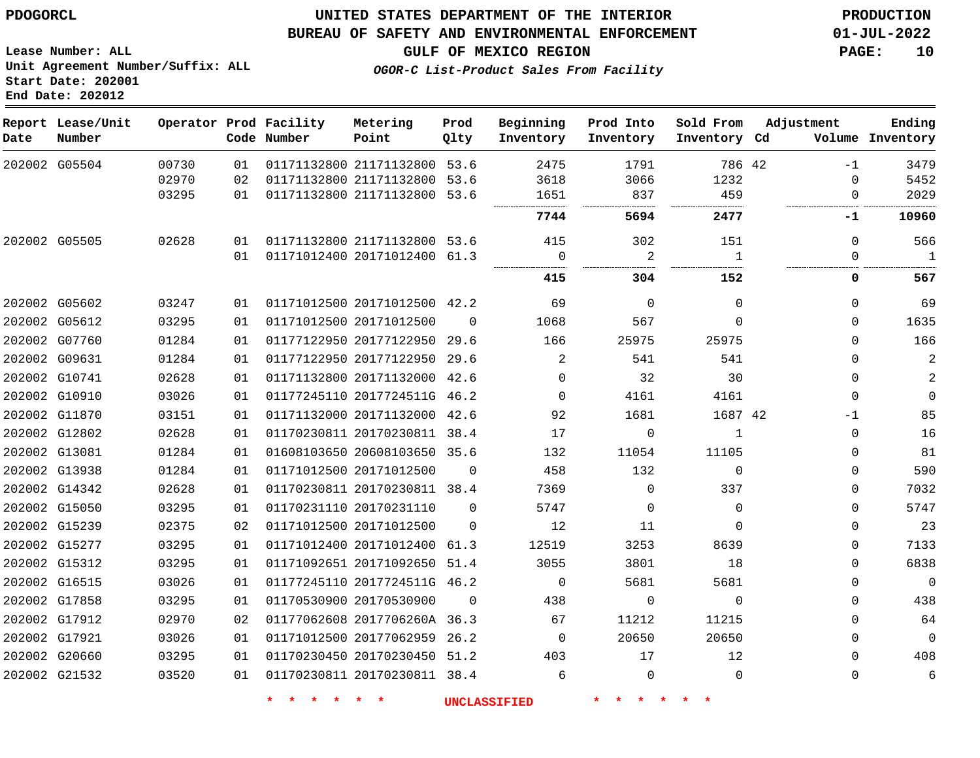#### **BUREAU OF SAFETY AND ENVIRONMENTAL ENFORCEMENT 01-JUL-2022**

**Lease Number: ALL Unit Agreement Number/Suffix: ALL Start Date: 202001 End Date: 202012**

**GULF OF MEXICO REGION PAGE: 10**

**OGOR-C List-Product Sales From Facility**

| Date          | Report Lease/Unit<br>Number |       |    | Operator Prod Facility<br>Code Number | Metering<br>Point            | Prod<br>Qlty | Beginning<br>Inventory | Prod Into<br>Inventory | Sold From<br>Inventory Cd | Adjustment  | Ending<br>Volume Inventory |
|---------------|-----------------------------|-------|----|---------------------------------------|------------------------------|--------------|------------------------|------------------------|---------------------------|-------------|----------------------------|
|               | 202002 G05504               | 00730 | 01 |                                       | 01171132800 21171132800 53.6 |              | 2475                   | 1791                   | 786 42                    | $-1$        | 3479                       |
|               |                             | 02970 | 02 |                                       | 01171132800 21171132800 53.6 |              | 3618                   | 3066                   | 1232                      | 0           | 5452                       |
|               |                             | 03295 | 01 |                                       | 01171132800 21171132800 53.6 |              | 1651                   | 837                    | 459                       | 0           | 2029                       |
|               |                             |       |    |                                       |                              |              | 7744                   | 5694                   | 2477                      | -1          | 10960                      |
| 202002 G05505 |                             | 02628 | 01 |                                       | 01171132800 21171132800 53.6 |              | 415                    | 302                    | 151                       | 0           | 566                        |
|               |                             |       | 01 |                                       | 01171012400 20171012400 61.3 |              | $\mathbf 0$            | 2                      | $\overline{1}$            | 0           | $\overline{1}$             |
|               |                             |       |    |                                       |                              |              | 415                    | 304                    | 152                       | 0           | 567                        |
|               | 202002 G05602               | 03247 | 01 |                                       | 01171012500 20171012500 42.2 |              | 69                     | $\Omega$               | $\Omega$                  | $\Omega$    | 69                         |
|               | 202002 G05612               | 03295 | 01 |                                       | 01171012500 20171012500      | $\Omega$     | 1068                   | 567                    | $\Omega$                  | 0           | 1635                       |
|               | 202002 G07760               | 01284 | 01 |                                       | 01177122950 20177122950 29.6 |              | 166                    | 25975                  | 25975                     | $\Omega$    | 166                        |
| 202002 G09631 |                             | 01284 | 01 |                                       | 01177122950 20177122950 29.6 |              | 2                      | 541                    | 541                       | 0           | $\overline{2}$             |
| 202002 G10741 |                             | 02628 | 01 |                                       | 01171132800 20171132000 42.6 |              | $\Omega$               | 32                     | 30                        | 0           | 2                          |
| 202002 G10910 |                             | 03026 | 01 |                                       | 01177245110 2017724511G 46.2 |              | $\Omega$               | 4161                   | 4161                      | $\mathbf 0$ | $\mathbf 0$                |
|               | 202002 G11870               | 03151 | 01 |                                       | 01171132000 20171132000 42.6 |              | 92                     | 1681                   | 1687 42                   | -1          | 85                         |
|               | 202002 G12802               | 02628 | 01 |                                       | 01170230811 20170230811 38.4 |              | 17                     | $\mathbf 0$            | 1                         | 0           | 16                         |
| 202002 G13081 |                             | 01284 | 01 |                                       | 01608103650 20608103650 35.6 |              | 132                    | 11054                  | 11105                     | 0           | 81                         |
| 202002 G13938 |                             | 01284 | 01 |                                       | 01171012500 20171012500      | $\Omega$     | 458                    | 132                    | $\Omega$                  | 0           | 590                        |
|               | 202002 G14342               | 02628 | 01 |                                       | 01170230811 20170230811 38.4 |              | 7369                   | $\Omega$               | 337                       | 0           | 7032                       |
|               | 202002 G15050               | 03295 | 01 |                                       | 01170231110 20170231110      | $\Omega$     | 5747                   | $\Omega$               | $\Omega$                  | $\Omega$    | 5747                       |
| 202002 G15239 |                             | 02375 | 02 |                                       | 01171012500 20171012500      | $\Omega$     | 12                     | 11                     | $\Omega$                  | 0           | 23                         |
| 202002 G15277 |                             | 03295 | 01 |                                       | 01171012400 20171012400 61.3 |              | 12519                  | 3253                   | 8639                      | 0           | 7133                       |
|               | 202002 G15312               | 03295 | 01 |                                       | 01171092651 20171092650 51.4 |              | 3055                   | 3801                   | 18                        | 0           | 6838                       |
| 202002 G16515 |                             | 03026 | 01 |                                       | 01177245110 2017724511G 46.2 |              | $\Omega$               | 5681                   | 5681                      | 0           | $\mathbf 0$                |
| 202002 G17858 |                             | 03295 | 01 |                                       | 01170530900 20170530900      | $\Omega$     | 438                    | $\mathbf 0$            | $\mathbf 0$               | 0           | 438                        |
|               | 202002 G17912               | 02970 | 02 |                                       | 01177062608 2017706260A 36.3 |              | 67                     | 11212                  | 11215                     | 0           | 64                         |
| 202002 G17921 |                             | 03026 | 01 |                                       | 01171012500 20177062959 26.2 |              | $\Omega$               | 20650                  | 20650                     | 0           | $\mathbf 0$                |
| 202002 G20660 |                             | 03295 | 01 |                                       | 01170230450 20170230450 51.2 |              | 403                    | 17                     | 12                        | 0           | 408                        |
|               | 202002 G21532               | 03520 | 01 |                                       | 01170230811 20170230811 38.4 |              | 6                      | $\Omega$               | $\Omega$                  | $\Omega$    | 6                          |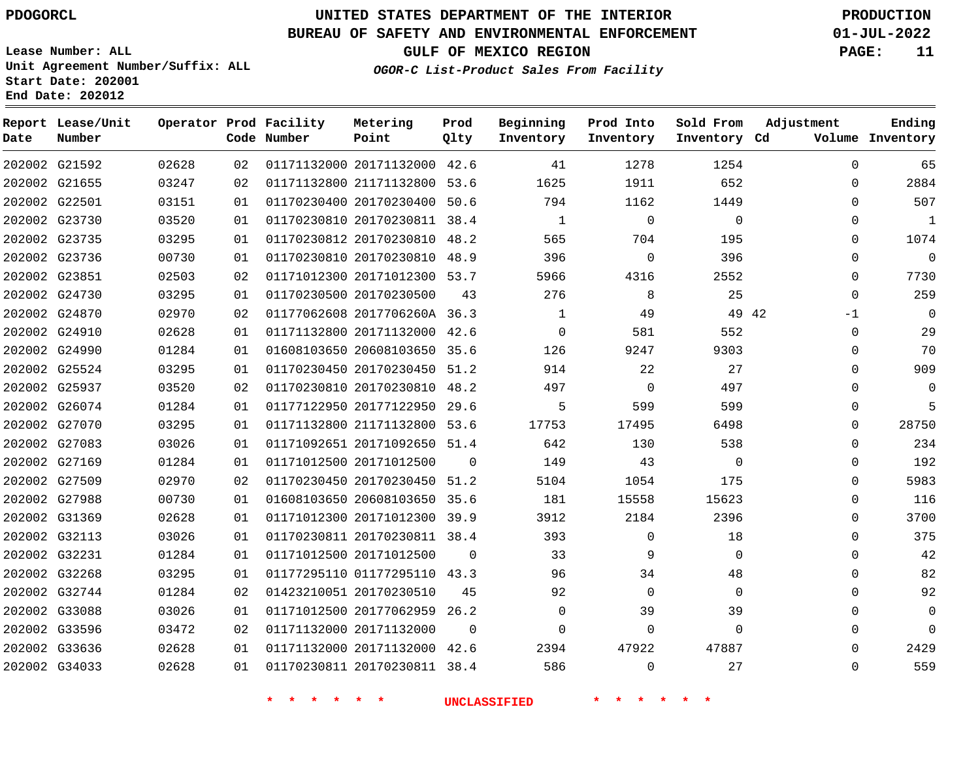### **BUREAU OF SAFETY AND ENVIRONMENTAL ENFORCEMENT 01-JUL-2022**

**Lease Number: ALL Unit Agreement Number/Suffix: ALL Start Date: 202001**

**End Date: 202012**

**GULF OF MEXICO REGION PAGE: 11**

**OGOR-C List-Product Sales From Facility**

| Date | Report Lease/Unit<br>Number |       |    | Operator Prod Facility<br>Code Number | Metering<br>Point            | Prod<br>Qlty | Beginning<br>Inventory | Prod Into<br>Inventory | Sold From<br>Inventory Cd | Adjustment | Ending<br>Volume Inventory |
|------|-----------------------------|-------|----|---------------------------------------|------------------------------|--------------|------------------------|------------------------|---------------------------|------------|----------------------------|
|      | 202002 G21592               | 02628 | 02 |                                       | 01171132000 20171132000 42.6 |              | 41                     | 1278                   | 1254                      | 0          | 65                         |
|      | 202002 G21655               | 03247 | 02 |                                       | 01171132800 21171132800      | 53.6         | 1625                   | 1911                   | 652                       | 0          | 2884                       |
|      | 202002 G22501               | 03151 | 01 |                                       | 01170230400 20170230400 50.6 |              | 794                    | 1162                   | 1449                      | 0          | 507                        |
|      | 202002 G23730               | 03520 | 01 |                                       | 01170230810 20170230811 38.4 |              | 1                      | $\mathbf 0$            | $\mathbf{0}$              | 0          | 1                          |
|      | 202002 G23735               | 03295 | 01 |                                       | 01170230812 20170230810 48.2 |              | 565                    | 704                    | 195                       | $\Omega$   | 1074                       |
|      | 202002 G23736               | 00730 | 01 |                                       | 01170230810 20170230810 48.9 |              | 396                    | 0                      | 396                       | 0          | $\mathbf 0$                |
|      | 202002 G23851               | 02503 | 02 |                                       | 01171012300 20171012300 53.7 |              | 5966                   | 4316                   | 2552                      | 0          | 7730                       |
|      | 202002 G24730               | 03295 | 01 |                                       | 01170230500 20170230500      | 43           | 276                    | 8                      | 25                        | $\Omega$   | 259                        |
|      | 202002 G24870               | 02970 | 02 |                                       | 01177062608 2017706260A 36.3 |              | 1                      | 49                     | 49 42                     | $-1$       | 0                          |
|      | 202002 G24910               | 02628 | 01 |                                       | 01171132800 20171132000 42.6 |              | $\Omega$               | 581                    | 552                       | 0          | 29                         |
|      | 202002 G24990               | 01284 | 01 |                                       | 01608103650 20608103650 35.6 |              | 126                    | 9247                   | 9303                      | 0          | 70                         |
|      | 202002 G25524               | 03295 | 01 |                                       | 01170230450 20170230450 51.2 |              | 914                    | 22                     | 27                        | 0          | 909                        |
|      | 202002 G25937               | 03520 | 02 |                                       | 01170230810 20170230810      | 48.2         | 497                    | $\mathbf 0$            | 497                       | $\Omega$   | $\mathbf 0$                |
|      | 202002 G26074               | 01284 | 01 |                                       | 01177122950 20177122950 29.6 |              | 5                      | 599                    | 599                       | 0          | 5                          |
|      | 202002 G27070               | 03295 | 01 |                                       | 01171132800 21171132800 53.6 |              | 17753                  | 17495                  | 6498                      | 0          | 28750                      |
|      | 202002 G27083               | 03026 | 01 |                                       | 01171092651 20171092650 51.4 |              | 642                    | 130                    | 538                       | 0          | 234                        |
|      | 202002 G27169               | 01284 | 01 |                                       | 01171012500 20171012500      | $\mathbf 0$  | 149                    | 43                     | $\mathbf 0$               | 0          | 192                        |
|      | 202002 G27509               | 02970 | 02 |                                       | 01170230450 20170230450 51.2 |              | 5104                   | 1054                   | 175                       | $\Omega$   | 5983                       |
|      | 202002 G27988               | 00730 | 01 |                                       | 01608103650 20608103650 35.6 |              | 181                    | 15558                  | 15623                     | 0          | 116                        |
|      | 202002 G31369               | 02628 | 01 |                                       | 01171012300 20171012300 39.9 |              | 3912                   | 2184                   | 2396                      | 0          | 3700                       |
|      | 202002 G32113               | 03026 | 01 |                                       | 01170230811 20170230811 38.4 |              | 393                    | $\mathbf 0$            | 18                        | 0          | 375                        |
|      | 202002 G32231               | 01284 | 01 |                                       | 01171012500 20171012500      | $\mathbf 0$  | 33                     | 9                      | $\Omega$                  | $\Omega$   | 42                         |
|      | 202002 G32268               | 03295 | 01 |                                       | 01177295110 01177295110 43.3 |              | 96                     | 34                     | 48                        | $\Omega$   | 82                         |
|      | 202002 G32744               | 01284 | 02 |                                       | 01423210051 20170230510      | 45           | 92                     | 0                      | $\Omega$                  | 0          | 92                         |
|      | 202002 G33088               | 03026 | 01 |                                       | 01171012500 20177062959      | 26.2         | 0                      | 39                     | 39                        | 0          | $\mathbf 0$                |
|      | 202002 G33596               | 03472 | 02 |                                       | 01171132000 20171132000      | $\mathbf 0$  | 0                      | $\mathbf 0$            | $\mathbf 0$               | 0          | $\mathbf 0$                |
|      | 202002 G33636               | 02628 | 01 |                                       | 01171132000 20171132000 42.6 |              | 2394                   | 47922                  | 47887                     | 0          | 2429                       |
|      | 202002 G34033               | 02628 | 01 |                                       | 01170230811 20170230811 38.4 |              | 586                    | $\mathbf 0$            | 27                        | $\Omega$   | 559                        |
|      |                             |       |    |                                       |                              |              |                        |                        |                           |            |                            |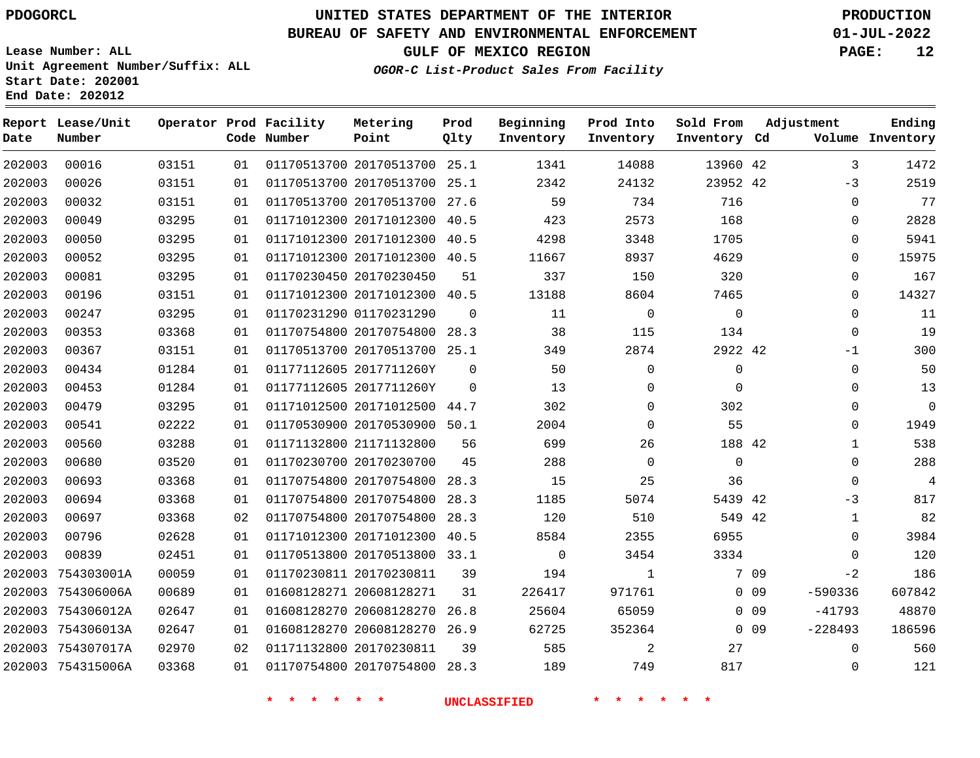# **UNITED STATES DEPARTMENT OF THE INTERIOR PDOGORCL PRODUCTION**

### **BUREAU OF SAFETY AND ENVIRONMENTAL ENFORCEMENT 01-JUL-2022**

**Lease Number: ALL Unit Agreement Number/Suffix: ALL Start Date: 202001**

**GULF OF MEXICO REGION PAGE: 12**

**OGOR-C List-Product Sales From Facility**

| Date   | Report Lease/Unit<br>Number |       |    | Operator Prod Facility<br>Code Number | Metering<br>Point            | Prod<br>Qlty | Beginning<br>Inventory | Prod Into<br>Inventory | Sold From<br>Inventory Cd | Adjustment |              | Ending<br>Volume Inventory |
|--------|-----------------------------|-------|----|---------------------------------------|------------------------------|--------------|------------------------|------------------------|---------------------------|------------|--------------|----------------------------|
| 202003 | 00016                       | 03151 | 01 |                                       | 01170513700 20170513700 25.1 |              | 1341                   | 14088                  | 13960 42                  |            | 3            | 1472                       |
| 202003 | 00026                       | 03151 | 01 |                                       | 01170513700 20170513700 25.1 |              | 2342                   | 24132                  | 23952 42                  |            | $-3$         | 2519                       |
| 202003 | 00032                       | 03151 | 01 |                                       | 01170513700 20170513700      | 27.6         | 59                     | 734                    | 716                       |            | $\mathbf{0}$ | 77                         |
| 202003 | 00049                       | 03295 | 01 |                                       | 01171012300 20171012300 40.5 |              | 423                    | 2573                   | 168                       |            | $\Omega$     | 2828                       |
| 202003 | 00050                       | 03295 | 01 |                                       | 01171012300 20171012300      | 40.5         | 4298                   | 3348                   | 1705                      |            | 0            | 5941                       |
| 202003 | 00052                       | 03295 | 01 |                                       | 01171012300 20171012300 40.5 |              | 11667                  | 8937                   | 4629                      |            | 0            | 15975                      |
| 202003 | 00081                       | 03295 | 01 |                                       | 01170230450 20170230450      | 51           | 337                    | 150                    | 320                       |            | 0            | 167                        |
| 202003 | 00196                       | 03151 | 01 |                                       | 01171012300 20171012300      | 40.5         | 13188                  | 8604                   | 7465                      |            | 0            | 14327                      |
| 202003 | 00247                       | 03295 | 01 |                                       | 01170231290 01170231290      | $\mathbf 0$  | 11                     | $\mathbf 0$            | $\mathbf 0$               |            | $\mathbf 0$  | 11                         |
| 202003 | 00353                       | 03368 | 01 |                                       | 01170754800 20170754800 28.3 |              | 38                     | 115                    | 134                       |            | $\mathbf{0}$ | 19                         |
| 202003 | 00367                       | 03151 | 01 |                                       | 01170513700 20170513700 25.1 |              | 349                    | 2874                   | 2922 42                   |            | $-1$         | 300                        |
| 202003 | 00434                       | 01284 | 01 |                                       | 01177112605 2017711260Y      | 0            | 50                     | $\mathbf 0$            | $\mathbf 0$               |            | $\mathbf{0}$ | 50                         |
| 202003 | 00453                       | 01284 | 01 |                                       | 01177112605 2017711260Y      | $\Omega$     | 13                     | $\Omega$               | $\Omega$                  |            | $\Omega$     | 13                         |
| 202003 | 00479                       | 03295 | 01 |                                       | 01171012500 20171012500 44.7 |              | 302                    | $\mathbf 0$            | 302                       |            | 0            | $\mathbf 0$                |
| 202003 | 00541                       | 02222 | 01 |                                       | 01170530900 20170530900 50.1 |              | 2004                   | $\Omega$               | 55                        |            | $\Omega$     | 1949                       |
| 202003 | 00560                       | 03288 | 01 |                                       | 01171132800 21171132800      | 56           | 699                    | 26                     | 188 42                    |            | 1            | 538                        |
| 202003 | 00680                       | 03520 | 01 |                                       | 01170230700 20170230700      | 45           | 288                    | $\Omega$               | $\Omega$                  |            | 0            | 288                        |
| 202003 | 00693                       | 03368 | 01 |                                       | 01170754800 20170754800 28.3 |              | 15                     | 25                     | 36                        |            | $\mathbf 0$  | $\overline{4}$             |
| 202003 | 00694                       | 03368 | 01 |                                       | 01170754800 20170754800 28.3 |              | 1185                   | 5074                   | 5439 42                   |            | -3           | 817                        |
| 202003 | 00697                       | 03368 | 02 |                                       | 01170754800 20170754800      | 28.3         | 120                    | 510                    | 549 42                    |            | $\mathbf{1}$ | 82                         |
| 202003 | 00796                       | 02628 | 01 |                                       | 01171012300 20171012300      | 40.5         | 8584                   | 2355                   | 6955                      |            | $\Omega$     | 3984                       |
| 202003 | 00839                       | 02451 | 01 |                                       | 01170513800 20170513800 33.1 |              | $\mathbf 0$            | 3454                   | 3334                      |            | $\mathbf 0$  | 120                        |
| 202003 | 754303001A                  | 00059 | 01 |                                       | 01170230811 20170230811      | 39           | 194                    | $\mathbf{1}$           |                           | 7 09       | $-2$         | 186                        |
| 202003 | 754306006A                  | 00689 | 01 |                                       | 01608128271 20608128271      | 31           | 226417                 | 971761                 |                           | $0$ 09     | $-590336$    | 607842                     |
| 202003 | 754306012A                  | 02647 | 01 |                                       | 01608128270 20608128270      | 26.8         | 25604                  | 65059                  |                           | $0$ 09     | $-41793$     | 48870                      |
| 202003 | 754306013A                  | 02647 | 01 |                                       | 01608128270 20608128270 26.9 |              | 62725                  | 352364                 |                           | $0$ 09     | $-228493$    | 186596                     |
| 202003 | 754307017A                  | 02970 | 02 |                                       | 01171132800 20170230811      | 39           | 585                    | $\overline{2}$         | 27                        |            | 0            | 560                        |
|        | 202003 754315006A           | 03368 | 01 |                                       | 01170754800 20170754800      | 28.3         | 189                    | 749                    | 817                       |            | $\Omega$     | 121                        |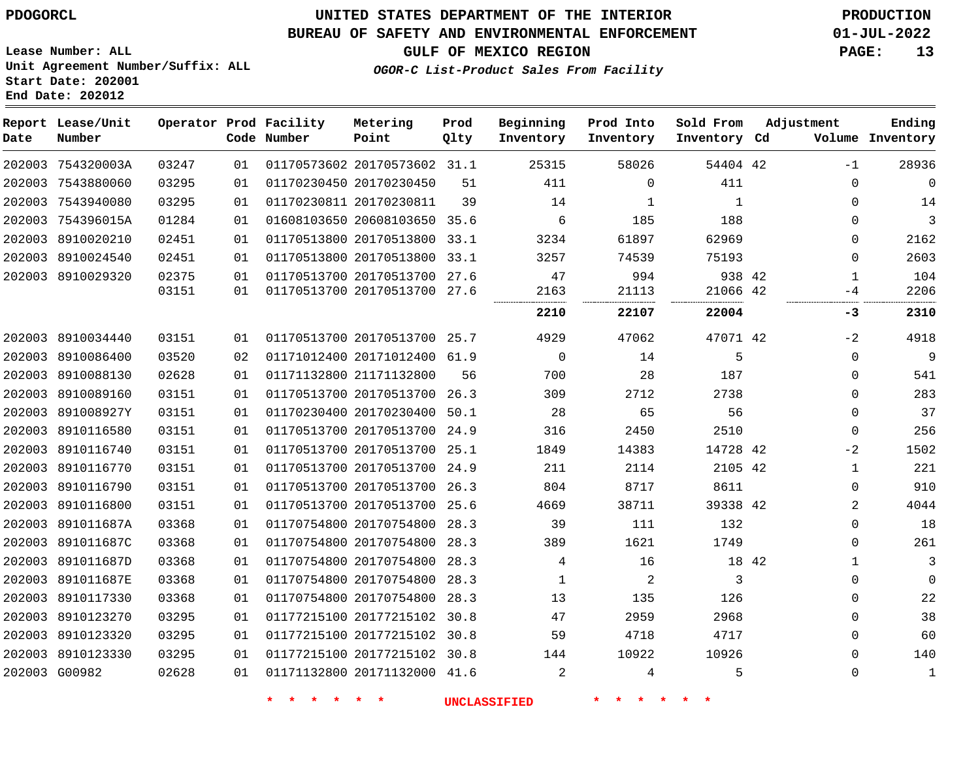# **UNITED STATES DEPARTMENT OF THE INTERIOR PDOGORCL PRODUCTION**

### **BUREAU OF SAFETY AND ENVIRONMENTAL ENFORCEMENT 01-JUL-2022**

**Lease Number: ALL Unit Agreement Number/Suffix: ALL Start Date: 202001**

## **GULF OF MEXICO REGION PAGE: 13**

**OGOR-C List-Product Sales From Facility**

| Date | Report Lease/Unit<br>Number |       |    | Operator Prod Facility<br>Code Number | Metering<br>Point            | Prod<br>Qlty | Beginning<br>Inventory | Prod Into<br>Inventory | Sold From<br>Inventory Cd | Adjustment   | Ending<br>Volume Inventory |
|------|-----------------------------|-------|----|---------------------------------------|------------------------------|--------------|------------------------|------------------------|---------------------------|--------------|----------------------------|
|      | 202003 754320003A           | 03247 | 01 |                                       | 01170573602 20170573602 31.1 |              | 25315                  | 58026                  | 54404 42                  | $-1$         | 28936                      |
|      | 202003 7543880060           | 03295 | 01 |                                       | 01170230450 20170230450      | 51           | 411                    | 0                      | 411                       | 0            | $\mathbf 0$                |
|      | 202003 7543940080           | 03295 | 01 |                                       | 01170230811 20170230811      | 39           | 14                     | 1                      | 1                         | $\Omega$     | 14                         |
|      | 202003 754396015A           | 01284 | 01 |                                       | 01608103650 20608103650 35.6 |              | 6                      | 185                    | 188                       | 0            | 3                          |
|      | 202003 8910020210           | 02451 | 01 |                                       | 01170513800 20170513800 33.1 |              | 3234                   | 61897                  | 62969                     | 0            | 2162                       |
|      | 202003 8910024540           | 02451 | 01 |                                       | 01170513800 20170513800 33.1 |              | 3257                   | 74539                  | 75193                     | 0            | 2603                       |
|      | 202003 8910029320           | 02375 | 01 |                                       | 01170513700 20170513700 27.6 |              | 47                     | 994                    | 938 42                    | $\mathbf{1}$ | 104                        |
|      |                             | 03151 | 01 |                                       | 01170513700 20170513700 27.6 |              | 2163                   | 21113                  | 21066 42                  | -4           | 2206                       |
|      |                             |       |    |                                       |                              |              | 2210                   | 22107                  | 22004                     | -3           | 2310                       |
|      | 202003 8910034440           | 03151 | 01 |                                       | 01170513700 20170513700 25.7 |              | 4929                   | 47062                  | 47071 42                  | $-2$         | 4918                       |
|      | 202003 8910086400           | 03520 | 02 |                                       | 01171012400 20171012400 61.9 |              | 0                      | 14                     | 5                         | 0            | $\mathsf 9$                |
|      | 202003 8910088130           | 02628 | 01 |                                       | 01171132800 21171132800      | 56           | 700                    | 28                     | 187                       | 0            | 541                        |
|      | 202003 8910089160           | 03151 | 01 |                                       | 01170513700 20170513700 26.3 |              | 309                    | 2712                   | 2738                      | $\Omega$     | 283                        |
|      | 202003 891008927Y           | 03151 | 01 |                                       | 01170230400 20170230400 50.1 |              | 28                     | 65                     | 56                        | 0            | 37                         |
|      | 202003 8910116580           | 03151 | 01 |                                       | 01170513700 20170513700 24.9 |              | 316                    | 2450                   | 2510                      | 0            | 256                        |
|      | 202003 8910116740           | 03151 | 01 |                                       | 01170513700 20170513700 25.1 |              | 1849                   | 14383                  | 14728 42                  | $-2$         | 1502                       |
|      | 202003 8910116770           | 03151 | 01 |                                       | 01170513700 20170513700 24.9 |              | 211                    | 2114                   | 2105 42                   | $\mathbf{1}$ | 221                        |
|      | 202003 8910116790           | 03151 | 01 |                                       | 01170513700 20170513700 26.3 |              | 804                    | 8717                   | 8611                      | 0            | 910                        |
|      | 202003 8910116800           | 03151 | 01 |                                       | 01170513700 20170513700 25.6 |              | 4669                   | 38711                  | 39338 42                  | 2            | 4044                       |
|      | 202003 891011687A           | 03368 | 01 |                                       | 01170754800 20170754800      | 28.3         | 39                     | 111                    | 132                       | 0            | 18                         |
|      | 202003 891011687C           | 03368 | 01 |                                       | 01170754800 20170754800      | 28.3         | 389                    | 1621                   | 1749                      | 0            | 261                        |
|      | 202003 891011687D           | 03368 | 01 |                                       | 01170754800 20170754800      | 28.3         | 4                      | 16                     | 18 42                     | $\mathbf{1}$ | 3                          |
|      | 202003 891011687E           | 03368 | 01 |                                       | 01170754800 20170754800      | 28.3         | 1                      | 2                      | 3                         | 0            | $\mathbf 0$                |
|      | 202003 8910117330           | 03368 | 01 |                                       | 01170754800 20170754800 28.3 |              | 13                     | 135                    | 126                       | 0            | 22                         |
|      | 202003 8910123270           | 03295 | 01 |                                       | 01177215100 20177215102 30.8 |              | 47                     | 2959                   | 2968                      | 0            | 38                         |
|      | 202003 8910123320           | 03295 | 01 |                                       | 01177215100 20177215102 30.8 |              | 59                     | 4718                   | 4717                      | 0            | 60                         |
|      | 202003 8910123330           | 03295 | 01 |                                       | 01177215100 20177215102 30.8 |              | 144                    | 10922                  | 10926                     | $\Omega$     | 140                        |
|      | 202003 G00982               | 02628 | 01 |                                       | 01171132800 20171132000 41.6 |              | 2                      | 4                      | 5                         | 0            | $\mathbf{1}$               |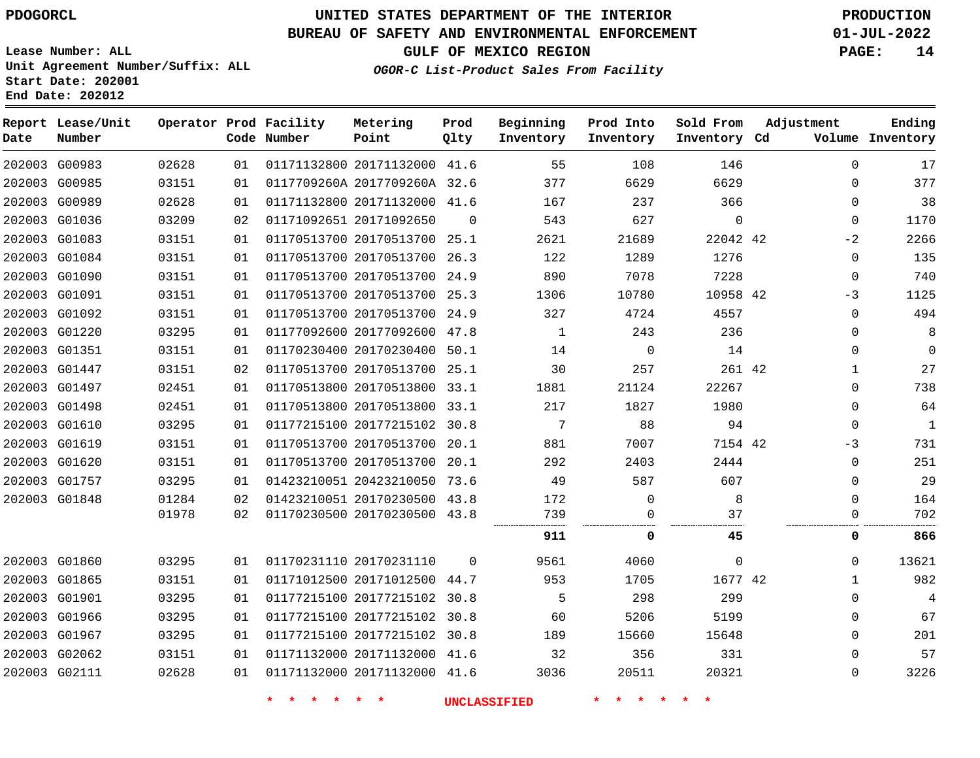**Start Date: 202001 End Date: 202012**

# **UNITED STATES DEPARTMENT OF THE INTERIOR PDOGORCL PRODUCTION**

### **BUREAU OF SAFETY AND ENVIRONMENTAL ENFORCEMENT 01-JUL-2022**

**Lease Number: ALL Unit Agreement Number/Suffix: ALL**

**GULF OF MEXICO REGION PAGE: 14**

**OGOR-C List-Product Sales From Facility**

| Date | Report Lease/Unit<br>Number |       |    | Operator Prod Facility<br>Code Number | Metering<br>Point            | Prod<br>Qlty | Beginning<br>Inventory | Prod Into<br>Inventory | Sold From<br>Inventory Cd | Adjustment   | Ending<br>Volume Inventory |
|------|-----------------------------|-------|----|---------------------------------------|------------------------------|--------------|------------------------|------------------------|---------------------------|--------------|----------------------------|
|      | 202003 G00983               | 02628 | 01 |                                       | 01171132800 20171132000 41.6 |              | 55                     | 108                    | 146                       | $\Omega$     | 17                         |
|      | 202003 G00985               | 03151 | 01 |                                       | 0117709260A 2017709260A 32.6 |              | 377                    | 6629                   | 6629                      | $\mathbf{0}$ | 377                        |
|      | 202003 G00989               | 02628 | 01 |                                       | 01171132800 20171132000 41.6 |              | 167                    | 237                    | 366                       | $\mathbf{0}$ | 38                         |
|      | 202003 G01036               | 03209 | 02 |                                       | 01171092651 20171092650      | $\Omega$     | 543                    | 627                    | $\mathbf 0$               | 0            | 1170                       |
|      | 202003 G01083               | 03151 | 01 |                                       | 01170513700 20170513700 25.1 |              | 2621                   | 21689                  | 22042 42                  | $-2$         | 2266                       |
|      | 202003 G01084               | 03151 | 01 |                                       | 01170513700 20170513700 26.3 |              | 122                    | 1289                   | 1276                      | $\mathbf{0}$ | 135                        |
|      | 202003 G01090               | 03151 | 01 |                                       | 01170513700 20170513700 24.9 |              | 890                    | 7078                   | 7228                      | $\mathbf 0$  | 740                        |
|      | 202003 G01091               | 03151 | 01 |                                       | 01170513700 20170513700 25.3 |              | 1306                   | 10780                  | 10958 42                  | $-3$         | 1125                       |
|      | 202003 G01092               | 03151 | 01 |                                       | 01170513700 20170513700 24.9 |              | 327                    | 4724                   | 4557                      | $\mathbf{0}$ | 494                        |
|      | 202003 G01220               | 03295 | 01 |                                       | 01177092600 20177092600 47.8 |              | $\mathbf{1}$           | 243                    | 236                       | $\Omega$     | 8                          |
|      | 202003 G01351               | 03151 | 01 |                                       | 01170230400 20170230400 50.1 |              | 14                     | $\mathbf 0$            | 14                        | $\Omega$     | $\Omega$                   |
|      | 202003 G01447               | 03151 | 02 |                                       | 01170513700 20170513700 25.1 |              | 30                     | 257                    | 261 42                    | $\mathbf 1$  | 27                         |
|      | 202003 G01497               | 02451 | 01 |                                       | 01170513800 20170513800 33.1 |              | 1881                   | 21124                  | 22267                     | $\mathbf{0}$ | 738                        |
|      | 202003 G01498               | 02451 | 01 |                                       | 01170513800 20170513800 33.1 |              | 217                    | 1827                   | 1980                      | $\Omega$     | 64                         |
|      | 202003 G01610               | 03295 | 01 |                                       | 01177215100 20177215102 30.8 |              | 7                      | 88                     | 94                        | $\Omega$     | $\mathbf{1}$               |
|      | 202003 G01619               | 03151 | 01 |                                       | 01170513700 20170513700 20.1 |              | 881                    | 7007                   | 7154 42                   | $-3$         | 731                        |
|      | 202003 G01620               | 03151 | 01 |                                       | 01170513700 20170513700 20.1 |              | 292                    | 2403                   | 2444                      | $\mathbf 0$  | 251                        |
|      | 202003 G01757               | 03295 | 01 |                                       | 01423210051 20423210050 73.6 |              | 49                     | 587                    | 607                       | $\Omega$     | 29                         |
|      | 202003 G01848               | 01284 | 02 |                                       | 01423210051 20170230500 43.8 |              | 172                    | 0                      | 8                         | $\mathbf{0}$ | 164                        |
|      |                             | 01978 | 02 |                                       | 01170230500 20170230500 43.8 |              | 739                    | $\mathbf 0$            | 37                        | $\Omega$     | 702                        |
|      |                             |       |    |                                       |                              |              | 911                    | 0                      | 45                        | 0            | 866                        |
|      | 202003 G01860               | 03295 | 01 |                                       | 01170231110 20170231110      | $\Omega$     | 9561                   | 4060                   | $\mathbf{0}$              | $\Omega$     | 13621                      |
|      | 202003 G01865               | 03151 | 01 |                                       | 01171012500 20171012500 44.7 |              | 953                    | 1705                   | 1677 42                   | $\mathbf{1}$ | 982                        |
|      | 202003 G01901               | 03295 | 01 |                                       | 01177215100 20177215102 30.8 |              | 5                      | 298                    | 299                       | $\Omega$     | 4                          |
|      | 202003 G01966               | 03295 | 01 |                                       | 01177215100 20177215102 30.8 |              | 60                     | 5206                   | 5199                      | $\Omega$     | 67                         |
|      | 202003 G01967               | 03295 | 01 |                                       | 01177215100 20177215102 30.8 |              | 189                    | 15660                  | 15648                     | 0            | 201                        |
|      | 202003 G02062               | 03151 | 01 |                                       | 01171132000 20171132000 41.6 |              | 32                     | 356                    | 331                       | $\Omega$     | 57                         |
|      | 202003 G02111               | 02628 | 01 |                                       | 01171132000 20171132000 41.6 |              | 3036                   | 20511                  | 20321                     | $\Omega$     | 3226                       |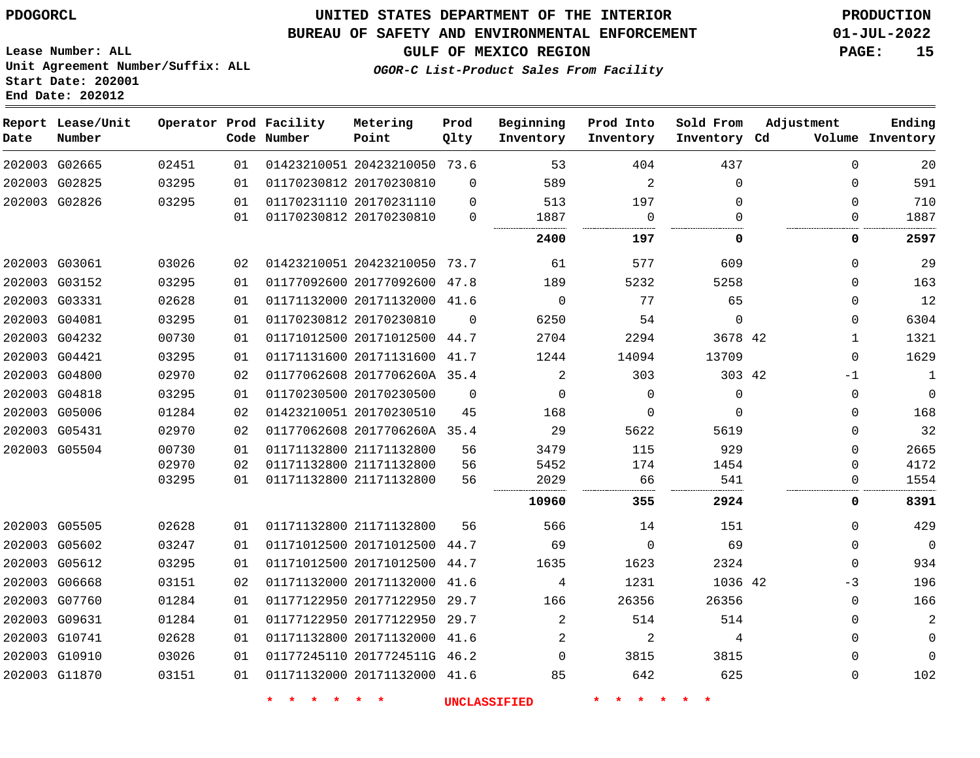## **UNITED STATES DEPARTMENT OF THE INTERIOR PDOGORCL PRODUCTION**

#### **BUREAU OF SAFETY AND ENVIRONMENTAL ENFORCEMENT 01-JUL-2022**

**Lease Number: ALL Unit Agreement Number/Suffix: ALL Start Date: 202001**

# **GULF OF MEXICO REGION PAGE: 15**

**OGOR-C List-Product Sales From Facility**

| Date | Report Lease/Unit<br>Number |       |    | Operator Prod Facility<br>Code Number | Metering<br>Point            | Prod<br>Qlty | Beginning<br>Inventory | Prod Into<br>Inventory | Sold From<br>Inventory Cd | Adjustment   | Ending<br>Volume Inventory |
|------|-----------------------------|-------|----|---------------------------------------|------------------------------|--------------|------------------------|------------------------|---------------------------|--------------|----------------------------|
|      | 202003 G02665               | 02451 | 01 |                                       | 01423210051 20423210050 73.6 |              | 53                     | 404                    | 437                       | $\mathbf 0$  | 20                         |
|      | 202003 G02825               | 03295 | 01 |                                       | 01170230812 20170230810      | $\Omega$     | 589                    | 2                      | $\Omega$                  | $\Omega$     | 591                        |
|      | 202003 G02826               | 03295 | 01 |                                       | 01170231110 20170231110      | $\mathbf 0$  | 513                    | 197                    | $\Omega$                  | 0            | 710                        |
|      |                             |       | 01 |                                       | 01170230812 20170230810      | $\Omega$     | 1887                   | $\mathbf 0$            | $\Omega$                  | 0            | 1887                       |
|      |                             |       |    |                                       |                              |              | 2400                   | 197                    | 0                         | 0            | 2597                       |
|      | 202003 G03061               | 03026 | 02 |                                       | 01423210051 20423210050 73.7 |              | 61                     | 577                    | 609                       | $\Omega$     | 29                         |
|      | 202003 G03152               | 03295 | 01 |                                       | 01177092600 20177092600 47.8 |              | 189                    | 5232                   | 5258                      | $\Omega$     | 163                        |
|      | 202003 G03331               | 02628 | 01 |                                       | 01171132000 20171132000 41.6 |              | $\mathbf 0$            | 77                     | 65                        | 0            | 12                         |
|      | 202003 G04081               | 03295 | 01 |                                       | 01170230812 20170230810      | $\Omega$     | 6250                   | 54                     | $\Omega$                  | $\mathbf 0$  | 6304                       |
|      | 202003 G04232               | 00730 | 01 |                                       | 01171012500 20171012500 44.7 |              | 2704                   | 2294                   | 3678 42                   | $\mathbf{1}$ | 1321                       |
|      | 202003 G04421               | 03295 | 01 |                                       | 01171131600 20171131600 41.7 |              | 1244                   | 14094                  | 13709                     | $\Omega$     | 1629                       |
|      | 202003 G04800               | 02970 | 02 |                                       | 01177062608 2017706260A 35.4 |              | $\overline{2}$         | 303                    | 303 42                    | -1           | 1                          |
|      | 202003 G04818               | 03295 | 01 |                                       | 01170230500 20170230500      | $\mathbf 0$  | $\mathbf 0$            | 0                      | $\mathbf 0$               | 0            | $\mathbf 0$                |
|      | 202003 G05006               | 01284 | 02 |                                       | 01423210051 20170230510      | 45           | 168                    | 0                      | $\Omega$                  | 0            | 168                        |
|      | 202003 G05431               | 02970 | 02 |                                       | 01177062608 2017706260A 35.4 |              | 29                     | 5622                   | 5619                      | 0            | 32                         |
|      | 202003 G05504               | 00730 | 01 |                                       | 01171132800 21171132800      | 56           | 3479                   | 115                    | 929                       | $\mathbf 0$  | 2665                       |
|      |                             | 02970 | 02 |                                       | 01171132800 21171132800      | 56           | 5452                   | 174                    | 1454                      | $\Omega$     | 4172                       |
|      |                             | 03295 | 01 |                                       | 01171132800 21171132800      | 56           | 2029                   | 66                     | 541                       | $\Omega$     | 1554                       |
|      |                             |       |    |                                       |                              |              | 10960                  | 355                    | 2924                      | 0            | 8391                       |
|      | 202003 G05505               | 02628 | 01 |                                       | 01171132800 21171132800      | 56           | 566                    | 14                     | 151                       | 0            | 429                        |
|      | 202003 G05602               | 03247 | 01 |                                       | 01171012500 20171012500      | 44.7         | 69                     | $\Omega$               | 69                        | $\mathbf 0$  | $\mathbf 0$                |
|      | 202003 G05612               | 03295 | 01 |                                       | 01171012500 20171012500 44.7 |              | 1635                   | 1623                   | 2324                      | $\mathbf 0$  | 934                        |
|      | 202003 G06668               | 03151 | 02 |                                       | 01171132000 20171132000 41.6 |              | 4                      | 1231                   | 1036 42                   | $-3$         | 196                        |
|      | 202003 G07760               | 01284 | 01 |                                       | 01177122950 20177122950 29.7 |              | 166                    | 26356                  | 26356                     | $\mathbf 0$  | 166                        |
|      | 202003 G09631               | 01284 | 01 |                                       | 01177122950 20177122950 29.7 |              | 2                      | 514                    | 514                       | 0            | $\overline{2}$             |
|      | 202003 G10741               | 02628 | 01 |                                       | 01171132800 20171132000 41.6 |              | 2                      | 2                      | 4                         | $\mathbf 0$  | $\mathbf 0$                |
|      | 202003 G10910               | 03026 | 01 |                                       | 01177245110 2017724511G 46.2 |              | $\Omega$               | 3815                   | 3815                      | 0            | $\mathbf 0$                |
|      | 202003 G11870               | 03151 | 01 |                                       | 01171132000 20171132000 41.6 |              | 85                     | 642                    | 625                       | 0            | 102                        |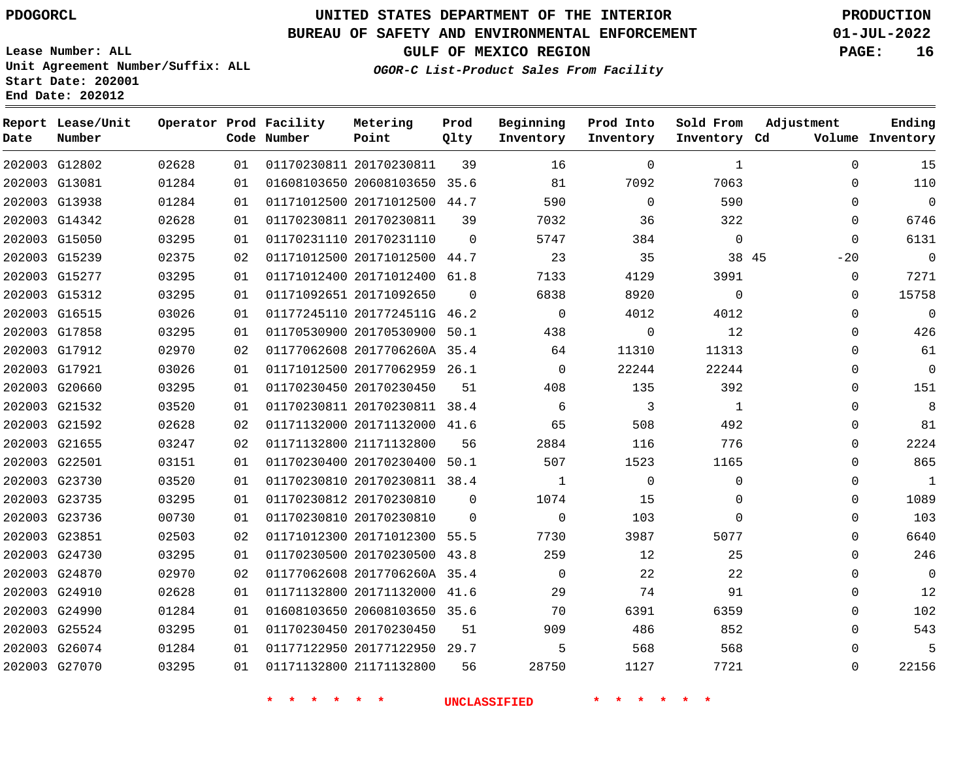# **UNITED STATES DEPARTMENT OF THE INTERIOR PDOGORCL PRODUCTION**

### **BUREAU OF SAFETY AND ENVIRONMENTAL ENFORCEMENT 01-JUL-2022**

**Lease Number: ALL Unit Agreement Number/Suffix: ALL Start Date: 202001**

**OGOR-C List-Product Sales From Facility**

**GULF OF MEXICO REGION PAGE: 16**

**Inventory Cd Volume**

**Adjustment**

**Ending**

|      | End Date: 202012            |           |    |                                       |                              |              |                        |                        |                           |       |
|------|-----------------------------|-----------|----|---------------------------------------|------------------------------|--------------|------------------------|------------------------|---------------------------|-------|
| Date | Report Lease/Unit<br>Number |           |    | Operator Prod Facility<br>Code Number | Metering<br>Point            | Prod<br>Qlty | Beginning<br>Inventory | Prod Into<br>Inventory | Sold From<br>Inventory Cd | - A   |
|      | 202003 G12802               | 02628     | 01 |                                       | 01170230811 20170230811      | 39           | 16                     |                        |                           |       |
|      | 202003 G13081               | 01284     | 01 |                                       | 01608103650 20608103650      | 35.6         | 81                     | 7092                   | 7063                      |       |
|      | 202003 G13938               | 01284     | 01 |                                       | 01171012500 20171012500      | 44.7         | 590                    | 0                      | 590                       |       |
|      | 202003 G14342               | 02628     | 01 |                                       | 01170230811 20170230811      | 39           | 7032                   | 36                     | 322                       |       |
|      | 202003 G15050               | 03295     | 01 |                                       | 01170231110 20170231110      | $\Omega$     | 5747                   | 384                    | $\Omega$                  |       |
|      | 202003 G15239               | 02375     | 02 |                                       | 01171012500 20171012500      | 44.7         | 23                     | 35                     |                           | 38 45 |
|      | 202003 G15277               | 03295     | 01 |                                       | 01171012400 20171012400      | 61.8         | 7133                   | 4129                   | 3991                      |       |
|      | 202003 G15312               | 03295     | 01 |                                       | 01171092651 20171092650      | $\Omega$     | 6838                   | 8920                   | $\Omega$                  |       |
|      | 202003 G16515               | 03026     | 01 |                                       | 01177245110 2017724511G      | 46.2         | $\Omega$               | 4012                   | 4012                      |       |
|      | 202003 G17858               | 03295     | 01 |                                       | 01170530900 20170530900 50.1 |              | 438                    |                        | 12                        |       |
|      | popondo concoc              | n o o o o |    |                                       |                              |              | $\epsilon$ $\Lambda$   | 11210                  | 11212                     |       |

| 202003 G12802 | 02628 | 01 | 01170230811 20170230811      | 39       | 16             | $\Omega$                 | 1              | 0           | 15             |
|---------------|-------|----|------------------------------|----------|----------------|--------------------------|----------------|-------------|----------------|
| 202003 G13081 | 01284 | 01 | 01608103650 20608103650 35.6 |          | 81             | 7092                     | 7063           | 0           | 110            |
| 202003 G13938 | 01284 | 01 | 01171012500 20171012500 44.7 |          | 590            | $\overline{0}$           | 590            | $\Omega$    | $\overline{0}$ |
| 202003 G14342 | 02628 | 01 | 01170230811 20170230811      | 39       | 7032           | 36                       | 322            | $\Omega$    | 6746           |
| 202003 G15050 | 03295 | 01 | 01170231110 20170231110      | $\Omega$ | 5747           | 384                      | $\overline{0}$ | $\mathbf 0$ | 6131           |
| 202003 G15239 | 02375 | 02 | 01171012500 20171012500 44.7 |          | 23             | 35                       | 38 45          | $-20$       | $\overline{0}$ |
| 202003 G15277 | 03295 | 01 | 01171012400 20171012400 61.8 |          | 7133           | 4129                     | 3991           | $\Omega$    | 7271           |
| 202003 G15312 | 03295 | 01 | 01171092651 20171092650      | $\Omega$ | 6838           | 8920                     | $\Omega$       | $\Omega$    | 15758          |
| 202003 G16515 | 03026 | 01 | 01177245110 2017724511G 46.2 |          | $\overline{0}$ | 4012                     | 4012           | $\Omega$    | $\overline{0}$ |
| 202003 G17858 | 03295 | 01 | 01170530900 20170530900 50.1 |          | 438            | $\overline{\phantom{0}}$ | 12             | 0           | 426            |
| 202003 G17912 | 02970 | 02 | 01177062608 2017706260A 35.4 |          | 64             | 11310                    | 11313          | $\Omega$    | 61             |
| 202003 G17921 | 03026 | 01 | 01171012500 20177062959 26.1 |          | $\overline{0}$ | 22244                    | 22244          | 0           | $\mathbf 0$    |
| 202003 G20660 | 03295 | 01 | 01170230450 20170230450      | 51       | 408            | 135                      | 392            | 0           | 151            |
| 202003 G21532 | 03520 | 01 | 01170230811 20170230811 38.4 |          | - 6            | $\overline{\phantom{a}}$ | $\mathbf{1}$   | 0           | 8              |
| 202003 G21592 | 02628 | 02 | 01171132000 20171132000 41.6 |          | 65             | 508                      | 492            | 0           | 81             |
| 202003 G21655 | 03247 | 02 | 01171132800 21171132800      | 56       | 2884           | 116                      | 776            | 0           | 2224           |
| 202003 G22501 | 03151 | 01 | 01170230400 20170230400 50.1 |          | 507            | 1523                     | 1165           | $\Omega$    | 865            |
| 202003 G23730 | 03520 | 01 | 01170230810 20170230811 38.4 |          | $\overline{1}$ | $\overline{0}$           | $\Omega$       | 0           | $\mathbf{1}$   |
| 202003 G23735 | 03295 | 01 | 01170230812 20170230810      | $\Omega$ | 1074           | 15                       | $\Omega$       | 0           | 1089           |
| 202003 G23736 | 00730 | 01 | 01170230810 20170230810      | $\Omega$ | $\Omega$       | 103                      | $\Omega$       | 0           | 103            |
| 202003 G23851 | 02503 | 02 | 01171012300 20171012300 55.5 |          | 7730           | 3987                     | 5077           | 0           | 6640           |
| 202003 G24730 | 03295 | 01 | 01170230500 20170230500 43.8 |          | 259            | 12                       | 25             | $\Omega$    | 246            |
| 202003 G24870 | 02970 | 02 | 01177062608 2017706260A 35.4 |          | $\overline{0}$ | 22                       | 22             | 0           | $\mathbf 0$    |
| 202003 G24910 | 02628 | 01 | 01171132800 20171132000 41.6 |          | 29             | 74                       | 91             | 0           | 12             |
| 202003 G24990 | 01284 | 01 | 01608103650 20608103650 35.6 |          | 70             | 6391                     | 6359           | $\Omega$    | 102            |
| 202003 G25524 | 03295 | 01 | 01170230450 20170230450      | 51       | 909            | 486                      | 852            | 0           | 543            |
| 202003 G26074 | 01284 | 01 | 01177122950 20177122950 29.7 |          | 5              | 568                      | 568            | 0           | 5              |
| 202003 G27070 | 03295 | 01 | 01171132800 21171132800      | 56       | 28750          | 1127                     | 7721           | $\Omega$    | 22156          |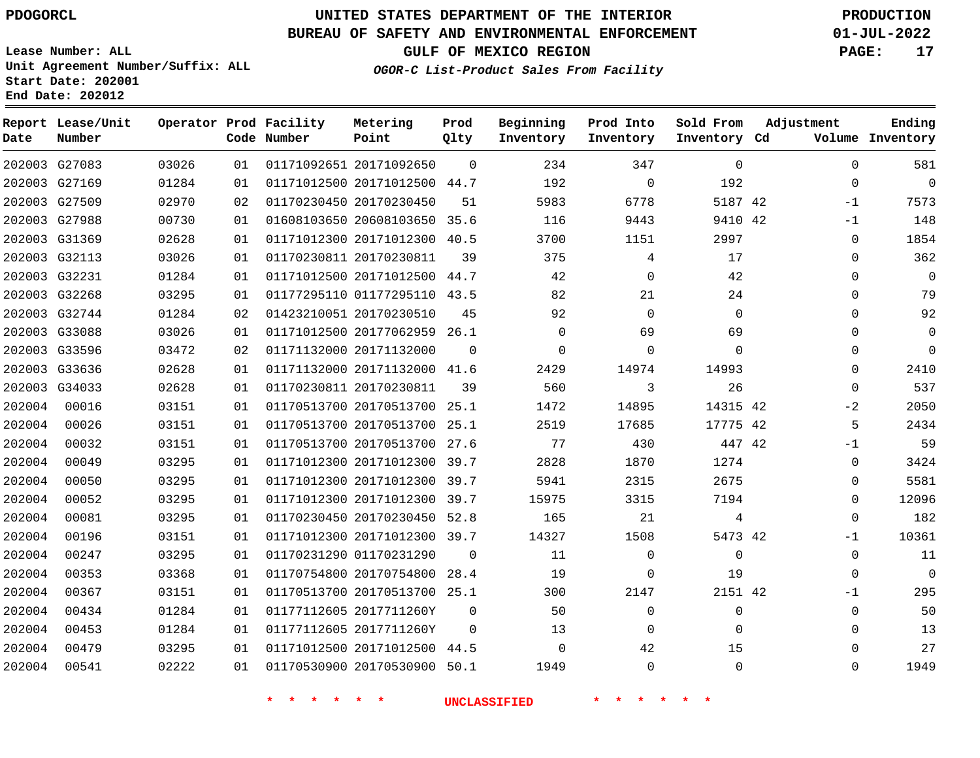**Report Lease/Unit**

**Number**

# **UNITED STATES DEPARTMENT OF THE INTERIOR PDOGORCL PRODUCTION**

### **BUREAU OF SAFETY AND ENVIRONMENTAL ENFORCEMENT 01-JUL-2022**

**Lease Number: ALL Unit Agreement Number/Suffix: ALL Start Date: 202001 End Date: 202012**

**Operator Prod Facility**

**Code Number**

**Metering Point**

**Prod Qlty**

**GULF OF MEXICO REGION PAGE: 17**

**Inventory Cd Volume**

**Adjustment**

**Ending**

**OGOR-C List-Product Sales From Facility**

**Beginning Inventory** **Prod Into Inventory** **Sold From Inventory**

|        | 202003 G27083 | 03026 | 01  | 01171092651 20171092650      | $\Omega$ | 234      | 347      | $\Omega$     | 0           | 581         |
|--------|---------------|-------|-----|------------------------------|----------|----------|----------|--------------|-------------|-------------|
|        | 202003 G27169 | 01284 | 01  | 01171012500 20171012500 44.7 |          | 192      | $\Omega$ | 192          | $\Omega$    | $\Omega$    |
|        | 202003 G27509 | 02970 | 02  | 01170230450 20170230450      | 51       | 5983     | 6778     | 5187 42      | $-1$        | 7573        |
|        | 202003 G27988 | 00730 | 01  | 01608103650 20608103650 35.6 |          | 116      | 9443     | 9410 42      | $-1$        | 148         |
|        | 202003 G31369 | 02628 | 01  | 01171012300 20171012300 40.5 |          | 3700     | 1151     | 2997         | 0           | 1854        |
|        | 202003 G32113 | 03026 | 01  | 01170230811 20170230811      | 39       | 375      | 4        | 17           | $\Omega$    | 362         |
|        | 202003 G32231 | 01284 | 01  | 01171012500 20171012500 44.7 |          | 42       | $\Omega$ | 42           | $\Omega$    | $\Omega$    |
|        | 202003 G32268 | 03295 | 01  | 01177295110 01177295110 43.5 |          | 82       | 21       | 24           | 0           | 79          |
|        | 202003 G32744 | 01284 | 02  | 01423210051 20170230510      | 45       | 92       | $\Omega$ | $\mathbf{0}$ | 0           | 92          |
|        | 202003 G33088 | 03026 | 01  | 01171012500 20177062959 26.1 |          | 0        | 69       | 69           | 0           | 0           |
|        | 202003 G33596 | 03472 | 02  | 01171132000 20171132000      | $\Omega$ | 0        | $\Omega$ | $\Omega$     | 0           | $\Omega$    |
|        | 202003 G33636 | 02628 | 01  | 01171132000 20171132000 41.6 |          | 2429     | 14974    | 14993        | $\Omega$    | 2410        |
|        | 202003 G34033 | 02628 | 01  | 01170230811 20170230811      | 39       | 560      | 3        | 26           | $\mathbf 0$ | 537         |
| 202004 | 00016         | 03151 | 01  | 01170513700 20170513700 25.1 |          | 1472     | 14895    | 14315 42     | $-2$        | 2050        |
| 202004 | 00026         | 03151 | 01  | 01170513700 20170513700 25.1 |          | 2519     | 17685    | 17775 42     | 5           | 2434        |
| 202004 | 00032         | 03151 | 01  | 01170513700 20170513700 27.6 |          | 77       | 430      | 447 42       | $-1$        | 59          |
| 202004 | 00049         | 03295 | 01  | 01171012300 20171012300 39.7 |          | 2828     | 1870     | 1274         | 0           | 3424        |
| 202004 | 00050         | 03295 | 01  | 01171012300 20171012300 39.7 |          | 5941     | 2315     | 2675         | 0           | 5581        |
| 202004 | 00052         | 03295 | 01  | 01171012300 20171012300 39.7 |          | 15975    | 3315     | 7194         | $\Omega$    | 12096       |
| 202004 | 00081         | 03295 | 01  | 01170230450 20170230450 52.8 |          | 165      | 21       | 4            | $\Omega$    | 182         |
| 202004 | 00196         | 03151 | 01  | 01171012300 20171012300 39.7 |          | 14327    | 1508     | 5473 42      | $-1$        | 10361       |
| 202004 | 00247         | 03295 | 01  | 01170231290 01170231290      | - 0      | 11       | 0        | 0            | 0           | 11          |
| 202004 | 00353         | 03368 | 01  | 01170754800 20170754800 28.4 |          | 19       | $\Omega$ | 19           | 0           | $\mathbf 0$ |
| 202004 | 00367         | 03151 | 01  | 01170513700 20170513700 25.1 |          | 300      | 2147     | 2151 42      | -1          | 295         |
| 202004 | 00434         | 01284 | 01  | 01177112605 2017711260Y      | $\Omega$ | 50       | $\Omega$ | $\mathbf 0$  | 0           | 50          |
| 202004 | 00453         | 01284 | 01  | 01177112605 2017711260Y      | $\Omega$ | 13       | $\Omega$ | $\Omega$     | 0           | 13          |
| 202004 | 00479         | 03295 | 01. | 01171012500 20171012500      | 44.5     | $\Omega$ | 42       | 15           | 0           | 27          |
| 202004 | 00541         | 02222 | 01  | 01170530900 20170530900 50.1 |          | 1949     | $\Omega$ | $\Omega$     | $\Omega$    | 1949        |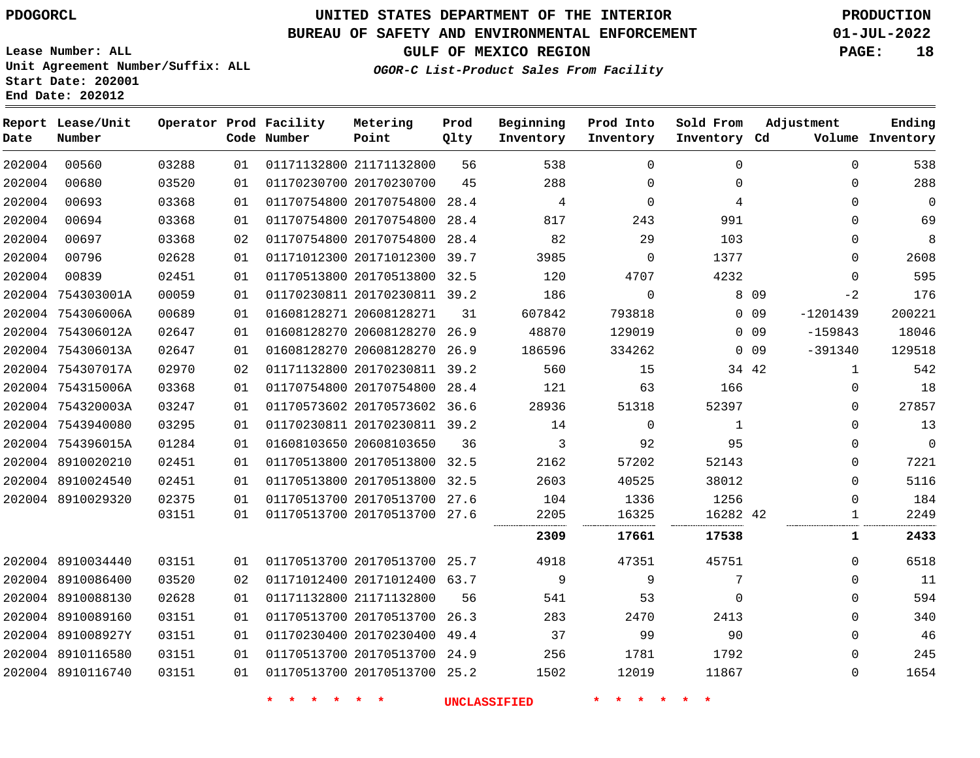### **BUREAU OF SAFETY AND ENVIRONMENTAL ENFORCEMENT 01-JUL-2022**

**Lease Number: ALL Unit Agreement Number/Suffix: ALL Start Date: 202001 End Date: 202012**

**GULF OF MEXICO REGION PAGE: 18**

**OGOR-C List-Product Sales From Facility**

| Date   | Report Lease/Unit<br>Number |       |    | Operator Prod Facility<br>Code Number | Metering<br>Point            | Prod<br>Qlty | Beginning<br>Inventory | Prod Into<br>Inventory | Sold From<br>Inventory Cd | Adjustment              | Ending<br>Volume Inventory |
|--------|-----------------------------|-------|----|---------------------------------------|------------------------------|--------------|------------------------|------------------------|---------------------------|-------------------------|----------------------------|
| 202004 | 00560                       | 03288 | 01 |                                       | 01171132800 21171132800      | 56           | 538                    | $\Omega$               | $\Omega$                  | $\Omega$                | 538                        |
| 202004 | 00680                       | 03520 | 01 |                                       | 01170230700 20170230700      | 45           | 288                    | $\Omega$               | $\Omega$                  | $\Omega$                | 288                        |
| 202004 | 00693                       | 03368 | 01 |                                       | 01170754800 20170754800 28.4 |              | 4                      | $\Omega$               | 4                         | 0                       | $\mathbf 0$                |
| 202004 | 00694                       | 03368 | 01 |                                       | 01170754800 20170754800      | 28.4         | 817                    | 243                    | 991                       | 0                       | 69                         |
| 202004 | 00697                       | 03368 | 02 |                                       | 01170754800 20170754800 28.4 |              | 82                     | 29                     | 103                       | $\Omega$                | 8                          |
| 202004 | 00796                       | 02628 | 01 |                                       | 01171012300 20171012300      | 39.7         | 3985                   | $\Omega$               | 1377                      | $\Omega$                | 2608                       |
| 202004 | 00839                       | 02451 | 01 |                                       | 01170513800 20170513800 32.5 |              | 120                    | 4707                   | 4232                      | 0                       | 595                        |
|        | 202004 754303001A           | 00059 | 01 |                                       | 01170230811 20170230811 39.2 |              | 186                    | $\mathbf 0$            |                           | 8 0 9<br>$-2$           | 176                        |
|        | 202004 754306006A           | 00689 | 01 |                                       | 01608128271 20608128271      | 31           | 607842                 | 793818                 |                           | $0$ 09<br>$-1201439$    | 200221                     |
|        | 202004 754306012A           | 02647 | 01 |                                       | 01608128270 20608128270 26.9 |              | 48870                  | 129019                 |                           | $0\quad09$<br>$-159843$ | 18046                      |
|        | 202004 754306013A           | 02647 | 01 |                                       | 01608128270 20608128270 26.9 |              | 186596                 | 334262                 |                           | $0\quad09$<br>$-391340$ | 129518                     |
|        | 202004 754307017A           | 02970 | 02 |                                       | 01171132800 20170230811 39.2 |              | 560                    | 15                     |                           | 34 42<br>$\mathbf{1}$   | 542                        |
|        | 202004 754315006A           | 03368 | 01 |                                       | 01170754800 20170754800      | 28.4         | 121                    | 63                     | 166                       | 0                       | 18                         |
|        | 202004 754320003A           | 03247 | 01 |                                       | 01170573602 20170573602 36.6 |              | 28936                  | 51318                  | 52397                     | $\Omega$                | 27857                      |
|        | 202004 7543940080           | 03295 | 01 |                                       | 01170230811 20170230811 39.2 |              | 14                     | $\Omega$               | 1                         | $\Omega$                | 13                         |
|        | 202004 754396015A           | 01284 | 01 |                                       | 01608103650 20608103650      | 36           | 3                      | 92                     | 95                        | 0                       | $\mathbf 0$                |
|        | 202004 8910020210           | 02451 | 01 |                                       | 01170513800 20170513800 32.5 |              | 2162                   | 57202                  | 52143                     | 0                       | 7221                       |
|        | 202004 8910024540           | 02451 | 01 |                                       | 01170513800 20170513800      | 32.5         | 2603                   | 40525                  | 38012                     | 0                       | 5116                       |
|        | 202004 8910029320           | 02375 | 01 |                                       | 01170513700 20170513700 27.6 |              | 104                    | 1336                   | 1256                      | 0                       | 184                        |
|        |                             | 03151 | 01 |                                       | 01170513700 20170513700 27.6 |              | 2205                   | 16325                  | 16282 42                  | $\mathbf{1}$            | 2249                       |
|        |                             |       |    |                                       |                              |              | 2309                   | 17661                  | 17538                     | 1                       | 2433                       |
|        | 202004 8910034440           | 03151 | 01 |                                       | 01170513700 20170513700 25.7 |              | 4918                   | 47351                  | 45751                     | 0                       | 6518                       |
|        | 202004 8910086400           | 03520 | 02 |                                       | 01171012400 20171012400 63.7 |              | 9                      | 9                      | 7                         | 0                       | 11                         |
|        | 202004 8910088130           | 02628 | 01 |                                       | 01171132800 21171132800      | 56           | 541                    | 53                     | $\Omega$                  | 0                       | 594                        |
|        | 202004 8910089160           | 03151 | 01 |                                       | 01170513700 20170513700      | 26.3         | 283                    | 2470                   | 2413                      | 0                       | 340                        |
|        | 202004 891008927Y           | 03151 | 01 |                                       | 01170230400 20170230400      | 49.4         | 37                     | 99                     | 90                        | $\Omega$                | 46                         |
|        | 202004 8910116580           | 03151 | 01 |                                       | 01170513700 20170513700 24.9 |              | 256                    | 1781                   | 1792                      | 0                       | 245                        |
|        | 202004 8910116740           | 03151 | 01 |                                       | 01170513700 20170513700 25.2 |              | 1502                   | 12019                  | 11867                     | 0                       | 1654                       |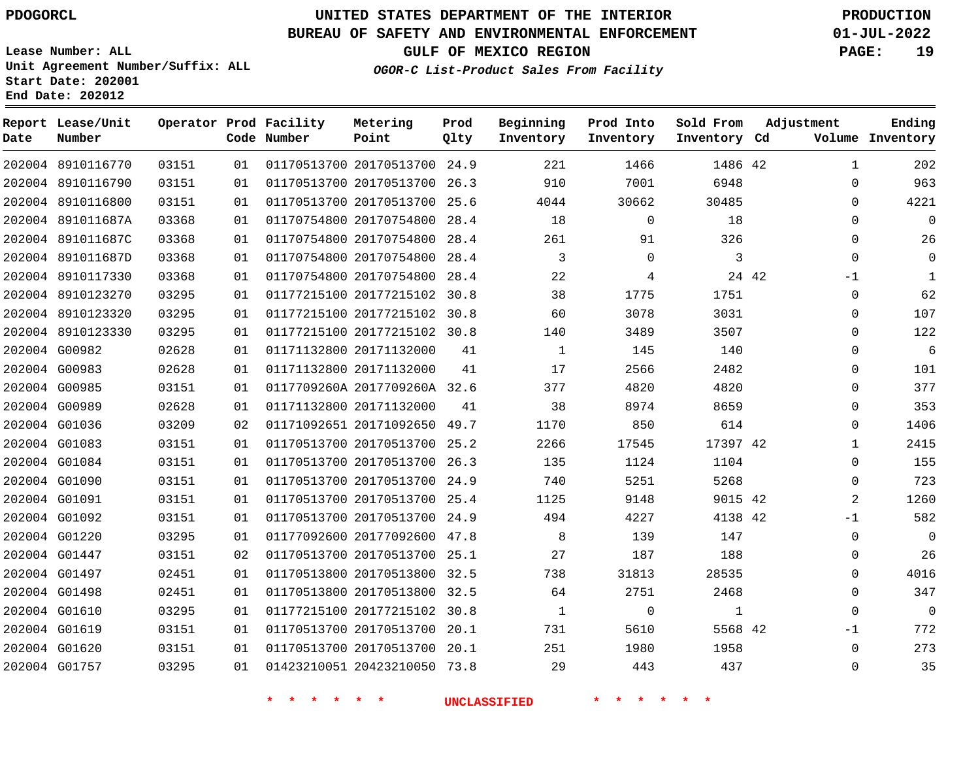8910116770 8910116790 8910116800

**Report Lease/Unit**

**Number**

# **UNITED STATES DEPARTMENT OF THE INTERIOR PDOGORCL PRODUCTION**

**Prod Qlty**

#### **BUREAU OF SAFETY AND ENVIRONMENTAL ENFORCEMENT 01-JUL-2022**

**Lease Number: ALL Unit Agreement Number/Suffix: ALL Start Date: 202001 End Date: 202012**

> 

**Operator Prod Facility**

**Code Number**

  **OGOR-C List-Product Sales From Facility**

 

 

**Prod Into Inventory**

**Beginning Inventory**

**GULF OF MEXICO REGION PAGE: 19**

**Inventory Cd Volume**

**Adjustment**

  $\Omega$  $\Omega$   $\Omega$  $\Omega$ -1  $\Omega$  $\Omega$  $\Omega$  $\Omega$  $\overline{0}$   $\Omega$   $\Omega$  $\Omega$   $-1$   $\Omega$  $\Omega$   $-1$   $\Omega$ 

**Ending**

42

 

**Sold From Inventory**

| 202004 891011687A | 03368 | 01 |  | 01170754800 20170754800 28.4 |    | 18                  | $\mathbf 0$ | 18           |       |
|-------------------|-------|----|--|------------------------------|----|---------------------|-------------|--------------|-------|
| 202004 891011687C | 03368 | 01 |  | 01170754800 20170754800 28.4 |    | 261                 | 91          | 326          |       |
| 202004 891011687D | 03368 | 01 |  | 01170754800 20170754800 28.4 |    | $\mathbf{3}$        | $\Omega$    | $\mathbf{3}$ |       |
| 202004 8910117330 | 03368 | 01 |  | 01170754800 20170754800 28.4 |    | 22                  | 4           |              | 24 42 |
| 202004 8910123270 | 03295 | 01 |  | 01177215100 20177215102 30.8 |    | 38                  | 1775        | 1751         |       |
| 202004 8910123320 | 03295 | 01 |  | 01177215100 20177215102 30.8 |    | 60                  | 3078        | 3031         |       |
| 202004 8910123330 | 03295 | 01 |  | 01177215100 20177215102 30.8 |    | 140                 | 3489        | 3507         |       |
| 202004 G00982     | 02628 | 01 |  | 01171132800 20171132000      | 41 | 1                   | 145         | 140          |       |
| 202004 G00983     | 02628 | 01 |  | 01171132800 20171132000      | 41 | 17                  | 2566        | 2482         |       |
| 202004 G00985     | 03151 | 01 |  | 0117709260A 2017709260A 32.6 |    | 377                 | 4820        | 4820         |       |
| 202004 G00989     | 02628 | 01 |  | 01171132800 20171132000      | 41 | 38                  | 8974        | 8659         |       |
| 202004 G01036     | 03209 | 02 |  | 01171092651 20171092650 49.7 |    | 1170                | 850         | 614          |       |
| 202004 G01083     | 03151 | 01 |  | 01170513700 20170513700 25.2 |    | 2266                | 17545       | 17397 42     |       |
| 202004 G01084     | 03151 | 01 |  | 01170513700 20170513700 26.3 |    | 135                 | 1124        | 1104         |       |
| 202004 G01090     | 03151 | 01 |  | 01170513700 20170513700 24.9 |    | 740                 | 5251        | 5268         |       |
| 202004 G01091     | 03151 | 01 |  | 01170513700 20170513700 25.4 |    | 1125                | 9148        | 9015 42      |       |
| 202004 G01092     | 03151 | 01 |  | 01170513700 20170513700 24.9 |    | 494                 | 4227        | 4138 42      |       |
| 202004 G01220     | 03295 | 01 |  | 01177092600 20177092600 47.8 |    | 8                   | 139         | 147          |       |
| 202004 G01447     | 03151 | 02 |  | 01170513700 20170513700 25.1 |    | 27                  | 187         | 188          |       |
| 202004 G01497     | 02451 | 01 |  | 01170513800 20170513800 32.5 |    | 738                 | 31813       | 28535        |       |
| 202004 G01498     | 02451 | 01 |  | 01170513800 20170513800 32.5 |    | 64                  | 2751        | 2468         |       |
| 202004 G01610     | 03295 | 01 |  | 01177215100 20177215102 30.8 |    | 1                   | $\mathbf 0$ | $\mathbf{1}$ |       |
| 202004 G01619     | 03151 | 01 |  | 01170513700 20170513700 20.1 |    | 731                 | 5610        | 5568 42      |       |
| 202004 G01620     | 03151 | 01 |  | 01170513700 20170513700 20.1 |    | 251                 | 1980        | 1958         |       |
| 202004 G01757     | 03295 | 01 |  | 01423210051 20423210050 73.8 |    | 29                  | 443         | 437          |       |
|                   |       |    |  | $\star$                      |    | <b>UNCLASSIFIED</b> |             |              |       |
|                   |       |    |  |                              |    |                     |             |              |       |

 20170513700 24.9 20170513700 26.3 20170513700 25.6

**Metering Point**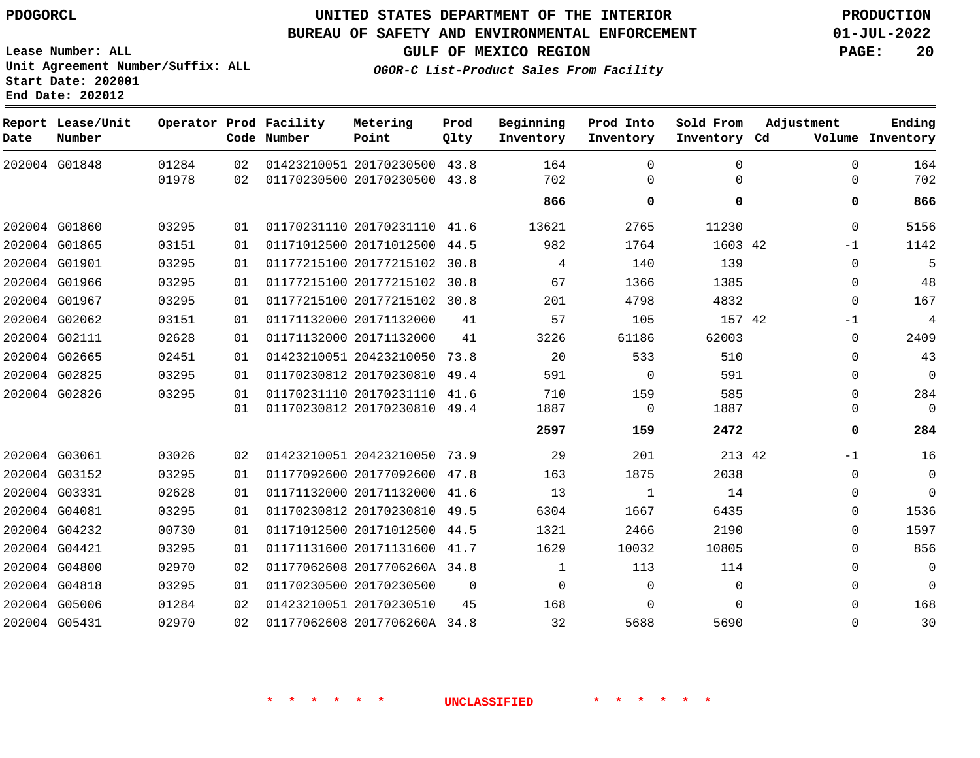### **BUREAU OF SAFETY AND ENVIRONMENTAL ENFORCEMENT 01-JUL-2022**

**Lease Number: ALL Unit Agreement Number/Suffix: ALL Start Date: 202001**

**Operator Prod Facility Metering**

**End Date: 202012**

**Report Lease/Unit**

**GULF OF MEXICO REGION PAGE: 20**

**Prod**

**Adjustment**

**Ending**

**OGOR-C List-Product Sales From Facility**

**Beginning Prod Into Sold From**

| Date | Number        |       |    | Code Number | Point                        | Qlty     | Inventory | Inventory | Inventory Cd |             | Volume Inventory |
|------|---------------|-------|----|-------------|------------------------------|----------|-----------|-----------|--------------|-------------|------------------|
|      | 202004 G01848 | 01284 | 02 |             | 01423210051 20170230500      | 43.8     | 164       | $\Omega$  | $\Omega$     | $\mathbf 0$ | 164              |
|      |               | 01978 | 02 |             | 01170230500 20170230500 43.8 |          | 702       | $\Omega$  | $\Omega$     | $\Omega$    | 702              |
|      |               |       |    |             |                              |          | 866       | O         | 0            | 0           | 866              |
|      | 202004 G01860 | 03295 | 01 |             | 01170231110 20170231110 41.6 |          | 13621     | 2765      | 11230        | $\Omega$    | 5156             |
|      | 202004 G01865 | 03151 | 01 |             | 01171012500 20171012500 44.5 |          | 982       | 1764      | 1603 42      | $-1$        | 1142             |
|      | 202004 G01901 | 03295 | 01 |             | 01177215100 20177215102      | 30.8     | 4         | 140       | 139          | $\Omega$    | 5                |
|      | 202004 G01966 | 03295 | 01 |             | 01177215100 20177215102 30.8 |          | 67        | 1366      | 1385         | $\Omega$    | 48               |
|      | 202004 G01967 | 03295 | 01 |             | 01177215100 20177215102 30.8 |          | 201       | 4798      | 4832         | 0           | 167              |
|      | 202004 G02062 | 03151 | 01 |             | 01171132000 20171132000      | 41       | 57        | 105       | 157 42       | $-1$        | $\overline{4}$   |
|      | 202004 G02111 | 02628 | 01 |             | 01171132000 20171132000      | 41       | 3226      | 61186     | 62003        | $\Omega$    | 2409             |
|      | 202004 G02665 | 02451 | 01 |             | 01423210051 20423210050 73.8 |          | 20        | 533       | 510          | $\Omega$    | 43               |
|      | 202004 G02825 | 03295 | 01 |             | 01170230812 20170230810 49.4 |          | 591       | $\Omega$  | 591          | $\Omega$    | $\mathbf{0}$     |
|      | 202004 G02826 | 03295 | 01 |             | 01170231110 20170231110 41.6 |          | 710       | 159       | 585          | $\Omega$    | 284              |
|      |               |       | 01 |             | 01170230812 20170230810 49.4 |          | 1887      | 0         | 1887         | 0           | $\Omega$         |
|      |               |       |    |             |                              |          | 2597      | 159       | 2472         | 0           | 284              |
|      | 202004 G03061 | 03026 | 02 |             | 01423210051 20423210050 73.9 |          | 29        | 201       | 213 42       | $-1$        | 16               |
|      | 202004 G03152 | 03295 | 01 |             | 01177092600 20177092600 47.8 |          | 163       | 1875      | 2038         | 0           | $\mathbf 0$      |
|      | 202004 G03331 | 02628 | 01 |             | 01171132000 20171132000      | 41.6     | 13        | 1         | 14           | 0           | $\mathbf{0}$     |
|      | 202004 G04081 | 03295 | 01 |             | 01170230812 20170230810 49.5 |          | 6304      | 1667      | 6435         | 0           | 1536             |
|      | 202004 G04232 | 00730 | 01 |             | 01171012500 20171012500 44.5 |          | 1321      | 2466      | 2190         | 0           | 1597             |
|      | 202004 G04421 | 03295 | 01 |             | 01171131600 20171131600      | 41.7     | 1629      | 10032     | 10805        | 0           | 856              |
|      | 202004 G04800 | 02970 | 02 |             | 01177062608 2017706260A 34.8 |          | 1         | 113       | 114          | $\Omega$    | $\mathbf{0}$     |
|      | 202004 G04818 | 03295 | 01 |             | 01170230500 20170230500      | $\Omega$ | $\Omega$  | $\Omega$  | $\Omega$     | 0           | $\Omega$         |
|      | 202004 G05006 | 01284 | 02 |             | 01423210051 20170230510      | 45       | 168       | $\Omega$  | $\Omega$     | $\Omega$    | 168              |
|      | 202004 G05431 | 02970 | 02 |             | 01177062608 2017706260A 34.8 |          | 32        | 5688      | 5690         | $\Omega$    | 30               |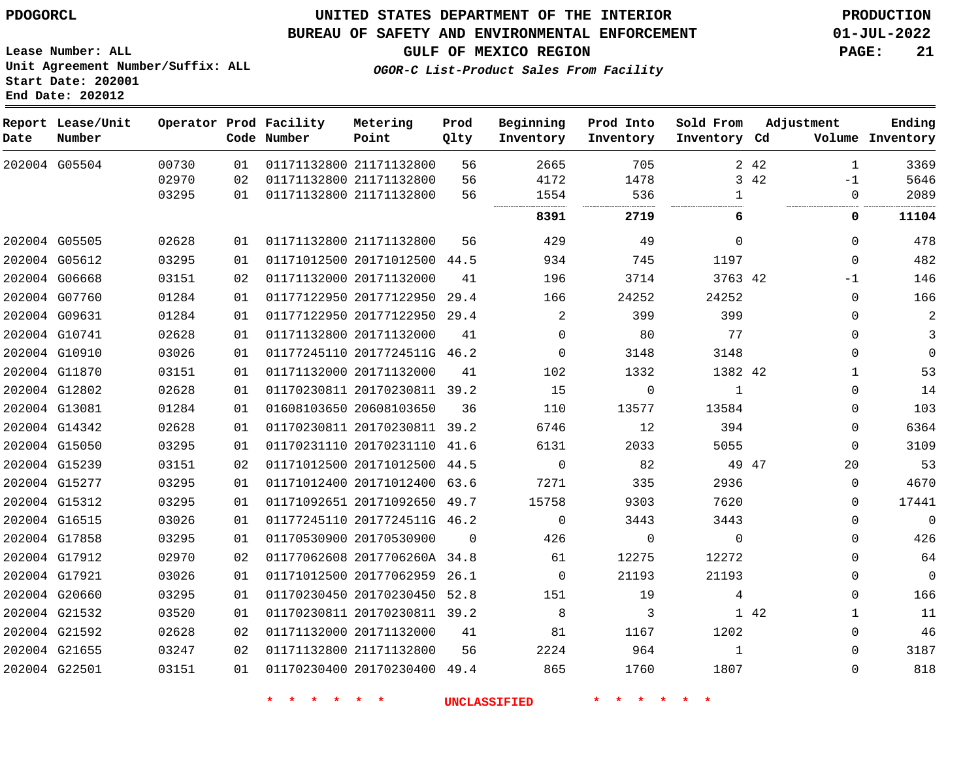**Report Lease/Unit**

## **UNITED STATES DEPARTMENT OF THE INTERIOR PDOGORCL PRODUCTION**

#### **BUREAU OF SAFETY AND ENVIRONMENTAL ENFORCEMENT 01-JUL-2022**

**Lease Number: ALL Unit Agreement Number/Suffix: ALL Start Date: 202001 End Date: 202012**

**OGOR-C List-Product Sales From Facility**

**Sold From Adjustment**

**GULF OF MEXICO REGION PAGE: 21**

**Ending**

|  | Operator Prod Facility | Metering | Prod | Beginning | Prod Into |
|--|------------------------|----------|------|-----------|-----------|
|  | Code Number            | Point    | Olty | Inventory | Inventory |

| Date          | Number        |       |    | Code Number | Point                        | Qlty     | Inventory   | Inventory | Inventory Cd |       |          | Volume Inventory |
|---------------|---------------|-------|----|-------------|------------------------------|----------|-------------|-----------|--------------|-------|----------|------------------|
|               | 202004 G05504 | 00730 | 01 |             | 01171132800 21171132800      | 56       | 2665        | 705       |              | 2 4 2 | 1        | 3369             |
|               |               | 02970 | 02 |             | 01171132800 21171132800      | 56       | 4172        | 1478      | 3            | 42    | $-1$     | 5646             |
|               |               | 03295 | 01 |             | 01171132800 21171132800      | 56       | 1554        | 536       | $\mathbf{1}$ |       | 0        | 2089             |
|               |               |       |    |             |                              |          | 8391        | 2719      | 6            |       | 0        | 11104            |
|               | 202004 G05505 | 02628 | 01 |             | 01171132800 21171132800      | 56       | 429         | 49        | $\Omega$     |       | $\Omega$ | 478              |
|               | 202004 G05612 | 03295 | 01 |             | 01171012500 20171012500      | 44.5     | 934         | 745       | 1197         |       | $\Omega$ | 482              |
| 202004 G06668 |               | 03151 | 02 |             | 01171132000 20171132000      | 41       | 196         | 3714      | 3763 42      |       | $-1$     | 146              |
|               | 202004 G07760 | 01284 | 01 |             | 01177122950 20177122950      | 29.4     | 166         | 24252     | 24252        |       | $\Omega$ | 166              |
| 202004 G09631 |               | 01284 | 01 |             | 01177122950 20177122950      | 29.4     | 2           | 399       | 399          |       | $\Omega$ | 2                |
| 202004 G10741 |               | 02628 | 01 |             | 01171132800 20171132000      | 41       | 0           | 80        | 77           |       | $\Omega$ | 3                |
|               | 202004 G10910 | 03026 | 01 |             | 01177245110 2017724511G 46.2 |          | $\Omega$    | 3148      | 3148         |       | 0        | $\mathbf 0$      |
|               | 202004 G11870 | 03151 | 01 |             | 01171132000 20171132000      | 41       | 102         | 1332      | 1382 42      |       | 1        | 53               |
| 202004 G12802 |               | 02628 | 01 |             | 01170230811 20170230811      | 39.2     | 15          | $\Omega$  | 1            |       | $\Omega$ | 14               |
| 202004 G13081 |               | 01284 | 01 |             | 01608103650 20608103650      | 36       | 110         | 13577     | 13584        |       | $\Omega$ | 103              |
|               | 202004 G14342 | 02628 | 01 |             | 01170230811 20170230811      | 39.2     | 6746        | 12        | 394          |       | 0        | 6364             |
| 202004 G15050 |               | 03295 | 01 |             | 01170231110 20170231110 41.6 |          | 6131        | 2033      | 5055         |       | $\Omega$ | 3109             |
| 202004 G15239 |               | 03151 | 02 |             | 01171012500 20171012500      | 44.5     | $\mathbf 0$ | 82        |              | 49 47 | 20       | 53               |
|               | 202004 G15277 | 03295 | 01 |             | 01171012400 20171012400 63.6 |          | 7271        | 335       | 2936         |       | $\Omega$ | 4670             |
|               | 202004 G15312 | 03295 | 01 |             | 01171092651 20171092650 49.7 |          | 15758       | 9303      | 7620         |       | 0        | 17441            |
| 202004 G16515 |               | 03026 | 01 |             | 01177245110 2017724511G 46.2 |          | $\Omega$    | 3443      | 3443         |       | $\Omega$ | $\mathbf 0$      |
| 202004 G17858 |               | 03295 | 01 |             | 01170530900 20170530900      | $\Omega$ | 426         | $\Omega$  | $\Omega$     |       | $\Omega$ | 426              |
| 202004 G17912 |               | 02970 | 02 |             | 01177062608 2017706260A 34.8 |          | 61          | 12275     | 12272        |       | $\Omega$ | 64               |
| 202004 G17921 |               | 03026 | 01 |             | 01171012500 20177062959      | 26.1     | $\Omega$    | 21193     | 21193        |       | 0        | $\Omega$         |
| 202004 G20660 |               | 03295 | 01 |             | 01170230450 20170230450 52.8 |          | 151         | 19        | 4            |       | 0        | 166              |
| 202004 G21532 |               | 03520 | 01 |             | 01170230811 20170230811      | 39.2     | 8           | 3         |              | 1 42  |          | 11               |
| 202004 G21592 |               | 02628 | 02 |             | 01171132000 20171132000      | 41       | 81          | 1167      | 1202         |       | 0        | 46               |
| 202004 G21655 |               | 03247 | 02 |             | 01171132800 21171132800      | 56       | 2224        | 964       | 1            |       | 0        | 3187             |
| 202004 G22501 |               | 03151 | 01 |             | 01170230400 20170230400      | 49.4     | 865         | 1760      | 1807         |       | $\Omega$ | 818              |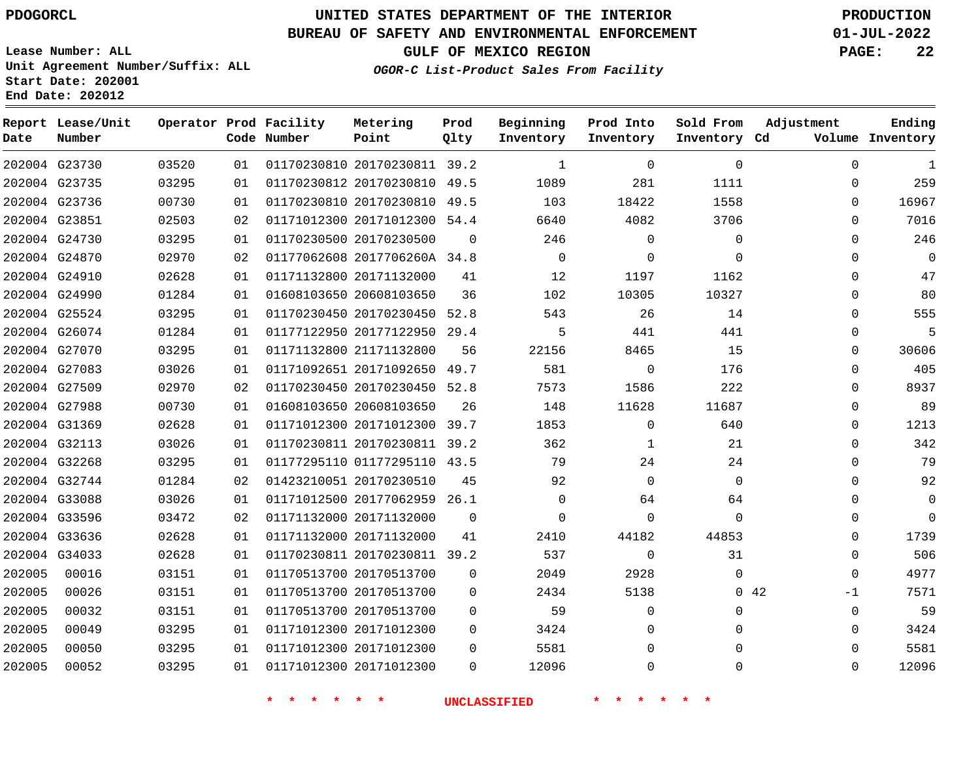#### **BUREAU OF SAFETY AND ENVIRONMENTAL ENFORCEMENT 01-JUL-2022**

**Lease Number: ALL Unit Agreement Number/Suffix: ALL Start Date: 202001**

**Operator Prod Facility**

**End Date: 202012**

**Report Lease/Unit**

**GULF OF MEXICO REGION PAGE: 22**

**Prod**  $Q1 + V$ 

**OGOR-C List-Product Sales From Facility**

**Beginning**

**Prod Into Inventory** **Sold From Inventory**

**Adjustment**

**Ending**

| Date   | Number        |       |    | Code Number | Point                        | Qlty     | Inventory      | Inventory    | Inventory Cd |     |          | Volume Inventory |
|--------|---------------|-------|----|-------------|------------------------------|----------|----------------|--------------|--------------|-----|----------|------------------|
|        | 202004 G23730 | 03520 | 01 |             | 01170230810 20170230811 39.2 |          | 1              | $\mathbf 0$  | $\Omega$     |     | $\Omega$ | 1                |
|        | 202004 G23735 | 03295 | 01 |             | 01170230812 20170230810 49.5 |          | 1089           | 281          | 1111         |     | $\Omega$ | 259              |
|        | 202004 G23736 | 00730 | 01 |             | 01170230810 20170230810 49.5 |          | 103            | 18422        | 1558         |     | $\Omega$ | 16967            |
|        | 202004 G23851 | 02503 | 02 |             | 01171012300 20171012300 54.4 |          | 6640           | 4082         | 3706         |     | $\Omega$ | 7016             |
|        | 202004 G24730 | 03295 | 01 |             | 01170230500 20170230500      | $\Omega$ | 246            | $\mathbf{0}$ | $\mathbf 0$  |     | $\Omega$ | 246              |
|        | 202004 G24870 | 02970 | 02 |             | 01177062608 2017706260A 34.8 |          | $\overline{0}$ | $\Omega$     | $\Omega$     |     | 0        | - 0              |
|        | 202004 G24910 | 02628 | 01 |             | 01171132800 20171132000      | 41       | 12             | 1197         | 1162         |     | 0        | 47               |
|        | 202004 G24990 | 01284 | 01 |             | 01608103650 20608103650      | 36       | 102            | 10305        | 10327        |     | 0        | 80               |
|        | 202004 G25524 | 03295 | 01 |             | 01170230450 20170230450 52.8 |          | 543            | 26           | 14           |     | 0        | 555              |
|        | 202004 G26074 | 01284 | 01 |             | 01177122950 20177122950 29.4 |          | 5              | 441          | 441          |     | $\Omega$ |                  |
|        | 202004 G27070 | 03295 | 01 |             | 01171132800 21171132800      | 56       | 22156          | 8465         | 15           |     | 0        | 30606            |
|        | 202004 G27083 | 03026 | 01 |             | 01171092651 20171092650 49.7 |          | 581            | $\mathbf{0}$ | 176          |     | $\Omega$ | 405              |
|        | 202004 G27509 | 02970 | 02 |             | 01170230450 20170230450 52.8 |          | 7573           | 1586         | 222          |     | $\Omega$ | 8937             |
|        | 202004 G27988 | 00730 | 01 |             | 01608103650 20608103650      | 26       | 148            | 11628        | 11687        |     | $\Omega$ | 89               |
|        | 202004 G31369 | 02628 | 01 |             | 01171012300 20171012300 39.7 |          | 1853           | $\mathbf{0}$ | 640          |     | $\Omega$ | 1213             |
|        | 202004 G32113 | 03026 | 01 |             | 01170230811 20170230811 39.2 |          | 362            | 1            | 21           |     | $\Omega$ | 342              |
|        | 202004 G32268 | 03295 | 01 |             | 01177295110 01177295110 43.5 |          | 79             | 24           | 24           |     | $\Omega$ | 79               |
|        | 202004 G32744 | 01284 | 02 |             | 01423210051 20170230510      | 45       | 92             | $\mathbf 0$  | $\Omega$     |     | $\Omega$ | 92               |
|        | 202004 G33088 | 03026 | 01 |             | 01171012500 20177062959 26.1 |          | $\Omega$       | 64           | 64           |     | $\Omega$ | $\overline{0}$   |
|        | 202004 G33596 | 03472 | 02 |             | 01171132000 20171132000      | $\Omega$ | $\mathbf 0$    | $\mathbf 0$  | $\Omega$     |     | $\Omega$ | $\Omega$         |
|        | 202004 G33636 | 02628 | 01 |             | 01171132000 20171132000      | 41       | 2410           | 44182        | 44853        |     | $\Omega$ | 1739             |
|        | 202004 G34033 | 02628 | 01 |             | 01170230811 20170230811 39.2 |          | 537            | $\mathbf{0}$ | 31           |     | $\Omega$ | 506              |
| 202005 | 00016         | 03151 | 01 |             | 01170513700 20170513700      | $\Omega$ | 2049           | 2928         | $\mathbf 0$  |     | 0        | 4977             |
| 202005 | 00026         | 03151 | 01 |             | 01170513700 20170513700      | 0        | 2434           | 5138         |              | 042 | -1       | 7571             |
| 202005 | 00032         | 03151 | 01 |             | 01170513700 20170513700      | $\Omega$ | 59             | $\mathbf 0$  | $\mathbf{0}$ |     | $\Omega$ | 59               |
| 202005 | 00049         | 03295 | 01 |             | 01171012300 20171012300      | 0        | 3424           | $\mathbf 0$  | $\Omega$     |     | $\Omega$ | 3424             |
| 202005 | 00050         | 03295 | 01 |             | 01171012300 20171012300      | $\Omega$ | 5581           | $\Omega$     | $\Omega$     |     | $\Omega$ | 5581             |
| 202005 | 00052         | 03295 | 01 |             | 01171012300 20171012300      | $\Omega$ | 12096          | 0            | $\Omega$     |     | $\Omega$ | 12096            |

**Metering Point**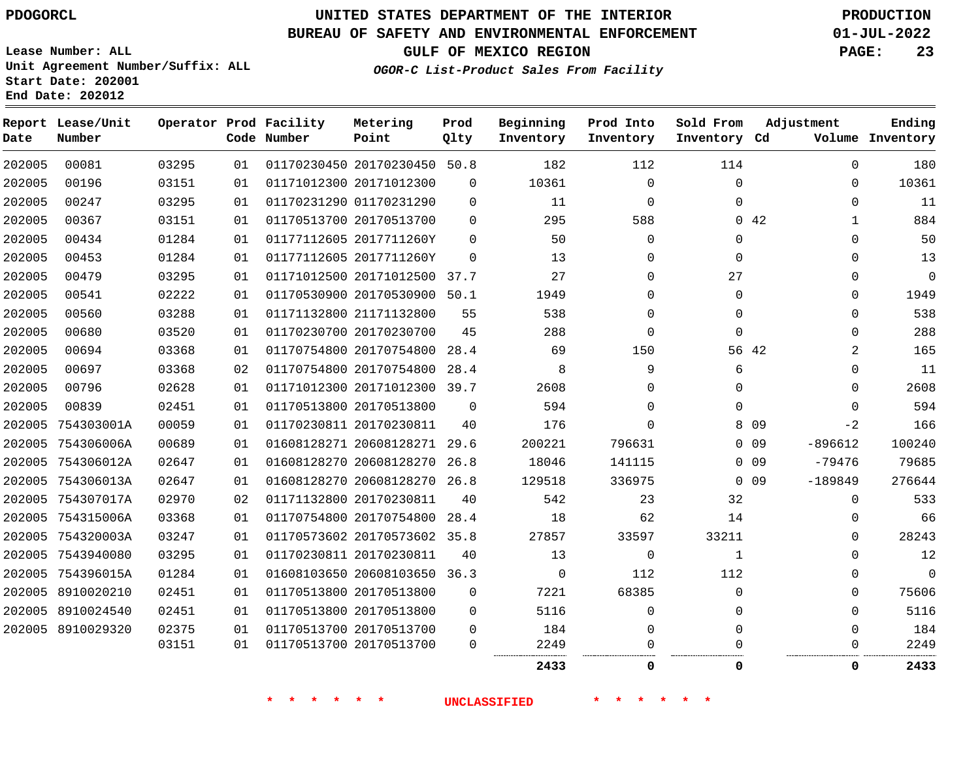# **UNITED STATES DEPARTMENT OF THE INTERIOR PDOGORCL PRODUCTION**

### **BUREAU OF SAFETY AND ENVIRONMENTAL ENFORCEMENT 01-JUL-2022**

**Lease Number: ALL Unit Agreement Number/Suffix: ALL Start Date: 202001**

**GULF OF MEXICO REGION PAGE: 23**

**OGOR-C List-Product Sales From Facility**

| Date   | Report Lease/Unit<br>Number |       |    | Operator Prod Facility<br>Code Number | Metering<br>Point            | Prod<br>Qlty | Beginning<br>Inventory | Prod Into<br>Inventory | Sold From<br>Inventory Cd | Adjustment |           | Ending<br>Volume Inventory |
|--------|-----------------------------|-------|----|---------------------------------------|------------------------------|--------------|------------------------|------------------------|---------------------------|------------|-----------|----------------------------|
| 202005 | 00081                       | 03295 | 01 |                                       | 01170230450 20170230450 50.8 |              | 182                    | 112                    | 114                       |            | 0         | 180                        |
| 202005 | 00196                       | 03151 | 01 |                                       | 01171012300 20171012300      | 0            | 10361                  | 0                      | $\mathbf{0}$              |            | 0         | 10361                      |
| 202005 | 00247                       | 03295 | 01 |                                       | 01170231290 01170231290      | 0            | 11                     | $\mathbf 0$            | $\Omega$                  |            | $\Omega$  | 11                         |
| 202005 | 00367                       | 03151 | 01 |                                       | 01170513700 20170513700      | 0            | 295                    | 588                    |                           | 0.42       | 1         | 884                        |
| 202005 | 00434                       | 01284 | 01 |                                       | 01177112605 2017711260Y      | 0            | 50                     | 0                      | 0                         |            | $\Omega$  | 50                         |
| 202005 | 00453                       | 01284 | 01 |                                       | 01177112605 2017711260Y      | 0            | 13                     | 0                      | $\Omega$                  |            | 0         | 13                         |
| 202005 | 00479                       | 03295 | 01 |                                       | 01171012500 20171012500 37.7 |              | 27                     | 0                      | 27                        |            | $\Omega$  | 0                          |
| 202005 | 00541                       | 02222 | 01 |                                       | 01170530900 20170530900 50.1 |              | 1949                   | 0                      | 0                         |            | 0         | 1949                       |
| 202005 | 00560                       | 03288 | 01 |                                       | 01171132800 21171132800      | 55           | 538                    | 0                      | $\Omega$                  |            | $\Omega$  | 538                        |
| 202005 | 00680                       | 03520 | 01 |                                       | 01170230700 20170230700      | 45           | 288                    | $\mathbf 0$            | $\mathbf{0}$              |            | $\Omega$  | 288                        |
| 202005 | 00694                       | 03368 | 01 |                                       | 01170754800 20170754800      | 28.4         | 69                     | 150                    |                           | 56 42      | 2         | 165                        |
| 202005 | 00697                       | 03368 | 02 |                                       | 01170754800 20170754800      | 28.4         | 8                      | 9                      | 6                         |            | 0         | 11                         |
| 202005 | 00796                       | 02628 | 01 |                                       | 01171012300 20171012300 39.7 |              | 2608                   | 0                      | $\Omega$                  |            | $\Omega$  | 2608                       |
| 202005 | 00839                       | 02451 | 01 |                                       | 01170513800 20170513800      | $\Omega$     | 594                    | 0                      | $\Omega$                  |            | $\Omega$  | 594                        |
|        | 202005 754303001A           | 00059 | 01 |                                       | 01170230811 20170230811      | 40           | 176                    | $\Omega$               |                           | 8 0 9      | $-2$      | 166                        |
|        | 202005 754306006A           | 00689 | 01 |                                       | 01608128271 20608128271      | 29.6         | 200221                 | 796631                 |                           | $0\quad09$ | $-896612$ | 100240                     |
|        | 202005 754306012A           | 02647 | 01 |                                       | 01608128270 20608128270 26.8 |              | 18046                  | 141115                 |                           | $0\quad09$ | $-79476$  | 79685                      |
|        | 202005 754306013A           | 02647 | 01 |                                       | 01608128270 20608128270 26.8 |              | 129518                 | 336975                 |                           | $0\quad09$ | $-189849$ | 276644                     |
|        | 202005 754307017A           | 02970 | 02 |                                       | 01171132800 20170230811      | 40           | 542                    | 23                     | 32                        |            | $\Omega$  | 533                        |
|        | 202005 754315006A           | 03368 | 01 |                                       | 01170754800 20170754800      | 28.4         | 18                     | 62                     | 14                        |            | $\Omega$  | 66                         |
|        | 202005 754320003A           | 03247 | 01 |                                       | 01170573602 20170573602 35.8 |              | 27857                  | 33597                  | 33211                     |            | $\Omega$  | 28243                      |
|        | 202005 7543940080           | 03295 | 01 |                                       | 01170230811 20170230811      | 40           | 13                     | $\mathbf 0$            | 1                         |            | $\Omega$  | 12                         |
|        | 202005 754396015A           | 01284 | 01 |                                       | 01608103650 20608103650 36.3 |              | $\Omega$               | 112                    | 112                       |            | $\Omega$  | $\mathbf 0$                |
|        | 202005 8910020210           | 02451 | 01 |                                       | 01170513800 20170513800      | $\mathbf 0$  | 7221                   | 68385                  | $\mathbf{0}$              |            | 0         | 75606                      |
|        | 202005 8910024540           | 02451 | 01 |                                       | 01170513800 20170513800      | $\Omega$     | 5116                   | $\Omega$               | $\Omega$                  |            | $\Omega$  | 5116                       |
|        | 202005 8910029320           | 02375 | 01 |                                       | 01170513700 20170513700      | $\mathbf 0$  | 184                    | 0                      | $\Omega$                  |            | $\Omega$  | 184                        |
|        |                             | 03151 | 01 |                                       | 01170513700 20170513700      | $\Omega$     | 2249                   | 0                      | U                         |            | 0         | 2249                       |
|        |                             |       |    |                                       |                              |              | 2433                   | 0                      | $\Omega$                  |            | 0         | 2433                       |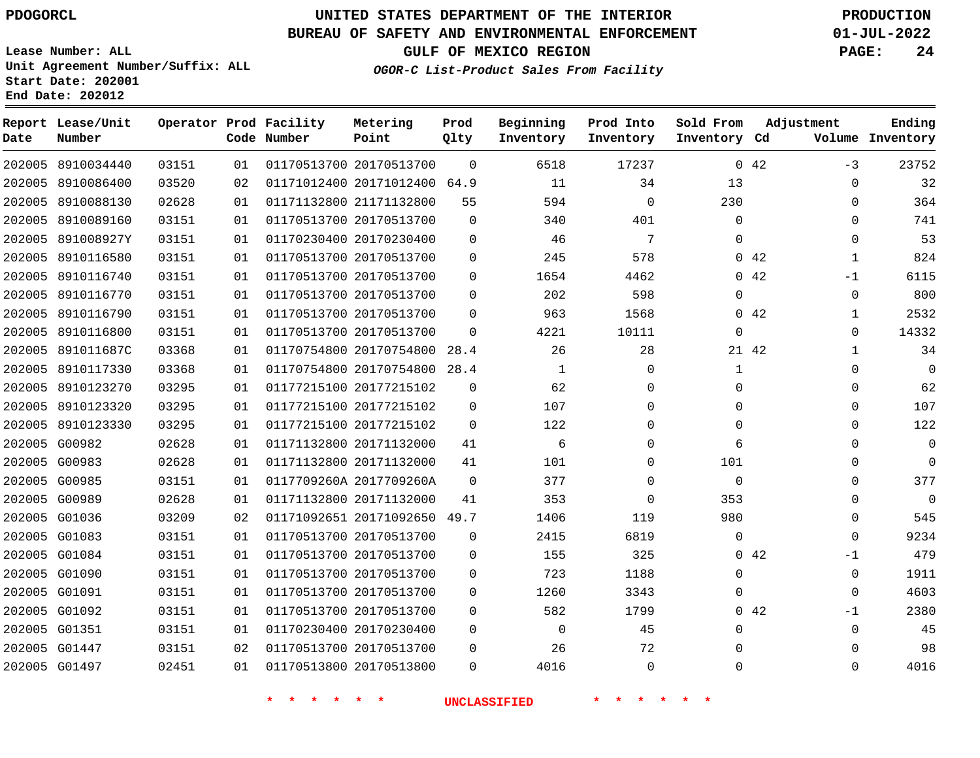### **BUREAU OF SAFETY AND ENVIRONMENTAL ENFORCEMENT 01-JUL-2022**

**Lease Number: ALL Unit Agreement Number/Suffix: ALL Start Date: 202001**

**End Date: 202012**

**Report Lease/Unit**

**GULF OF MEXICO REGION PAGE: 24**

**Prod**

**OGOR-C List-Product Sales From Facility**

**Beginning Prod Into Sold From**

**Adjustment**

**Ending**

| 202005<br>202005 | 8910034440<br>8910086400 | 03151 | 01 |                         |                              |             |              |              |              |       |              |             |
|------------------|--------------------------|-------|----|-------------------------|------------------------------|-------------|--------------|--------------|--------------|-------|--------------|-------------|
|                  |                          |       |    |                         | 01170513700 20170513700      | $\Omega$    | 6518         | 17237        |              | 042   | $-3$         | 23752       |
|                  |                          | 03520 | 02 |                         | 01171012400 20171012400 64.9 |             | 11           | 34           | 13           |       | 0            | 32          |
|                  | 202005 8910088130        | 02628 | 01 | 01171132800 21171132800 |                              | 55          | 594          | $\mathbf 0$  | 230          |       | $\mathbf 0$  | 364         |
| 202005           | 8910089160               | 03151 | 01 | 01170513700 20170513700 |                              | $\mathbf 0$ | 340          | 401          | $\mathbf 0$  |       | 0            | 741         |
| 202005           | 891008927Y               | 03151 | 01 | 01170230400 20170230400 |                              | $\mathbf 0$ | 46           | 7            | $\Omega$     |       | 0            | 53          |
| 202005           | 8910116580               | 03151 | 01 |                         | 01170513700 20170513700      | $\mathbf 0$ | 245          | 578          |              | 042   | $\mathbf{1}$ | 824         |
| 202005           | 8910116740               | 03151 | 01 | 01170513700 20170513700 |                              | $\mathbf 0$ | 1654         | 4462         |              | 042   | $-1$         | 6115        |
| 202005           | 8910116770               | 03151 | 01 | 01170513700 20170513700 |                              | $\mathbf 0$ | 202          | 598          | $\mathbf 0$  |       | 0            | 800         |
| 202005           | 8910116790               | 03151 | 01 | 01170513700 20170513700 |                              | $\mathbf 0$ | 963          | 1568         | $\mathbf{0}$ | 42    | $\mathbf{1}$ | 2532        |
| 202005           | 8910116800               | 03151 | 01 | 01170513700 20170513700 |                              | 0           | 4221         | 10111        | $\mathbf 0$  |       | 0            | 14332       |
| 202005           | 891011687C               | 03368 | 01 |                         | 01170754800 20170754800 28.4 |             | 26           | 28           |              | 21 42 | $\mathbf{1}$ | 34          |
| 202005           | 8910117330               | 03368 | 01 |                         | 01170754800 20170754800 28.4 |             | $\mathbf{1}$ | $\mathbf 0$  | $\mathbf{1}$ |       | 0            | $\mathbf 0$ |
|                  | 202005 8910123270        | 03295 | 01 |                         | 01177215100 20177215102      | $\mathbf 0$ | 62           | $\mathbf{0}$ | 0            |       | 0            | 62          |
|                  | 202005 8910123320        | 03295 | 01 | 01177215100 20177215102 |                              | $\mathbf 0$ | 107          | 0            | $\mathbf 0$  |       | 0            | 107         |
|                  | 202005 8910123330        | 03295 | 01 |                         | 01177215100 20177215102      | 0           | 122          | $\mathbf 0$  | $\mathbf{0}$ |       | 0            | 122         |
| 202005           | G00982                   | 02628 | 01 | 01171132800 20171132000 |                              | 41          | 6            | 0            | 6            |       | 0            | $\mathbf 0$ |
| 202005 G00983    |                          | 02628 | 01 | 01171132800 20171132000 |                              | 41          | 101          | $\mathbf{0}$ | 101          |       | 0            | $\mathbf 0$ |
| 202005 G00985    |                          | 03151 | 01 | 0117709260A 2017709260A |                              | 0           | 377          | 0            | $\mathbf 0$  |       | 0            | 377         |
| 202005 G00989    |                          | 02628 | 01 | 01171132800 20171132000 |                              | 41          | 353          | 0            | 353          |       | 0            | $\mathbf 0$ |
| 202005 G01036    |                          | 03209 | 02 |                         | 01171092651 20171092650 49.7 |             | 1406         | 119          | 980          |       | 0            | 545         |
| 202005 G01083    |                          | 03151 | 01 | 01170513700 20170513700 |                              | 0           | 2415         | 6819         | $\mathbf{0}$ |       | 0            | 9234        |
| 202005 G01084    |                          | 03151 | 01 | 01170513700 20170513700 |                              | $\mathbf 0$ | 155          | 325          |              | 042   | $-1$         | 479         |
| 202005 G01090    |                          | 03151 | 01 | 01170513700 20170513700 |                              | 0           | 723          | 1188         | $\mathbf{0}$ |       | 0            | 1911        |
| 202005 G01091    |                          | 03151 | 01 | 01170513700 20170513700 |                              | 0           | 1260         | 3343         | $\mathbf{0}$ |       | 0            | 4603        |
| 202005 G01092    |                          | 03151 | 01 | 01170513700 20170513700 |                              | 0           | 582          | 1799         |              | 042   | $-1$         | 2380        |
| 202005 G01351    |                          | 03151 | 01 | 01170230400 20170230400 |                              | 0           | 0            | 45           | $\mathbf 0$  |       | 0            | 45          |
| 202005 G01447    |                          | 03151 | 02 | 01170513700 20170513700 |                              | 0           | 26           | 72           | 0            |       | 0            | 98          |
| 202005 G01497    |                          | 02451 | 01 | 01170513800 20170513800 |                              | 0           | 4016         | 0            | 0            |       | 0            | 4016        |

**\* \* \* \* \* \* UNCLASSIFIED \* \* \* \* \* \***

**Operator Prod Facility Metering**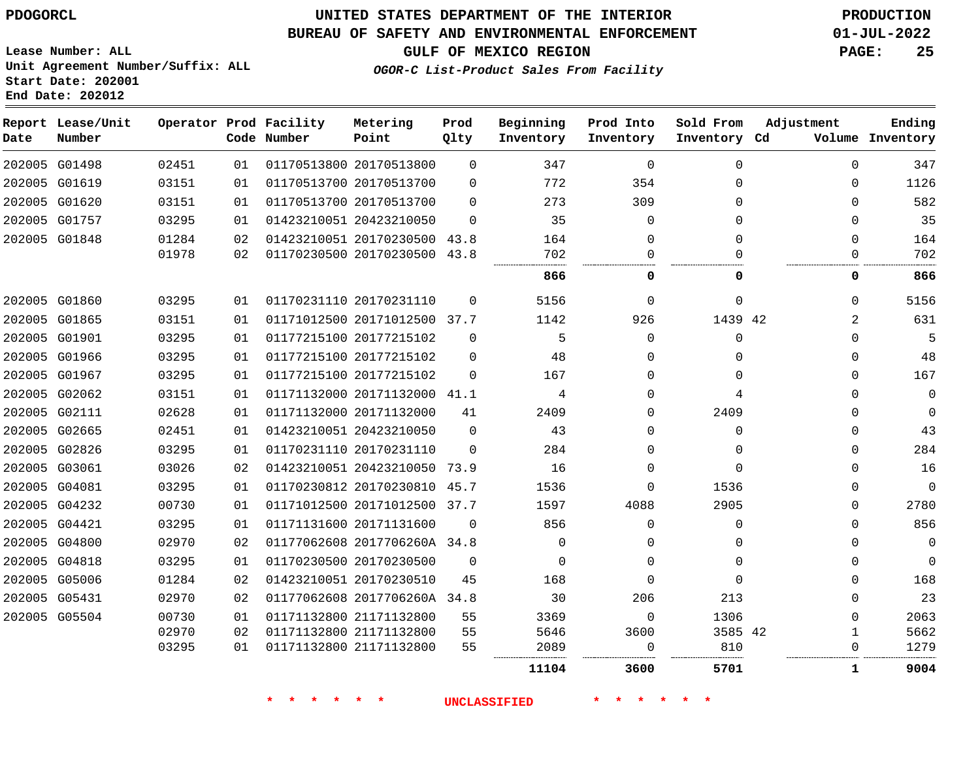### **BUREAU OF SAFETY AND ENVIRONMENTAL ENFORCEMENT 01-JUL-2022**

**GULF OF MEXICO REGION PAGE: 25**

**Lease Number: ALL Unit Agreement Number/Suffix: ALL Start Date: 202001 End Date: 202012**

### **OGOR-C List-Product Sales From Facility**

| Date | Report Lease/Unit<br>Number |       |    | Operator Prod Facility<br>Code Number | Metering<br>Point            | Prod<br>Qlty | Beginning<br>Inventory | Prod Into<br>Inventory | Sold From<br>Inventory Cd | Adjustment  | Ending<br>Volume Inventory |
|------|-----------------------------|-------|----|---------------------------------------|------------------------------|--------------|------------------------|------------------------|---------------------------|-------------|----------------------------|
|      | 202005 G01498               | 02451 | 01 |                                       | 01170513800 20170513800      | $\Omega$     | 347                    | $\Omega$               | $\Omega$                  | $\Omega$    | 347                        |
|      | 202005 G01619               | 03151 | 01 |                                       | 01170513700 20170513700      | $\Omega$     | 772                    | 354                    | $\Omega$                  | $\Omega$    | 1126                       |
|      | 202005 G01620               | 03151 | 01 |                                       | 01170513700 20170513700      | $\Omega$     | 273                    | 309                    | $\Omega$                  | $\Omega$    | 582                        |
|      | 202005 G01757               | 03295 | 01 |                                       | 01423210051 20423210050      | $\Omega$     | 35                     | $\Omega$               | $\Omega$                  | $\Omega$    | 35                         |
|      | 202005 G01848               | 01284 | 02 |                                       | 01423210051 20170230500 43.8 |              | 164                    | 0                      | $\Omega$                  | $\Omega$    | 164                        |
|      |                             | 01978 | 02 |                                       | 01170230500 20170230500 43.8 |              | 702<br>.               | $\Omega$               |                           | ∩           | 702                        |
|      |                             |       |    |                                       |                              |              | 866                    | 0                      | ი                         | 0           | 866                        |
|      | 202005 G01860               | 03295 | 01 |                                       | 01170231110 20170231110      | $\Omega$     | 5156                   | $\Omega$               | $\Omega$                  | $\Omega$    | 5156                       |
|      | 202005 G01865               | 03151 | 01 |                                       | 01171012500 20171012500 37.7 |              | 1142                   | 926                    | 1439 42                   | 2           | 631                        |
|      | 202005 G01901               | 03295 | 01 |                                       | 01177215100 20177215102      | $\Omega$     | 5                      | $\Omega$               | $\Omega$                  | $\Omega$    | 5                          |
|      | 202005 G01966               | 03295 | 01 |                                       | 01177215100 20177215102      | $\Omega$     | 48                     | 0                      | $\Omega$                  | $\Omega$    | 48                         |
|      | 202005 G01967               | 03295 | 01 |                                       | 01177215100 20177215102      | $\Omega$     | 167                    | $\Omega$               | $\Omega$                  | $\Omega$    | 167                        |
|      | 202005 G02062               | 03151 | 01 |                                       | 01171132000 20171132000 41.1 |              | 4                      | $\Omega$               | 4                         | $\Omega$    | $\mathbf 0$                |
|      | 202005 G02111               | 02628 | 01 |                                       | 01171132000 20171132000      | 41           | 2409                   | $\Omega$               | 2409                      | $\Omega$    | $\mathbf 0$                |
|      | 202005 G02665               | 02451 | 01 |                                       | 01423210051 20423210050      | $\Omega$     | 43                     | $\Omega$               | $\Omega$                  | $\Omega$    | 43                         |
|      | 202005 G02826               | 03295 | 01 |                                       | 01170231110 20170231110      | $\Omega$     | 284                    | 0                      | $\Omega$                  | $\Omega$    | 284                        |
|      | 202005 G03061               | 03026 | 02 |                                       | 01423210051 20423210050 73.9 |              | 16                     | 0                      | $\mathbf 0$               | $\mathbf 0$ | 16                         |
|      | 202005 G04081               | 03295 | 01 |                                       | 01170230812 20170230810 45.7 |              | 1536                   | $\Omega$               | 1536                      | $\Omega$    | $\Omega$                   |
|      | 202005 G04232               | 00730 | 01 |                                       | 01171012500 20171012500 37.7 |              | 1597                   | 4088                   | 2905                      | $\mathbf 0$ | 2780                       |
|      | 202005 G04421               | 03295 | 01 |                                       | 01171131600 20171131600      | $\Omega$     | 856                    | $\Omega$               | $\Omega$                  | $\Omega$    | 856                        |
|      | 202005 G04800               | 02970 | 02 |                                       | 01177062608 2017706260A 34.8 |              | $\Omega$               | $\Omega$               | 0                         | $\Omega$    | $\Omega$                   |
|      | 202005 G04818               | 03295 | 01 |                                       | 01170230500 20170230500      | $\Omega$     | $\Omega$               | $\Omega$               | $\Omega$                  | $\Omega$    | $\Omega$                   |
|      | 202005 G05006               | 01284 | 02 |                                       | 01423210051 20170230510      | 45           | 168                    | $\Omega$               | $\Omega$                  | $\Omega$    | 168                        |
|      | 202005 G05431               | 02970 | 02 |                                       | 01177062608 2017706260A 34.8 |              | 30                     | 206                    | 213                       | $\Omega$    | 23                         |
|      | 202005 G05504               | 00730 | 01 |                                       | 01171132800 21171132800      | 55           | 3369                   | $\mathbf 0$            | 1306                      | $\Omega$    | 2063                       |
|      |                             | 02970 | 02 |                                       | 01171132800 21171132800      | 55           | 5646                   | 3600                   | 3585 42                   | 1           | 5662                       |
|      |                             | 03295 | 01 |                                       | 01171132800 21171132800      | 55           | 2089                   | 0                      | 810                       | $\mathbf 0$ | 1279                       |
|      |                             |       |    |                                       |                              |              | 11104                  | 3600                   | 5701                      | 1           | 9004                       |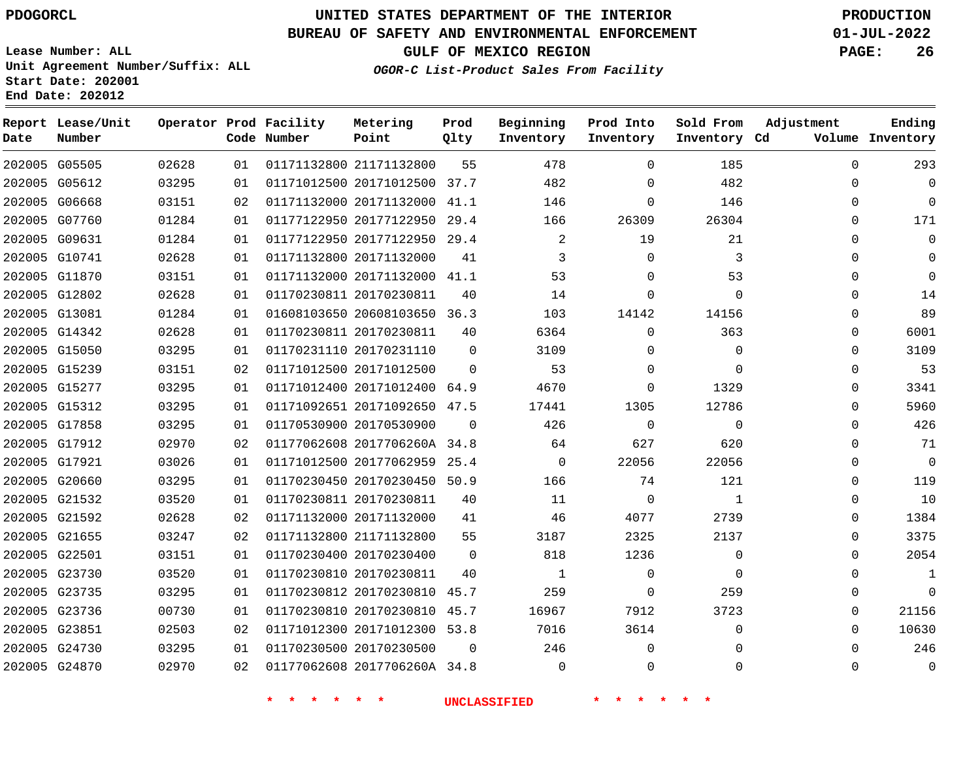**Report Lease/Unit**

**Number**

# **UNITED STATES DEPARTMENT OF THE INTERIOR PDOGORCL PRODUCTION**

**Prod Qlty**

#### **BUREAU OF SAFETY AND ENVIRONMENTAL ENFORCEMENT 01-JUL-2022**

**Lease Number: ALL Unit Agreement Number/Suffix: ALL Start Date: 202001 End Date: 202012**

**Operator Prod Facility**

**Code Number**

**OGOR-C List-Product Sales From Facility**

**Beginning Inventory** **Prod Into Inventory** **Sold From Inventory**

**GULF OF MEXICO REGION PAGE: 26**

**Inventory Cd Volume**

**Adjustment**

  $\Omega$  $\Omega$  $\Omega$   $\Omega$   $\Omega$  $\Omega$  $\overline{0}$  $\Omega$  $\overline{0}$  $\Omega$  $\Omega$  $\Omega$  $\Omega$   $\Omega$ 

**Ending**

|               | 202005 G05505 | 02628 | 01 | 01171132800 21171132800        |    | 478<br>55 — 1                     | $\Omega$       | 185            |  |
|---------------|---------------|-------|----|--------------------------------|----|-----------------------------------|----------------|----------------|--|
|               | 202005 G05612 | 03295 | 01 | 01171012500 20171012500 37.7   |    | 482                               | $\Omega$       | 482            |  |
| 202005 G06668 |               | 03151 | 02 | 01171132000 20171132000 41.1   |    | 146                               | $\overline{0}$ | 146            |  |
| 202005 G07760 |               | 01284 | 01 |                                |    | 01177122950 20177122950 29.4 166  | 26309          | 26304          |  |
| 202005 G09631 |               | 01284 | 01 | 01177122950 20177122950 29.4   |    | $\overline{\phantom{a}}$ 2        | 19             | 21             |  |
| 202005 G10741 |               | 02628 | 01 | 01171132800 20171132000        | 41 | $\overline{3}$                    | $\Omega$       | 3              |  |
| 202005 G11870 |               | 03151 | 01 | 01171132000 20171132000 41.1   |    | 53                                | $\overline{0}$ | 53             |  |
|               | 202005 G12802 | 02628 | 01 | 01170230811 20170230811 40     |    | 14                                | $\overline{0}$ | $\overline{0}$ |  |
| 202005 G13081 |               | 01284 | 01 |                                |    | 01608103650 20608103650 36.3 103  | 14142          | 14156          |  |
|               | 202005 G14342 | 02628 | 01 | 01170230811 20170230811 40     |    | 6364                              | $\overline{0}$ | 363            |  |
| 202005 G15050 |               | 03295 | 01 | 01170231110 20170231110 0      |    | 3109                              | $\Omega$       | $\overline{0}$ |  |
|               | 202005 G15239 | 03151 | 02 | 01171012500 20171012500 0      |    | 53                                | $\overline{0}$ | $\mathbf 0$    |  |
|               | 202005 G15277 | 03295 | 01 |                                |    | 01171012400 20171012400 64.9 4670 | $\overline{0}$ | 1329           |  |
|               | 202005 G15312 | 03295 | 01 | 01171092651 20171092650 47.5   |    | 17441                             | 1305           | 12786          |  |
| 202005 G17858 |               | 03295 | 01 | 01170530900 20170530900 0      |    | 426                               | $\overline{0}$ | $\overline{0}$ |  |
| 202005 G17912 |               | 02970 | 02 |                                |    | 01177062608 2017706260A 34.8 64   | 627            | 620            |  |
| 202005 G17921 |               | 03026 | 01 |                                |    | 01171012500 20177062959 25.4 0    | 22056          | 22056          |  |
|               | 202005 G20660 | 03295 | 01 |                                |    | 01170230450 20170230450 50.9 166  | 74             | 121            |  |
| 202005 G21532 |               | 03520 | 01 | 01170230811 20170230811        | 40 | 11                                | $\overline{0}$ | $\overline{1}$ |  |
|               | 202005 G21592 | 02628 | 02 | 01171132000 20171132000        |    | 41 46                             | 4077           | 2739           |  |
| 202005 G21655 |               | 03247 | 02 | 01171132800 21171132800        | 55 | 3187                              | 2325           | 2137           |  |
| 202005 G22501 |               | 03151 | 01 | 01170230400 20170230400 0      |    | 818                               | 1236           | $\mathbf 0$    |  |
| 202005 G23730 |               | 03520 | 01 | 01170230810 20170230811        | 40 | $\overline{1}$                    | $\overline{0}$ | $\overline{0}$ |  |
| 202005 G23735 |               | 03295 | 01 | 01170230812 20170230810 45.7   |    | 259                               | $\overline{0}$ | 259            |  |
| 202005 G23736 |               | 00730 | 01 | 01170230810 20170230810 45.7   |    | 16967 11                          | 7912           | 3723           |  |
| 202005 G23851 |               | 02503 | 02 |                                |    | 01171012300 20171012300 53.8 7016 | 3614           | $\mathsf{O}$   |  |
| 202005 G24730 |               | 03295 | 01 | 01170230500 20170230500 0      |    | 246                               | $\overline{0}$ | $\mathbf 0$    |  |
|               | 202005 G24870 | 02970 | 02 | 01177062608 2017706260A 34.8 0 |    |                                   | $\overline{0}$ | $\mathbf 0$    |  |
|               |               |       |    |                                |    |                                   |                |                |  |

**Metering Point**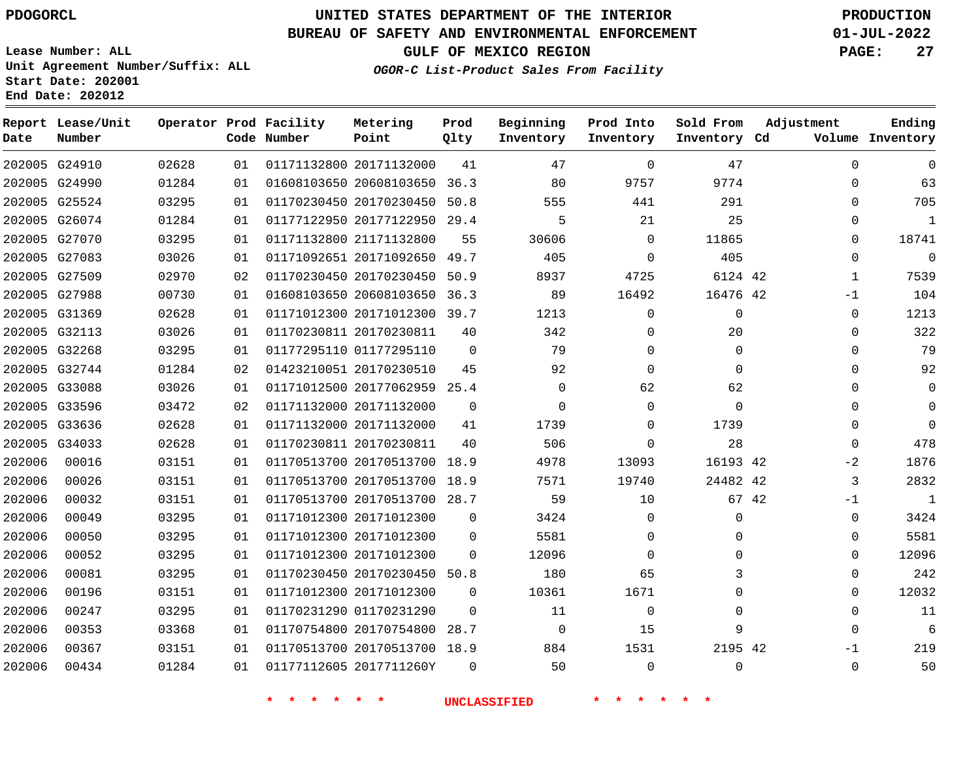**Report Lease/Unit**

**Number**

**Date**

# **UNITED STATES DEPARTMENT OF THE INTERIOR PDOGORCL PRODUCTION**

**Prod Qlty**

### **BUREAU OF SAFETY AND ENVIRONMENTAL ENFORCEMENT 01-JUL-2022**

**Lease Number: ALL Unit Agreement Number/Suffix: ALL Start Date: 202001 End Date: 202012**

**Operator Prod Facility**

**Code Number**

**OGOR-C List-Product Sales From Facility**

**Beginning Inventory** **Prod Into Inventory** **Sold From Inventory**

**GULF OF MEXICO REGION PAGE: 27**

**Inventory Cd Volume**

**Adjustment**

  $\Omega$   $\Omega$  -1  $\Omega$   $\Omega$  $\Omega$  $\overline{0}$  $\overline{0}$  $\overline{0}$  $-2$   $-1$  $\overline{0}$  $\overline{0}$  $\Omega$   $\Omega$  -1 

**Ending**

|                     |             |                   | <b>UNCLASSIFIED</b> |             | *                                                            |                         |          |                |                  |
|---------------------|-------------|-------------------|---------------------|-------------|--------------------------------------------------------------|-------------------------|----------|----------------|------------------|
| 0                   |             | 0                 | 50                  | $\mathbf 0$ |                                                              | 01177112605 2017711260Y | 01       | 01284          | 00434            |
| 2195 42             |             | 1531              | 884                 |             | 01170513700 20170513700 18.9                                 |                         | 01       | 03151          | 00367            |
| 9                   |             | 15                | 0                   |             | 01170754800 20170754800 28.7                                 |                         | 01       | 03368          | 00353            |
| 0                   |             | $\mathbf 0$       | 11                  | 0           |                                                              | 01170231290 01170231290 | 01       | 03295          | 00247            |
| 0                   |             | 1671              | 10361               | 0           |                                                              | 01171012300 20171012300 | 01       | 03151          | 00196            |
| 3                   |             | 65                | 180                 |             | 01170230450 20170230450 50.8                                 |                         | 01       | 03295          | 00081            |
| 0                   |             | $\mathbf 0$       | 12096               | 0           |                                                              | 01171012300 20171012300 | 01       | 03295          | 00052            |
| 0                   |             | $\Omega$          | 5581                | $\Omega$    |                                                              | 01171012300 20171012300 | 01       | 03295          | 00050            |
| $\mathsf{O}\xspace$ |             | 0                 | 3424                | 0           |                                                              | 01171012300 20171012300 | 01       | 03295          | 00049            |
| 67 42               |             | 10                | 59                  |             | 01170513700 20170513700 28.7                                 |                         | 01       | 03151          | 00032            |
| 24482 42            |             | 19740             | 7571                |             | 01170513700 20170513700 18.9                                 |                         | 01       | 03151          | 00026            |
| 16193 42            |             | 13093             | 4978                |             | 01170513700 20170513700 18.9                                 |                         | 01       | 03151          | 00016            |
| 28                  |             | $\mathbf 0$       | 506                 | 40          |                                                              | 01170230811 20170230811 | 01       | 02628          | G34033           |
|                     | 1739        | 0                 | 1739                | 41          |                                                              | 01171132000 20171132000 | 01       | 02628          | G33636           |
| 0                   |             | $\Omega$          | $\mathbf 0$         | $\mathbf 0$ |                                                              | 01171132000 20171132000 | 02       | 03472          | G33596           |
| 62                  |             | 62                | 0                   |             | 01171012500 20177062959 25.4                                 |                         | 01       | 03026          | G33088           |
| $\mathbf 0$         |             | 0                 | 92                  | 45          |                                                              | 01423210051 20170230510 | 02       | 01284          | G32744           |
| $\mathsf{O}$        |             | 0                 | 79                  | $\mathbf 0$ |                                                              | 01177295110 01177295110 | 01       | 03295          | G32268           |
| 20                  |             | 0                 | 342                 | 40          |                                                              | 01170230811 20170230811 | 01       | 03026          | G32113           |
| $\mathbf 0$         |             | $\mathbf 0$       | 1213                |             | 01171012300 20171012300 39.7                                 |                         | 01       | 02628          | G31369           |
| 16476 42            |             | 16492             | 89                  | 36.3        | 01608103650 20608103650                                      |                         | 01       | 00730          | G27988           |
| 6124 42             |             | 4725              | 8937                |             | 01170230450 20170230450 50.9                                 |                         | 02       | 02970          | G27509           |
|                     | 405         | $\mathbf 0$       | 405                 |             | 01171092651 20171092650 49.7                                 |                         | 01       | 03026          | G27083           |
|                     | 11865       | 21<br>$\mathbf 0$ | 5<br>30606          | 55          |                                                              | 01171132800 21171132800 | 01       | 03295          | G27070           |
| 25                  |             | 441               | 555                 |             | 01177122950 20177122950 29.4                                 |                         | 01<br>01 | 03295<br>01284 | G25524<br>G26074 |
|                     | 9774<br>291 | 9757              | 80                  |             | 01608103650 20608103650 36.3<br>01170230450 20170230450 50.8 |                         | 01       | 01284          | G24990           |
| 47                  |             |                   |                     |             |                                                              |                         |          |                |                  |

**Metering Point**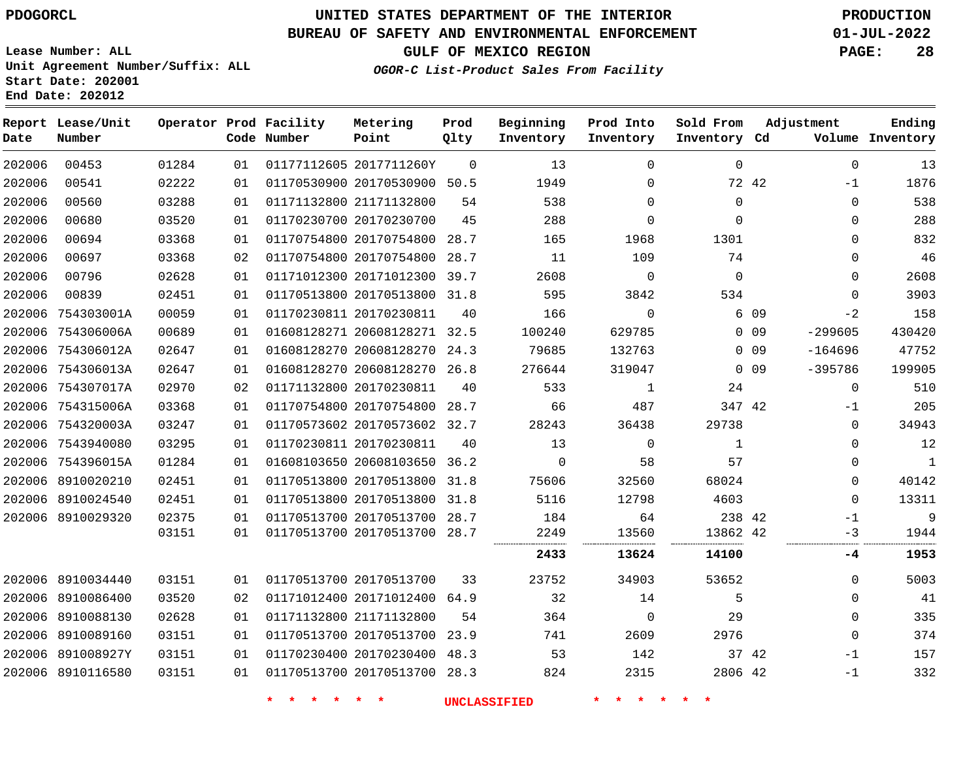#### **BUREAU OF SAFETY AND ENVIRONMENTAL ENFORCEMENT 01-JUL-2022**

**Lease Number: ALL Unit Agreement Number/Suffix: ALL Start Date: 202001 End Date: 202012**

**GULF OF MEXICO REGION PAGE: 28**

**OGOR-C List-Product Sales From Facility**

| Date   | Report Lease/Unit<br>Number |       |    | Operator Prod Facility<br>Code Number | Metering<br>Point            | Prod<br>Qlty | Beginning<br>Inventory | Prod Into<br>Inventory | Sold From<br>Inventory Cd |                 | Adjustment   | Ending<br>Volume Inventory |
|--------|-----------------------------|-------|----|---------------------------------------|------------------------------|--------------|------------------------|------------------------|---------------------------|-----------------|--------------|----------------------------|
| 202006 | 00453                       | 01284 | 01 |                                       | 01177112605 2017711260Y      | $\mathbf 0$  | 13                     | $\mathbf 0$            | 0                         |                 | $\mathbf 0$  | 13                         |
| 202006 | 00541                       | 02222 | 01 |                                       | 01170530900 20170530900 50.5 |              | 1949                   | 0                      |                           | 72 42           | $-1$         | 1876                       |
| 202006 | 00560                       | 03288 | 01 |                                       | 01171132800 21171132800      | 54           | 538                    | 0                      | 0                         |                 | 0            | 538                        |
| 202006 | 00680                       | 03520 | 01 |                                       | 01170230700 20170230700      | 45           | 288                    | $\Omega$               | $\Omega$                  |                 | $\Omega$     | 288                        |
| 202006 | 00694                       | 03368 | 01 |                                       | 01170754800 20170754800      | 28.7         | 165                    | 1968                   | 1301                      |                 | 0            | 832                        |
| 202006 | 00697                       | 03368 | 02 |                                       | 01170754800 20170754800 28.7 |              | 11                     | 109                    | 74                        |                 | $\mathbf{0}$ | 46                         |
| 202006 | 00796                       | 02628 | 01 |                                       | 01171012300 20171012300 39.7 |              | 2608                   | 0                      | $\Omega$                  |                 | $\Omega$     | 2608                       |
| 202006 | 00839                       | 02451 | 01 |                                       | 01170513800 20170513800 31.8 |              | 595                    | 3842                   | 534                       |                 | $\mathbf{0}$ | 3903                       |
|        | 202006 754303001A           | 00059 | 01 |                                       | 01170230811 20170230811      | 40           | 166                    | $\Omega$               |                           | 6 0 9           | $-2$         | 158                        |
|        | 202006 754306006A           | 00689 | 01 |                                       | 01608128271 20608128271 32.5 |              | 100240                 | 629785                 |                           | 0 <sub>09</sub> | $-299605$    | 430420                     |
|        | 202006 754306012A           | 02647 | 01 |                                       | 01608128270 20608128270 24.3 |              | 79685                  | 132763                 |                           | $0\quad09$      | $-164696$    | 47752                      |
|        | 202006 754306013A           | 02647 | 01 |                                       | 01608128270 20608128270 26.8 |              | 276644                 | 319047                 |                           | 0 <sub>09</sub> | $-395786$    | 199905                     |
|        | 202006 754307017A           | 02970 | 02 |                                       | 01171132800 20170230811      | 40           | 533                    | 1                      | 24                        |                 | $\mathbf 0$  | 510                        |
|        | 202006 754315006A           | 03368 | 01 |                                       | 01170754800 20170754800 28.7 |              | 66                     | 487                    | 347 42                    |                 | $-1$         | 205                        |
|        | 202006 754320003A           | 03247 | 01 |                                       | 01170573602 20170573602 32.7 |              | 28243                  | 36438                  | 29738                     |                 | $\mathbf 0$  | 34943                      |
|        | 202006 7543940080           | 03295 | 01 |                                       | 01170230811 20170230811      | 40           | 13                     | $\mathbf 0$            | $\mathbf{1}$              |                 | $\Omega$     | 12                         |
|        | 202006 754396015A           | 01284 | 01 |                                       | 01608103650 20608103650 36.2 |              | $\Omega$               | 58                     | 57                        |                 | 0            | $\mathbf{1}$               |
|        | 202006 8910020210           | 02451 | 01 |                                       | 01170513800 20170513800 31.8 |              | 75606                  | 32560                  | 68024                     |                 | 0            | 40142                      |
|        | 202006 8910024540           | 02451 | 01 |                                       | 01170513800 20170513800 31.8 |              | 5116                   | 12798                  | 4603                      |                 | $\Omega$     | 13311                      |
|        | 202006 8910029320           | 02375 | 01 |                                       | 01170513700 20170513700 28.7 |              | 184                    | 64                     | 238 42                    |                 | $-1$         | 9                          |
|        |                             | 03151 | 01 |                                       | 01170513700 20170513700 28.7 |              | 2249                   | 13560                  | 13862 42                  |                 | $-3$         | 1944                       |
|        |                             |       |    |                                       |                              |              | 2433                   | 13624                  | 14100                     |                 | -4           | 1953                       |
|        | 202006 8910034440           | 03151 | 01 |                                       | 01170513700 20170513700      | 33           | 23752                  | 34903                  | 53652                     |                 | 0            | 5003                       |
|        | 202006 8910086400           | 03520 | 02 |                                       | 01171012400 20171012400 64.9 |              | 32                     | 14                     | 5                         |                 | $\Omega$     | 41                         |
|        | 202006 8910088130           | 02628 | 01 |                                       | 01171132800 21171132800      | 54           | 364                    | $\mathbf 0$            | 29                        |                 | $\mathbf 0$  | 335                        |
|        | 202006 8910089160           | 03151 | 01 |                                       | 01170513700 20170513700 23.9 |              | 741                    | 2609                   | 2976                      |                 | $\mathbf 0$  | 374                        |
|        | 202006 891008927Y           | 03151 | 01 |                                       | 01170230400 20170230400 48.3 |              | 53                     | 142                    | 37 42                     |                 | $-1$         | 157                        |
|        | 202006 8910116580           | 03151 | 01 |                                       | 01170513700 20170513700 28.3 |              | 824                    | 2315                   | 2806 42                   |                 | $-1$         | 332                        |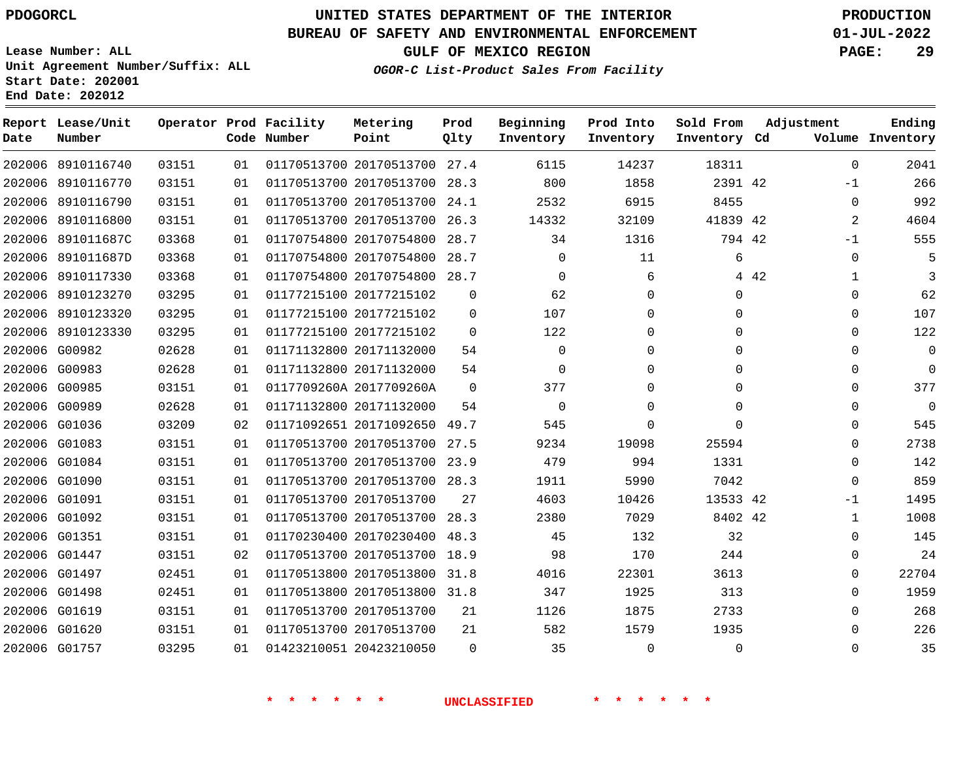# **UNITED STATES DEPARTMENT OF THE INTERIOR PDOGORCL PRODUCTION**

### **BUREAU OF SAFETY AND ENVIRONMENTAL ENFORCEMENT 01-JUL-2022**

**Lease Number: ALL Unit Agreement Number/Suffix: ALL Start Date: 202001**

### **OGOR-C List-Product Sales From Facility**

**GULF OF MEXICO REGION PAGE: 29**

| Date   | Report Lease/Unit<br>Number |       |    | Operator Prod Facility<br>Code Number | Metering<br>Point            | Prod<br>Qlty | Beginning<br>Inventory | Prod Into<br>Inventory | Sold From<br>Inventory Cd | Adjustment            | Ending<br>Volume Inventory |
|--------|-----------------------------|-------|----|---------------------------------------|------------------------------|--------------|------------------------|------------------------|---------------------------|-----------------------|----------------------------|
|        | 202006 8910116740           | 03151 | 01 |                                       | 01170513700 20170513700 27.4 |              | 6115                   | 14237                  | 18311                     | $\mathbf 0$           | 2041                       |
|        | 202006 8910116770           | 03151 | 01 |                                       | 01170513700 20170513700      | 28.3         | 800                    | 1858                   | 2391 42                   | $-1$                  | 266                        |
|        | 202006 8910116790           | 03151 | 01 |                                       | 01170513700 20170513700      | 24.1         | 2532                   | 6915                   | 8455                      | $\Omega$              | 992                        |
| 202006 | 8910116800                  | 03151 | 01 |                                       | 01170513700 20170513700      | 26.3         | 14332                  | 32109                  | 41839 42                  | 2                     | 4604                       |
|        | 202006 891011687C           | 03368 | 01 |                                       | 01170754800 20170754800      | 28.7         | 34                     | 1316                   | 794 42                    | $-1$                  | 555                        |
| 202006 | 891011687D                  | 03368 | 01 |                                       | 01170754800 20170754800      | 28.7         | $\mathbf{0}$           | 11                     | 6                         | $\mathbf 0$           |                            |
| 202006 | 8910117330                  | 03368 | 01 |                                       | 01170754800 20170754800 28.7 |              | $\Omega$               | 6                      |                           | 4 4 2<br>$\mathbf{1}$ | 3                          |
|        | 202006 8910123270           | 03295 | 01 |                                       | 01177215100 20177215102      | 0            | 62                     | $\Omega$               | 0                         | 0                     | 62                         |
|        | 202006 8910123320           | 03295 | 01 |                                       | 01177215100 20177215102      | 0            | 107                    | 0                      | 0                         | $\mathbf{0}$          | 107                        |
|        | 202006 8910123330           | 03295 | 01 |                                       | 01177215100 20177215102      | $\mathbf 0$  | 122                    | 0                      | $\mathbf 0$               | $\mathbf 0$           | 122                        |
|        | 202006 G00982               | 02628 | 01 |                                       | 01171132800 20171132000      | 54           | $\mathbf 0$            | $\Omega$               | $\mathbf 0$               | $\Omega$              | $\mathbf{0}$               |
|        | 202006 G00983               | 02628 | 01 |                                       | 01171132800 20171132000      | 54           | $\mathbf 0$            | 0                      | $\mathbf 0$               | $\mathbf 0$           | $\mathbf 0$                |
|        | 202006 G00985               | 03151 | 01 |                                       | 0117709260A 2017709260A      | $\Omega$     | 377                    | 0                      | $\Omega$                  | $\Omega$              | 377                        |
|        | 202006 G00989               | 02628 | 01 |                                       | 01171132800 20171132000      | 54           | $\Omega$               | $\Omega$               | $\Omega$                  | $\Omega$              | $\Omega$                   |
|        | 202006 G01036               | 03209 | 02 |                                       | 01171092651 20171092650      | 49.7         | 545                    | 0                      | $\mathbf 0$               | $\mathbf 0$           | 545                        |
|        | 202006 G01083               | 03151 | 01 |                                       | 01170513700 20170513700 27.5 |              | 9234                   | 19098                  | 25594                     | $\mathbf 0$           | 2738                       |
|        | 202006 G01084               | 03151 | 01 |                                       | 01170513700 20170513700 23.9 |              | 479                    | 994                    | 1331                      | $\Omega$              | 142                        |
|        | 202006 G01090               | 03151 | 01 |                                       | 01170513700 20170513700 28.3 |              | 1911                   | 5990                   | 7042                      | $\Omega$              | 859                        |
|        | 202006 G01091               | 03151 | 01 |                                       | 01170513700 20170513700      | 27           | 4603                   | 10426                  | 13533 42                  | $-1$                  | 1495                       |
|        | 202006 G01092               | 03151 | 01 |                                       | 01170513700 20170513700      | 28.3         | 2380                   | 7029                   | 8402 42                   | $\mathbf{1}$          | 1008                       |
|        | 202006 G01351               | 03151 | 01 |                                       | 01170230400 20170230400      | 48.3         | 45                     | 132                    | 32                        | $\mathbf 0$           | 145                        |
|        | 202006 G01447               | 03151 | 02 |                                       | 01170513700 20170513700      | 18.9         | 98                     | 170                    | 244                       | $\mathbf{0}$          | 24                         |
|        | 202006 G01497               | 02451 | 01 |                                       | 01170513800 20170513800      | 31.8         | 4016                   | 22301                  | 3613                      | $\mathbf 0$           | 22704                      |
|        | 202006 G01498               | 02451 | 01 |                                       | 01170513800 20170513800      | 31.8         | 347                    | 1925                   | 313                       | $\Omega$              | 1959                       |
|        | 202006 G01619               | 03151 | 01 |                                       | 01170513700 20170513700      | 21           | 1126                   | 1875                   | 2733                      | $\Omega$              | 268                        |
|        | 202006 G01620               | 03151 | 01 |                                       | 01170513700 20170513700      | 21           | 582                    | 1579                   | 1935                      | $\mathbf 0$           | 226                        |
|        | 202006 G01757               | 03295 | 01 |                                       | 01423210051 20423210050      | $\Omega$     | 35                     | $\mathbf 0$            | $\mathbf 0$               | $\mathbf 0$           | 35                         |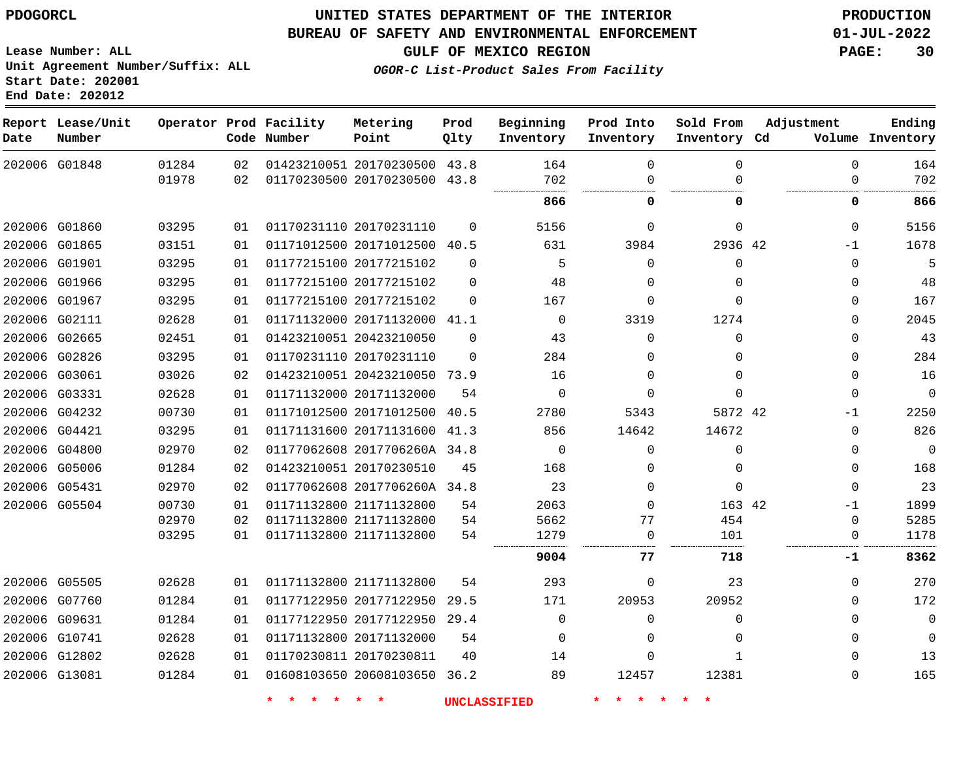#### **BUREAU OF SAFETY AND ENVIRONMENTAL ENFORCEMENT 01-JUL-2022**

**Lease Number: ALL Unit Agreement Number/Suffix: ALL Start Date: 202001**

**End Date: 202012**

**GULF OF MEXICO REGION PAGE: 30**

**OGOR-C List-Product Sales From Facility**

| Date | Report Lease/Unit<br>Number |       |    | Operator Prod Facility<br>Code Number | Metering<br>Point            | Prod<br>Qlty | Beginning<br>Inventory | Prod Into<br>Inventory | Sold From<br>Inventory Cd | Adjustment   | Ending<br>Volume Inventory |
|------|-----------------------------|-------|----|---------------------------------------|------------------------------|--------------|------------------------|------------------------|---------------------------|--------------|----------------------------|
|      | 202006 G01848               | 01284 | 02 |                                       | 01423210051 20170230500 43.8 |              | 164                    | $\Omega$               | $\Omega$                  | $\Omega$     | 164                        |
|      |                             | 01978 | 02 |                                       | 01170230500 20170230500 43.8 |              | 702                    | $\Omega$               | ∩                         | $\mathbf 0$  | 702                        |
|      |                             |       |    |                                       |                              |              | 866                    | 0                      | 0                         | 0            | 866                        |
|      | 202006 G01860               | 03295 | 01 |                                       | 01170231110 20170231110      | $\mathbf 0$  | 5156                   | $\Omega$               | $\Omega$                  | $\mathbf 0$  | 5156                       |
|      | 202006 G01865               | 03151 | 01 |                                       | 01171012500 20171012500 40.5 |              | 631                    | 3984                   | 2936 42                   | $-1$         | 1678                       |
|      | 202006 G01901               | 03295 | 01 |                                       | 01177215100 20177215102      | $\Omega$     | 5                      | $\Omega$               | $\Omega$                  | $\mathbf 0$  |                            |
|      | 202006 G01966               | 03295 | 01 |                                       | 01177215100 20177215102      | $\Omega$     | 48                     | $\Omega$               | $\Omega$                  | $\mathbf 0$  | 48                         |
|      | 202006 G01967               | 03295 | 01 |                                       | 01177215100 20177215102      | $\Omega$     | 167                    | $\Omega$               | $\Omega$                  | $\Omega$     | 167                        |
|      | 202006 G02111               | 02628 | 01 |                                       | 01171132000 20171132000 41.1 |              | $\Omega$               | 3319                   | 1274                      | $\Omega$     | 2045                       |
|      | 202006 G02665               | 02451 | 01 |                                       | 01423210051 20423210050      | 0            | 43                     | $\Omega$               | $\Omega$                  | $\mathbf{0}$ | 43                         |
|      | 202006 G02826               | 03295 | 01 |                                       | 01170231110 20170231110      | $\Omega$     | 284                    | $\Omega$               | $\Omega$                  | $\Omega$     | 284                        |
|      | 202006 G03061               | 03026 | 02 |                                       | 01423210051 20423210050 73.9 |              | 16                     | $\Omega$               | $\Omega$                  | $\mathbf{0}$ | 16                         |
|      | 202006 G03331               | 02628 | 01 |                                       | 01171132000 20171132000      | 54           | $\Omega$               | $\Omega$               | $\Omega$                  | $\mathbf 0$  | $\mathbf 0$                |
|      | 202006 G04232               | 00730 | 01 |                                       | 01171012500 20171012500      | 40.5         | 2780                   | 5343                   | 5872 42                   | $-1$         | 2250                       |
|      | 202006 G04421               | 03295 | 01 |                                       | 01171131600 20171131600 41.3 |              | 856                    | 14642                  | 14672                     | $\mathbf 0$  | 826                        |
|      | 202006 G04800               | 02970 | 02 |                                       | 01177062608 2017706260A 34.8 |              | $\mathbf 0$            | 0                      | $\Omega$                  | 0            | $\mathbf 0$                |
|      | 202006 G05006               | 01284 | 02 |                                       | 01423210051 20170230510      | 45           | 168                    | $\Omega$               | $\Omega$                  | $\mathbf 0$  | 168                        |
|      | 202006 G05431               | 02970 | 02 |                                       | 01177062608 2017706260A 34.8 |              | 23                     | $\Omega$               | $\Omega$                  | $\Omega$     | 23                         |
|      | 202006 G05504               | 00730 | 01 |                                       | 01171132800 21171132800      | 54           | 2063                   | $\Omega$               | 163 42                    | $-1$         | 1899                       |
|      |                             | 02970 | 02 |                                       | 01171132800 21171132800      | 54           | 5662                   | 77                     | 454                       | 0            | 5285                       |
|      |                             | 03295 | 01 |                                       | 01171132800 21171132800      | 54           | 1279                   | $\mathbf 0$            | 101                       | 0            | 1178                       |
|      |                             |       |    |                                       |                              |              | 9004                   | 77                     | 718                       | -1           | 8362                       |
|      | 202006 G05505               | 02628 | 01 |                                       | 01171132800 21171132800      | 54           | 293                    | $\Omega$               | 23                        | $\mathbf 0$  | 270                        |
|      | 202006 G07760               | 01284 | 01 |                                       | 01177122950 20177122950      | 29.5         | 171                    | 20953                  | 20952                     | $\mathbf 0$  | 172                        |
|      | 202006 G09631               | 01284 | 01 |                                       | 01177122950 20177122950 29.4 |              | $\Omega$               | $\Omega$               | $\Omega$                  | $\Omega$     | $\mathbf 0$                |
|      | 202006 G10741               | 02628 | 01 |                                       | 01171132800 20171132000      | 54           | $\Omega$               | $\Omega$               | $\Omega$                  | $\Omega$     | $\mathbf 0$                |
|      | 202006 G12802               | 02628 | 01 |                                       | 01170230811 20170230811      | 40           | 14                     | $\Omega$               | 1                         | $\mathbf 0$  | 13                         |
|      | 202006 G13081               | 01284 | 01 |                                       | 01608103650 20608103650 36.2 |              | 89                     | 12457                  | 12381                     | $\Omega$     | 165                        |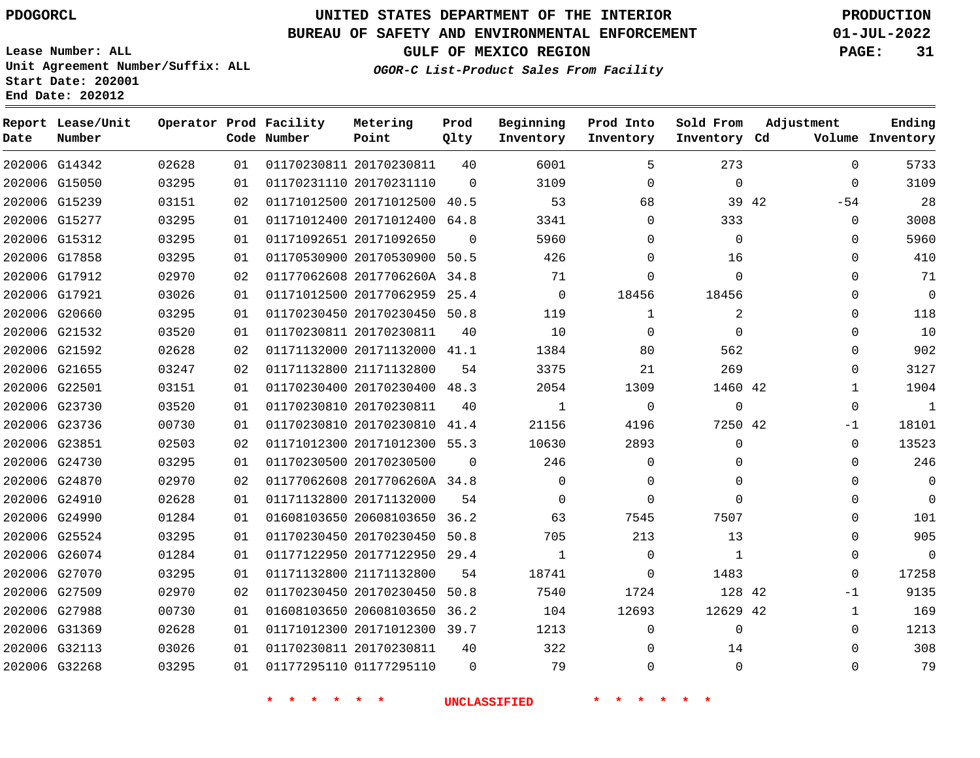G14342

**Date**

**Report Lease/Unit**

**Number**

# **UNITED STATES DEPARTMENT OF THE INTERIOR PDOGORCL PRODUCTION**

**Prod Qlty**

#### **BUREAU OF SAFETY AND ENVIRONMENTAL ENFORCEMENT 01-JUL-2022**

**Lease Number: ALL Unit Agreement Number/Suffix: ALL Start Date: 202001 End Date: 202012**

**Operator Prod Facility**

**Code Number**

20170230811

**Metering Point**

**OGOR-C List-Product Sales From Facility**

**Sold From Inventory**

**Prod Into Inventory**

**Beginning Inventory**

**GULF OF MEXICO REGION PAGE: 31**

**Inventory Cd Volume**

**Adjustment**

  $-54$   $\Omega$  $\Omega$  $\Omega$   $\Omega$   $\overline{0}$  $-1$  $\Omega$  $\Omega$  $\Omega$  $\Omega$  $\overline{0}$  -1  $\Omega$ 

**Ending**

|               |               |       |    |                              |          | <b>UNCLASSIFIED</b> |              |                |  |
|---------------|---------------|-------|----|------------------------------|----------|---------------------|--------------|----------------|--|
| 202006 G32268 |               | 03295 | 01 | 01177295110 01177295110      | $\Omega$ | 79                  | $\Omega$     | $\mathbf 0$    |  |
| 202006 G32113 |               | 03026 | 01 | 01170230811 20170230811      | 40       | 322                 | 0            | 14             |  |
|               | 202006 G31369 | 02628 | 01 | 01171012300 20171012300 39.7 |          | 1213                | $\Omega$     | $\mathbf 0$    |  |
| 202006 G27988 |               | 00730 | 01 | 01608103650 20608103650 36.2 |          | 104                 | 12693        | 12629 42       |  |
|               | 202006 G27509 | 02970 | 02 | 01170230450 20170230450 50.8 |          | 7540                | 1724         | 128 42         |  |
| 202006 G27070 |               | 03295 | 01 | 01171132800 21171132800      | 54       | 18741               | $\Omega$     | 1483           |  |
|               | 202006 G26074 | 01284 | 01 | 01177122950 20177122950 29.4 |          | $\mathbf{1}$        | $\mathbf{0}$ | $\mathbf{1}$   |  |
|               | 202006 G25524 | 03295 | 01 | 01170230450 20170230450 50.8 |          | 705                 | 213          | 13             |  |
|               | 202006 G24990 | 01284 | 01 | 01608103650 20608103650 36.2 |          | 63                  | 7545         | 7507           |  |
|               | 202006 G24910 | 02628 | 01 | 01171132800 20171132000      | 54       | $\Omega$            | $\Omega$     | $\Omega$       |  |
|               | 202006 G24870 | 02970 | 02 | 01177062608 2017706260A 34.8 |          | $\mathbf 0$         | $\Omega$     | $\mathbf 0$    |  |
|               | 202006 G24730 | 03295 | 01 | 01170230500 20170230500      | $\Omega$ | 246                 | 0            | 0              |  |
|               | 202006 G23851 | 02503 | 02 | 01171012300 20171012300 55.3 |          | 10630               | 2893         | 0              |  |
| 202006 G23736 |               | 00730 | 01 | 01170230810 20170230810 41.4 |          | 21156               | 4196         | 7250 42        |  |
| 202006 G23730 |               | 03520 | 01 | 01170230810 20170230811      | 40       | $\mathbf{1}$        | $\Omega$     | $\mathbf 0$    |  |
| 202006 G22501 |               | 03151 | 01 | 01170230400 20170230400 48.3 |          | 2054                | 1309         | 1460 42        |  |
| 202006 G21655 |               | 03247 | 02 | 01171132800 21171132800      | 54       | 3375                | 21           | 269            |  |
|               | 202006 G21592 | 02628 | 02 | 01171132000 20171132000 41.1 |          | 1384                | 80           | 562            |  |
|               | 202006 G21532 | 03520 | 01 | 01170230811 20170230811      | 40       | 10                  | $\Omega$     | $\mathbf 0$    |  |
|               | 202006 G20660 | 03295 | 01 | 01170230450 20170230450 50.8 |          | 119                 | $\mathbf{1}$ | $\overline{2}$ |  |
| 202006 G17921 |               | 03026 | 01 | 01171012500 20177062959 25.4 |          | $\mathsf{O}$        | 18456        | 18456          |  |
|               | 202006 G17912 | 02970 | 02 | 01177062608 2017706260A 34.8 |          | 71                  | 0            | $\Omega$       |  |
|               | 202006 G17858 | 03295 | 01 | 01170530900 20170530900 50.5 |          | 426                 | $\Omega$     | 16             |  |
|               | 202006 G15312 | 03295 | 01 | 01171092651 20171092650      | $\Omega$ | 5960                | 0            | $\Omega$       |  |
|               | 202006 G15277 | 03295 | 01 | 01171012400 20171012400 64.8 |          | 3341                | 0            | 333            |  |
| 202006 G15239 |               | 03151 | 02 | 01171012500 20171012500 40.5 |          | 53                  | 68           | 39 42          |  |
|               | 202006 G15050 | 03295 | 01 | 01170231110 20170231110      | $\Omega$ | 3109                | $\mathbf 0$  | $\mathbf{0}$   |  |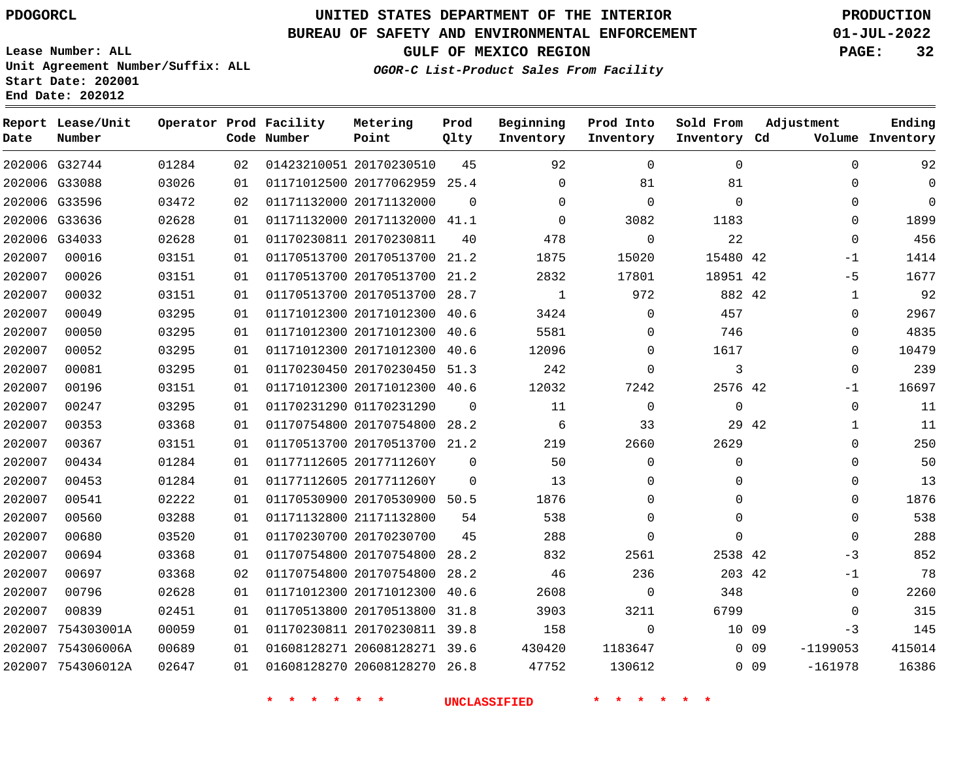# **UNITED STATES DEPARTMENT OF THE INTERIOR PDOGORCL PRODUCTION**

**Prod Qlty**

#### **BUREAU OF SAFETY AND ENVIRONMENTAL ENFORCEMENT 01-JUL-2022**

**Lease Number: ALL Unit Agreement Number/Suffix: ALL Start Date: 202001**

**Operator Prod Facility**

**Code Number**

**Metering Point**

**End Date: 202012**

**Report Lease/Unit**

**Number**

**GULF OF MEXICO REGION PAGE: 32**

**Inventory Cd Volume**

**Adjustment**

**Ending**

**OGOR-C List-Product Sales From Facility**

**Beginning Inventory** **Prod Into Inventory**

**Sold From Inventory**

| 92           | $\Omega$    |                 | $\mathbf 0$ | $\Omega$     | 92           | 45       |                              | 01423210051 20170230510 | 02 | 01284 | 202006 G32744     |        |
|--------------|-------------|-----------------|-------------|--------------|--------------|----------|------------------------------|-------------------------|----|-------|-------------------|--------|
| $\mathbf{0}$ | 0           |                 | 81          | 81           | $\mathbf 0$  |          | 01171012500 20177062959 25.4 |                         | 01 | 03026 | 202006 G33088     |        |
| $\Omega$     | $\Omega$    |                 | $\Omega$    | $\mathbf 0$  | $\Omega$     | $\Omega$ |                              | 01171132000 20171132000 | 02 | 03472 | G33596            | 202006 |
| 1899         | $\Omega$    |                 | 1183        | 3082         | $\Omega$     |          | 01171132000 20171132000 41.1 |                         | 01 | 02628 | 202006 G33636     |        |
| 456          | 0           |                 | 22          | $\mathbf{0}$ | 478          | 40       |                              | 01170230811 20170230811 | 01 | 02628 | 202006 G34033     |        |
| 1414         | $-1$        |                 | 15480 42    | 15020        | 1875         | 21.2     | 01170513700 20170513700      |                         | 01 | 03151 | 00016             | 202007 |
| 1677         | $-5$        |                 | 18951 42    | 17801        | 2832         | 21.2     | 01170513700 20170513700      |                         | 01 | 03151 | 00026             | 202007 |
| 92           | 1           |                 | 882 42      | 972          | $\mathbf{1}$ |          | 01170513700 20170513700 28.7 |                         | 01 | 03151 | 00032             | 202007 |
| 2967         | $\Omega$    |                 | 457         | $\Omega$     | 3424         | 40.6     | 01171012300 20171012300      |                         | 01 | 03295 | 00049             | 202007 |
| 4835         | $\Omega$    |                 | 746         | $\Omega$     | 5581         | 40.6     | 01171012300 20171012300      |                         | 01 | 03295 | 00050             | 202007 |
| 10479        | 0           |                 | 1617        | 0            | 12096        | 40.6     | 01171012300 20171012300      |                         | 01 | 03295 | 00052             | 202007 |
| 239          | 0           |                 | 3           | $\Omega$     | 242          | 51.3     | 01170230450 20170230450      |                         | 01 | 03295 | 00081             | 202007 |
| 16697        | -1          |                 | 2576 42     | 7242         | 12032        | 40.6     | 01171012300 20171012300      |                         | 01 | 03151 | 00196             | 202007 |
| 11           | $\mathbf 0$ |                 | $\mathbf 0$ | $\mathbf 0$  | 11           | $\Omega$ |                              | 01170231290 01170231290 | 01 | 03295 | 00247             | 202007 |
| 11           | 1           | 29 42           |             | 33           | -6           |          | 01170754800 20170754800 28.2 |                         | 01 | 03368 | 00353             | 202007 |
| 250          | $\Omega$    |                 | 2629        | 2660         | 219          | 21.2     | 01170513700 20170513700      |                         | 01 | 03151 | 00367             | 202007 |
| 50           | $\Omega$    |                 | $\Omega$    | $\Omega$     | 50           | $\Omega$ | 01177112605 2017711260Y      |                         | 01 | 01284 | 00434             | 202007 |
| 13           | 0           |                 | 0           | $\Omega$     | 13           | $\Omega$ | 01177112605 2017711260Y      |                         | 01 | 01284 | 00453             | 202007 |
| 1876         | $\mathbf 0$ |                 | 0           | $\Omega$     | 1876         | 50.5     | 01170530900 20170530900      |                         | 01 | 02222 | 00541             | 202007 |
| 538          | $\Omega$    |                 | 0           | $\Omega$     | 538          | 54       | 01171132800 21171132800      |                         | 01 | 03288 | 00560             | 202007 |
| 288          | $\mathbf 0$ |                 | $\Omega$    | $\Omega$     | 288          | 45       | 01170230700 20170230700      |                         | 01 | 03520 | 00680             | 202007 |
| 852          | -3          |                 | 2538 42     | 2561         | 832          | 28.2     | 01170754800 20170754800      |                         | 01 | 03368 | 00694             | 202007 |
| 78           | -1          |                 | 203 42      | 236          | 46           | 28.2     | 01170754800 20170754800      |                         | 02 | 03368 | 00697             | 202007 |
| 2260         | $\mathbf 0$ |                 | 348         | $\Omega$     | 2608         | 40.6     | 01171012300 20171012300      |                         | 01 | 02628 | 00796             | 202007 |
| 315          | 0           |                 | 6799        | 3211         | 3903         | 31.8     | 01170513800 20170513800      |                         | 01 | 02451 | 00839             | 202007 |
| 145          | -3          |                 | 10 09       | $\Omega$     | 158          | 39.8     | 01170230811 20170230811      |                         | 01 | 00059 | 754303001A        | 202007 |
| 415014       | $-1199053$  | $0$ 09          |             | 1183647      | 430420       | 39.6     | 01608128271 20608128271      |                         | 01 | 00689 | 754306006A        | 202007 |
| 16386        | $-161978$   | 0 <sub>09</sub> |             | 130612       | 47752        | 26.8     |                              | 01608128270 20608128270 | 01 | 02647 | 202007 754306012A |        |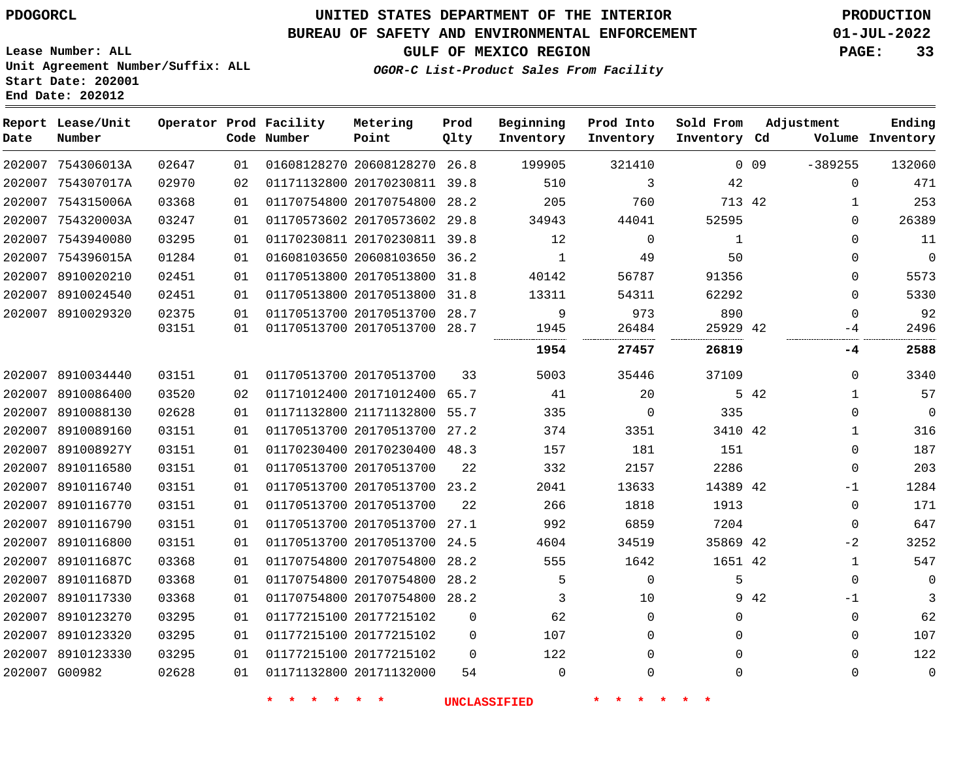### **BUREAU OF SAFETY AND ENVIRONMENTAL ENFORCEMENT 01-JUL-2022**

**GULF OF MEXICO REGION PAGE: 33**

**Lease Number: ALL Unit Agreement Number/Suffix: ALL Start Date: 202001 End Date: 202012**

**OGOR-C List-Product Sales From Facility**

| Date   | Report Lease/Unit<br>Number |       |    | Operator Prod Facility<br>Code Number | Metering<br>Point            | Prod<br>Qlty | Beginning<br>Inventory | Prod Into<br>Inventory | Sold From<br>Inventory Cd | Adjustment      |              | Ending<br>Volume Inventory |
|--------|-----------------------------|-------|----|---------------------------------------|------------------------------|--------------|------------------------|------------------------|---------------------------|-----------------|--------------|----------------------------|
|        | 202007 754306013A           | 02647 | 01 |                                       | 01608128270 20608128270 26.8 |              | 199905                 | 321410                 |                           | 0 <sub>09</sub> | $-389255$    | 132060                     |
|        | 202007 754307017A           | 02970 | 02 |                                       | 01171132800 20170230811 39.8 |              | 510                    | 3                      | 42                        |                 | $\Omega$     | 471                        |
|        | 202007 754315006A           | 03368 | 01 |                                       | 01170754800 20170754800 28.2 |              | 205                    | 760                    | 713 42                    |                 | 1            | 253                        |
|        | 202007 754320003A           | 03247 | 01 |                                       | 01170573602 20170573602      | 29.8         | 34943                  | 44041                  | 52595                     |                 | $\Omega$     | 26389                      |
|        | 202007 7543940080           | 03295 | 01 |                                       | 01170230811 20170230811 39.8 |              | 12                     | $\mathbf 0$            | 1                         |                 | $\Omega$     | 11                         |
|        | 202007 754396015A           | 01284 | 01 |                                       | 01608103650 20608103650 36.2 |              | 1                      | 49                     | 50                        |                 | $\Omega$     | $\mathbf 0$                |
| 202007 | 8910020210                  | 02451 | 01 |                                       | 01170513800 20170513800 31.8 |              | 40142                  | 56787                  | 91356                     |                 | 0            | 5573                       |
|        | 202007 8910024540           | 02451 | 01 |                                       | 01170513800 20170513800 31.8 |              | 13311                  | 54311                  | 62292                     |                 | $\mathbf 0$  | 5330                       |
|        | 202007 8910029320           | 02375 | 01 |                                       | 01170513700 20170513700 28.7 |              | 9                      | 973                    | 890                       |                 | $\Omega$     | 92                         |
|        |                             | 03151 | 01 |                                       | 01170513700 20170513700 28.7 |              | 1945                   | 26484                  | 25929 42                  |                 | -4           | 2496                       |
|        |                             |       |    |                                       |                              |              | 1954                   | 27457                  | 26819                     |                 | -4           | 2588                       |
|        | 202007 8910034440           | 03151 | 01 |                                       | 01170513700 20170513700      | 33           | 5003                   | 35446                  | 37109                     |                 | $\Omega$     | 3340                       |
|        | 202007 8910086400           | 03520 | 02 |                                       | 01171012400 20171012400 65.7 |              | 41                     | 20                     |                           | 5 42            | 1            | 57                         |
|        | 202007 8910088130           | 02628 | 01 |                                       | 01171132800 21171132800 55.7 |              | 335                    | $\Omega$               | 335                       |                 | $\Omega$     | $\mathbf 0$                |
|        | 202007 8910089160           | 03151 | 01 |                                       | 01170513700 20170513700 27.2 |              | 374                    | 3351                   | 3410 42                   |                 | 1            | 316                        |
|        | 202007 891008927Y           | 03151 | 01 |                                       | 01170230400 20170230400 48.3 |              | 157                    | 181                    | 151                       |                 | $\mathbf{0}$ | 187                        |
|        | 202007 8910116580           | 03151 | 01 |                                       | 01170513700 20170513700      | 22           | 332                    | 2157                   | 2286                      |                 | $\Omega$     | 203                        |
| 202007 | 8910116740                  | 03151 | 01 |                                       | 01170513700 20170513700 23.2 |              | 2041                   | 13633                  | 14389 42                  |                 | -1           | 1284                       |
|        | 202007 8910116770           | 03151 | 01 |                                       | 01170513700 20170513700      | 22           | 266                    | 1818                   | 1913                      |                 | $\mathbf 0$  | 171                        |
| 202007 | 8910116790                  | 03151 | 01 |                                       | 01170513700 20170513700      | 27.1         | 992                    | 6859                   | 7204                      |                 | $\mathbf 0$  | 647                        |
|        | 202007 8910116800           | 03151 | 01 |                                       | 01170513700 20170513700      | 24.5         | 4604                   | 34519                  | 35869 42                  |                 | $-2$         | 3252                       |
| 202007 | 891011687C                  | 03368 | 01 |                                       | 01170754800 20170754800      | 28.2         | 555                    | 1642                   | 1651 42                   |                 | $\mathbf 1$  | 547                        |
| 202007 | 891011687D                  | 03368 | 01 |                                       | 01170754800 20170754800 28.2 |              | 5                      | $\mathbf 0$            | 5                         |                 | $\mathbf 0$  | 0                          |
|        | 202007 8910117330           | 03368 | 01 |                                       | 01170754800 20170754800 28.2 |              | 3                      | 10                     |                           | 9 42            | $-1$         | 3                          |
|        | 202007 8910123270           | 03295 | 01 |                                       | 01177215100 20177215102      | 0            | 62                     | $\mathbf 0$            | 0                         |                 | $\mathbf 0$  | 62                         |
| 202007 | 8910123320                  | 03295 | 01 |                                       | 01177215100 20177215102      | $\Omega$     | 107                    | $\Omega$               | $\Omega$                  |                 | $\Omega$     | 107                        |
|        | 202007 8910123330           | 03295 | 01 |                                       | 01177215100 20177215102      | $\Omega$     | 122                    | $\Omega$               | $\Omega$                  |                 | $\Omega$     | 122                        |
|        | 202007 G00982               | 02628 | 01 |                                       | 01171132800 20171132000      | 54           | $\mathbf 0$            | $\Omega$               | $\Omega$                  |                 | $\mathbf 0$  | $\mathbf 0$                |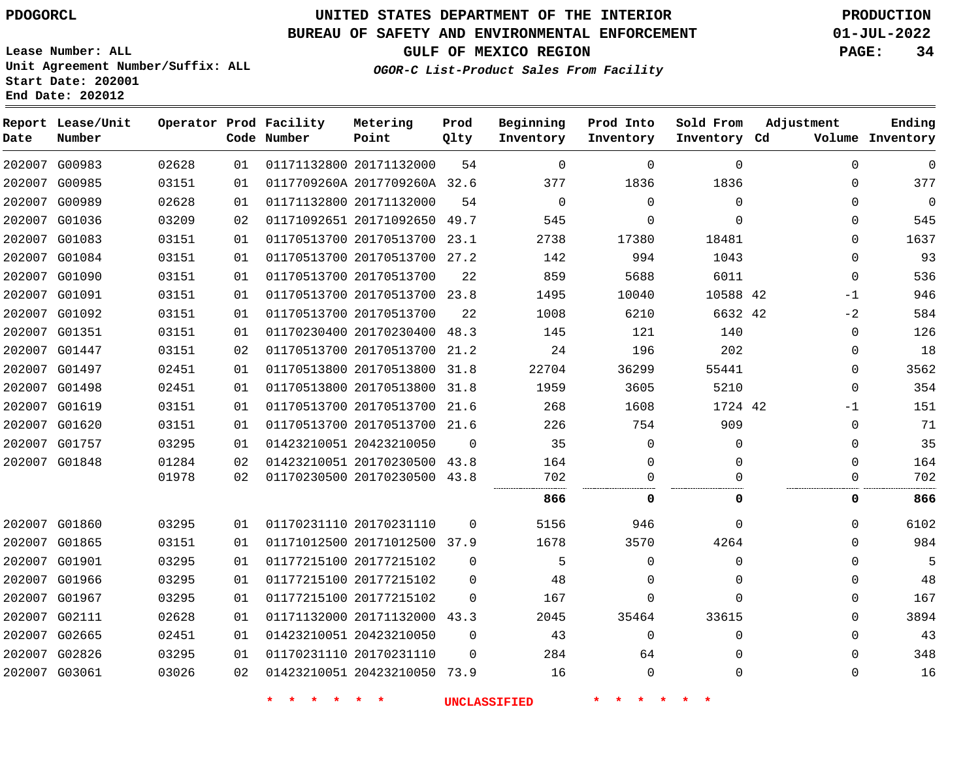**Report Lease/Unit**

**Number**

 G00983 G00985 G00989 G01036 G01083 G01084 G01090 G01091 G01092 G01351 G01447 G01497 G01498 G01619 G01620 G01757 G01848

**Date**

 G01860 G01865 G01901 G01966 G01967 G02111 G02665 G02826 G03061

# **UNITED STATES DEPARTMENT OF THE INTERIOR PDOGORCL PRODUCTION**

**Prod Qlty**

#### **BUREAU OF SAFETY AND ENVIRONMENTAL ENFORCEMENT 01-JUL-2022**

**Lease Number: ALL Unit Agreement Number/Suffix: ALL Start Date: 202001**

> 

**Operator Prod Facility**

**Code Number**

20171132000

20171132000

0117709260A 2017709260A 32.6

**Metering Point**

**OGOR-C List-Product Sales From Facility**

  $\Omega$ 

  $\Omega$  $\Omega$ 

**Sold From Inventory**

 $\Omega$  $\Omega$  $\Omega$ 

**Prod Into Inventory**

**Beginning Inventory**

**GULF OF MEXICO REGION PAGE: 34**

**Inventory Cd Volume**

**Adjustment**

  $\Omega$  $\Omega$  $\Omega$  $\Omega$  $\Omega$  $\Omega$ -1  $-2$  $\Omega$  $\Omega$  $\Omega$  $\overline{0}$ -1  $\Omega$  $\Omega$  $\Omega$ 

**Ending**

  $\Omega$  $\Omega$   $\Omega$  $\Omega$  $\Omega$  $\Omega$  $\Omega$ 

| 545  | 0            | $\Omega$     | 0           | 545   |          | 01171092651 20171092650 49.7 |                         | 02 | 03209 |
|------|--------------|--------------|-------------|-------|----------|------------------------------|-------------------------|----|-------|
| 1637 | $\Omega$     | 18481        | 17380       | 2738  |          | 01170513700 20170513700 23.1 |                         | 01 | 03151 |
| 93   | $\Omega$     | 1043         | 994         | 142   |          | 01170513700 20170513700 27.2 |                         | 01 | 03151 |
| 536  | $\Omega$     | 6011         | 5688        | 859   | 22       |                              | 01170513700 20170513700 | 01 | 03151 |
| 946  | $-1$         | 10588 42     | 10040       | 1495  |          | 01170513700 20170513700 23.8 |                         | 01 | 03151 |
| 584  | $-2$         | 6632 42      | 6210        | 1008  | 22       |                              | 01170513700 20170513700 | 01 | 03151 |
| 126  | $\Omega$     | 140          | 121         | 145   |          | 01170230400 20170230400 48.3 |                         | 01 | 03151 |
| 18   | 0            | 202          | 196         | 24    | 21.2     | 01170513700 20170513700      |                         | 02 | 03151 |
| 3562 | $\mathbf 0$  | 55441        | 36299       | 22704 | 31.8     | 01170513800 20170513800      |                         | 01 | 02451 |
| 354  | $\mathbf{0}$ | 5210         | 3605        | 1959  |          | 01170513800 20170513800 31.8 |                         | 01 | 02451 |
| 151  | $-1$         | 1724 42      | 1608        | 268   | 21.6     | 01170513700 20170513700      |                         | 01 | 03151 |
| 71   | 0            | 909          | 754         | 226   |          | 01170513700 20170513700 21.6 |                         | 01 | 03151 |
| 35   | $\Omega$     | 0            | 0           | 35    | $\Omega$ |                              | 01423210051 20423210050 | 01 | 03295 |
| 164  | $\Omega$     | $\Omega$     | $\Omega$    | 164   |          | 01423210051 20170230500 43.8 |                         | 02 | 01284 |
| 702  | 0            | $\Omega$     | 0           | 702   |          | 01170230500 20170230500 43.8 |                         | 02 | 01978 |
| 866  | 0            | 0            | 0           | 866   |          |                              |                         |    |       |
| 6102 | $\Omega$     | $\Omega$     | 946         | 5156  | $\Omega$ |                              | 01170231110 20170231110 | 01 | 03295 |
| 984  | $\Omega$     | 4264         | 3570        | 1678  |          | 01171012500 20171012500 37.9 |                         | 01 | 03151 |
| 5    | 0            | $\mathbf{0}$ | 0           | 5     | $\Omega$ |                              | 01177215100 20177215102 | 01 | 03295 |
| 48   | $\mathbf 0$  | $\Omega$     | $\Omega$    | 48    | $\Omega$ |                              | 01177215100 20177215102 | 01 | 03295 |
| 167  | $\mathbf 0$  | $\Omega$     | $\mathbf 0$ | 167   | $\Omega$ |                              | 01177215100 20177215102 | 01 | 03295 |
| 3894 | 0            | 33615        | 35464       | 2045  |          | 01171132000 20171132000 43.3 |                         | 01 | 02628 |
| 43   | $\Omega$     | $\mathbf 0$  | $\mathbf 0$ | 43    | $\Omega$ |                              | 01423210051 20423210050 | 01 | 02451 |
| 348  | $\Omega$     | $\Omega$     | 64          | 284   | $\Omega$ |                              | 01170231110 20170231110 | 01 | 03295 |
|      |              |              |             |       |          |                              |                         |    |       |

20423210050 73.9

**\* \* \* \* \* \* UNCLASSIFIED \* \* \* \* \* \***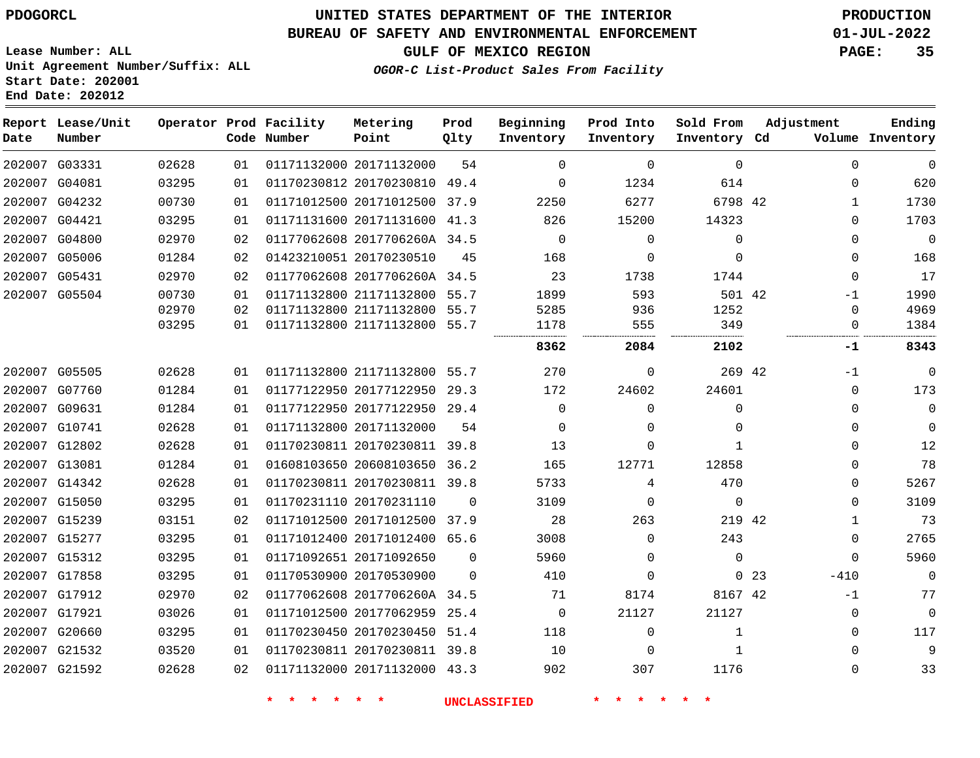### **BUREAU OF SAFETY AND ENVIRONMENTAL ENFORCEMENT 01-JUL-2022**

**GULF OF MEXICO REGION PAGE: 35**

**Lease Number: ALL Unit Agreement Number/Suffix: ALL Start Date: 202001 End Date: 202012**

**OGOR-C List-Product Sales From Facility**

| Date | Report Lease/Unit<br>Number |       |    | Operator Prod Facility<br>Code Number | Metering<br>Point            | Prod<br>Qlty | Beginning<br>Inventory | Prod Into<br>Inventory | Sold From<br>Inventory Cd | Adjustment  |              | Ending<br>Volume Inventory |
|------|-----------------------------|-------|----|---------------------------------------|------------------------------|--------------|------------------------|------------------------|---------------------------|-------------|--------------|----------------------------|
|      | 202007 G03331               | 02628 | 01 |                                       | 01171132000 20171132000      | 54           | $\Omega$               | $\Omega$               | $\Omega$                  |             | $\Omega$     | $\mathbf 0$                |
|      | 202007 G04081               | 03295 | 01 |                                       | 01170230812 20170230810 49.4 |              | $\Omega$               | 1234                   | 614                       |             | $\Omega$     | 620                        |
|      | 202007 G04232               | 00730 | 01 |                                       | 01171012500 20171012500      | 37.9         | 2250                   | 6277                   | 6798 42                   |             | $\mathbf{1}$ | 1730                       |
|      | 202007 G04421               | 03295 | 01 |                                       | 01171131600 20171131600 41.3 |              | 826                    | 15200                  | 14323                     |             | $\Omega$     | 1703                       |
|      | 202007 G04800               | 02970 | 02 |                                       | 01177062608 2017706260A 34.5 |              | $\mathbf 0$            | $\mathbf 0$            | $\mathbf{0}$              |             | 0            | $\mathbf 0$                |
|      | 202007 G05006               | 01284 | 02 |                                       | 01423210051 20170230510      | 45           | 168                    | $\Omega$               | $\Omega$                  |             | $\Omega$     | 168                        |
|      | 202007 G05431               | 02970 | 02 |                                       | 01177062608 2017706260A 34.5 |              | 23                     | 1738                   | 1744                      |             | $\Omega$     | 17                         |
|      | 202007 G05504               | 00730 | 01 |                                       | 01171132800 21171132800 55.7 |              | 1899                   | 593                    | 501 42                    |             | -1           | 1990                       |
|      |                             | 02970 | 02 |                                       | 01171132800 21171132800 55.7 |              | 5285                   | 936                    | 1252                      |             | 0            | 4969                       |
|      |                             | 03295 | 01 |                                       | 01171132800 21171132800      | 55.7         | 1178                   | 555                    | 349                       |             | $\Omega$     | 1384                       |
|      |                             |       |    |                                       |                              |              | 8362                   | 2084                   | 2102                      |             | -1           | 8343                       |
|      | 202007 G05505               | 02628 | 01 |                                       | 01171132800 21171132800 55.7 |              | 270                    | 0                      | 269 42                    |             | -1           | 0                          |
|      | 202007 G07760               | 01284 | 01 |                                       | 01177122950 20177122950      | 29.3         | 172                    | 24602                  | 24601                     |             | $\Omega$     | 173                        |
|      | 202007 G09631               | 01284 | 01 |                                       | 01177122950 20177122950 29.4 |              | $\Omega$               | $\Omega$               | $\Omega$                  |             | $\Omega$     | 0                          |
|      | 202007 G10741               | 02628 | 01 |                                       | 01171132800 20171132000      | 54           | $\Omega$               | 0                      | 0                         |             | $\Omega$     | $\mathbf 0$                |
|      | 202007 G12802               | 02628 | 01 |                                       | 01170230811 20170230811 39.8 |              | 13                     | 0                      | $\mathbf{1}$              |             | $\Omega$     | 12                         |
|      | 202007 G13081               | 01284 | 01 |                                       | 01608103650 20608103650 36.2 |              | 165                    | 12771                  | 12858                     |             | 0            | 78                         |
|      | 202007 G14342               | 02628 | 01 |                                       | 01170230811 20170230811 39.8 |              | 5733                   | 4                      | 470                       |             | $\Omega$     | 5267                       |
|      | 202007 G15050               | 03295 | 01 |                                       | 01170231110 20170231110      | $\Omega$     | 3109                   | 0                      | $\Omega$                  |             | $\Omega$     | 3109                       |
|      | 202007 G15239               | 03151 | 02 |                                       | 01171012500 20171012500 37.9 |              | 28                     | 263                    | 219 42                    |             | 1            | 73                         |
|      | 202007 G15277               | 03295 | 01 |                                       | 01171012400 20171012400 65.6 |              | 3008                   | $\Omega$               | 243                       |             | 0            | 2765                       |
|      | 202007 G15312               | 03295 | 01 |                                       | 01171092651 20171092650      | $\Omega$     | 5960                   | 0                      | $\mathbf{0}$              |             | 0            | 5960                       |
|      | 202007 G17858               | 03295 | 01 |                                       | 01170530900 20170530900      | $\Omega$     | 410                    | $\Omega$               |                           | $0\quad 23$ | $-410$       | $\mathbf 0$                |
|      | 202007 G17912               | 02970 | 02 |                                       | 01177062608 2017706260A 34.5 |              | 71                     | 8174                   | 8167 42                   |             | $-1$         | 77                         |
|      | 202007 G17921               | 03026 | 01 |                                       | 01171012500 20177062959 25.4 |              | 0                      | 21127                  | 21127                     |             | 0            | 0                          |
|      | 202007 G20660               | 03295 | 01 |                                       | 01170230450 20170230450 51.4 |              | 118                    | $\mathbf 0$            | $\mathbf{1}$              |             | $\Omega$     | 117                        |
|      | 202007 G21532               | 03520 | 01 |                                       | 01170230811 20170230811 39.8 |              | 10                     | 0                      | 1                         |             | $\Omega$     | 9                          |
|      | 202007 G21592               | 02628 | 02 |                                       | 01171132000 20171132000 43.3 |              | 902                    | 307                    | 1176                      |             | $\Omega$     | 33                         |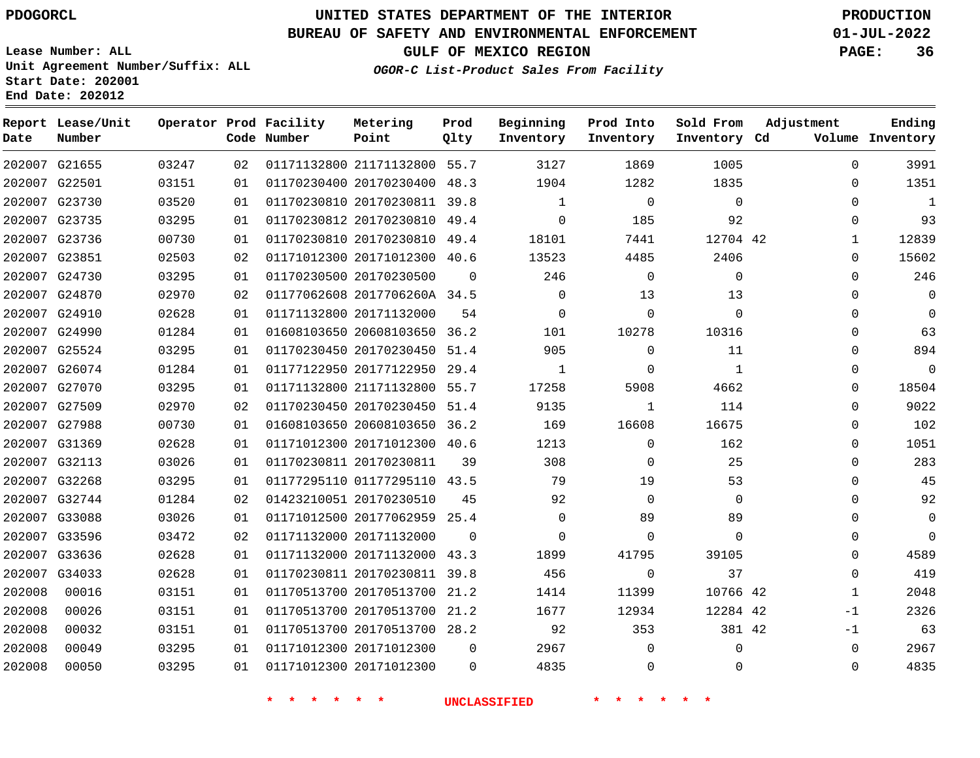**Prod**

#### **BUREAU OF SAFETY AND ENVIRONMENTAL ENFORCEMENT 01-JUL-2022**

**Lease Number: ALL Unit Agreement Number/Suffix: ALL Start Date: 202001**

**Operator Prod Facility**

**End Date: 202012**

**Report Lease/Unit**

**GULF OF MEXICO REGION PAGE: 36**

**OGOR-C List-Product Sales From Facility**

**Beginning Prod Into**

**Sold From**

**Adjustment**

**Ending**

| Volume Inventory |              | Inventory Cd | Inventory   | Inventory    | Qlty     | Point                        | Code Number |    |       | Number        | Date   |
|------------------|--------------|--------------|-------------|--------------|----------|------------------------------|-------------|----|-------|---------------|--------|
| 3991             | $\Omega$     | 1005         | 1869        | 3127         |          | 01171132800 21171132800 55.7 |             | 02 | 03247 | 202007 G21655 |        |
| 1351             | $\Omega$     | 1835         | 1282        | 1904         |          | 01170230400 20170230400 48.3 |             | 01 | 03151 | 202007 G22501 |        |
| $\mathbf{1}$     | $\Omega$     | $\Omega$     | $\mathbf 0$ | $\mathbf{1}$ |          | 01170230810 20170230811 39.8 |             | 01 | 03520 | 202007 G23730 |        |
| 93               | $\mathbf{0}$ | 92           | 185         | $\mathbf 0$  |          | 01170230812 20170230810 49.4 |             | 01 | 03295 | 202007 G23735 |        |
| 12839            | $\mathbf{1}$ | 12704 42     | 7441        | 18101        |          | 01170230810 20170230810 49.4 |             | 01 | 00730 | 202007 G23736 |        |
| 15602            | $\mathbf 0$  | 2406         | 4485        | 13523        |          | 01171012300 20171012300 40.6 |             | 02 | 02503 | 202007 G23851 |        |
| 246              | $\Omega$     | $\mathbf 0$  | $\mathbf 0$ | 246          | $\Omega$ | 01170230500 20170230500      |             | 01 | 03295 | 202007 G24730 |        |
| $\mathbf 0$      | $\Omega$     | 13           | 13          | $\mathbf 0$  |          | 01177062608 2017706260A 34.5 |             | 02 | 02970 | 202007 G24870 |        |
| $\Omega$         | $\Omega$     | $\Omega$     | $\Omega$    | $\Omega$     | 54       | 01171132800 20171132000      |             | 01 | 02628 | 202007 G24910 |        |
| 63               | $\Omega$     | 10316        | 10278       | 101          |          | 01608103650 20608103650 36.2 |             | 01 | 01284 | 202007 G24990 |        |
| 894              | $\Omega$     | 11           | $\Omega$    | 905          |          | 01170230450 20170230450 51.4 |             | 01 | 03295 | 202007 G25524 |        |
| $\mathbf 0$      | $\Omega$     | 1            | $\Omega$    | 1            |          | 01177122950 20177122950 29.4 |             | 01 | 01284 | 202007 G26074 |        |
| 18504            | $\mathbf 0$  | 4662         | 5908        | 17258        |          | 01171132800 21171132800 55.7 |             | 01 | 03295 | 202007 G27070 |        |
| 9022             | $\Omega$     | 114          | 1           | 9135         |          | 01170230450 20170230450 51.4 |             | 02 | 02970 | 202007 G27509 |        |
| 102              | $\mathbf 0$  | 16675        | 16608       | 169          |          | 01608103650 20608103650 36.2 |             | 01 | 00730 | 202007 G27988 |        |
| 1051             | $\Omega$     | 162          | $\Omega$    | 1213         |          | 01171012300 20171012300 40.6 |             | 01 | 02628 | 202007 G31369 |        |
| 283              | $\mathbf 0$  | 25           | 0           | 308          | 39       | 01170230811 20170230811      |             | 01 | 03026 | 202007 G32113 |        |
| 45               | $\Omega$     | 53           | 19          | 79           |          | 01177295110 01177295110 43.5 |             | 01 | 03295 | 202007 G32268 |        |
| 92               | $\Omega$     | $\Omega$     | $\Omega$    | 92           | 45       | 01423210051 20170230510      |             | 02 | 01284 | 202007 G32744 |        |
| $\mathbf 0$      | $\Omega$     | 89           | 89          | $\mathbf 0$  |          | 01171012500 20177062959 25.4 |             | 01 | 03026 | 202007 G33088 |        |
| $\Omega$         | $\Omega$     | $\Omega$     | $\Omega$    | $\Omega$     | $\Omega$ | 01171132000 20171132000      |             | 02 | 03472 | 202007 G33596 |        |
| 4589             | $\Omega$     | 39105        | 41795       | 1899         |          | 01171132000 20171132000 43.3 |             | 01 | 02628 | 202007 G33636 |        |
| 419              | $\Omega$     | 37           | $\Omega$    | 456          |          | 01170230811 20170230811 39.8 |             | 01 | 02628 | 202007 G34033 |        |
| 2048             | $\mathbf{1}$ | 10766 42     | 11399       | 1414         |          | 01170513700 20170513700 21.2 |             | 01 | 03151 | 00016         | 202008 |
| 2326             | $-1$         | 12284 42     | 12934       | 1677         |          | 01170513700 20170513700 21.2 |             | 01 | 03151 | 00026         | 202008 |
| 63               | $-1$         | 381 42       | 353         | 92           |          | 01170513700 20170513700 28.2 |             | 01 | 03151 | 00032         | 202008 |
| 2967             | $\mathbf 0$  | 0            | $\Omega$    | 2967         | 0        | 01171012300 20171012300      |             | 01 | 03295 | 00049         | 202008 |
| 4835             | $\mathbf 0$  | 0            | 0           | 4835         | $\Omega$ | 01171012300 20171012300      |             | 01 | 03295 | 00050         | 202008 |
|                  |              |              |             |              |          |                              |             |    |       |               |        |

**Metering**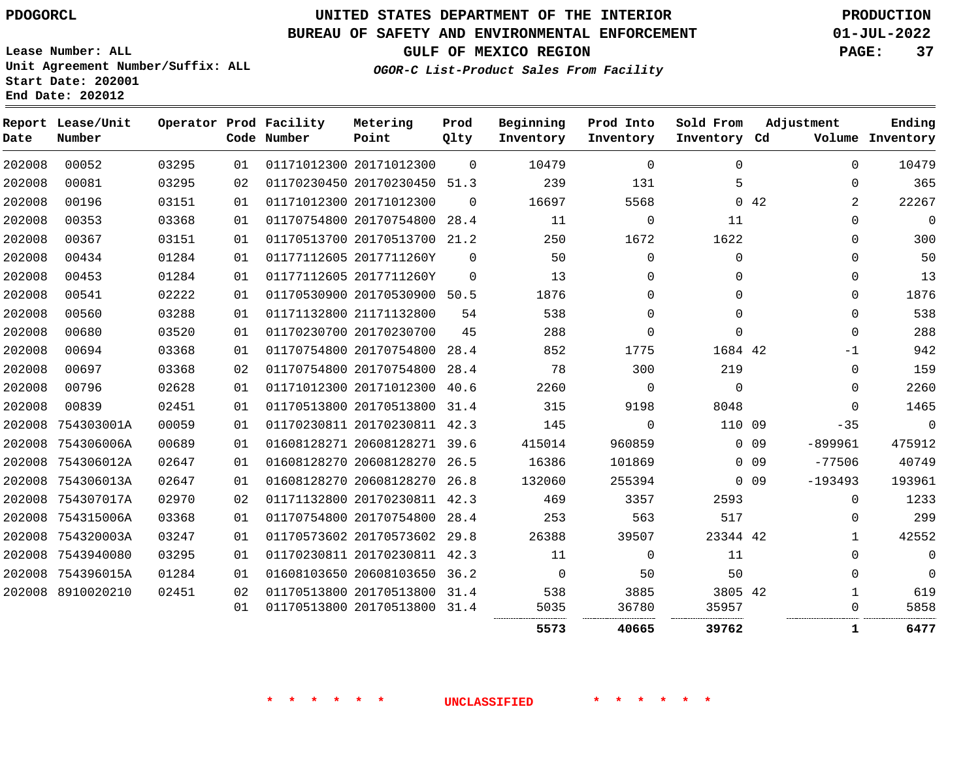# **UNITED STATES DEPARTMENT OF THE INTERIOR PDOGORCL PRODUCTION**

### **BUREAU OF SAFETY AND ENVIRONMENTAL ENFORCEMENT 01-JUL-2022**

**Lease Number: ALL Unit Agreement Number/Suffix: ALL Start Date: 202001**

# **GULF OF MEXICO REGION PAGE: 37**

**OGOR-C List-Product Sales From Facility**

| Date   | Report Lease/Unit<br>Number |       |    | Operator Prod Facility<br>Code Number | Metering<br>Point            | Prod<br>Qlty | Beginning<br>Inventory | Prod Into<br>Inventory | Sold From<br>Inventory Cd |                 | Adjustment   | Ending<br>Volume Inventory |
|--------|-----------------------------|-------|----|---------------------------------------|------------------------------|--------------|------------------------|------------------------|---------------------------|-----------------|--------------|----------------------------|
| 202008 | 00052                       | 03295 | 01 |                                       | 01171012300 20171012300      | $\Omega$     | 10479                  | $\Omega$               | $\Omega$                  |                 | $\Omega$     | 10479                      |
| 202008 | 00081                       | 03295 | 02 |                                       | 01170230450 20170230450 51.3 |              | 239                    | 131                    | 5                         |                 | $\mathbf 0$  | 365                        |
| 202008 | 00196                       | 03151 | 01 |                                       | 01171012300 20171012300      | $\Omega$     | 16697                  | 5568                   |                           | 042             | 2            | 22267                      |
| 202008 | 00353                       | 03368 | 01 |                                       | 01170754800 20170754800 28.4 |              | 11                     | $\Omega$               | 11                        |                 | $\Omega$     | $\mathbf 0$                |
| 202008 | 00367                       | 03151 | 01 |                                       | 01170513700 20170513700 21.2 |              | 250                    | 1672                   | 1622                      |                 | $\mathbf 0$  | 300                        |
| 202008 | 00434                       | 01284 | 01 |                                       | 01177112605 2017711260Y      | $\Omega$     | 50                     | $\Omega$               | $\Omega$                  |                 | $\Omega$     | 50                         |
| 202008 | 00453                       | 01284 | 01 |                                       | 01177112605 2017711260Y      | $\Omega$     | 13                     | $\Omega$               | $\Omega$                  |                 | $\Omega$     | 13                         |
| 202008 | 00541                       | 02222 | 01 |                                       | 01170530900 20170530900 50.5 |              | 1876                   | $\Omega$               | $\mathbf 0$               |                 | $\mathbf 0$  | 1876                       |
| 202008 | 00560                       | 03288 | 01 |                                       | 01171132800 21171132800      | 54           | 538                    | $\Omega$               | 0                         |                 | $\Omega$     | 538                        |
| 202008 | 00680                       | 03520 | 01 |                                       | 01170230700 20170230700      | 45           | 288                    | $\Omega$               | $\Omega$                  |                 | $\Omega$     | 288                        |
| 202008 | 00694                       | 03368 | 01 |                                       | 01170754800 20170754800 28.4 |              | 852                    | 1775                   | 1684 42                   |                 | $-1$         | 942                        |
| 202008 | 00697                       | 03368 | 02 |                                       | 01170754800 20170754800 28.4 |              | 78                     | 300                    | 219                       |                 | $\Omega$     | 159                        |
| 202008 | 00796                       | 02628 | 01 |                                       | 01171012300 20171012300 40.6 |              | 2260                   | $\Omega$               | $\Omega$                  |                 | $\Omega$     | 2260                       |
| 202008 | 00839                       | 02451 | 01 |                                       | 01170513800 20170513800 31.4 |              | 315                    | 9198                   | 8048                      |                 | $\Omega$     | 1465                       |
| 202008 | 754303001A                  | 00059 | 01 |                                       | 01170230811 20170230811 42.3 |              | 145                    | $\Omega$               | 110 09                    |                 | $-35$        | $\overline{0}$             |
|        | 202008 754306006A           | 00689 | 01 |                                       | 01608128271 20608128271 39.6 |              | 415014                 | 960859                 |                           | 0 <sub>09</sub> | $-899961$    | 475912                     |
| 202008 | 754306012A                  | 02647 | 01 |                                       | 01608128270 20608128270      | 26.5         | 16386                  | 101869                 |                           | 0 <sub>09</sub> | $-77506$     | 40749                      |
|        | 202008 754306013A           | 02647 | 01 |                                       | 01608128270 20608128270 26.8 |              | 132060                 | 255394                 |                           | 0 <sub>09</sub> | $-193493$    | 193961                     |
|        | 202008 754307017A           | 02970 | 02 |                                       | 01171132800 20170230811 42.3 |              | 469                    | 3357                   | 2593                      |                 | $\Omega$     | 1233                       |
|        | 202008 754315006A           | 03368 | 01 |                                       | 01170754800 20170754800      | 28.4         | 253                    | 563                    | 517                       |                 | $\Omega$     | 299                        |
|        | 202008 754320003A           | 03247 | 01 |                                       | 01170573602 20170573602 29.8 |              | 26388                  | 39507                  | 23344 42                  |                 | $\mathbf{1}$ | 42552                      |
|        | 202008 7543940080           | 03295 | 01 |                                       | 01170230811 20170230811 42.3 |              | 11                     | $\Omega$               | 11                        |                 | $\Omega$     | $\mathbf 0$                |
|        | 202008 754396015A           | 01284 | 01 |                                       | 01608103650 20608103650 36.2 |              | $\overline{0}$         | 50                     | 50                        |                 | $\Omega$     | $\Omega$                   |
|        | 202008 8910020210           | 02451 | 02 |                                       | 01170513800 20170513800 31.4 |              | 538                    | 3885                   | 3805 42                   |                 | $\mathbf{1}$ | 619                        |
|        |                             |       | 01 |                                       | 01170513800 20170513800 31.4 |              | 5035                   | 36780                  | 35957                     |                 | $\mathbf 0$  | 5858                       |
|        |                             |       |    |                                       |                              |              | 5573                   | 40665                  | 39762                     |                 | 1            | 6477                       |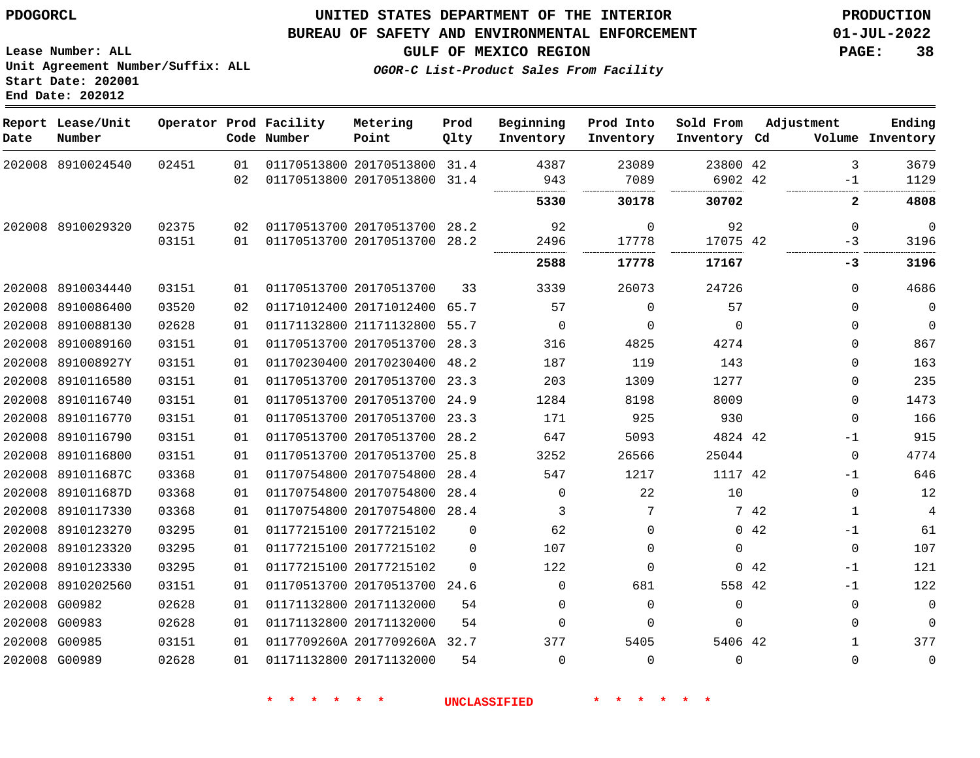**Report Lease/Unit**

**Number**

## **UNITED STATES DEPARTMENT OF THE INTERIOR PDOGORCL PRODUCTION**

**Prod Qlty**

#### **BUREAU OF SAFETY AND ENVIRONMENTAL ENFORCEMENT 01-JUL-2022**

**Lease Number: ALL Unit Agreement Number/Suffix: ALL Start Date: 202001 End Date: 202012**

**Operator Prod Facility**

**Code Number**

**OGOR-C List-Product Sales From Facility**

**Sold From Inventory**

**Prod Into Inventory**

**Beginning Inventory**

**Inventory Cd Volume**

**Adjustment**

. . . . . . . . . . . . . . . .

. . . . . . . . . . . . . . . . . . . .

 -1

 $\Omega$ -3

. . . . . .

 $\Omega$   $\Omega$  $\Omega$   $\Omega$  $\Omega$  $\Omega$  $-1$  $\Omega$  $-1$  $\overline{0}$  -1  $\Omega$ -1 -1  $\Omega$  

**-3**

**GULF OF MEXICO REGION PAGE: 38**

 

. . . . . . . . . . . .

**Ending**

 

|        | 202008 8910024540 | 02451 | 01 | 01170513800 20170513800 31.4 |          | 4387        | 23089       | 23800 42 |      |
|--------|-------------------|-------|----|------------------------------|----------|-------------|-------------|----------|------|
|        |                   |       | 02 | 01170513800 20170513800 31.4 |          | 943         | 7089        | 6902 42  |      |
|        |                   |       |    |                              |          | 5330        | 30178       | 30702    |      |
|        | 202008 8910029320 | 02375 | 02 | 01170513700 20170513700 28.2 |          | 92          | $\mathbf 0$ | 92       |      |
|        |                   | 03151 | 01 | 01170513700 20170513700 28.2 |          | 2496        | 17778       | 17075 42 |      |
|        |                   |       |    |                              |          | 2588        | 17778       | 17167    |      |
|        | 202008 8910034440 | 03151 | 01 | 01170513700 20170513700      | 33       | 3339        | 26073       | 24726    |      |
| 202008 | 8910086400        | 03520 | 02 | 01171012400 20171012400      | 65.7     | 57          | $\Omega$    | 57       |      |
|        | 202008 8910088130 | 02628 | 01 | 01171132800 21171132800 55.7 |          | 0           | 0           | $\Omega$ |      |
| 202008 | 8910089160        | 03151 | 01 | 01170513700 20170513700      | 28.3     | 316         | 4825        | 4274     |      |
| 202008 | 891008927Y        | 03151 | 01 | 01170230400 20170230400      | 48.2     | 187         | 119         | 143      |      |
| 202008 | 8910116580        | 03151 | 01 | 01170513700 20170513700      | 23.3     | 203         | 1309        | 1277     |      |
| 202008 | 8910116740        | 03151 | 01 | 01170513700 20170513700 24.9 |          | 1284        | 8198        | 8009     |      |
| 202008 | 8910116770        | 03151 | 01 | 01170513700 20170513700      | 23.3     | 171         | 925         | 930      |      |
| 202008 | 8910116790        | 03151 | 01 | 01170513700 20170513700 28.2 |          | 647         | 5093        | 4824 42  |      |
| 202008 | 8910116800        | 03151 | 01 | 01170513700 20170513700      | 25.8     | 3252        | 26566       | 25044    |      |
| 202008 | 891011687C        | 03368 | 01 | 01170754800 20170754800      | 28.4     | 547         | 1217        | 1117 42  |      |
| 202008 | 891011687D        | 03368 | 01 | 01170754800 20170754800      | 28.4     | 0           | 22          | 10       |      |
| 202008 | 8910117330        | 03368 | 01 | 01170754800 20170754800      | 28.4     | 3           | 7           |          | 7 42 |
| 202008 | 8910123270        | 03295 | 01 | 01177215100 20177215102      | $\Omega$ | 62          | 0           | 0        | 42   |
| 202008 | 8910123320        | 03295 | 01 | 01177215100 20177215102      | $\Omega$ | 107         | $\Omega$    | $\Omega$ |      |
| 202008 | 8910123330        | 03295 | 01 | 01177215100 20177215102      | $\Omega$ | 122         | $\Omega$    | 0        | 42   |
| 202008 | 8910202560        | 03151 | 01 | 01170513700 20170513700 24.6 |          | $\mathbf 0$ | 681         | 558 42   |      |
| 202008 | G00982            | 02628 | 01 | 01171132800 20171132000      | 54       | 0           | 0           | 0        |      |
|        | 202008 G00983     | 02628 | 01 | 01171132800 20171132000      | 54       | $\mathbf 0$ | $\Omega$    | $\Omega$ |      |
|        | 202008 G00985     | 03151 | 01 | 0117709260A 2017709260A 32.7 |          | 377         | 5405        | 5406 42  |      |
|        | 202008 G00989     | 02628 | 01 | 01171132800 20171132000      | 54       | $\Omega$    | 0           | $\Omega$ |      |

**Metering Point**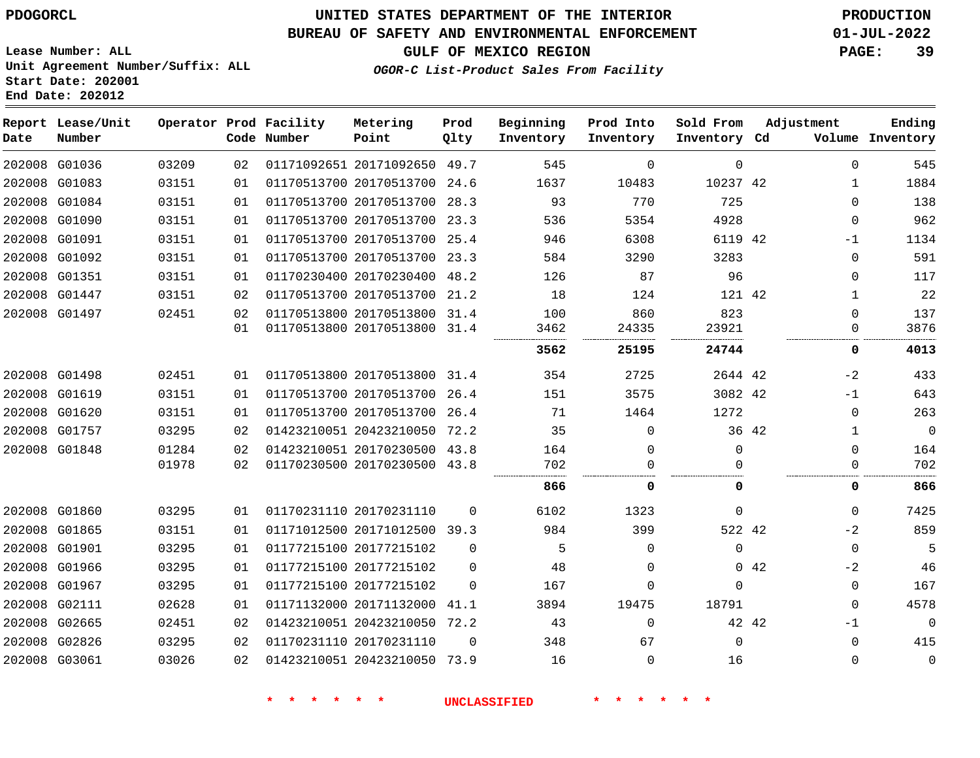# **UNITED STATES DEPARTMENT OF THE INTERIOR PDOGORCL PRODUCTION**

### **BUREAU OF SAFETY AND ENVIRONMENTAL ENFORCEMENT 01-JUL-2022**

**Lease Number: ALL Unit Agreement Number/Suffix: ALL Start Date: 202001**

## **GULF OF MEXICO REGION PAGE: 39**

**OGOR-C List-Product Sales From Facility**

| Date          | Report Lease/Unit<br>Number |       |    | Operator Prod Facility<br>Code Number | Metering<br>Point            | Prod<br>Qlty | Beginning<br>Inventory | Prod Into<br>Inventory | Sold From<br>Inventory Cd | Adjustment |              | Ending<br>Volume Inventory |
|---------------|-----------------------------|-------|----|---------------------------------------|------------------------------|--------------|------------------------|------------------------|---------------------------|------------|--------------|----------------------------|
|               | 202008 G01036               | 03209 | 02 |                                       | 01171092651 20171092650 49.7 |              | 545                    | $\mathbf 0$            | $\Omega$                  |            | $\Omega$     | 545                        |
|               | 202008 G01083               | 03151 | 01 |                                       | 01170513700 20170513700 24.6 |              | 1637                   | 10483                  | 10237 42                  |            | 1            | 1884                       |
|               | 202008 G01084               | 03151 | 01 |                                       | 01170513700 20170513700      | 28.3         | 93                     | 770                    | 725                       |            | $\Omega$     | 138                        |
|               | 202008 G01090               | 03151 | 01 |                                       | 01170513700 20170513700 23.3 |              | 536                    | 5354                   | 4928                      |            | $\Omega$     | 962                        |
|               | 202008 G01091               | 03151 | 01 |                                       | 01170513700 20170513700      | 25.4         | 946                    | 6308                   | 6119 42                   |            | $-1$         | 1134                       |
|               | 202008 G01092               | 03151 | 01 |                                       | 01170513700 20170513700 23.3 |              | 584                    | 3290                   | 3283                      |            | $\Omega$     | 591                        |
|               | 202008 G01351               | 03151 | 01 |                                       | 01170230400 20170230400      | 48.2         | 126                    | 87                     | 96                        |            | $\Omega$     | 117                        |
|               | 202008 G01447               | 03151 | 02 |                                       | 01170513700 20170513700      | 21.2         | 18                     | 124                    | 121 42                    |            | $\mathbf{1}$ | 22                         |
|               | 202008 G01497               | 02451 | 02 |                                       | 01170513800 20170513800 31.4 |              | 100                    | 860                    | 823                       |            | $\Omega$     | 137                        |
|               |                             |       | 01 |                                       | 01170513800 20170513800      | 31.4         | 3462                   | 24335                  | 23921                     |            | $\Omega$     | 3876                       |
|               |                             |       |    |                                       |                              |              | 3562                   | 25195                  | 24744                     |            | 0            | 4013                       |
|               | 202008 G01498               | 02451 | 01 |                                       | 01170513800 20170513800 31.4 |              | 354                    | 2725                   | 2644 42                   |            | $-2$         | 433                        |
|               | 202008 G01619               | 03151 | 01 |                                       | 01170513700 20170513700 26.4 |              | 151                    | 3575                   | 3082 42                   |            | $-1$         | 643                        |
|               | 202008 G01620               | 03151 | 01 |                                       | 01170513700 20170513700      | 26.4         | 71                     | 1464                   | 1272                      |            | 0            | 263                        |
|               | 202008 G01757               | 03295 | 02 |                                       | 01423210051 20423210050 72.2 |              | 35                     | $\Omega$               |                           | 36 42      | 1            | 0                          |
|               | 202008 G01848               | 01284 | 02 |                                       | 01423210051 20170230500 43.8 |              | 164                    | $\mathbf 0$            | 0                         |            | 0            | 164                        |
|               |                             | 01978 | 02 |                                       | 01170230500 20170230500 43.8 |              | 702                    | $\Omega$               | 0                         |            | 0            | 702                        |
|               |                             |       |    |                                       |                              |              | 866                    | 0                      | 0                         |            | 0            | 866                        |
| 202008 G01860 |                             | 03295 | 01 |                                       | 01170231110 20170231110      | $\Omega$     | 6102                   | 1323                   | $\Omega$                  |            | $\Omega$     | 7425                       |
|               | 202008 G01865               | 03151 | 01 |                                       | 01171012500 20171012500 39.3 |              | 984                    | 399                    | 522 42                    |            | $-2$         | 859                        |
| 202008 G01901 |                             | 03295 | 01 |                                       | 01177215100 20177215102      | $\Omega$     | 5                      | $\Omega$               | $\Omega$                  |            | $\Omega$     | 5                          |
|               | 202008 G01966               | 03295 | 01 |                                       | 01177215100 20177215102      | $\Omega$     | 48                     | $\Omega$               |                           | 0.42       | $-2$         | 46                         |
|               | 202008 G01967               | 03295 | 01 |                                       | 01177215100 20177215102      | $\Omega$     | 167                    | $\Omega$               | $\Omega$                  |            | $\mathbf 0$  | 167                        |
| 202008 G02111 |                             | 02628 | 01 |                                       | 01171132000 20171132000      | 41.1         | 3894                   | 19475                  | 18791                     |            | $\Omega$     | 4578                       |
|               | 202008 G02665               | 02451 | 02 |                                       | 01423210051 20423210050 72.2 |              | 43                     | $\Omega$               |                           | 42 42      | $-1$         | $\mathbf 0$                |
|               | 202008 G02826               | 03295 | 02 |                                       | 01170231110 20170231110      | $\Omega$     | 348                    | 67                     | $\Omega$                  |            | $\mathbf 0$  | 415                        |
|               | 202008 G03061               | 03026 | 02 |                                       | 01423210051 20423210050 73.9 |              | 16                     | $\Omega$               | 16                        |            | $\Omega$     | $\mathbf 0$                |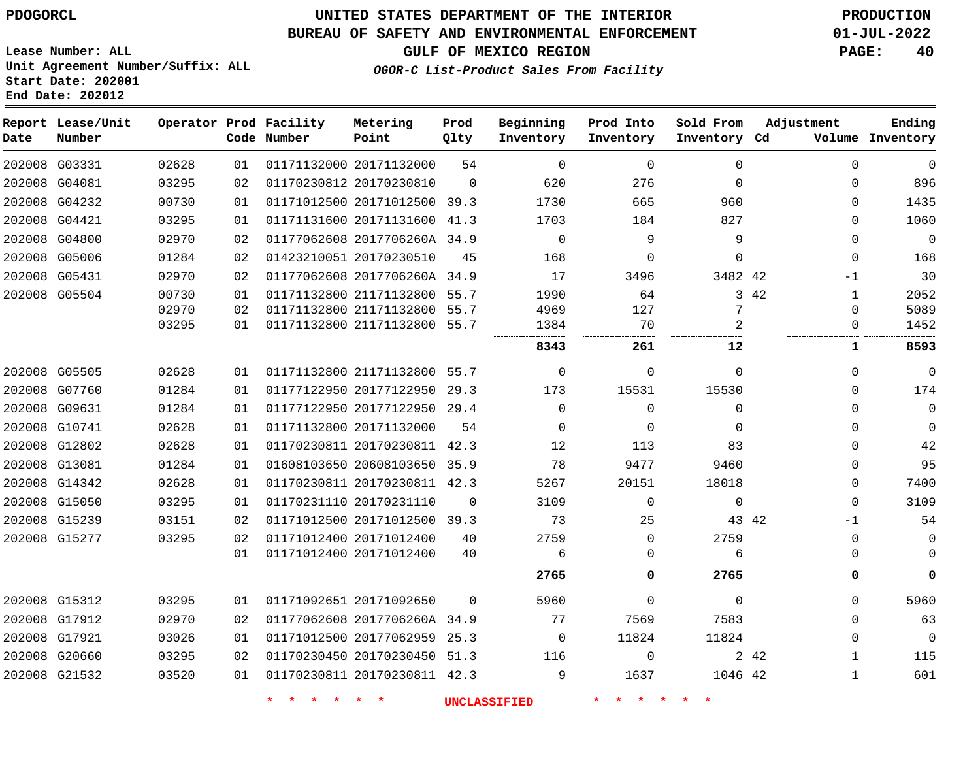**Start Date: 202001 End Date: 202012**

# **UNITED STATES DEPARTMENT OF THE INTERIOR PDOGORCL PRODUCTION**

#### **BUREAU OF SAFETY AND ENVIRONMENTAL ENFORCEMENT 01-JUL-2022**

**Lease Number: ALL Unit Agreement Number/Suffix: ALL**

### **GULF OF MEXICO REGION PAGE: 40**

**OGOR-C List-Product Sales From Facility**

| Date | Report Lease/Unit<br>Number |       |    | Operator Prod Facility<br>Code Number | Metering<br>Point            | Prod<br>Qlty | Beginning<br>Inventory | Prod Into<br>Inventory | Sold From<br>Inventory Cd | Adjustment            | Ending<br>Volume Inventory |
|------|-----------------------------|-------|----|---------------------------------------|------------------------------|--------------|------------------------|------------------------|---------------------------|-----------------------|----------------------------|
|      | 202008 G03331               | 02628 | 01 |                                       | 01171132000 20171132000      | 54           | $\Omega$               | $\Omega$               | $\Omega$                  | $\Omega$              | $\mathbf{0}$               |
|      | 202008 G04081               | 03295 | 02 |                                       | 01170230812 20170230810      | $\mathbf 0$  | 620                    | 276                    | $\Omega$                  | $\mathbf 0$           | 896                        |
|      | 202008 G04232               | 00730 | 01 |                                       | 01171012500 20171012500 39.3 |              | 1730                   | 665                    | 960                       | $\Omega$              | 1435                       |
|      | 202008 G04421               | 03295 | 01 |                                       | 01171131600 20171131600 41.3 |              | 1703                   | 184                    | 827                       | $\Omega$              | 1060                       |
|      | 202008 G04800               | 02970 | 02 |                                       | 01177062608 2017706260A 34.9 |              | $\Omega$               | 9                      | 9                         | $\Omega$              | $\overline{0}$             |
|      | 202008 G05006               | 01284 | 02 |                                       | 01423210051 20170230510      | 45           | 168                    | 0                      | $\Omega$                  | $\mathbf 0$           | 168                        |
|      | 202008 G05431               | 02970 | 02 |                                       | 01177062608 2017706260A 34.9 |              | 17                     | 3496                   | 3482 42                   | $-1$                  | 30                         |
|      | 202008 G05504               | 00730 | 01 |                                       | 01171132800 21171132800 55.7 |              | 1990                   | 64                     |                           | 3 42<br>$\mathbf{1}$  | 2052                       |
|      |                             | 02970 | 02 |                                       | 01171132800 21171132800 55.7 |              | 4969                   | 127                    | 7                         | $\Omega$              | 5089                       |
|      |                             | 03295 | 01 |                                       | 01171132800 21171132800 55.7 |              | 1384                   | 70                     | 2                         | 0                     | 1452                       |
|      |                             |       |    |                                       |                              |              | 8343                   | 261                    | 12                        | 1                     | 8593                       |
|      | 202008 G05505               | 02628 | 01 |                                       | 01171132800 21171132800 55.7 |              | $\mathbf 0$            | 0                      | $\Omega$                  | $\mathbf 0$           | $\overline{0}$             |
|      | 202008 G07760               | 01284 | 01 |                                       | 01177122950 20177122950 29.3 |              | 173                    | 15531                  | 15530                     | $\Omega$              | 174                        |
|      | 202008 G09631               | 01284 | 01 |                                       | 01177122950 20177122950 29.4 |              | 0                      | $\Omega$               | $\Omega$                  | $\Omega$              | $\mathbf 0$                |
|      | 202008 G10741               | 02628 | 01 |                                       | 01171132800 20171132000      | 54           | $\Omega$               | $\Omega$               | $\Omega$                  | $\Omega$              | $\mathbf 0$                |
|      | 202008 G12802               | 02628 | 01 |                                       | 01170230811 20170230811 42.3 |              | 12                     | 113                    | 83                        | $\mathbf 0$           | 42                         |
|      | 202008 G13081               | 01284 | 01 |                                       | 01608103650 20608103650 35.9 |              | 78                     | 9477                   | 9460                      | $\Omega$              | 95                         |
|      | 202008 G14342               | 02628 | 01 |                                       | 01170230811 20170230811 42.3 |              | 5267                   | 20151                  | 18018                     | $\mathbf 0$           | 7400                       |
|      | 202008 G15050               | 03295 | 01 |                                       | 01170231110 20170231110      | $\mathbf 0$  | 3109                   | 0                      | $\mathbf 0$               | $\mathbf 0$           | 3109                       |
|      | 202008 G15239               | 03151 | 02 |                                       | 01171012500 20171012500 39.3 |              | 73                     | 25                     |                           | 43 42<br>-1           | 54                         |
|      | 202008 G15277               | 03295 | 02 |                                       | 01171012400 20171012400      | 40           | 2759                   | $\mathbf 0$            | 2759                      | $\mathbf 0$           | $\mathbf 0$                |
|      |                             |       | 01 |                                       | 01171012400 20171012400      | 40           | 6                      | $\Omega$               | 6                         | $\mathbf 0$           | $\Omega$                   |
|      |                             |       |    |                                       |                              |              | 2765                   | 0                      | 2765                      | 0                     | 0                          |
|      | 202008 G15312               | 03295 | 01 |                                       | 01171092651 20171092650      | $\Omega$     | 5960                   | $\Omega$               | $\mathbf 0$               | $\Omega$              | 5960                       |
|      | 202008 G17912               | 02970 | 02 |                                       | 01177062608 2017706260A 34.9 |              | 77                     | 7569                   | 7583                      | $\mathbf 0$           | 63                         |
|      | 202008 G17921               | 03026 | 01 |                                       | 01171012500 20177062959 25.3 |              | 0                      | 11824                  | 11824                     | $\Omega$              | $\overline{0}$             |
|      | 202008 G20660               | 03295 | 02 |                                       | 01170230450 20170230450 51.3 |              | 116                    | $\mathbf 0$            |                           | 2 4 2<br>$\mathbf{1}$ | 115                        |
|      | 202008 G21532               | 03520 | 01 |                                       | 01170230811 20170230811 42.3 |              | 9                      | 1637                   | 1046 42                   | 1                     | 601                        |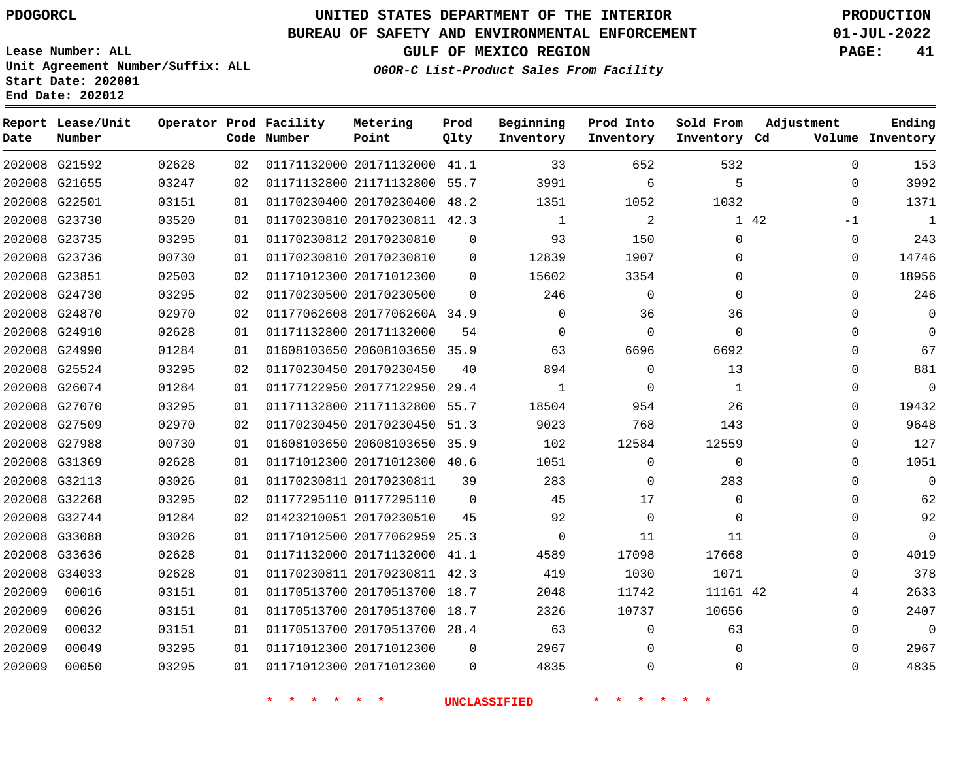# **UNITED STATES DEPARTMENT OF THE INTERIOR PDOGORCL PRODUCTION**

### **BUREAU OF SAFETY AND ENVIRONMENTAL ENFORCEMENT 01-JUL-2022**

**Lease Number: ALL Unit Agreement Number/Suffix: ALL Start Date: 202001**

**GULF OF MEXICO REGION PAGE: 41**

**OGOR-C List-Product Sales From Facility**

| Date   | Report Lease/Unit<br>Number |       |    | Operator Prod Facility<br>Code Number | Metering<br>Point            | Prod<br>Qlty | Beginning<br>Inventory | Prod Into<br>Inventory | Sold From<br>Inventory Cd | Adjustment   | Ending<br>Volume Inventory |
|--------|-----------------------------|-------|----|---------------------------------------|------------------------------|--------------|------------------------|------------------------|---------------------------|--------------|----------------------------|
|        | 202008 G21592               | 02628 | 02 |                                       | 01171132000 20171132000      | 41.1         | 33                     | 652                    | 532                       | 0            | 153                        |
| 202008 | G21655                      | 03247 | 02 |                                       | 01171132800 21171132800      | 55.7         | 3991                   | 6                      | 5                         | $\mathbf{0}$ | 3992                       |
|        | 202008 G22501               | 03151 | 01 |                                       | 01170230400 20170230400      | 48.2         | 1351                   | 1052                   | 1032                      | $\Omega$     | 1371                       |
| 202008 | G23730                      | 03520 | 01 |                                       | 01170230810 20170230811 42.3 |              | 1                      | 2                      |                           | 1 42<br>$-1$ | 1                          |
|        | 202008 G23735               | 03295 | 01 |                                       | 01170230812 20170230810      | 0            | 93                     | 150                    | $\Omega$                  | $\mathbf 0$  | 243                        |
| 202008 | G23736                      | 00730 | 01 |                                       | 01170230810 20170230810      | 0            | 12839                  | 1907                   | $\mathbf 0$               | $\mathbf{0}$ | 14746                      |
|        | 202008 G23851               | 02503 | 02 |                                       | 01171012300 20171012300      | $\Omega$     | 15602                  | 3354                   | $\Omega$                  | $\mathbf{0}$ | 18956                      |
|        | 202008 G24730               | 03295 | 02 |                                       | 01170230500 20170230500      | $\Omega$     | 246                    | $\Omega$               | $\Omega$                  | 0            | 246                        |
|        | 202008 G24870               | 02970 | 02 |                                       | 01177062608 2017706260A 34.9 |              | $\mathbf 0$            | 36                     | 36                        | $\mathbf 0$  | $\Omega$                   |
| 202008 | G24910                      | 02628 | 01 |                                       | 01171132800 20171132000      | 54           | $\Omega$               | $\Omega$               | $\Omega$                  | $\mathbf{0}$ | $\Omega$                   |
| 202008 | G24990                      | 01284 | 01 |                                       | 01608103650 20608103650      | 35.9         | 63                     | 6696                   | 6692                      | $\mathbf{0}$ | 67                         |
| 202008 | G25524                      | 03295 | 02 |                                       | 01170230450 20170230450      | 40           | 894                    | $\Omega$               | 13                        | 0            | 881                        |
| 202008 | G26074                      | 01284 | 01 |                                       | 01177122950 20177122950      | 29.4         | 1                      | $\Omega$               | $\mathbf{1}$              | 0            | $\Omega$                   |
| 202008 | G27070                      | 03295 | 01 |                                       | 01171132800 21171132800      | 55.7         | 18504                  | 954                    | 26                        | $\mathbf{0}$ | 19432                      |
| 202008 | G27509                      | 02970 | 02 |                                       | 01170230450 20170230450      | 51.3         | 9023                   | 768                    | 143                       | 0            | 9648                       |
|        | 202008 G27988               | 00730 | 01 |                                       | 01608103650 20608103650      | 35.9         | 102                    | 12584                  | 12559                     | $\mathbf{0}$ | 127                        |
| 202008 | G31369                      | 02628 | 01 |                                       | 01171012300 20171012300      | 40.6         | 1051                   | $\Omega$               | $\Omega$                  | $\mathbf{0}$ | 1051                       |
|        | 202008 G32113               | 03026 | 01 |                                       | 01170230811 20170230811      | 39           | 283                    | $\Omega$               | 283                       | $\mathbf{0}$ | $\Omega$                   |
| 202008 | G32268                      | 03295 | 02 |                                       | 01177295110 01177295110      | $\Omega$     | 45                     | 17                     | $\mathbf 0$               | $\mathbf{0}$ | 62                         |
|        | 202008 G32744               | 01284 | 02 |                                       | 01423210051 20170230510      | 45           | 92                     | $\Omega$               | $\Omega$                  | $\mathbf{0}$ | 92                         |
| 202008 | G33088                      | 03026 | 01 |                                       | 01171012500 20177062959      | 25.3         | $\Omega$               | 11                     | 11                        | $\Omega$     | $\Omega$                   |
| 202008 | G33636                      | 02628 | 01 |                                       | 01171132000 20171132000      | 41.1         | 4589                   | 17098                  | 17668                     | 0            | 4019                       |
| 202008 | G34033                      | 02628 | 01 |                                       | 01170230811 20170230811      | 42.3         | 419                    | 1030                   | 1071                      | $\mathbf{0}$ | 378                        |
| 202009 | 00016                       | 03151 | 01 |                                       | 01170513700 20170513700      | 18.7         | 2048                   | 11742                  | 11161 42                  | 4            | 2633                       |
| 202009 | 00026                       | 03151 | 01 |                                       | 01170513700 20170513700      | 18.7         | 2326                   | 10737                  | 10656                     | 0            | 2407                       |
| 202009 | 00032                       | 03151 | 01 |                                       | 01170513700 20170513700      | 28.4         | 63                     | $\Omega$               | 63                        | 0            | $\Omega$                   |
| 202009 | 00049                       | 03295 | 01 |                                       | 01171012300 20171012300      | 0            | 2967                   | $\Omega$               | $\mathbf 0$               | $\mathbf{0}$ | 2967                       |
| 202009 | 00050                       | 03295 | 01 |                                       | 01171012300 20171012300      | $\Omega$     | 4835                   | $\Omega$               | $\Omega$                  | $\Omega$     | 4835                       |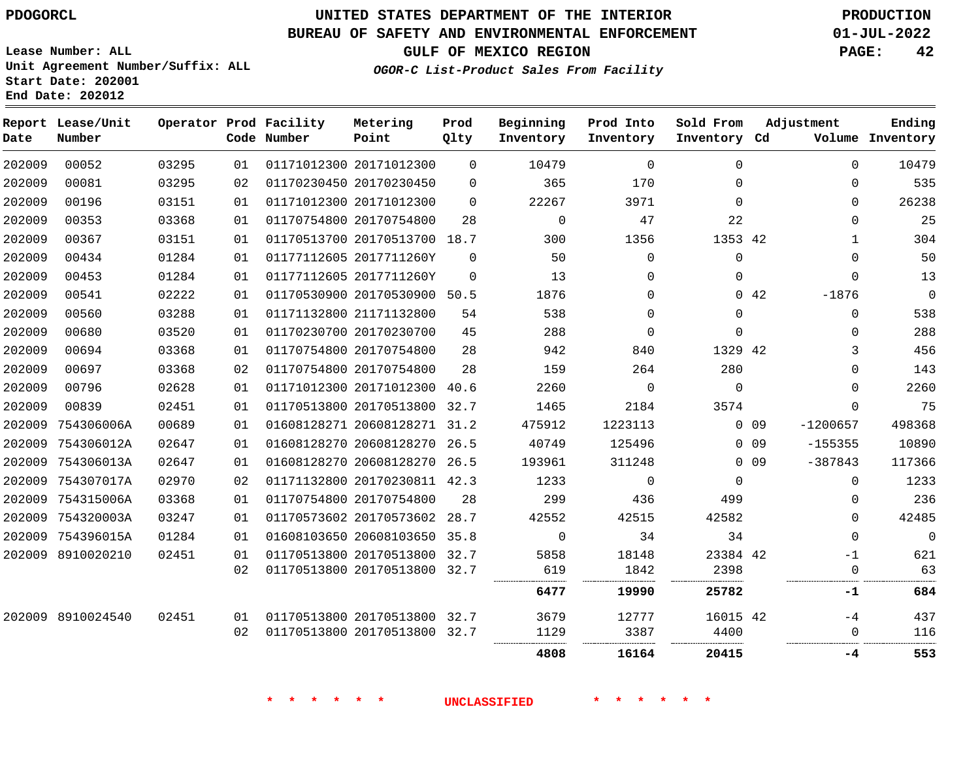### **BUREAU OF SAFETY AND ENVIRONMENTAL ENFORCEMENT 01-JUL-2022**

**GULF OF MEXICO REGION PAGE: 42**

**OGOR-C List-Product Sales From Facility**

**Lease Number: ALL Unit Agreement Number/Suffix: ALL Start Date: 202001 End Date: 202012**

| Date   | Report Lease/Unit<br>Number |       |    | Operator Prod Facility<br>Code Number | Metering<br>Point            | Prod<br>Qlty | Beginning<br>Inventory | Prod Into<br>Inventory | Sold From<br>Inventory Cd |                 | Adjustment | Ending<br>Volume Inventory |
|--------|-----------------------------|-------|----|---------------------------------------|------------------------------|--------------|------------------------|------------------------|---------------------------|-----------------|------------|----------------------------|
| 202009 | 00052                       | 03295 | 01 |                                       | 01171012300 20171012300      | $\Omega$     | 10479                  | $\Omega$               | $\Omega$                  |                 | $\Omega$   | 10479                      |
| 202009 | 00081                       | 03295 | 02 |                                       | 01170230450 20170230450      | $\Omega$     | 365                    | 170                    | $\Omega$                  |                 | $\Omega$   | 535                        |
| 202009 | 00196                       | 03151 | 01 |                                       | 01171012300 20171012300      | $\Omega$     | 22267                  | 3971                   | $\Omega$                  |                 | $\Omega$   | 26238                      |
| 202009 | 00353                       | 03368 | 01 |                                       | 01170754800 20170754800      | 28           | $\mathbf 0$            | 47                     | 22                        |                 | $\Omega$   | 25                         |
| 202009 | 00367                       | 03151 | 01 |                                       | 01170513700 20170513700 18.7 |              | 300                    | 1356                   | 1353 42                   |                 | 1          | 304                        |
| 202009 | 00434                       | 01284 | 01 |                                       | 01177112605 2017711260Y      | $\Omega$     | 50                     | $\Omega$               | $\Omega$                  |                 | $\Omega$   | 50                         |
| 202009 | 00453                       | 01284 | 01 |                                       | 01177112605 2017711260Y      | $\mathbf{0}$ | 13                     | $\mathbf 0$            | $\mathbf 0$               |                 | $\Omega$   | 13                         |
| 202009 | 00541                       | 02222 | 01 |                                       | 01170530900 20170530900 50.5 |              | 1876                   | $\Omega$               |                           | 0.42            | $-1876$    | $\mathbf 0$                |
| 202009 | 00560                       | 03288 | 01 |                                       | 01171132800 21171132800      | 54           | 538                    | $\mathbf 0$            | $\mathbf 0$               |                 | 0          | 538                        |
| 202009 | 00680                       | 03520 | 01 |                                       | 01170230700 20170230700      | 45           | 288                    | $\Omega$               | $\Omega$                  |                 | $\Omega$   | 288                        |
| 202009 | 00694                       | 03368 | 01 |                                       | 01170754800 20170754800      | 28           | 942                    | 840                    | 1329 42                   |                 | 3          | 456                        |
| 202009 | 00697                       | 03368 | 02 |                                       | 01170754800 20170754800      | 28           | 159                    | 264                    | 280                       |                 | $\Omega$   | 143                        |
| 202009 | 00796                       | 02628 | 01 |                                       | 01171012300 20171012300 40.6 |              | 2260                   | $\Omega$               | $\Omega$                  |                 | $\Omega$   | 2260                       |
| 202009 | 00839                       | 02451 | 01 |                                       | 01170513800 20170513800      | 32.7         | 1465                   | 2184                   | 3574                      |                 | $\Omega$   | 75                         |
| 202009 | 754306006A                  | 00689 | 01 |                                       | 01608128271 20608128271 31.2 |              | 475912                 | 1223113                |                           | 0 <sub>09</sub> | $-1200657$ | 498368                     |
| 202009 | 754306012A                  | 02647 | 01 |                                       | 01608128270 20608128270 26.5 |              | 40749                  | 125496                 |                           | $0\quad09$      | $-155355$  | 10890                      |
| 202009 | 754306013A                  | 02647 | 01 |                                       | 01608128270 20608128270 26.5 |              | 193961                 | 311248                 |                           | 0 <sub>09</sub> | $-387843$  | 117366                     |
| 202009 | 754307017A                  | 02970 | 02 |                                       | 01171132800 20170230811 42.3 |              | 1233                   | $\mathbf 0$            | $\mathbf 0$               |                 | 0          | 1233                       |
|        | 202009 754315006A           | 03368 | 01 |                                       | 01170754800 20170754800      | 28           | 299                    | 436                    | 499                       |                 | $\Omega$   | 236                        |
|        | 202009 754320003A           | 03247 | 01 |                                       | 01170573602 20170573602 28.7 |              | 42552                  | 42515                  | 42582                     |                 | $\Omega$   | 42485                      |
|        | 202009 754396015A           | 01284 | 01 |                                       | 01608103650 20608103650 35.8 |              | $\mathbf 0$            | 34                     | 34                        |                 | $\Omega$   | $\mathbf 0$                |
|        | 202009 8910020210           | 02451 | 01 |                                       | 01170513800 20170513800 32.7 |              | 5858                   | 18148                  | 23384 42                  |                 | $-1$       | 621                        |
|        |                             |       | 02 |                                       | 01170513800 20170513800 32.7 |              | 619                    | 1842                   | 2398                      |                 | $\Omega$   | 63                         |
|        |                             |       |    |                                       |                              |              | 6477                   | 19990                  | 25782                     |                 | -1         | 684                        |
|        | 202009 8910024540           | 02451 | 01 |                                       | 01170513800 20170513800 32.7 |              | 3679                   | 12777                  | 16015 42                  |                 | $-4$       | 437                        |
|        |                             |       | 02 |                                       | 01170513800 20170513800 32.7 |              | 1129                   | 3387                   | 4400                      |                 | $\Omega$   | 116                        |
|        |                             |       |    |                                       |                              |              | 4808                   | 16164                  | 20415                     |                 | -4         | 553                        |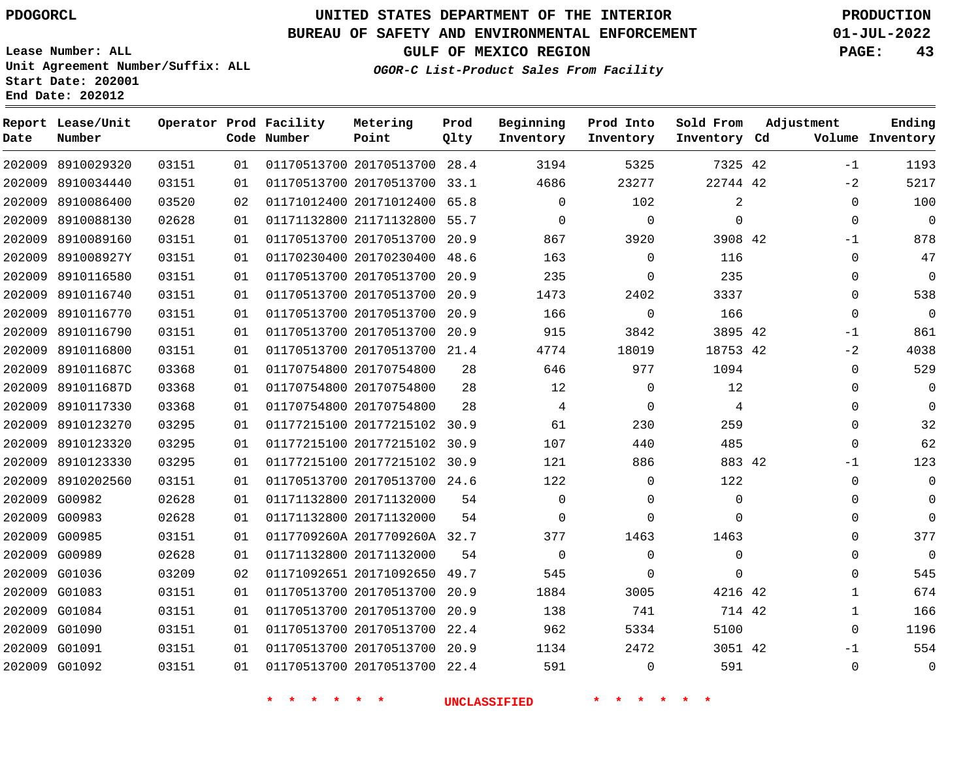**Prod**

### **BUREAU OF SAFETY AND ENVIRONMENTAL ENFORCEMENT 01-JUL-2022**

**Lease Number: ALL Unit Agreement Number/Suffix: ALL Start Date: 202001**

**OGOR-C List-Product Sales From Facility**

**Beginning Prod Into Sold From**

**GULF OF MEXICO REGION PAGE: 43**

**Adjustment**

**Ending**

|      | End Date: 202012            |       |      |                                       |                   |
|------|-----------------------------|-------|------|---------------------------------------|-------------------|
| Date | Report Lease/Unit<br>Number |       |      | Operator Prod Facility<br>Code Number | Metering<br>Point |
|      | 202009 8910029320           | 03151 | 01 L | 01170513700 20170513                  |                   |

| Date   | Number            |       |    | Code Number | Point                        | Qlty | Inventory | Inventory      | Inventory Cd |             | Volume Inventory |
|--------|-------------------|-------|----|-------------|------------------------------|------|-----------|----------------|--------------|-------------|------------------|
| 202009 | 8910029320        | 03151 | 01 |             | 01170513700 20170513700 28.4 |      | 3194      | 5325           | 7325 42      | $-1$        | 1193             |
| 202009 | 8910034440        | 03151 | 01 |             | 01170513700 20170513700 33.1 |      | 4686      | 23277          | 22744 42     | $-2$        | 5217             |
|        | 202009 8910086400 | 03520 | 02 |             | 01171012400 20171012400 65.8 |      | 0         | 102            | 2            | $\Omega$    | 100              |
| 202009 | 8910088130        | 02628 | 01 |             | 01171132800 21171132800      | 55.7 | 0         | 0              | $\mathbf 0$  | $\mathbf 0$ | $\overline{0}$   |
| 202009 | 8910089160        | 03151 | 01 |             | 01170513700 20170513700      | 20.9 | 867       | 3920           | 3908 42      | -1          | 878              |
| 202009 | 891008927Y        | 03151 | 01 |             | 01170230400 20170230400      | 48.6 | 163       | $\Omega$       | 116          | $\Omega$    | 47               |
| 202009 | 8910116580        | 03151 | 01 |             | 01170513700 20170513700      | 20.9 | 235       | $\Omega$       | 235          | $\mathbf 0$ | $\overline{0}$   |
| 202009 | 8910116740        | 03151 | 01 |             | 01170513700 20170513700      | 20.9 | 1473      | 2402           | 3337         | $\mathbf 0$ | 538              |
| 202009 | 8910116770        | 03151 | 01 |             | 01170513700 20170513700      | 20.9 | 166       | $\overline{0}$ | 166          | $\mathbf 0$ | $\overline{0}$   |
|        | 202009 8910116790 | 03151 | 01 |             | 01170513700 20170513700 20.9 |      | 915       | 3842           | 3895 42      | $-1$        | 861              |
| 202009 | 8910116800        | 03151 | 01 |             | 01170513700 20170513700      | 21.4 | 4774      | 18019          | 18753 42     | $-2$        | 4038             |
| 202009 | 891011687C        | 03368 | 01 |             | 01170754800 20170754800      | 28   | 646       | 977            | 1094         | $\mathbf 0$ | 529              |
| 202009 | 891011687D        | 03368 | 01 |             | 01170754800 20170754800      | 28   | 12        | 0              | 12           | $\mathbf 0$ | $\mathbf 0$      |
| 202009 | 8910117330        | 03368 | 01 |             | 01170754800 20170754800      | 28   | 4         | $\mathbf 0$    | 4            | $\mathbf 0$ | $\mathbf 0$      |
| 202009 | 8910123270        | 03295 | 01 |             | 01177215100 20177215102 30.9 |      | 61        | 230            | 259          | $\mathbf 0$ | 32               |
| 202009 | 8910123320        | 03295 | 01 |             | 01177215100 20177215102      | 30.9 | 107       | 440            | 485          | $\Omega$    | 62               |
|        | 202009 8910123330 | 03295 | 01 |             | 01177215100 20177215102 30.9 |      | 121       | 886            | 883 42       | $-1$        | 123              |
| 202009 | 8910202560        | 03151 | 01 |             | 01170513700 20170513700 24.6 |      | 122       | $\Omega$       | 122          | $\mathbf 0$ | $\mathbf 0$      |
| 202009 | G00982            | 02628 | 01 |             | 01171132800 20171132000      | 54   | 0         | $\Omega$       | $\Omega$     | $\Omega$    | $\mathbf 0$      |
| 202009 | G00983            | 02628 | 01 |             | 01171132800 20171132000      | 54   | 0         | $\Omega$       | $\Omega$     | $\mathbf 0$ | $\Omega$         |
| 202009 | G00985            | 03151 | 01 |             | 0117709260A 2017709260A 32.7 |      | 377       | 1463           | 1463         | $\Omega$    | 377              |
|        | 202009 G00989     | 02628 | 01 |             | 01171132800 20171132000      | 54   | 0         | $\Omega$       | $\mathbf 0$  | $\Omega$    | $\overline{0}$   |
| 202009 | G01036            | 03209 | 02 |             | 01171092651 20171092650      | 49.7 | 545       | $\Omega$       | $\mathbf 0$  | 0           | 545              |
|        | 202009 G01083     | 03151 | 01 |             | 01170513700 20170513700      | 20.9 | 1884      | 3005           | 4216 42      | 1           | 674              |
|        | 202009 G01084     | 03151 | 01 |             | 01170513700 20170513700      | 20.9 | 138       | 741            | 714 42       | 1           | 166              |
|        | 202009 G01090     | 03151 | 01 |             | 01170513700 20170513700      | 22.4 | 962       | 5334           | 5100         | $\Omega$    | 1196             |
| 202009 | G01091            | 03151 | 01 |             | 01170513700 20170513700      | 20.9 | 1134      | 2472           | 3051 42      | $-1$        | 554              |
|        | 202009 G01092     | 03151 | 01 |             | 01170513700 20170513700      | 22.4 | 591       | $\Omega$       | 591          | $\Omega$    | $\mathbf 0$      |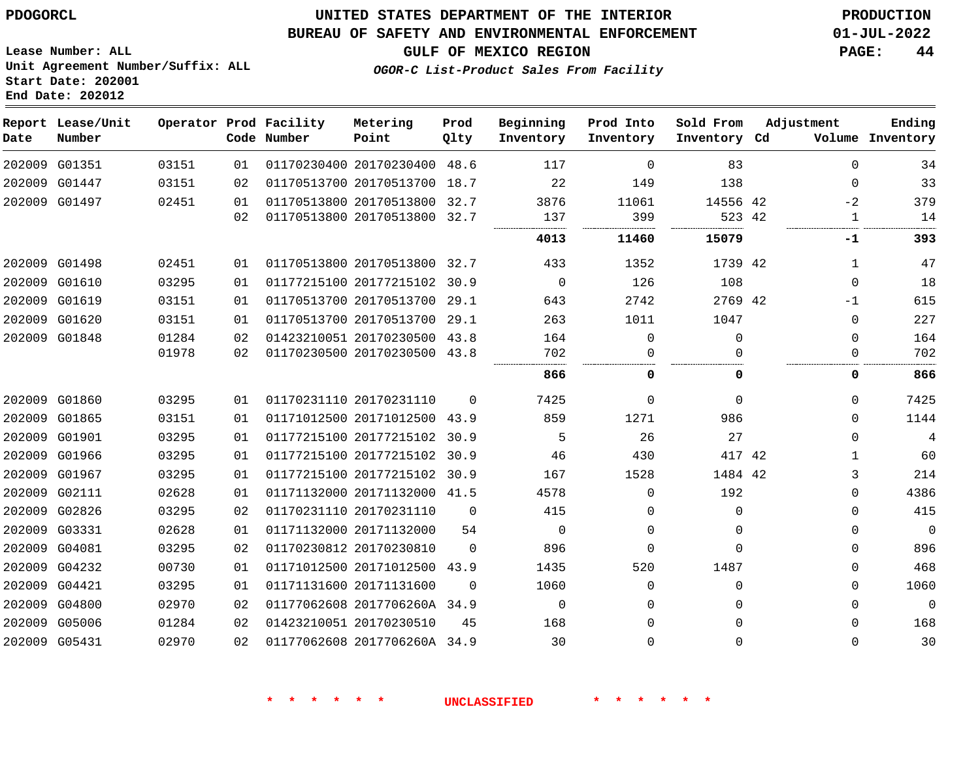**End Date: 202012**

**Report Lease/Unit**

**Number**

 G04421 G04800 G05006 G05431

## **UNITED STATES DEPARTMENT OF THE INTERIOR PDOGORCL PRODUCTION**

**Prod Qlty**

#### **BUREAU OF SAFETY AND ENVIRONMENTAL ENFORCEMENT 01-JUL-2022**

**Lease Number: ALL Unit Agreement Number/Suffix: ALL Start Date: 202001**

**Operator Prod Facility**

**Code Number**

**OGOR-C List-Product Sales From Facility**

**Beginning Inventory** **Prod Into Inventory**

**GULF OF MEXICO REGION PAGE: 44**

**Inventory Cd Volume**

**Adjustment**

  $\Omega$  $-2$ 

  $\Omega$ -1  $\Omega$ 

**-1**

 $\Omega$  $\Omega$  $\Omega$   $\Omega$  $\Omega$  $\Omega$  $\Omega$   $\Omega$  $\Omega$ 

**Ending**

 

**Sold From Inventory**

 

 $\Omega$   $\Omega$  $\Omega$ 

| 83          | $\Omega$     | 117  | 48.6     | 01170230400 20170230400 | 01 | 03151 | G01351        | 202009 |
|-------------|--------------|------|----------|-------------------------|----|-------|---------------|--------|
| 138         | 149          | 22   | 18.7     | 01170513700 20170513700 | 02 | 03151 | G01447        | 202009 |
| 14556       | 11061        | 3876 | 32.7     | 01170513800 20170513800 | 01 | 02451 | 202009 G01497 |        |
| 523         | 399          | 137  | 32.7     | 01170513800 20170513800 | 02 |       |               |        |
| 15079       | 11460        | 4013 |          |                         |    |       |               |        |
| 1739        | 1352         | 433  | 32.7     | 01170513800 20170513800 | 01 | 02451 | G01498        | 202009 |
| 108         | 126          | 0    | 30.9     | 01177215100 20177215102 | 01 | 03295 | G01610        | 202009 |
| 2769        | 2742         | 643  | 29.1     | 01170513700 20170513700 | 01 | 03151 | G01619        | 202009 |
| 1047        | 1011         | 263  | 29.1     | 01170513700 20170513700 | 01 | 03151 | G01620        | 202009 |
| 0           | <sup>0</sup> | 164  | 43.8     | 01423210051 20170230500 | 02 | 01284 | G01848        | 202009 |
|             | O            | 702  | 43.8     | 01170230500 20170230500 | 02 | 01978 |               |        |
| 0           | 0            | 866  |          |                         |    |       |               |        |
| $\Omega$    | 0            | 7425 | 0        | 01170231110 20170231110 | 01 | 03295 | G01860        | 202009 |
| 986         | 1271         | 859  | 43.9     | 01171012500 20171012500 | 01 | 03151 | G01865        | 202009 |
| 27          | 26           | 5    | 30.9     | 01177215100 20177215102 | 01 | 03295 | G01901        | 202009 |
|             |              |      |          |                         |    |       |               | 202009 |
| 417         | 430          | 46   | 30.9     | 01177215100 20177215102 | 01 | 03295 | G01966        |        |
| 1484        | 1528         | 167  | 30.9     | 01177215100 20177215102 | 01 | 03295 | G01967        | 202009 |
| 192         | $\Omega$     | 4578 | 41.5     | 01171132000 20171132000 | 01 | 02628 | G02111        | 202009 |
| $\mathbf 0$ | 0            | 415  | 0        | 01170231110 20170231110 | 02 | 03295 | G02826        | 202009 |
| $\Omega$    | 0            | 0    | 54       | 01171132000 20171132000 | 01 | 02628 | G03331        | 202009 |
| $\Omega$    | $\Omega$     | 896  | $\Omega$ | 01170230812 20170230810 | 02 | 03295 | G04081        | 202009 |

**Metering Point**

20171131600

20170230510

2017706260A 34.9

2017706260A 34.9

**\* \* \* \* \* \* UNCLASSIFIED \* \* \* \* \* \***

 $\Omega$   $\Omega$  $\Omega$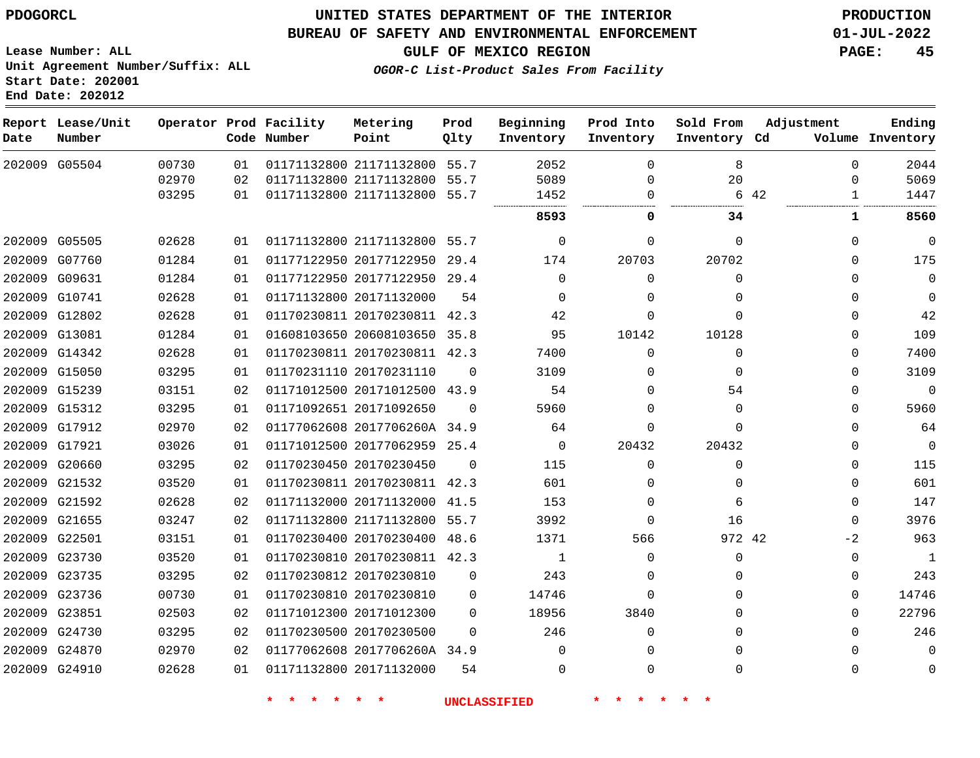#### **BUREAU OF SAFETY AND ENVIRONMENTAL ENFORCEMENT 01-JUL-2022**

**Lease Number: ALL Unit Agreement Number/Suffix: ALL Start Date: 202001 End Date: 202012**

**OGOR-C List-Product Sales From Facility**

**GULF OF MEXICO REGION PAGE: 45**

| Date          | Report Lease/Unit<br>Number |       |    | Operator Prod Facility<br>Code Number | Metering<br>Point            | Prod<br>Qlty | Beginning<br>Inventory | Prod Into<br>Inventory | Sold From<br>Inventory Cd | Adjustment           | Ending<br>Volume Inventory |
|---------------|-----------------------------|-------|----|---------------------------------------|------------------------------|--------------|------------------------|------------------------|---------------------------|----------------------|----------------------------|
|               | 202009 G05504               | 00730 | 01 |                                       | 01171132800 21171132800 55.7 |              | 2052                   | $\Omega$               | 8                         | $\Omega$             | 2044                       |
|               |                             | 02970 | 02 |                                       | 01171132800 21171132800      | 55.7         | 5089                   | $\Omega$               | 20                        | $\Omega$             | 5069                       |
|               |                             | 03295 | 01 |                                       | 01171132800 21171132800 55.7 |              | 1452                   | $\Omega$               |                           | 6 42<br>$\mathbf{1}$ | 1447                       |
|               |                             |       |    |                                       |                              |              | 8593                   | 0                      | 34                        | $\mathbf{1}$         | 8560                       |
|               | 202009 G05505               | 02628 | 01 |                                       | 01171132800 21171132800 55.7 |              | $\Omega$               | $\Omega$               | $\Omega$                  | 0                    | $\mathbf 0$                |
| 202009 G07760 |                             | 01284 | 01 |                                       | 01177122950 20177122950      | 29.4         | 174                    | 20703                  | 20702                     | 0                    | 175                        |
| 202009 G09631 |                             | 01284 | 01 |                                       | 01177122950 20177122950 29.4 |              | $\Omega$               | $\Omega$               | $\Omega$                  | $\Omega$             | $\overline{0}$             |
|               | 202009 G10741               | 02628 | 01 |                                       | 01171132800 20171132000      | 54           | $\Omega$               | 0                      | 0                         | 0                    | $\mathbf 0$                |
|               | 202009 G12802               | 02628 | 01 |                                       | 01170230811 20170230811 42.3 |              | 42                     | $\Omega$               | $\Omega$                  | 0                    | 42                         |
|               | 202009 G13081               | 01284 | 01 |                                       | 01608103650 20608103650 35.8 |              | 95                     | 10142                  | 10128                     | 0                    | 109                        |
| 202009 G14342 |                             | 02628 | 01 |                                       | 01170230811 20170230811 42.3 |              | 7400                   | $\Omega$               | $\Omega$                  | 0                    | 7400                       |
| 202009 G15050 |                             | 03295 | 01 |                                       | 01170231110 20170231110      | $\Omega$     | 3109                   | 0                      | $\Omega$                  | 0                    | 3109                       |
| 202009 G15239 |                             | 03151 | 02 |                                       | 01171012500 20171012500 43.9 |              | 54                     | $\Omega$               | 54                        | $\Omega$             | $\overline{0}$             |
|               | 202009 G15312               | 03295 | 01 |                                       | 01171092651 20171092650      | $\Omega$     | 5960                   | $\Omega$               | $\Omega$                  | $\Omega$             | 5960                       |
| 202009 G17912 |                             | 02970 | 02 |                                       | 01177062608 2017706260A 34.9 |              | 64                     | $\Omega$               | $\Omega$                  | 0                    | 64                         |
|               | 202009 G17921               | 03026 | 01 |                                       | 01171012500 20177062959 25.4 |              | $\mathbf 0$            | 20432                  | 20432                     | 0                    | $\overline{0}$             |
| 202009 G20660 |                             | 03295 | 02 |                                       | 01170230450 20170230450      | $\Omega$     | 115                    | 0                      | 0                         | 0                    | 115                        |
|               | 202009 G21532               | 03520 | 01 |                                       | 01170230811 20170230811 42.3 |              | 601                    | $\Omega$               | $\Omega$                  | 0                    | 601                        |
| 202009 G21592 |                             | 02628 | 02 |                                       | 01171132000 20171132000      | 41.5         | 153                    | $\Omega$               | 6                         | $\Omega$             | 147                        |
| 202009 G21655 |                             | 03247 | 02 |                                       | 01171132800 21171132800 55.7 |              | 3992                   | $\Omega$               | 16                        | 0                    | 3976                       |
| 202009 G22501 |                             | 03151 | 01 |                                       | 01170230400 20170230400      | 48.6         | 1371                   | 566                    | 972 42                    | $-2$                 | 963                        |
|               | 202009 G23730               | 03520 | 01 |                                       | 01170230810 20170230811 42.3 |              | 1                      | $\Omega$               | $\Omega$                  | 0                    | 1                          |
| 202009 G23735 |                             | 03295 | 02 | 01170230812 20170230810               |                              | $\Omega$     | 243                    | 0                      | 0                         | 0                    | 243                        |
|               | 202009 G23736               | 00730 | 01 |                                       | 01170230810 20170230810      | 0            | 14746                  | $\Omega$               | $\Omega$                  | 0                    | 14746                      |
| 202009 G23851 |                             | 02503 | 02 |                                       | 01171012300 20171012300      | $\Omega$     | 18956                  | 3840                   | $\Omega$                  | $\Omega$             | 22796                      |
|               | 202009 G24730               | 03295 | 02 |                                       | 01170230500 20170230500      | $\Omega$     | 246                    | 0                      | $\Omega$                  | $\Omega$             | 246                        |
| 202009 G24870 |                             | 02970 | 02 |                                       | 01177062608 2017706260A 34.9 |              | $\Omega$               | $\Omega$               | $\Omega$                  | $\Omega$             | $\Omega$                   |
|               | 202009 G24910               | 02628 | 01 |                                       | 01171132800 20171132000      | 54           | $\Omega$               | $\Omega$               | $\Omega$                  | $\Omega$             | $\mathbf 0$                |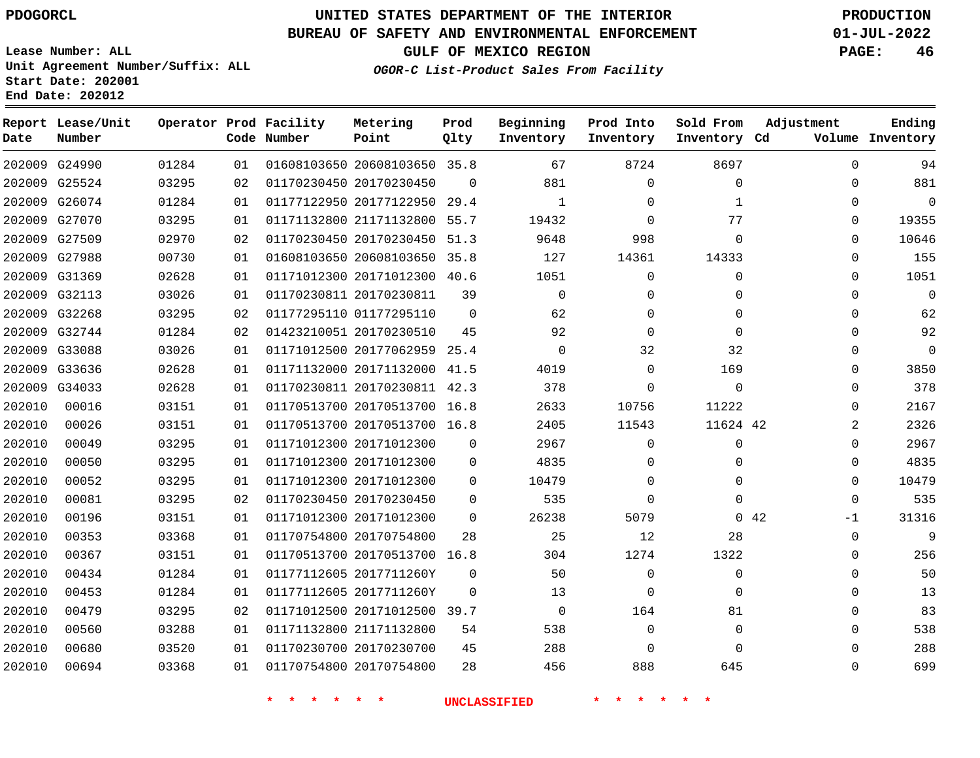# **UNITED STATES DEPARTMENT OF THE INTERIOR PDOGORCL PRODUCTION**

### **BUREAU OF SAFETY AND ENVIRONMENTAL ENFORCEMENT 01-JUL-2022**

**Lease Number: ALL Unit Agreement Number/Suffix: ALL Start Date: 202001**

### **OGOR-C List-Product Sales From Facility**

**GULF OF MEXICO REGION PAGE: 46**

| Date   | Report Lease/Unit<br>Number |       |    | Operator Prod Facility<br>Code Number | Metering<br>Point            | Prod<br>Qlty   | Beginning<br>Inventory | Prod Into<br>Inventory | Sold From<br>Inventory Cd | Adjustment   | Ending<br>Volume Inventory |
|--------|-----------------------------|-------|----|---------------------------------------|------------------------------|----------------|------------------------|------------------------|---------------------------|--------------|----------------------------|
|        | 202009 G24990               | 01284 | 01 |                                       | 01608103650 20608103650 35.8 |                | 67                     | 8724                   | 8697                      | $\Omega$     | 94                         |
|        | 202009 G25524               | 03295 | 02 |                                       | 01170230450 20170230450      | $\Omega$       | 881                    | $\Omega$               | $\mathbf 0$               | 0            | 881                        |
| 202009 | G26074                      | 01284 | 01 |                                       | 01177122950 20177122950      | 29.4           | 1                      | $\Omega$               | $\mathbf{1}$              | $\mathbf{0}$ | $\mathbf 0$                |
| 202009 | G27070                      | 03295 | 01 |                                       | 01171132800 21171132800      | 55.7           | 19432                  | $\Omega$               | 77                        | $\Omega$     | 19355                      |
| 202009 | G27509                      | 02970 | 02 |                                       | 01170230450 20170230450      | 51.3           | 9648                   | 998                    | $\mathbf 0$               | $\mathbf{0}$ | 10646                      |
| 202009 | G27988                      | 00730 | 01 |                                       | 01608103650 20608103650      | 35.8           | 127                    | 14361                  | 14333                     | 0            | 155                        |
| 202009 | G31369                      | 02628 | 01 |                                       | 01171012300 20171012300      | 40.6           | 1051                   | $\mathbf 0$            | $\Omega$                  | 0            | 1051                       |
| 202009 | G32113                      | 03026 | 01 |                                       | 01170230811 20170230811      | 39             | $\Omega$               | $\Omega$               | $\Omega$                  | $\Omega$     | $\mathbf 0$                |
|        | 202009 G32268               | 03295 | 02 |                                       | 01177295110 01177295110      | $\overline{0}$ | 62                     | 0                      | $\Omega$                  | $\Omega$     | 62                         |
| 202009 | G32744                      | 01284 | 02 |                                       | 01423210051 20170230510      | 45             | 92                     | $\Omega$               | $\Omega$                  | 0            | 92                         |
| 202009 | G33088                      | 03026 | 01 |                                       | 01171012500 20177062959 25.4 |                | $\Omega$               | 32                     | 32                        | $\mathbf{0}$ | $\Omega$                   |
| 202009 | G33636                      | 02628 | 01 |                                       | 01171132000 20171132000      | 41.5           | 4019                   | $\Omega$               | 169                       | 0            | 3850                       |
| 202009 | G34033                      | 02628 | 01 |                                       | 01170230811 20170230811 42.3 |                | 378                    | $\Omega$               | $\Omega$                  | $\Omega$     | 378                        |
| 202010 | 00016                       | 03151 | 01 |                                       | 01170513700 20170513700 16.8 |                | 2633                   | 10756                  | 11222                     | $\mathbf{0}$ | 2167                       |
| 202010 | 00026                       | 03151 | 01 |                                       | 01170513700 20170513700 16.8 |                | 2405                   | 11543                  | 11624 42                  | 2            | 2326                       |
| 202010 | 00049                       | 03295 | 01 |                                       | 01171012300 20171012300      | 0              | 2967                   | 0                      | 0                         | 0            | 2967                       |
| 202010 | 00050                       | 03295 | 01 |                                       | 01171012300 20171012300      | $\mathbf 0$    | 4835                   | $\Omega$               | $\Omega$                  | $\mathbf{0}$ | 4835                       |
| 202010 | 00052                       | 03295 | 01 |                                       | 01171012300 20171012300      | $\Omega$       | 10479                  | $\Omega$               | $\Omega$                  | $\Omega$     | 10479                      |
| 202010 | 00081                       | 03295 | 02 |                                       | 01170230450 20170230450      | 0              | 535                    | $\Omega$               | $\Omega$                  | 0            | 535                        |
| 202010 | 00196                       | 03151 | 01 |                                       | 01171012300 20171012300      | $\Omega$       | 26238                  | 5079                   |                           | 0.42<br>$-1$ | 31316                      |
| 202010 | 00353                       | 03368 | 01 |                                       | 01170754800 20170754800      | 28             | 25                     | 12                     | 28                        | $\Omega$     | 9                          |
| 202010 | 00367                       | 03151 | 01 |                                       | 01170513700 20170513700 16.8 |                | 304                    | 1274                   | 1322                      | 0            | 256                        |
| 202010 | 00434                       | 01284 | 01 |                                       | 01177112605 2017711260Y      | 0              | 50                     | $\mathbf 0$            | $\Omega$                  | $\mathbf{0}$ | 50                         |
| 202010 | 00453                       | 01284 | 01 |                                       | 01177112605 2017711260Y      | $\Omega$       | 13                     | $\mathbf 0$            | $\Omega$                  | $\mathbf{0}$ | 13                         |
| 202010 | 00479                       | 03295 | 02 |                                       | 01171012500 20171012500 39.7 |                | $\mathbf 0$            | 164                    | 81                        | $\mathbf{0}$ | 83                         |
| 202010 | 00560                       | 03288 | 01 |                                       | 01171132800 21171132800      | 54             | 538                    | $\mathbf 0$            | $\mathbf 0$               | 0            | 538                        |
| 202010 | 00680                       | 03520 | 01 |                                       | 01170230700 20170230700      | 45             | 288                    | $\Omega$               | $\Omega$                  | $\Omega$     | 288                        |
| 202010 | 00694                       | 03368 | 01 |                                       | 01170754800 20170754800      | 28             | 456                    | 888                    | 645                       | $\Omega$     | 699                        |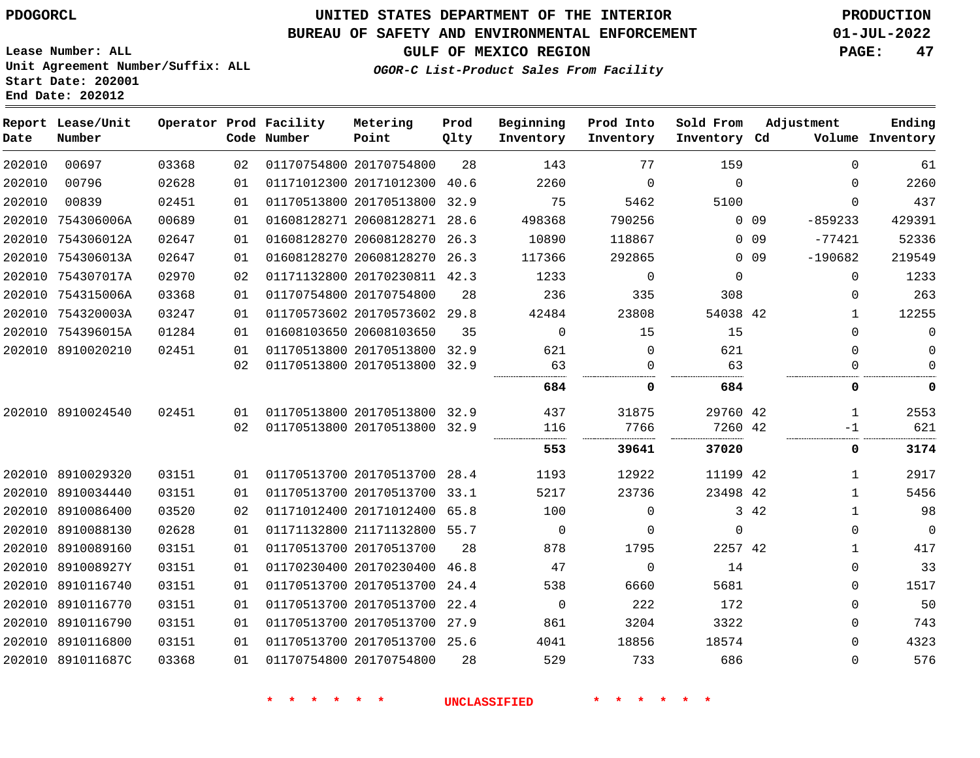**Start Date: 202001 End Date: 202012**

# **UNITED STATES DEPARTMENT OF THE INTERIOR PDOGORCL PRODUCTION**

### **BUREAU OF SAFETY AND ENVIRONMENTAL ENFORCEMENT 01-JUL-2022**

**Lease Number: ALL Unit Agreement Number/Suffix: ALL**

### **GULF OF MEXICO REGION PAGE: 47**

**OGOR-C List-Product Sales From Facility**

| Date   | Report Lease/Unit<br>Number |       |    | Operator Prod Facility<br>Code Number | Metering<br>Point            | Prod<br>Qlty | Beginning<br>Inventory | Prod Into<br>Inventory | Sold From<br>Inventory Cd | Adjustment              | Ending<br>Volume Inventory |
|--------|-----------------------------|-------|----|---------------------------------------|------------------------------|--------------|------------------------|------------------------|---------------------------|-------------------------|----------------------------|
| 202010 | 00697                       | 03368 | 02 |                                       | 01170754800 20170754800      | 28           | 143                    | 77                     | 159                       | $\mathbf 0$             | 61                         |
| 202010 | 00796                       | 02628 | 01 |                                       | 01171012300 20171012300 40.6 |              | 2260                   | $\Omega$               | $\Omega$                  | $\Omega$                | 2260                       |
| 202010 | 00839                       | 02451 | 01 |                                       | 01170513800 20170513800 32.9 |              | 75                     | 5462                   | 5100                      | $\Omega$                | 437                        |
|        | 202010 754306006A           | 00689 | 01 |                                       | 01608128271 20608128271 28.6 |              | 498368                 | 790256                 |                           | $0\quad09$<br>$-859233$ | 429391                     |
|        | 202010 754306012A           | 02647 | 01 |                                       | 01608128270 20608128270 26.3 |              | 10890                  | 118867                 |                           | $0\quad09$<br>$-77421$  | 52336                      |
|        | 202010 754306013A           | 02647 | 01 |                                       | 01608128270 20608128270 26.3 |              | 117366                 | 292865                 |                           | $0$ 09<br>$-190682$     | 219549                     |
|        | 202010 754307017A           | 02970 | 02 |                                       | 01171132800 20170230811 42.3 |              | 1233                   | $\mathbf 0$            | $\Omega$                  | $\mathbf 0$             | 1233                       |
|        | 202010 754315006A           | 03368 | 01 |                                       | 01170754800 20170754800      | 28           | 236                    | 335                    | 308                       | $\Omega$                | 263                        |
|        | 202010 754320003A           | 03247 | 01 |                                       | 01170573602 20170573602 29.8 |              | 42484                  | 23808                  | 54038 42                  | $\mathbf{1}$            | 12255                      |
|        | 202010 754396015A           | 01284 | 01 |                                       | 01608103650 20608103650      | 35           | $\Omega$               | 15                     | 15                        | $\Omega$                | 0                          |
|        | 202010 8910020210           | 02451 | 01 |                                       | 01170513800 20170513800      | 32.9         | 621                    | $\Omega$               | 621                       | $\Omega$                | 0                          |
|        |                             |       | 02 |                                       | 01170513800 20170513800 32.9 |              | 63                     | $\mathbf 0$            | 63                        | 0                       | $\Omega$                   |
|        |                             |       |    |                                       |                              |              | 684                    | 0                      | 684                       | 0                       | 0                          |
|        | 202010 8910024540           | 02451 | 01 |                                       | 01170513800 20170513800 32.9 |              | 437                    | 31875                  | 29760 42                  | 1                       | 2553                       |
|        |                             |       | 02 |                                       | 01170513800 20170513800 32.9 |              | 116                    | 7766                   | 7260 42                   | -1                      | 621                        |
|        |                             |       |    |                                       |                              |              | 553                    | 39641                  | 37020                     | 0                       | 3174                       |
|        | 202010 8910029320           | 03151 | 01 |                                       | 01170513700 20170513700 28.4 |              | 1193                   | 12922                  | 11199 42                  | $\mathbf{1}$            | 2917                       |
|        | 202010 8910034440           | 03151 | 01 |                                       | 01170513700 20170513700 33.1 |              | 5217                   | 23736                  | 23498 42                  | $\mathbf{1}$            | 5456                       |
|        | 202010 8910086400           | 03520 | 02 |                                       | 01171012400 20171012400 65.8 |              | 100                    | $\mathbf 0$            |                           | 3 42<br>1               | 98                         |
|        | 202010 8910088130           | 02628 | 01 |                                       | 01171132800 21171132800 55.7 |              | $\mathbf 0$            | $\mathbf 0$            | $\Omega$                  | 0                       | $\mathbf 0$                |
|        | 202010 8910089160           | 03151 | 01 |                                       | 01170513700 20170513700      | 28           | 878                    | 1795                   | 2257 42                   | $\mathbf{1}$            | 417                        |
|        | 202010 891008927Y           | 03151 | 01 |                                       | 01170230400 20170230400 46.8 |              | 47                     | $\Omega$               | 14                        | $\Omega$                | 33                         |
|        | 202010 8910116740           | 03151 | 01 |                                       | 01170513700 20170513700 24.4 |              | 538                    | 6660                   | 5681                      | 0                       | 1517                       |
|        | 202010 8910116770           | 03151 | 01 |                                       | 01170513700 20170513700      | 22.4         | $\mathbf 0$            | 222                    | 172                       | $\Omega$                | 50                         |
|        | 202010 8910116790           | 03151 | 01 |                                       | 01170513700 20170513700 27.9 |              | 861                    | 3204                   | 3322                      | $\Omega$                | 743                        |
|        | 202010 8910116800           | 03151 | 01 |                                       | 01170513700 20170513700 25.6 |              | 4041                   | 18856                  | 18574                     | $\Omega$                | 4323                       |
|        | 202010 891011687C           | 03368 | 01 |                                       | 01170754800 20170754800      | 28           | 529                    | 733                    | 686                       | $\Omega$                | 576                        |
|        |                             |       |    |                                       |                              |              |                        |                        |                           |                         |                            |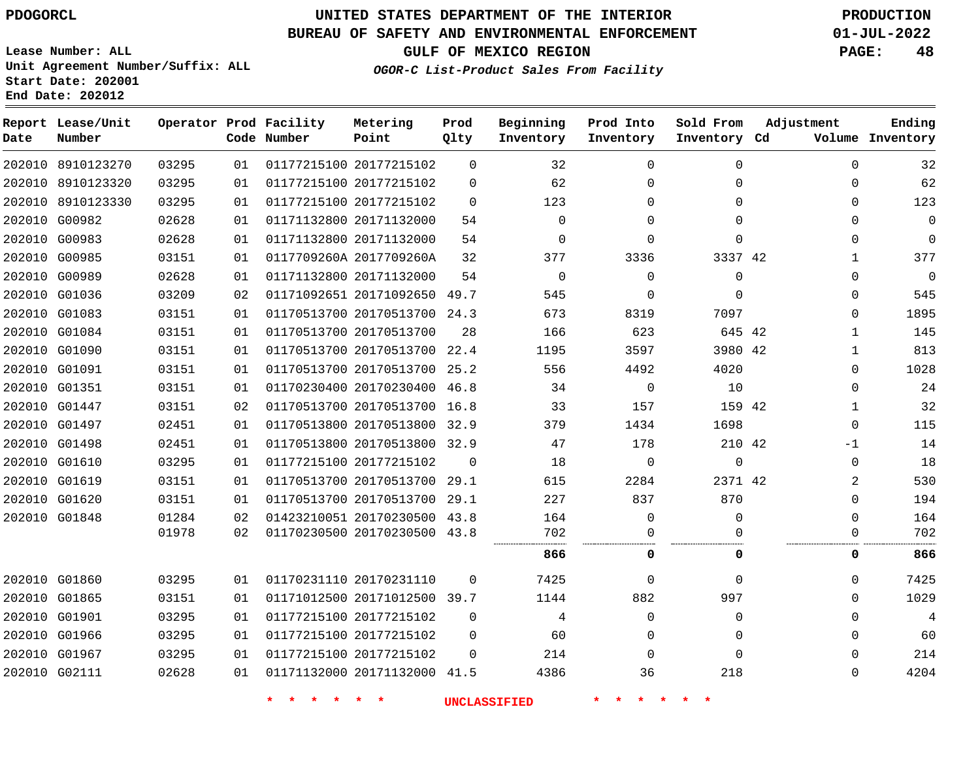# **UNITED STATES DEPARTMENT OF THE INTERIOR PDOGORCL PRODUCTION**

#### **BUREAU OF SAFETY AND ENVIRONMENTAL ENFORCEMENT 01-JUL-2022**

**Lease Number: ALL Unit Agreement Number/Suffix: ALL Start Date: 202001**

**Operator Prod Facility**

**Code Number**

**End Date: 202012**

**Report Lease/Unit**

**Number**

**GULF OF MEXICO REGION PAGE: 48**

**Prod Qlty**

**OGOR-C List-Product Sales From Facility**

**Beginning Inventory** **Prod Into Inventory** **Sold From Inventory**

**Inventory Cd Volume**

**Adjustment**

**Ending**

|               | 202010 8910123270 | 03295 | 01 | 01177215100 20177215102      | $\Omega$    | 32          | $\Omega$    | $\Omega$    | $\Omega$     | 32               |
|---------------|-------------------|-------|----|------------------------------|-------------|-------------|-------------|-------------|--------------|------------------|
|               | 202010 8910123320 | 03295 | 01 | 01177215100 20177215102      | $\mathbf 0$ | 62          | $\Omega$    | $\Omega$    |              | 62<br>0          |
|               | 202010 8910123330 | 03295 | 01 | 01177215100 20177215102      | $\Omega$    | 123         | $\Omega$    | $\Omega$    | 0            | 123              |
|               | 202010 G00982     | 02628 | 01 | 01171132800 20171132000      | 54          | $\Omega$    | $\Omega$    | $\Omega$    | 0            | $\mathbf 0$      |
| 202010        | G00983            | 02628 | 01 | 01171132800 20171132000      | 54          | $\mathbf 0$ | $\Omega$    | 0           |              | $\mathbf 0$<br>0 |
|               | 202010 G00985     | 03151 | 01 | 0117709260A 2017709260A      | 32          | 377         | 3336        | 3337 42     | $\mathbf{1}$ | 377              |
|               | 202010 G00989     | 02628 | 01 | 01171132800 20171132000      | 54          | $\mathbf 0$ | $\Omega$    | $\mathbf 0$ | $\Omega$     | $\mathbf 0$      |
|               | 202010 G01036     | 03209 | 02 | 01171092651 20171092650      | 49.7        | 545         | 0           | $\Omega$    |              | 545<br>0         |
|               | 202010 G01083     | 03151 | 01 | 01170513700 20170513700 24.3 |             | 673         | 8319        | 7097        | 0            | 1895             |
|               | 202010 G01084     | 03151 | 01 | 01170513700 20170513700      | 28          | 166         | 623         | 645 42      | 1            | 145              |
|               | 202010 G01090     | 03151 | 01 | 01170513700 20170513700      | 22.4        | 1195        | 3597        | 3980 42     | 1            | 813              |
| 202010 G01091 |                   | 03151 | 01 | 01170513700 20170513700      | 25.2        | 556         | 4492        | 4020        | $\Omega$     | 1028             |
|               | 202010 G01351     | 03151 | 01 | 01170230400 20170230400 46.8 |             | 34          | $\mathbf 0$ | 10          | $\Omega$     | 24               |
|               | 202010 G01447     | 03151 | 02 | 01170513700 20170513700 16.8 |             | 33          | 157         | 159 42      | 1            | 32               |
|               | 202010 G01497     | 02451 | 01 | 01170513800 20170513800      | 32.9        | 379         | 1434        | 1698        | $\mathbf 0$  | 115              |
|               | 202010 G01498     | 02451 | 01 | 01170513800 20170513800 32.9 |             | 47          | 178         | 210 42      | $-1$         | 14               |
|               | 202010 G01610     | 03295 | 01 | 01177215100 20177215102      | $\Omega$    | 18          | $\Omega$    | $\Omega$    | $\Omega$     | 18               |
|               | 202010 G01619     | 03151 | 01 | 01170513700 20170513700      | 29.1        | 615         | 2284        | 2371 42     |              | 530<br>2         |
|               | 202010 G01620     | 03151 | 01 | 01170513700 20170513700 29.1 |             | 227         | 837         | 870         | $\Omega$     | 194              |
|               | 202010 G01848     | 01284 | 02 | 01423210051 20170230500 43.8 |             | 164         | $\Omega$    | 0           | $\Omega$     | 164              |
|               |                   | 01978 | 02 | 01170230500 20170230500 43.8 |             | 702         | 0           | 0           | 0            | 702              |
|               |                   |       |    |                              |             | 866         | 0           | 0           |              | 866<br>0         |
|               | 202010 G01860     | 03295 | 01 | 01170231110 20170231110      | $\Omega$    | 7425        | $\Omega$    | $\Omega$    | $\Omega$     | 7425             |
|               | 202010 G01865     | 03151 | 01 | 01171012500 20171012500 39.7 |             | 1144        | 882         | 997         |              | 1029<br>0        |
|               | 202010 G01901     | 03295 | 01 | 01177215100 20177215102      | $\Omega$    | 4           | $\Omega$    | $\Omega$    | 0            | 4                |
|               | 202010 G01966     | 03295 | 01 | 01177215100 20177215102      | $\Omega$    | 60          | $\Omega$    | $\Omega$    | 0            | 60               |
|               | 202010 G01967     | 03295 | 01 | 01177215100 20177215102      | 0           | 214         | $\Omega$    | $\Omega$    |              | 214<br>0         |
| 202010 G02111 |                   | 02628 | 01 | 01171132000 20171132000 41.5 |             | 4386        | 36          | 218         | 0            | 4204             |
|               |                   |       |    |                              |             |             |             |             |              |                  |

**Metering Point**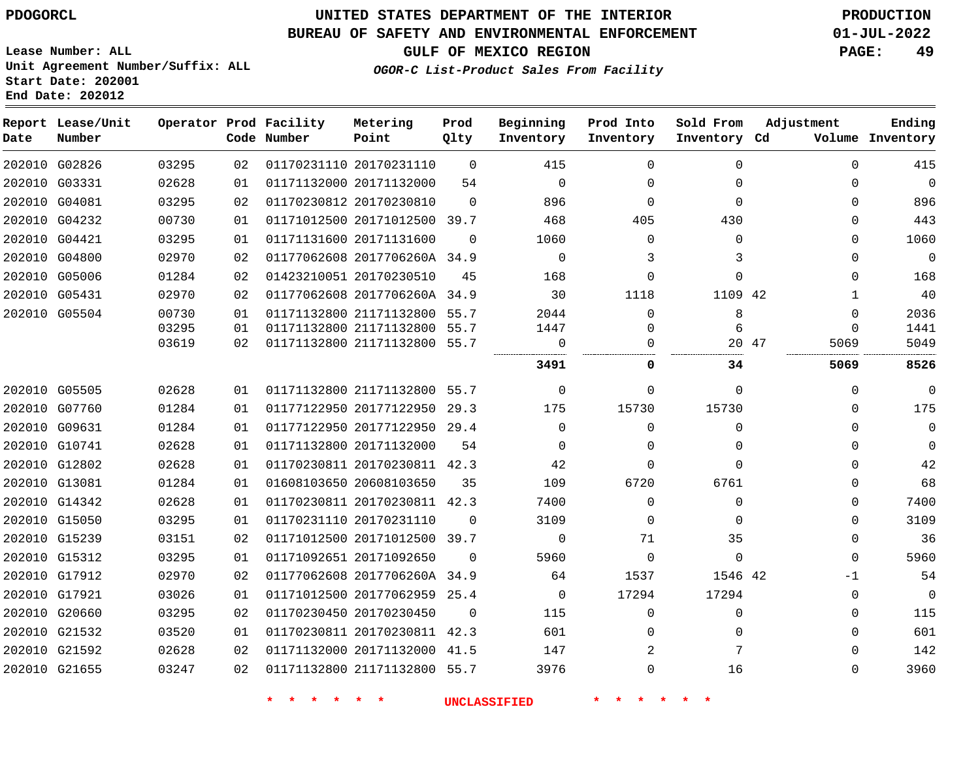### **BUREAU OF SAFETY AND ENVIRONMENTAL ENFORCEMENT 01-JUL-2022**

**GULF OF MEXICO REGION PAGE: 49**

**Lease Number: ALL Unit Agreement Number/Suffix: ALL Start Date: 202001 End Date: 202012**

|  | OGOR-C List-Product Sales From Facility |  |  |
|--|-----------------------------------------|--|--|
|  |                                         |  |  |
|  |                                         |  |  |
|  |                                         |  |  |

| Date | Report Lease/Unit<br>Number |       |    | Operator Prod Facility<br>Code Number | Metering<br>Point            | Prod<br>Qlty | Beginning<br>Inventory | Prod Into<br>Inventory | Sold From<br>Inventory Cd | Adjustment  | Ending<br>Volume Inventory |
|------|-----------------------------|-------|----|---------------------------------------|------------------------------|--------------|------------------------|------------------------|---------------------------|-------------|----------------------------|
|      | 202010 G02826               | 03295 | 02 |                                       | 01170231110 20170231110      | $\Omega$     | 415                    | $\Omega$               | $\Omega$                  | $\mathbf 0$ | 415                        |
|      | 202010 G03331               | 02628 | 01 |                                       | 01171132000 20171132000      | 54           | $\Omega$               | $\Omega$               | $\Omega$                  | $\Omega$    | $\Omega$                   |
|      | 202010 G04081               | 03295 | 02 |                                       | 01170230812 20170230810      | $\Omega$     | 896                    | $\Omega$               | $\Omega$                  | 0           | 896                        |
|      | 202010 G04232               | 00730 | 01 |                                       | 01171012500 20171012500 39.7 |              | 468                    | 405                    | 430                       | 0           | 443                        |
|      | 202010 G04421               | 03295 | 01 |                                       | 01171131600 20171131600      | $\Omega$     | 1060                   | $\Omega$               | $\Omega$                  | 0           | 1060                       |
|      | 202010 G04800               | 02970 | 02 |                                       | 01177062608 2017706260A 34.9 |              | $\mathbf 0$            | 3                      | 3                         | 0           | $\overline{0}$             |
|      | 202010 G05006               | 01284 | 02 |                                       | 01423210051 20170230510      | 45           | 168                    | $\Omega$               | $\Omega$                  | 0           | 168                        |
|      | 202010 G05431               | 02970 | 02 |                                       | 01177062608 2017706260A 34.9 |              | 30                     | 1118                   | 1109 42                   | 1           | 40                         |
|      | 202010 G05504               | 00730 | 01 |                                       | 01171132800 21171132800 55.7 |              | 2044                   | $\Omega$               | 8                         | $\Omega$    | 2036                       |
|      |                             | 03295 | 01 |                                       | 01171132800 21171132800 55.7 |              | 1447                   | $\mathbf 0$            | 6                         | $\Omega$    | 1441                       |
|      |                             | 03619 | 02 |                                       | 01171132800 21171132800 55.7 |              | 0                      | $\Omega$               | 20 47                     | 5069<br>.   | 5049                       |
|      |                             |       |    |                                       |                              |              | 3491                   | 0                      | 34                        | 5069        | 8526                       |
|      | 202010 G05505               | 02628 | 01 |                                       | 01171132800 21171132800 55.7 |              | 0                      | $\Omega$               | $\Omega$                  | 0           | $\mathbf 0$                |
|      | 202010 G07760               | 01284 | 01 |                                       | 01177122950 20177122950 29.3 |              | 175                    | 15730                  | 15730                     | 0           | 175                        |
|      | 202010 G09631               | 01284 | 01 |                                       | 01177122950 20177122950 29.4 |              | $\Omega$               | $\Omega$               | $\Omega$                  | $\Omega$    | $\overline{0}$             |
|      | 202010 G10741               | 02628 | 01 |                                       | 01171132800 20171132000      | 54           | 0                      | 0                      | 0                         | 0           | $\mathbf 0$                |
|      | 202010 G12802               | 02628 | 01 |                                       | 01170230811 20170230811 42.3 |              | 42                     | $\Omega$               | $\Omega$                  | $\Omega$    | 42                         |
|      | 202010 G13081               | 01284 | 01 |                                       | 01608103650 20608103650      | 35           | 109                    | 6720                   | 6761                      | $\Omega$    | 68                         |
|      | 202010 G14342               | 02628 | 01 |                                       | 01170230811 20170230811 42.3 |              | 7400                   | $\Omega$               | $\Omega$                  | 0           | 7400                       |
|      | 202010 G15050               | 03295 | 01 |                                       | 01170231110 20170231110      | $\Omega$     | 3109                   | $\Omega$               | $\Omega$                  | 0           | 3109                       |
|      | 202010 G15239               | 03151 | 02 |                                       | 01171012500 20171012500 39.7 |              | $\Omega$               | 71                     | 35                        | $\Omega$    | 36                         |
|      | 202010 G15312               | 03295 | 01 |                                       | 01171092651 20171092650      | $\Omega$     | 5960                   | $\Omega$               | $\mathbf 0$               | $\Omega$    | 5960                       |
|      | 202010 G17912               | 02970 | 02 |                                       | 01177062608 2017706260A 34.9 |              | 64                     | 1537                   | 1546 42                   | -1          | 54                         |
|      | 202010 G17921               | 03026 | 01 |                                       | 01171012500 20177062959 25.4 |              | $\Omega$               | 17294                  | 17294                     | 0           | $\mathbf 0$                |
|      | 202010 G20660               | 03295 | 02 |                                       | 01170230450 20170230450      | $\Omega$     | 115                    | $\Omega$               | 0                         | 0           | 115                        |
|      | 202010 G21532               | 03520 | 01 |                                       | 01170230811 20170230811 42.3 |              | 601                    | $\Omega$               | 0                         | 0           | 601                        |
|      | 202010 G21592               | 02628 | 02 |                                       | 01171132000 20171132000 41.5 |              | 147                    | 2                      | 7                         | 0           | 142                        |
|      | 202010 G21655               | 03247 | 02 |                                       | 01171132800 21171132800 55.7 |              | 3976                   | 0                      | 16                        | $\Omega$    | 3960                       |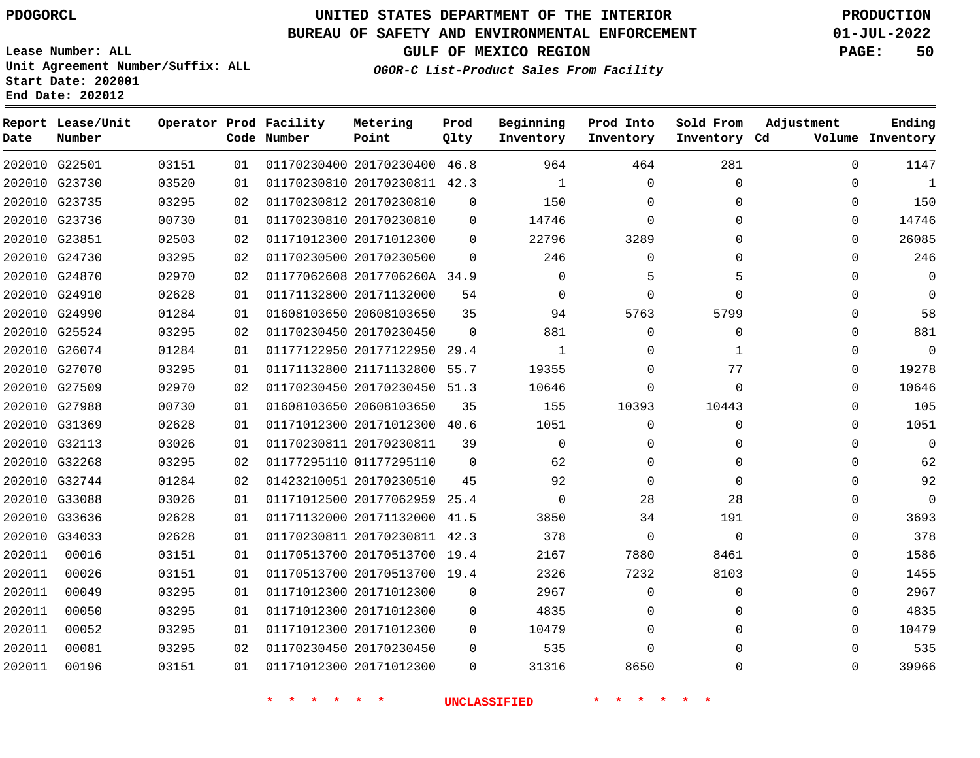# **UNITED STATES DEPARTMENT OF THE INTERIOR PDOGORCL PRODUCTION**

### **BUREAU OF SAFETY AND ENVIRONMENTAL ENFORCEMENT 01-JUL-2022**

**Lease Number: ALL Unit Agreement Number/Suffix: ALL Start Date: 202001**

**GULF OF MEXICO REGION PAGE: 50**

**OGOR-C List-Product Sales From Facility**

| Date          | Report Lease/Unit<br>Number |       |    | Operator Prod Facility<br>Code Number | Metering<br>Point            | Prod<br>Qlty | Beginning<br>Inventory | Prod Into<br>Inventory | Sold From<br>Inventory Cd | Adjustment   | Ending<br>Volume Inventory |
|---------------|-----------------------------|-------|----|---------------------------------------|------------------------------|--------------|------------------------|------------------------|---------------------------|--------------|----------------------------|
|               | 202010 G22501               | 03151 | 01 |                                       | 01170230400 20170230400      | 46.8         | 964                    | 464                    | 281                       | $\Omega$     | 1147                       |
| 202010 G23730 |                             | 03520 | 01 |                                       | 01170230810 20170230811 42.3 |              | 1                      | $\mathbf 0$            | $\Omega$                  | 0            | -1                         |
| 202010 G23735 |                             | 03295 | 02 |                                       | 01170230812 20170230810      | 0            | 150                    | $\Omega$               | 0                         | 0            | 150                        |
| 202010 G23736 |                             | 00730 | 01 |                                       | 01170230810 20170230810      | $\Omega$     | 14746                  | $\Omega$               | $\Omega$                  | $\Omega$     | 14746                      |
| 202010 G23851 |                             | 02503 | 02 |                                       | 01171012300 20171012300      | 0            | 22796                  | 3289                   | 0                         | 0            | 26085                      |
|               | 202010 G24730               | 03295 | 02 |                                       | 01170230500 20170230500      | $\Omega$     | 246                    | $\mathbf 0$            | $\Omega$                  | 0            | 246                        |
| 202010 G24870 |                             | 02970 | 02 |                                       | 01177062608 2017706260A 34.9 |              | $\Omega$               | 5                      | 5                         | $\Omega$     | $\Omega$                   |
|               | 202010 G24910               | 02628 | 01 |                                       | 01171132800 20171132000      | 54           | $\mathbf 0$            | 0                      | $\Omega$                  | 0            | $\mathbf 0$                |
|               | 202010 G24990               | 01284 | 01 |                                       | 01608103650 20608103650      | 35           | 94                     | 5763                   | 5799                      | 0            | 58                         |
|               | 202010 G25524               | 03295 | 02 |                                       | 01170230450 20170230450      | $\Omega$     | 881                    | $\Omega$               | $\Omega$                  | 0            | 881                        |
|               | 202010 G26074               | 01284 | 01 |                                       | 01177122950 20177122950 29.4 |              | 1                      | $\Omega$               | 1                         | 0            | $\mathbf 0$                |
|               | 202010 G27070               | 03295 | 01 |                                       | 01171132800 21171132800      | 55.7         | 19355                  | $\Omega$               | 77                        | 0            | 19278                      |
|               | 202010 G27509               | 02970 | 02 |                                       | 01170230450 20170230450 51.3 |              | 10646                  | $\Omega$               | $\Omega$                  | 0            | 10646                      |
|               | 202010 G27988               | 00730 | 01 |                                       | 01608103650 20608103650      | 35           | 155                    | 10393                  | 10443                     | 0            | 105                        |
| 202010 G31369 |                             | 02628 | 01 |                                       | 01171012300 20171012300 40.6 |              | 1051                   | $\Omega$               | $\Omega$                  | 0            | 1051                       |
|               | 202010 G32113               | 03026 | 01 |                                       | 01170230811 20170230811      | 39           | $\mathbf 0$            | $\Omega$               | $\Omega$                  | $\mathbf{0}$ | $\overline{0}$             |
|               | 202010 G32268               | 03295 | 02 |                                       | 01177295110 01177295110      | $\mathbf 0$  | 62                     | $\Omega$               | $\Omega$                  | $\Omega$     | 62                         |
| 202010 G32744 |                             | 01284 | 02 |                                       | 01423210051 20170230510      | 45           | 92                     | $\Omega$               | $\Omega$                  | 0            | 92                         |
|               | 202010 G33088               | 03026 | 01 |                                       | 01171012500 20177062959 25.4 |              | $\Omega$               | 28                     | 28                        | 0            | $\Omega$                   |
| 202010 G33636 |                             | 02628 | 01 |                                       | 01171132000 20171132000 41.5 |              | 3850                   | 34                     | 191                       | 0            | 3693                       |
|               | 202010 G34033               | 02628 | 01 |                                       | 01170230811 20170230811 42.3 |              | 378                    | 0                      | $\Omega$                  | $\Omega$     | 378                        |
| 202011        | 00016                       | 03151 | 01 |                                       | 01170513700 20170513700 19.4 |              | 2167                   | 7880                   | 8461                      | $\Omega$     | 1586                       |
| 202011        | 00026                       | 03151 | 01 |                                       | 01170513700 20170513700 19.4 |              | 2326                   | 7232                   | 8103                      | 0            | 1455                       |
| 202011        | 00049                       | 03295 | 01 |                                       | 01171012300 20171012300      | $\mathbf 0$  | 2967                   | $\Omega$               | $\Omega$                  | 0            | 2967                       |
| 202011        | 00050                       | 03295 | 01 |                                       | 01171012300 20171012300      | $\Omega$     | 4835                   | $\Omega$               | $\Omega$                  | $\Omega$     | 4835                       |
| 202011        | 00052                       | 03295 | 01 |                                       | 01171012300 20171012300      | 0            | 10479                  | $\Omega$               | $\Omega$                  | 0            | 10479                      |
| 202011        | 00081                       | 03295 | 02 |                                       | 01170230450 20170230450      | $\Omega$     | 535                    | $\Omega$               | 0                         | $\Omega$     | 535                        |
| 202011        | 00196                       | 03151 | 01 |                                       | 01171012300 20171012300      | $\Omega$     | 31316                  | 8650                   | $\Omega$                  | $\Omega$     | 39966                      |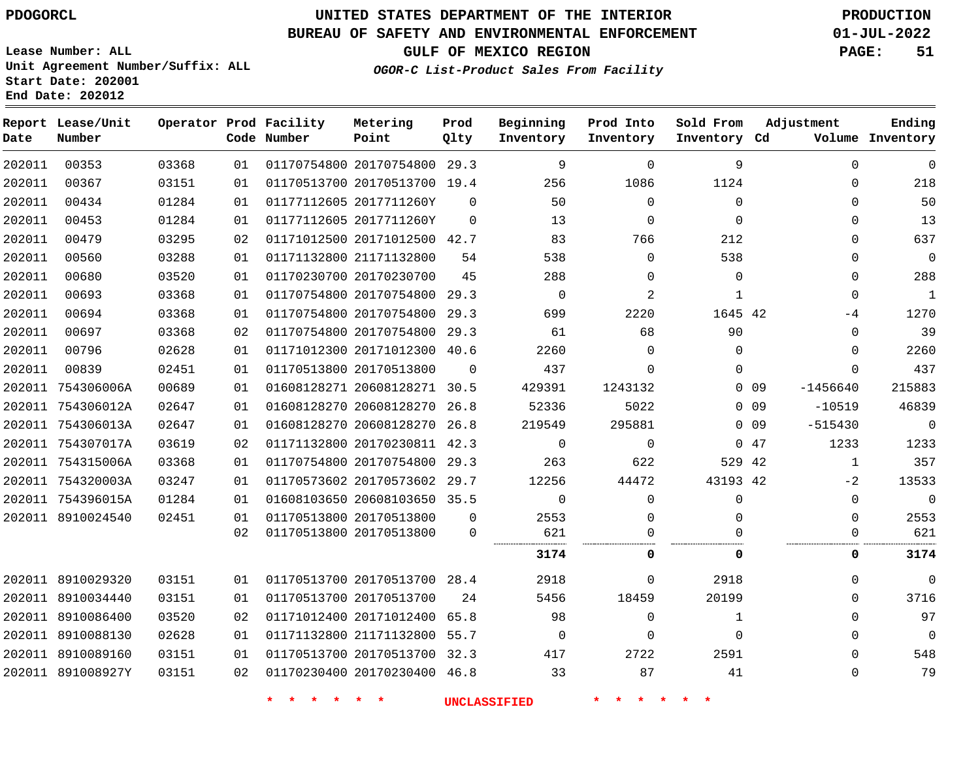**End Date: 202012**

# **UNITED STATES DEPARTMENT OF THE INTERIOR PDOGORCL PRODUCTION**

#### **BUREAU OF SAFETY AND ENVIRONMENTAL ENFORCEMENT 01-JUL-2022**

**Lease Number: ALL Unit Agreement Number/Suffix: ALL Start Date: 202001**

**GULF OF MEXICO REGION PAGE: 51**

**OGOR-C List-Product Sales From Facility**

| Date   | Report Lease/Unit<br>Number |       |    | Operator Prod Facility<br>Code Number | Metering<br>Point            | Prod<br>Qlty | Beginning<br>Inventory | Prod Into<br>Inventory | Sold From<br>Inventory Cd | Adjustment              | Ending<br>Volume Inventory |
|--------|-----------------------------|-------|----|---------------------------------------|------------------------------|--------------|------------------------|------------------------|---------------------------|-------------------------|----------------------------|
| 202011 | 00353                       | 03368 | 01 |                                       | 01170754800 20170754800 29.3 |              | 9                      | $\Omega$               | 9                         | $\Omega$                | $\mathbf 0$                |
| 202011 | 00367                       | 03151 | 01 |                                       | 01170513700 20170513700 19.4 |              | 256                    | 1086                   | 1124                      | $\Omega$                | 218                        |
| 202011 | 00434                       | 01284 | 01 |                                       | 01177112605 2017711260Y      | $\Omega$     | 50                     | $\Omega$               | $\Omega$                  | $\Omega$                | 50                         |
| 202011 | 00453                       | 01284 | 01 |                                       | 01177112605 2017711260Y      | $\Omega$     | 13                     | $\mathbf 0$            | $\Omega$                  | $\Omega$                | 13                         |
| 202011 | 00479                       | 03295 | 02 |                                       | 01171012500 20171012500 42.7 |              | 83                     | 766                    | 212                       | $\Omega$                | 637                        |
| 202011 | 00560                       | 03288 | 01 | 01171132800 21171132800               |                              | 54           | 538                    | $\Omega$               | 538                       | $\Omega$                | $\mathbf 0$                |
| 202011 | 00680                       | 03520 | 01 |                                       | 01170230700 20170230700      | 45           | 288                    | $\Omega$               | $\mathbf 0$               | $\Omega$                | 288                        |
| 202011 | 00693                       | 03368 | 01 |                                       | 01170754800 20170754800 29.3 |              | $\mathbf 0$            | 2                      | 1                         | $\Omega$                | $\mathbf{1}$               |
| 202011 | 00694                       | 03368 | 01 |                                       | 01170754800 20170754800      | 29.3         | 699                    | 2220                   | 1645 42                   | -4                      | 1270                       |
| 202011 | 00697                       | 03368 | 02 |                                       | 01170754800 20170754800 29.3 |              | 61                     | 68                     | 90                        | $\Omega$                | 39                         |
| 202011 | 00796                       | 02628 | 01 |                                       | 01171012300 20171012300 40.6 |              | 2260                   | $\Omega$               | $\Omega$                  | $\Omega$                | 2260                       |
| 202011 | 00839                       | 02451 | 01 | 01170513800 20170513800               |                              | $\Omega$     | 437                    | $\Omega$               | $\Omega$                  | $\Omega$                | 437                        |
|        | 202011 754306006A           | 00689 | 01 |                                       | 01608128271 20608128271 30.5 |              | 429391                 | 1243132                |                           | $0$ 09<br>$-1456640$    | 215883                     |
|        | 202011 754306012A           | 02647 | 01 |                                       | 01608128270 20608128270      | 26.8         | 52336                  | 5022                   |                           | $0$ 09<br>$-10519$      | 46839                      |
|        | 202011 754306013A           | 02647 | 01 |                                       | 01608128270 20608128270 26.8 |              | 219549                 | 295881                 |                           | $-515430$<br>$0\quad09$ | $\mathsf 0$                |
|        | 202011 754307017A           | 03619 | 02 |                                       | 01171132800 20170230811 42.3 |              | $\mathbf 0$            | $\mathbf 0$            |                           | 047<br>1233             | 1233                       |
|        | 202011 754315006A           | 03368 | 01 |                                       | 01170754800 20170754800 29.3 |              | 263                    | 622                    | 529 42                    | $\mathbf{1}$            | 357                        |
|        | 202011 754320003A           | 03247 | 01 |                                       | 01170573602 20170573602 29.7 |              | 12256                  | 44472                  | 43193 42                  | $-2$                    | 13533                      |
|        | 202011 754396015A           | 01284 | 01 |                                       | 01608103650 20608103650 35.5 |              | $\mathbf 0$            | $\Omega$               | $\Omega$                  | $\mathbf 0$             | $\mathsf 0$                |
|        | 202011 8910024540           | 02451 | 01 |                                       | 01170513800 20170513800      | $\Omega$     | 2553                   | $\Omega$               | $\Omega$                  | $\Omega$                | 2553                       |
|        |                             |       | 02 |                                       | 01170513800 20170513800      | $\mathbf 0$  | 621                    | 0                      | $\Omega$                  | 0                       | 621                        |
|        |                             |       |    |                                       |                              |              | 3174                   | 0                      | 0                         | 0                       | 3174                       |
|        | 202011 8910029320           | 03151 | 01 |                                       | 01170513700 20170513700 28.4 |              | 2918                   | $\Omega$               | 2918                      | $\mathbf{0}$            | $\overline{0}$             |
|        | 202011 8910034440           | 03151 | 01 | 01170513700 20170513700               |                              | 24           | 5456                   | 18459                  | 20199                     | $\Omega$                | 3716                       |
|        | 202011 8910086400           | 03520 | 02 |                                       | 01171012400 20171012400      | 65.8         | 98                     | $\mathbf 0$            | $\mathbf{1}$              | $\Omega$                | 97                         |
|        | 202011 8910088130           | 02628 | 01 |                                       | 01171132800 21171132800 55.7 |              | $\mathbf 0$            | $\mathbf 0$            | $\mathbf 0$               | $\Omega$                | $\overline{0}$             |
|        | 202011 8910089160           | 03151 | 01 |                                       | 01170513700 20170513700 32.3 |              | 417                    | 2722                   | 2591                      | $\Omega$                | 548                        |
|        | 202011 891008927Y           | 03151 | 02 |                                       | 01170230400 20170230400 46.8 |              | 33                     | 87                     | 41                        | 0                       | 79                         |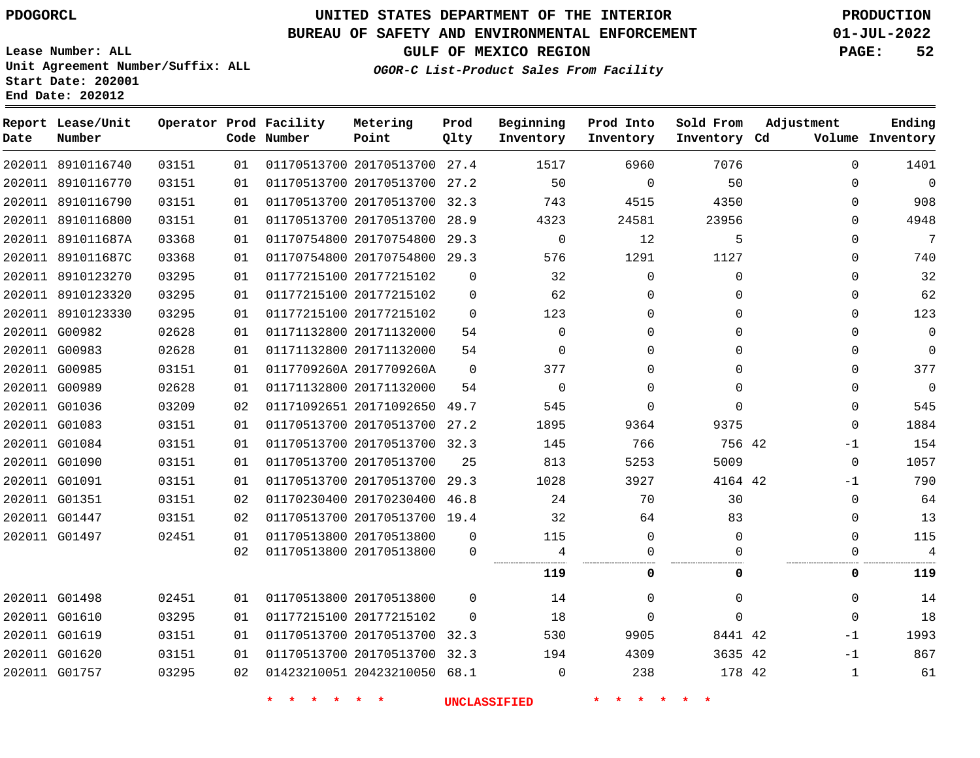**Start Date: 202001 End Date: 202012**

# **UNITED STATES DEPARTMENT OF THE INTERIOR PDOGORCL PRODUCTION**

### **BUREAU OF SAFETY AND ENVIRONMENTAL ENFORCEMENT 01-JUL-2022**

**Lease Number: ALL Unit Agreement Number/Suffix: ALL**

**GULF OF MEXICO REGION PAGE: 52**

**OGOR-C List-Product Sales From Facility**

| Date | Report Lease/Unit<br>Number |       |    | Operator Prod Facility<br>Code Number | Metering<br>Point            | Prod<br>Qlty | Beginning<br>Inventory | Prod Into<br>Inventory | Sold From<br>Inventory Cd | Adjustment   | Ending<br>Volume Inventory |
|------|-----------------------------|-------|----|---------------------------------------|------------------------------|--------------|------------------------|------------------------|---------------------------|--------------|----------------------------|
|      | 202011 8910116740           | 03151 | 01 |                                       | 01170513700 20170513700 27.4 |              | 1517                   | 6960                   | 7076                      | $\mathbf 0$  | 1401                       |
|      | 202011 8910116770           | 03151 | 01 |                                       | 01170513700 20170513700 27.2 |              | 50                     | $\mathbf 0$            | 50                        | $\Omega$     | $\mathbf 0$                |
|      | 202011 8910116790           | 03151 | 01 |                                       | 01170513700 20170513700      | 32.3         | 743                    | 4515                   | 4350                      | $\Omega$     | 908                        |
|      | 202011 8910116800           | 03151 | 01 |                                       | 01170513700 20170513700 28.9 |              | 4323                   | 24581                  | 23956                     | $\Omega$     | 4948                       |
|      | 202011 891011687A           | 03368 | 01 |                                       | 01170754800 20170754800 29.3 |              | $\overline{0}$         | 12                     | 5                         | $\Omega$     | $\overline{7}$             |
|      | 202011 891011687C           | 03368 | 01 |                                       | 01170754800 20170754800 29.3 |              | 576                    | 1291                   | 1127                      | 0            | 740                        |
|      | 202011 8910123270           | 03295 | 01 |                                       | 01177215100 20177215102      | $\Omega$     | 32                     | $\mathbf 0$            | $\mathbf{0}$              | $\Omega$     | 32                         |
|      | 202011 8910123320           | 03295 | 01 |                                       | 01177215100 20177215102      | 0            | 62                     | 0                      | 0                         | $\Omega$     | 62                         |
|      | 202011 8910123330           | 03295 | 01 |                                       | 01177215100 20177215102      | $\Omega$     | 123                    | 0                      | $\Omega$                  | 0            | 123                        |
|      | 202011 G00982               | 02628 | 01 |                                       | 01171132800 20171132000      | 54           | $\Omega$               | 0                      | $\Omega$                  | $\Omega$     | 0                          |
|      | 202011 G00983               | 02628 | 01 |                                       | 01171132800 20171132000      | 54           | $\Omega$               | 0                      | $\Omega$                  | $\Omega$     | 0                          |
|      | 202011 G00985               | 03151 | 01 |                                       | 0117709260A 2017709260A      | $\Omega$     | 377                    | 0                      | $\Omega$                  | $\Omega$     | 377                        |
|      | 202011 G00989               | 02628 | 01 |                                       | 01171132800 20171132000      | 54           | $\Omega$               | 0                      | $\Omega$                  | $\Omega$     | $\mathbf 0$                |
|      | 202011 G01036               | 03209 | 02 |                                       | 01171092651 20171092650 49.7 |              | 545                    | $\Omega$               | $\Omega$                  | $\Omega$     | 545                        |
|      | 202011 G01083               | 03151 | 01 |                                       | 01170513700 20170513700 27.2 |              | 1895                   | 9364                   | 9375                      | $\mathbf{0}$ | 1884                       |
|      | 202011 G01084               | 03151 | 01 |                                       | 01170513700 20170513700 32.3 |              | 145                    | 766                    | 756 42                    | $-1$         | 154                        |
|      | 202011 G01090               | 03151 | 01 |                                       | 01170513700 20170513700      | 25           | 813                    | 5253                   | 5009                      | $\Omega$     | 1057                       |
|      | 202011 G01091               | 03151 | 01 |                                       | 01170513700 20170513700 29.3 |              | 1028                   | 3927                   | 4164 42                   | $-1$         | 790                        |
|      | 202011 G01351               | 03151 | 02 |                                       | 01170230400 20170230400 46.8 |              | 24                     | 70                     | 30                        | $\Omega$     | 64                         |
|      | 202011 G01447               | 03151 | 02 |                                       | 01170513700 20170513700 19.4 |              | 32                     | 64                     | 83                        | $\Omega$     | 13                         |
|      | 202011 G01497               | 02451 | 01 |                                       | 01170513800 20170513800      | $\Omega$     | 115                    | 0                      | $\Omega$                  | $\Omega$     | 115                        |
|      |                             |       | 02 |                                       | 01170513800 20170513800      | 0            | 4                      | 0                      | U                         | $\Omega$     | 4                          |
|      |                             |       |    |                                       |                              |              | 119                    | 0                      | 0                         | 0            | 119                        |
|      | 202011 G01498               | 02451 | 01 |                                       | 01170513800 20170513800      | $\Omega$     | 14                     | 0                      | $\mathbf{0}$              | $\mathbf 0$  | 14                         |
|      | 202011 G01610               | 03295 | 01 |                                       | 01177215100 20177215102      | $\Omega$     | 18                     | $\mathbf 0$            | 0                         | $\Omega$     | 18                         |
|      | 202011 G01619               | 03151 | 01 |                                       | 01170513700 20170513700 32.3 |              | 530                    | 9905                   | 8441 42                   | $-1$         | 1993                       |
|      | 202011 G01620               | 03151 | 01 |                                       | 01170513700 20170513700 32.3 |              | 194                    | 4309                   | 3635 42                   | $-1$         | 867                        |
|      | 202011 G01757               | 03295 | 02 |                                       | 01423210051 20423210050 68.1 |              | $\Omega$               | 238                    | 178 42                    | $\mathbf{1}$ | 61                         |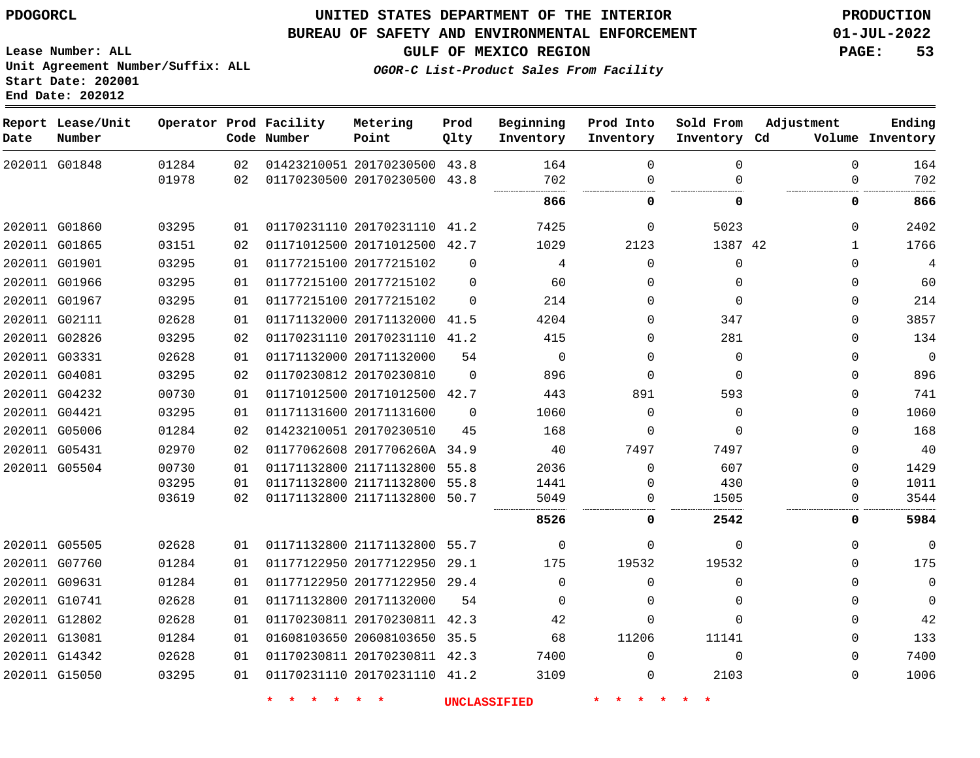#### **BUREAU OF SAFETY AND ENVIRONMENTAL ENFORCEMENT 01-JUL-2022**

**Lease Number: ALL Unit Agreement Number/Suffix: ALL Start Date: 202001**

**End Date: 202012**

**GULF OF MEXICO REGION PAGE: 53**

**OGOR-C List-Product Sales From Facility**

| Date          | Report Lease/Unit<br>Number |       |    | Operator Prod Facility<br>Code Number | Metering<br>Point            | Prod<br>Qlty | Beginning<br>Inventory | Prod Into<br>Inventory | Sold From<br>Inventory Cd | Adjustment   | Ending<br>Volume Inventory |
|---------------|-----------------------------|-------|----|---------------------------------------|------------------------------|--------------|------------------------|------------------------|---------------------------|--------------|----------------------------|
|               | 202011 G01848               | 01284 | 02 |                                       | 01423210051 20170230500 43.8 |              | 164                    | 0                      | 0                         | $\Omega$     | 164                        |
|               |                             | 01978 | 02 |                                       | 01170230500 20170230500 43.8 |              | 702                    | $\Omega$               | $\Omega$                  | $\Omega$     | 702                        |
|               |                             |       |    |                                       |                              |              | 866                    | 0                      | 0                         | 0            | 866                        |
|               | 202011 G01860               | 03295 | 01 |                                       | 01170231110 20170231110 41.2 |              | 7425                   | $\Omega$               | 5023                      | $\Omega$     | 2402                       |
|               | 202011 G01865               | 03151 | 02 |                                       | 01171012500 20171012500 42.7 |              | 1029                   | 2123                   | 1387 42                   | $\mathbf{1}$ | 1766                       |
| 202011 G01901 |                             | 03295 | 01 |                                       | 01177215100 20177215102      | $\Omega$     | 4                      | $\Omega$               | 0                         | $\Omega$     | 4                          |
|               | 202011 G01966               | 03295 | 01 |                                       | 01177215100 20177215102      | $\mathbf 0$  | 60                     | 0                      | 0                         | 0            | 60                         |
| 202011 G01967 |                             | 03295 | 01 |                                       | 01177215100 20177215102      | $\Omega$     | 214                    | 0                      | $\Omega$                  | 0            | 214                        |
| 202011 G02111 |                             | 02628 | 01 |                                       | 01171132000 20171132000 41.5 |              | 4204                   | $\Omega$               | 347                       | 0            | 3857                       |
|               | 202011 G02826               | 03295 | 02 |                                       | 01170231110 20170231110 41.2 |              | 415                    | 0                      | 281                       | $\mathbf 0$  | 134                        |
| 202011 G03331 |                             | 02628 | 01 |                                       | 01171132000 20171132000      | 54           | $\Omega$               | $\Omega$               | $\Omega$                  | $\Omega$     | $\overline{0}$             |
| 202011 G04081 |                             | 03295 | 02 |                                       | 01170230812 20170230810      | $\Omega$     | 896                    | $\Omega$               | $\Omega$                  | $\Omega$     | 896                        |
|               | 202011 G04232               | 00730 | 01 |                                       | 01171012500 20171012500 42.7 |              | 443                    | 891                    | 593                       | $\Omega$     | 741                        |
| 202011 G04421 |                             | 03295 | 01 |                                       | 01171131600 20171131600      | $\Omega$     | 1060                   | $\Omega$               | $\Omega$                  | $\Omega$     | 1060                       |
|               | 202011 G05006               | 01284 | 02 |                                       | 01423210051 20170230510      | 45           | 168                    | $\Omega$               | $\Omega$                  | $\Omega$     | 168                        |
| 202011 G05431 |                             | 02970 | 02 |                                       | 01177062608 2017706260A 34.9 |              | 40                     | 7497                   | 7497                      | 0            | 40                         |
| 202011 G05504 |                             | 00730 | 01 |                                       | 01171132800 21171132800 55.8 |              | 2036                   | 0                      | 607                       | 0            | 1429                       |
|               |                             | 03295 | 01 |                                       | 01171132800 21171132800 55.8 |              | 1441                   | 0                      | 430                       | 0            | 1011                       |
|               |                             | 03619 | 02 |                                       | 01171132800 21171132800 50.7 |              | 5049                   | 0                      | 1505                      | $\Omega$     | 3544                       |
|               |                             |       |    |                                       |                              |              | 8526                   | 0                      | 2542                      | 0            | 5984                       |
| 202011 G05505 |                             | 02628 | 01 |                                       | 01171132800 21171132800 55.7 |              | $\mathbf 0$            | 0                      | 0                         | $\Omega$     | $\mathbf 0$                |
| 202011 G07760 |                             | 01284 | 01 |                                       | 01177122950 20177122950 29.1 |              | 175                    | 19532                  | 19532                     | $\Omega$     | 175                        |
| 202011 G09631 |                             | 01284 | 01 |                                       | 01177122950 20177122950 29.4 |              | $\Omega$               | $\Omega$               | $\Omega$                  | $\Omega$     | 0                          |
| 202011 G10741 |                             | 02628 | 01 |                                       | 01171132800 20171132000      | 54           | $\Omega$               | $\Omega$               | $\Omega$                  | $\Omega$     | 0                          |
|               | 202011 G12802               | 02628 | 01 |                                       | 01170230811 20170230811 42.3 |              | 42                     | $\mathbf 0$            | $\Omega$                  | $\mathbf 0$  | 42                         |
| 202011 G13081 |                             | 01284 | 01 |                                       | 01608103650 20608103650 35.5 |              | 68                     | 11206                  | 11141                     | 0            | 133                        |
|               | 202011 G14342               | 02628 | 01 |                                       | 01170230811 20170230811 42.3 |              | 7400                   | $\mathbf 0$            | $\mathbf{0}$              | $\mathbf 0$  | 7400                       |
| 202011 G15050 |                             | 03295 | 01 |                                       | 01170231110 20170231110 41.2 |              | 3109                   | 0                      | 2103                      | $\mathbf 0$  | 1006                       |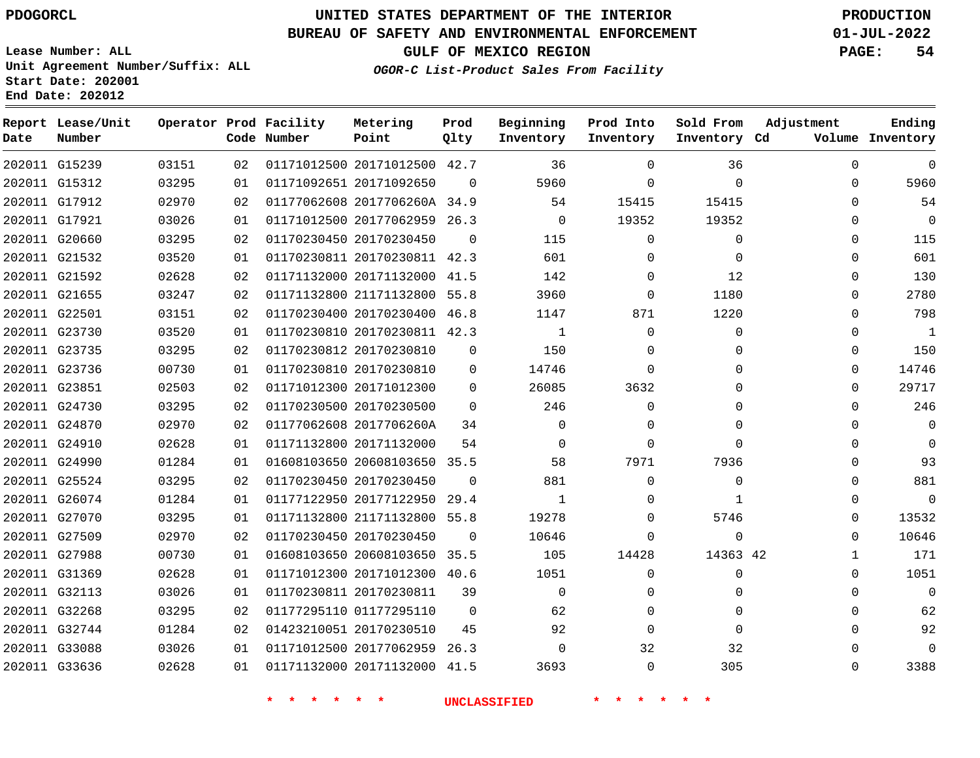**End Date: 202012**

**Report Lease/Unit**

**Number**

 G32744 G33088 G33636    

# **UNITED STATES DEPARTMENT OF THE INTERIOR PDOGORCL PRODUCTION**

**Prod Qlty**

#### **BUREAU OF SAFETY AND ENVIRONMENTAL ENFORCEMENT 01-JUL-2022**

**Lease Number: ALL Unit Agreement Number/Suffix: ALL Start Date: 202001**

**Operator Prod Facility**

**Code Number**

**OGOR-C List-Product Sales From Facility**

**Beginning Inventory** **Prod Into Inventory** **Sold From Inventory**

**GULF OF MEXICO REGION PAGE: 54**

**Inventory Cd Volume**

**Adjustment**

  $\Omega$  $\Omega$   $\Omega$  $\Omega$  $\Omega$  $\Omega$   $\Omega$   $\Omega$  $\overline{0}$   $\Omega$  $\overline{0}$  $\Omega$  $\Omega$  $\Omega$  $\Omega$   $\Omega$   $\Omega$   $\Omega$ 

**Ending**

| 36       | 0        | 36       |          | 01171012500 20171012500 42.7 | 02 | 03151 | 202011 G15239 |  |
|----------|----------|----------|----------|------------------------------|----|-------|---------------|--|
| $\Omega$ | 0        | 5960     | $\Omega$ | 01171092651 20171092650      | 01 | 03295 | 202011 G15312 |  |
| 15415    | 15415    | 54       |          | 01177062608 2017706260A 34.9 | 02 | 02970 | 202011 G17912 |  |
| 19352    | 19352    | 0        | 26.3     | 01171012500 20177062959      | 01 | 03026 | 202011 G17921 |  |
| 0        | 0        | 115      | $\Omega$ | 01170230450 20170230450      | 02 | 03295 | 202011 G20660 |  |
| 0        | 0        | 601      |          | 01170230811 20170230811 42.3 | 01 | 03520 | 202011 G21532 |  |
| 12       | 0        | 142      | 41.5     | 01171132000 20171132000      | 02 | 02628 | 202011 G21592 |  |
| 1180     | 0        | 3960     | 55.8     | 01171132800 21171132800      | 02 | 03247 | 202011 G21655 |  |
| 1220     | 871      | 1147     | 46.8     | 01170230400 20170230400      | 02 | 03151 | 202011 G22501 |  |
| 0        | $\Omega$ | 1        | 42.3     | 01170230810 20170230811      | 01 | 03520 | 202011 G23730 |  |
| 0        | 0        | 150      | 0        | 01170230812 20170230810      | 02 | 03295 | 202011 G23735 |  |
| 0        | $\Omega$ | 14746    | $\Omega$ | 01170230810 20170230810      | 01 | 00730 | 202011 G23736 |  |
| 0        | 3632     | 26085    | 0        | 01171012300 20171012300      | 02 | 02503 | 202011 G23851 |  |
| 0        | $\Omega$ | 246      | $\Omega$ | 01170230500 20170230500      | 02 | 03295 | 202011 G24730 |  |
| 0        | 0        | 0        | 34       | 01177062608 2017706260A      | 02 | 02970 | 202011 G24870 |  |
| 0        | $\Omega$ | 0        | 54       | 01171132800 20171132000      | 01 | 02628 | 202011 G24910 |  |
| 7936     | 7971     | 58       | 35.5     | 01608103650 20608103650      | 01 | 01284 | 202011 G24990 |  |
| $\Omega$ | $\Omega$ | 881      | $\Omega$ | 01170230450 20170230450      | 02 | 03295 | 202011 G25524 |  |
| 1        | 0        | 1        | 29.4     | 01177122950 20177122950      | 01 | 01284 | 202011 G26074 |  |
| 5746     | 0        | 19278    | 55.8     | 01171132800 21171132800      | 01 | 03295 | 202011 G27070 |  |
| $\Omega$ | 0        | 10646    | $\Omega$ | 01170230450 20170230450      | 02 | 02970 | 202011 G27509 |  |
| 14363 42 | 14428    | 105      | 35.5     | 01608103650 20608103650      | 01 | 00730 | 202011 G27988 |  |
| $\Omega$ | $\Omega$ | 1051     | 40.6     | 01171012300 20171012300      | 01 | 02628 | 202011 G31369 |  |
| 0        | $\Omega$ | $\Omega$ | 39       | 01170230811 20170230811      | 01 | 03026 | 202011 G32113 |  |
| $\Omega$ | $\Omega$ | 62       | 0        | 01177295110 01177295110      | 02 | 03295 | 202011 G32268 |  |

**Metering Point**

**\* \* \* \* \* \* UNCLASSIFIED \* \* \* \* \* \***

 20177062959 26.3 20171132000 41.5

20170230510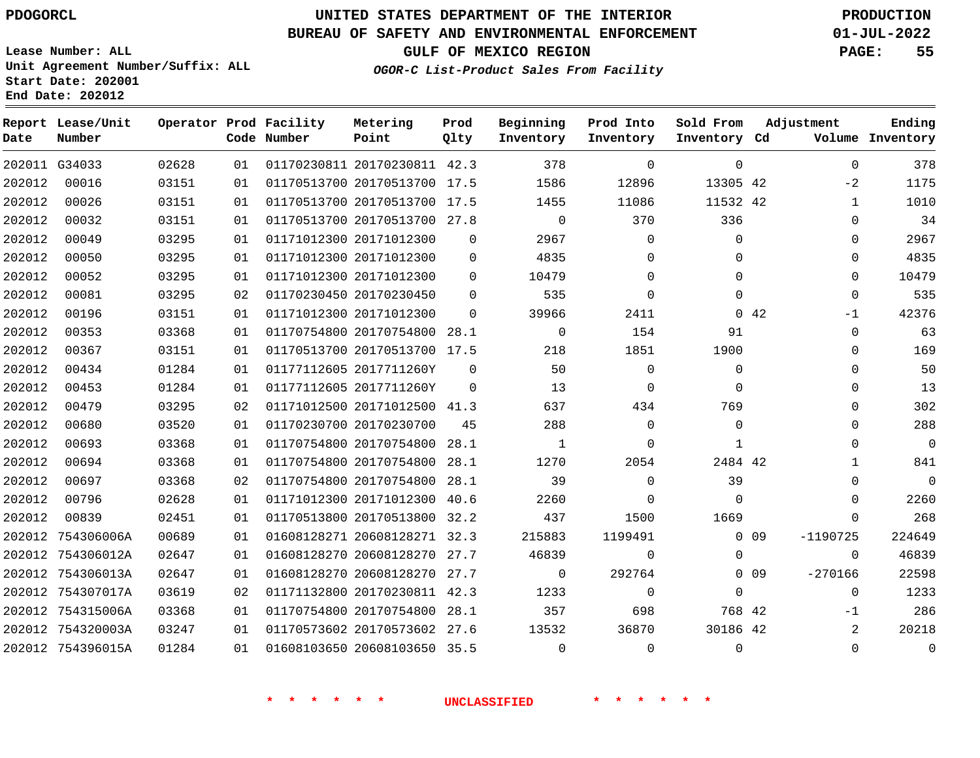# **UNITED STATES DEPARTMENT OF THE INTERIOR PDOGORCL PRODUCTION**

### **BUREAU OF SAFETY AND ENVIRONMENTAL ENFORCEMENT 01-JUL-2022**

**Lease Number: ALL Unit Agreement Number/Suffix: ALL Start Date: 202001**

**GULF OF MEXICO REGION PAGE: 55**

**OGOR-C List-Product Sales From Facility**

| Date   | Report Lease/Unit<br>Number |       |    | Operator Prod Facility<br>Code Number | Metering<br>Point            | Prod<br>Qlty | Beginning<br>Inventory | Prod Into<br>Inventory | Sold From<br>Inventory Cd | Adjustment |                | Ending<br>Volume Inventory |
|--------|-----------------------------|-------|----|---------------------------------------|------------------------------|--------------|------------------------|------------------------|---------------------------|------------|----------------|----------------------------|
|        | 202011 G34033               | 02628 | 01 |                                       | 01170230811 20170230811 42.3 |              | 378                    | $\Omega$               | $\Omega$                  |            | $\Omega$       | 378                        |
| 202012 | 00016                       | 03151 | 01 |                                       | 01170513700 20170513700 17.5 |              | 1586                   | 12896                  | 13305 42                  |            | $-2$           | 1175                       |
| 202012 | 00026                       | 03151 | 01 |                                       | 01170513700 20170513700 17.5 |              | 1455                   | 11086                  | 11532 42                  |            | $\mathbf{1}$   | 1010                       |
| 202012 | 00032                       | 03151 | 01 |                                       | 01170513700 20170513700 27.8 |              | $\mathbf 0$            | 370                    | 336                       |            | $\mathbf 0$    | 34                         |
| 202012 | 00049                       | 03295 | 01 |                                       | 01171012300 20171012300      | $\Omega$     | 2967                   | $\mathbf 0$            | $\mathbf 0$               |            | 0              | 2967                       |
| 202012 | 00050                       | 03295 | 01 |                                       | 01171012300 20171012300      | 0            | 4835                   | $\mathbf{0}$           | 0                         |            | 0              | 4835                       |
| 202012 | 00052                       | 03295 | 01 |                                       | 01171012300 20171012300      | $\Omega$     | 10479                  | $\Omega$               | $\Omega$                  |            | $\Omega$       | 10479                      |
| 202012 | 00081                       | 03295 | 02 |                                       | 01170230450 20170230450      | $\Omega$     | 535                    | $\Omega$               | $\Omega$                  |            | $\Omega$       | 535                        |
| 202012 | 00196                       | 03151 | 01 |                                       | 01171012300 20171012300      | $\Omega$     | 39966                  | 2411                   |                           | 0.42       | $-1$           | 42376                      |
| 202012 | 00353                       | 03368 | 01 |                                       | 01170754800 20170754800 28.1 |              | $\mathbf 0$            | 154                    | 91                        |            | $\mathbf 0$    | 63                         |
| 202012 | 00367                       | 03151 | 01 |                                       | 01170513700 20170513700 17.5 |              | 218                    | 1851                   | 1900                      |            | $\mathbf 0$    | 169                        |
| 202012 | 00434                       | 01284 | 01 |                                       | 01177112605 2017711260Y      | $\mathbf 0$  | 50                     | $\mathbf 0$            | $\mathbf 0$               |            | $\mathbf{0}$   | 50                         |
| 202012 | 00453                       | 01284 | 01 |                                       | 01177112605 2017711260Y      | $\Omega$     | 13                     | 0                      | $\Omega$                  |            | $\mathbf 0$    | 13                         |
| 202012 | 00479                       | 03295 | 02 |                                       | 01171012500 20171012500 41.3 |              | 637                    | 434                    | 769                       |            | 0              | 302                        |
| 202012 | 00680                       | 03520 | 01 |                                       | 01170230700 20170230700      | 45           | 288                    | $\Omega$               | $\Omega$                  |            | $\Omega$       | 288                        |
| 202012 | 00693                       | 03368 | 01 |                                       | 01170754800 20170754800 28.1 |              | 1                      | $\Omega$               | $\mathbf{1}$              |            | $\Omega$       | $\overline{0}$             |
| 202012 | 00694                       | 03368 | 01 |                                       | 01170754800 20170754800      | 28.1         | 1270                   | 2054                   | 2484 42                   |            | $\mathbf{1}$   | 841                        |
| 202012 | 00697                       | 03368 | 02 |                                       | 01170754800 20170754800 28.1 |              | 39                     | $\Omega$               | 39                        |            | $\Omega$       | $\mathbf{0}$               |
| 202012 | 00796                       | 02628 | 01 |                                       | 01171012300 20171012300 40.6 |              | 2260                   | $\mathbf 0$            | $\Omega$                  |            | $\mathbf 0$    | 2260                       |
| 202012 | 00839                       | 02451 | 01 |                                       | 01170513800 20170513800 32.2 |              | 437                    | 1500                   | 1669                      |            | $\mathbf 0$    | 268                        |
| 202012 | 754306006A                  | 00689 | 01 |                                       | 01608128271 20608128271 32.3 |              | 215883                 | 1199491                |                           | $0$ 09     | $-1190725$     | 224649                     |
|        | 202012 754306012A           | 02647 | 01 |                                       | 01608128270 20608128270 27.7 |              | 46839                  | $\Omega$               | $\Omega$                  |            | $\Omega$       | 46839                      |
|        | 202012 754306013A           | 02647 | 01 |                                       | 01608128270 20608128270 27.7 |              | $\Omega$               | 292764                 |                           | $0\quad09$ | $-270166$      | 22598                      |
|        | 202012 754307017A           | 03619 | 02 |                                       | 01171132800 20170230811 42.3 |              | 1233                   | $\mathbf 0$            | 0                         |            | $\mathbf 0$    | 1233                       |
|        | 202012 754315006A           | 03368 | 01 |                                       | 01170754800 20170754800 28.1 |              | 357                    | 698                    | 768 42                    |            | $-1$           | 286                        |
|        | 202012 754320003A           | 03247 | 01 |                                       | 01170573602 20170573602 27.6 |              | 13532                  | 36870                  | 30186 42                  |            | $\overline{2}$ | 20218                      |
|        | 202012 754396015A           | 01284 | 01 |                                       | 01608103650 20608103650 35.5 |              | $\mathbf 0$            | $\mathbf 0$            | $\mathbf{0}$              |            | $\mathbf 0$    | $\mathbf 0$                |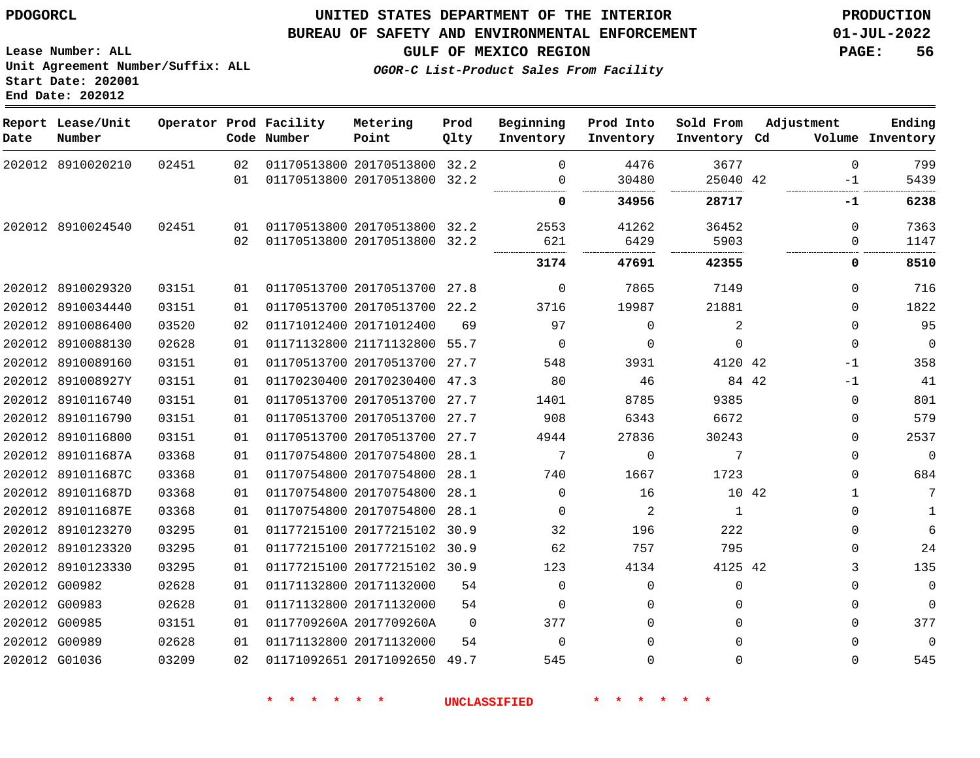**Report Lease/Unit**

**Number**

## **UNITED STATES DEPARTMENT OF THE INTERIOR PDOGORCL PRODUCTION**

**Prod Qlty**

#### **BUREAU OF SAFETY AND ENVIRONMENTAL ENFORCEMENT 01-JUL-2022**

**Lease Number: ALL Unit Agreement Number/Suffix: ALL Start Date: 202001 End Date: 202012**

**Operator Prod Facility**

**Code Number**

**OGOR-C List-Product Sales From Facility**

**Beginning Inventory**

 $\Omega$ 

**Sold From Inventory**

**Prod Into Inventory**

**GULF OF MEXICO REGION PAGE: 56**

**Inventory Cd Volume**

**Adjustment**

 

**Ending**

 

|               | 202012 8910020210 | 02451 | 02 | 01170513800 20170513800 32.2 |                     | $\Omega$       | 4476     | 3677        | $\Omega$       |
|---------------|-------------------|-------|----|------------------------------|---------------------|----------------|----------|-------------|----------------|
|               |                   |       | 01 | 01170513800 20170513800 32.2 |                     | $\Omega$<br>   | 30480    | 25040 42    | -1             |
|               |                   |       |    |                              |                     | 0              | 34956    | 28717       | -1             |
|               | 202012 8910024540 | 02451 | 01 | 01170513800 20170513800 32.2 |                     | 2553           | 41262    | 36452       | $\mathbf 0$    |
|               |                   |       | 02 | 01170513800 20170513800 32.2 |                     | 621            | 6429     | 5903        | 0              |
|               |                   |       |    |                              |                     | 3174           | 47691    | 42355       | 0              |
|               | 202012 8910029320 | 03151 | 01 | 01170513700 20170513700 27.8 |                     | $\mathbf{0}$   | 7865     | 7149        | $\mathbf 0$    |
|               | 202012 8910034440 | 03151 | 01 | 01170513700 20170513700 22.2 |                     | 3716           | 19987    | 21881       | $\overline{0}$ |
|               | 202012 8910086400 | 03520 | 02 | 01171012400 20171012400      | 69                  | 97             | 0        | 2           | $\mathbf 0$    |
|               | 202012 8910088130 | 02628 | 01 | 01171132800 21171132800 55.7 |                     | $\overline{0}$ | 0        | $\Omega$    | $\overline{0}$ |
|               | 202012 8910089160 | 03151 | 01 | 01170513700 20170513700 27.7 |                     | 548            | 3931     | 4120 42     | $-1$           |
|               | 202012 891008927Y | 03151 | 01 | 01170230400 20170230400 47.3 |                     | 80             | 46       | 84 42       | $-1$           |
|               | 202012 8910116740 | 03151 | 01 | 01170513700 20170513700 27.7 |                     | 1401           | 8785     | 9385        | $\overline{0}$ |
|               | 202012 8910116790 | 03151 | 01 | 01170513700 20170513700 27.7 |                     | 908            | 6343     | 6672        | $\mathbf 0$    |
|               | 202012 8910116800 | 03151 | 01 | 01170513700 20170513700 27.7 |                     | 4944           | 27836    | 30243       | $\mathbf 0$    |
|               | 202012 891011687A | 03368 | 01 | 01170754800 20170754800 28.1 |                     | 7              | 0        | 7           | $\mathbf 0$    |
|               | 202012 891011687C | 03368 | 01 | 01170754800 20170754800 28.1 |                     | 740            | 1667     | 1723        | $\mathbf 0$    |
|               | 202012 891011687D | 03368 | 01 | 01170754800 20170754800 28.1 |                     | $\Omega$       | 16       | 10 42       | 1              |
|               | 202012 891011687E | 03368 | 01 | 01170754800 20170754800 28.1 |                     | $\Omega$       | -2       | 1           | $\mathbf 0$    |
|               | 202012 8910123270 | 03295 | 01 | 01177215100 20177215102 30.9 |                     | 32             | 196      | 222         | $\mathbf 0$    |
|               | 202012 8910123320 | 03295 | 01 | 01177215100 20177215102 30.9 |                     | 62             | 757      | 795         | $\mathbf 0$    |
|               | 202012 8910123330 | 03295 | 01 | 01177215100 20177215102 30.9 |                     | 123            | 4134     | 4125 42     | 3              |
|               | 202012 G00982     | 02628 | 01 | 01171132800 20171132000      | 54                  | $\Omega$       | 0        | $\mathbf 0$ | $\mathsf 0$    |
|               | 202012 G00983     | 02628 | 01 | 01171132800 20171132000      | 54                  | $\Omega$       | $\Omega$ | $\Omega$    | $\mathbf 0$    |
| 202012 G00985 |                   | 03151 | 01 | 0117709260A 2017709260A      | $\Omega$            | 377            | $\Omega$ | $\Omega$    | $\mathbf 0$    |
|               | 202012 G00989     | 02628 | 01 | 01171132800 20171132000      | 54                  | $\Omega$       | 0        | $\Omega$    | $\Omega$       |
|               | 202012 G01036     | 03209 | 02 | 01171092651 20171092650 49.7 |                     | 545            | 0        | $\Omega$    | $\mathbf 0$    |
|               |                   |       |    |                              |                     |                |          |             |                |
|               |                   |       |    | 一大                           | <b>UNCLASSIFIED</b> |                |          |             |                |

**Metering Point**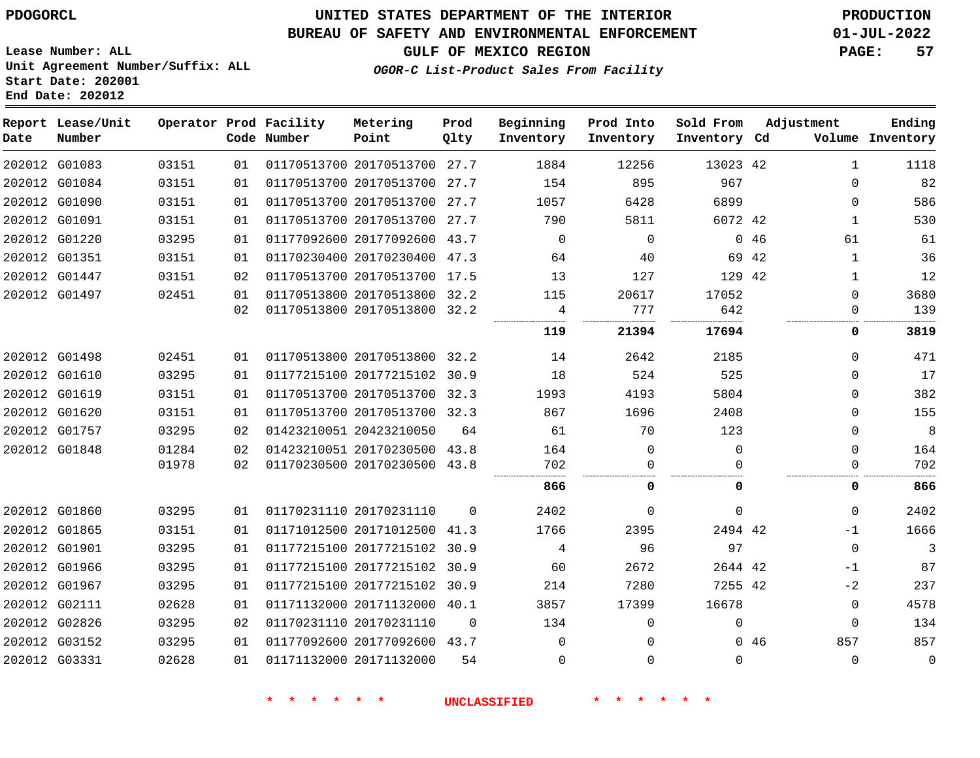# **UNITED STATES DEPARTMENT OF THE INTERIOR PDOGORCL PRODUCTION**

### **BUREAU OF SAFETY AND ENVIRONMENTAL ENFORCEMENT 01-JUL-2022**

**Lease Number: ALL Unit Agreement Number/Suffix: ALL Start Date: 202001**

# **GULF OF MEXICO REGION PAGE: 57**

**OGOR-C List-Product Sales From Facility**

| Date | Report Lease/Unit<br>Number |       |    | Operator Prod Facility<br>Code Number | Metering<br>Point            | Prod<br>Qlty | Beginning<br>Inventory | Prod Into<br>Inventory | Sold From<br>Inventory Cd | Adjustment | Ending<br>Volume Inventory |             |
|------|-----------------------------|-------|----|---------------------------------------|------------------------------|--------------|------------------------|------------------------|---------------------------|------------|----------------------------|-------------|
|      | 202012 G01083               | 03151 | 01 |                                       | 01170513700 20170513700 27.7 |              | 1884                   | 12256                  | 13023 42                  |            | $\mathbf{1}$<br>1118       |             |
|      | 202012 G01084               | 03151 | 01 |                                       | 01170513700 20170513700 27.7 |              | 154                    | 895                    | 967                       |            | $\Omega$                   | 82          |
|      | 202012 G01090               | 03151 | 01 |                                       | 01170513700 20170513700 27.7 |              | 1057                   | 6428                   | 6899                      |            | 0                          | 586         |
|      | 202012 G01091               | 03151 | 01 |                                       | 01170513700 20170513700 27.7 |              | 790                    | 5811                   | 6072 42                   |            | 1                          | 530         |
|      | 202012 G01220               | 03295 | 01 |                                       | 01177092600 20177092600 43.7 |              | $\mathbf 0$            | $\Omega$               |                           | 046        | 61                         | 61          |
|      | 202012 G01351               | 03151 | 01 |                                       | 01170230400 20170230400 47.3 |              | 64                     | 40                     |                           | 69 42      | $\mathbf{1}$               | 36          |
|      | 202012 G01447               | 03151 | 02 |                                       | 01170513700 20170513700 17.5 |              | 13                     | 127                    | 129 42                    |            | $\mathbf{1}$               | 12          |
|      | 202012 G01497               | 02451 | 01 |                                       | 01170513800 20170513800 32.2 |              | 115                    | 20617                  | 17052                     |            | 3680<br>$\mathbf{0}$       |             |
|      |                             |       | 02 |                                       | 01170513800 20170513800 32.2 |              | 4                      | 777                    | 642                       |            | 0                          | 139         |
|      |                             |       |    |                                       |                              |              | 119                    | 21394                  | 17694                     |            | 0<br>3819                  |             |
|      | 202012 G01498               | 02451 | 01 |                                       | 01170513800 20170513800      | 32.2         | 14                     | 2642                   | 2185                      |            | $\Omega$                   | 471         |
|      | 202012 G01610               | 03295 | 01 |                                       | 01177215100 20177215102 30.9 |              | 18                     | 524                    | 525                       |            | $\Omega$                   | 17          |
|      | 202012 G01619               | 03151 | 01 |                                       | 01170513700 20170513700      | 32.3         | 1993                   | 4193                   | 5804                      |            | $\mathbf{0}$               | 382         |
|      | 202012 G01620               | 03151 | 01 |                                       | 01170513700 20170513700 32.3 |              | 867                    | 1696                   | 2408                      |            | $\Omega$                   | 155         |
|      | 202012 G01757               | 03295 | 02 |                                       | 01423210051 20423210050      | 64           | 61                     | 70                     | 123                       |            | $\mathbf{0}$               | 8           |
|      | 202012 G01848               | 01284 | 02 |                                       | 01423210051 20170230500 43.8 |              | 164                    | $\Omega$               | $\Omega$                  |            | $\Omega$                   | 164         |
|      |                             | 01978 | 02 |                                       | 01170230500 20170230500 43.8 |              | 702                    | $\Omega$               | $\Omega$                  |            | $\mathbf{0}$               | 702         |
|      |                             |       |    |                                       |                              |              | 866                    | 0                      | 0                         |            | 0                          | 866         |
|      | 202012 G01860               | 03295 | 01 |                                       | 01170231110 20170231110      | $\Omega$     | 2402                   | $\Omega$               | $\mathbf 0$               |            | $\mathbf{0}$<br>2402       |             |
|      | 202012 G01865               | 03151 | 01 |                                       | 01171012500 20171012500      | 41.3         | 1766                   | 2395                   | 2494 42                   |            | 1666<br>$-1$               |             |
|      | 202012 G01901               | 03295 | 01 |                                       | 01177215100 20177215102      | 30.9         | 4                      | 96                     | 97                        |            | $\mathbf 0$                | 3           |
|      | 202012 G01966               | 03295 | 01 |                                       | 01177215100 20177215102      | 30.9         | 60                     | 2672                   | 2644 42                   |            | $-1$                       | 87          |
|      | 202012 G01967               | 03295 | 01 |                                       | 01177215100 20177215102      | 30.9         | 214                    | 7280                   | 7255 42                   |            | $-2$                       | 237         |
|      | 202012 G02111               | 02628 | 01 |                                       | 01171132000 20171132000 40.1 |              | 3857                   | 17399                  | 16678                     |            | 4578<br>0                  |             |
|      | 202012 G02826               | 03295 | 02 |                                       | 01170231110 20170231110      | $\Omega$     | 134                    | $\Omega$               | 0                         |            | 0                          | 134         |
|      | 202012 G03152               | 03295 | 01 |                                       | 01177092600 20177092600 43.7 |              | $\Omega$               | $\Omega$               |                           | 857<br>046 |                            | 857         |
|      | 202012 G03331               | 02628 | 01 |                                       | 01171132000 20171132000      | 54           | $\Omega$               | $\Omega$               | 0                         |            | $\Omega$                   | $\mathbf 0$ |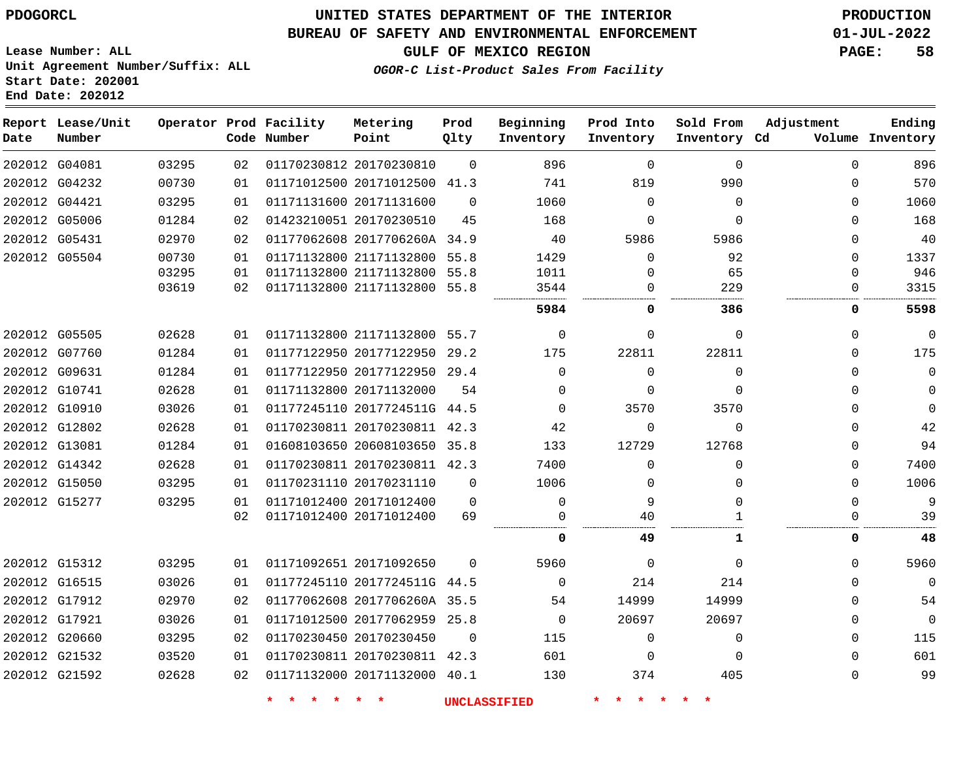# **UNITED STATES DEPARTMENT OF THE INTERIOR PDOGORCL PRODUCTION**

**Prod Qlty**

#### **BUREAU OF SAFETY AND ENVIRONMENTAL ENFORCEMENT 01-JUL-2022**

**Lease Number: ALL Unit Agreement Number/Suffix: ALL Start Date: 202001**

**Operator Prod Facility**

**Code Number**

**Metering Point**

**End Date: 202012**

**Report Lease/Unit**

**Number**

**GULF OF MEXICO REGION PAGE: 58**

**Inventory Cd Volume**

**Adjustment**

**Ending**

**OGOR-C List-Product Sales From Facility**

**Beginning Inventory** **Prod Into Inventory** **Sold From Inventory**

| 202012 G04081 | 03295 | 02 | 01170230812 20170230810      | $\Omega$ | 896         | $\Omega$ | $\Omega$ | 0                | 896         |
|---------------|-------|----|------------------------------|----------|-------------|----------|----------|------------------|-------------|
| 202012 G04232 | 00730 | 01 | 01171012500 20171012500 41.3 |          | 741         | 819      | 990      | 0                | 570         |
| 202012 G04421 | 03295 | 01 | 01171131600 20171131600      | $\Omega$ | 1060        | $\Omega$ | $\Omega$ | 0                | 1060        |
| 202012 G05006 | 01284 | 02 | 01423210051 20170230510      | 45       | 168         | $\Omega$ | $\Omega$ | 0                | 168         |
| 202012 G05431 | 02970 | 02 | 01177062608 2017706260A 34.9 |          | 40          | 5986     | 5986     | 0                | 40          |
| 202012 G05504 | 00730 | 01 | 01171132800 21171132800 55.8 |          | 1429        | $\Omega$ | 92       | O                | 1337        |
|               | 03295 | 01 | 01171132800 21171132800 55.8 |          | 1011        | $\cap$   | 65       | U                | 946         |
|               | 03619 | 02 | 01171132800 21171132800 55.8 |          | 3544        |          | 229      |                  | 3315        |
|               |       |    |                              |          | 5984        | 0        | 386      | 0                | 5598        |
| 202012 G05505 | 02628 | 01 | 01171132800 21171132800 55.7 |          | 0           | $\Omega$ | 0        | $\Omega$         | $\mathbf 0$ |
| 202012 G07760 | 01284 | 01 | 01177122950 20177122950 29.2 |          | 175         | 22811    | 22811    | 0                | 175         |
| 202012 G09631 | 01284 | 01 | 01177122950 20177122950 29.4 |          | 0           | $\Omega$ | 0        | 0                | $\mathbf 0$ |
| 202012 G10741 | 02628 | 01 | 01171132800 20171132000      | 54       | 0           | $\Omega$ | $\Omega$ | 0                | $\mathbf 0$ |
| 202012 G10910 | 03026 | 01 | 01177245110 2017724511G 44.5 |          | 0           | 3570     | 3570     | 0                | $\Omega$    |
| 202012 G12802 | 02628 | 01 | 01170230811 20170230811 42.3 |          | 42          |          | $\Omega$ | 0                | 42          |
| 202012 G13081 | 01284 | 01 | 01608103650 20608103650 35.8 |          | 133         | 12729    | 12768    | 0                | 94          |
| 202012 G14342 | 02628 | 01 | 01170230811 20170230811 42.3 |          | 7400        | ∩        | $\Omega$ | 0                | 7400        |
| 202012 G15050 | 03295 | 01 | 01170231110 20170231110      | $\Omega$ | 1006        |          |          | 0                | 1006        |
| 202012 G15277 | 03295 | 01 | 01171012400 20171012400      | $\Omega$ | 0           |          | 0        | $\left( \right)$ | 9           |
|               |       | 02 | 01171012400 20171012400      | 69       |             | 40       |          |                  | 39          |
|               |       |    |                              |          | 0           | 49       | ı        | 0                | 48          |
| 202012 G15312 | 03295 | 01 | 01171092651 20171092650      | $\Omega$ | 5960        | $\Omega$ | $\Omega$ | 0                | 5960        |
| 202012 G16515 | 03026 | 01 | 01177245110 2017724511G 44.5 |          | $\Omega$    | 214      | 214      | 0                | $\Omega$    |
| 202012 G17912 | 02970 | 02 | 01177062608 2017706260A 35.5 |          | 54          | 14999    | 14999    | 0                | 54          |
| 202012 G17921 | 03026 | 01 | 01171012500 20177062959 25.8 |          | $\mathbf 0$ | 20697    | 20697    |                  | $\mathbf 0$ |
| 202012 G20660 | 03295 | 02 | 01170230450 20170230450      | - 0      | 115         | $\Omega$ | $\Omega$ | 0                | 115         |
| 202012 G21532 | 03520 | 01 | 01170230811 20170230811 42.3 |          | 601         | $\Omega$ | $\Omega$ | 0                | 601         |
| 202012 G21592 | 02628 | 02 | 01171132000 20171132000 40.1 |          | 130         | 374      | 405      | 0                | 99          |